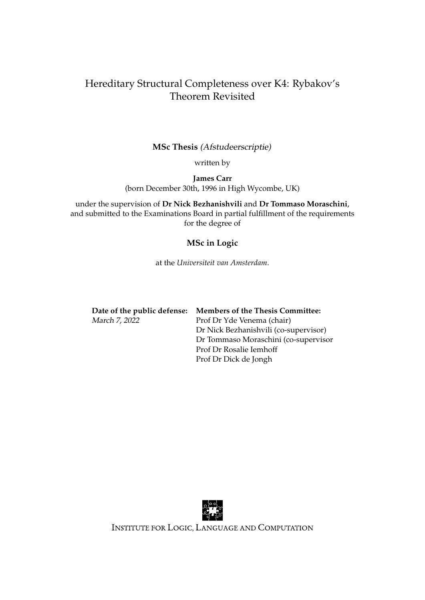## <span id="page-0-0"></span>Hereditary Structural Completeness over K4: Rybakov's Theorem Revisited

## **MSc Thesis** (Afstudeerscriptie)

written by

**James Carr** (born December 30th, 1996 in High Wycombe, UK)

under the supervision of **Dr Nick Bezhanishvili** and **Dr Tommaso Moraschini**, and submitted to the Examinations Board in partial fulfillment of the requirements for the degree of

## **MSc in Logic**

at the *Universiteit van Amsterdam*.

|               | Date of the public defense: Members of the Thesis Committee: |
|---------------|--------------------------------------------------------------|
| March 7, 2022 | Prof Dr Yde Venema (chair)                                   |
|               | Dr Nick Bezhanishvili (co-supervisor)                        |
|               | Dr Tommaso Moraschini (co-supervisor                         |
|               | Prof Dr Rosalie Iemhoff                                      |
|               | Prof Dr Dick de Jongh                                        |



INSTITUTE FOR LOGIC, LANGUAGE AND COMPUTATION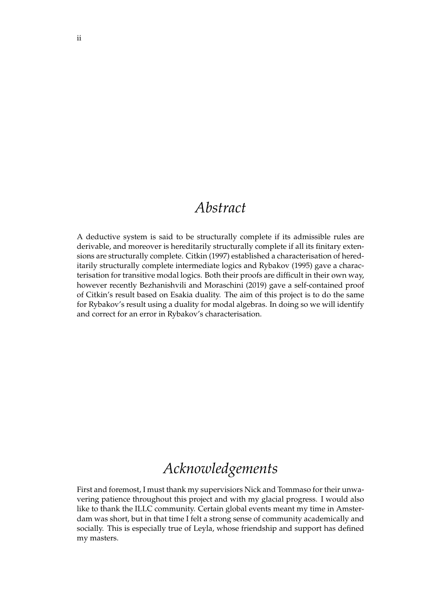## *Abstract*

A deductive system is said to be structurally complete if its admissible rules are derivable, and moreover is hereditarily structurally complete if all its finitary extensions are structurally complete. Citkin (1997) established a characterisation of hereditarily structurally complete intermediate logics and Rybakov (1995) gave a characterisation for transitive modal logics. Both their proofs are difficult in their own way, however recently Bezhanishvili and Moraschini (2019) gave a self-contained proof of Citkin's result based on Esakia duality. The aim of this project is to do the same for Rybakov's result using a duality for modal algebras. In doing so we will identify and correct for an error in Rybakov's characterisation.

# *Acknowledgements*

First and foremost, I must thank my supervisiors Nick and Tommaso for their unwavering patience throughout this project and with my glacial progress. I would also like to thank the ILLC community. Certain global events meant my time in Amsterdam was short, but in that time I felt a strong sense of community academically and socially. This is especially true of Leyla, whose friendship and support has defined my masters.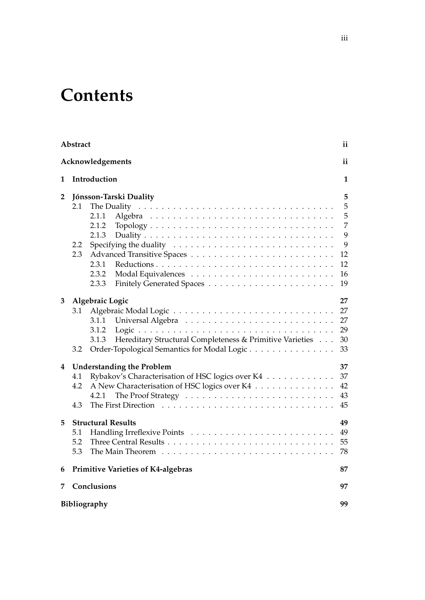# **Contents**

|              | Abstract               |                                                                   | ii |
|--------------|------------------------|-------------------------------------------------------------------|----|
|              |                        | Acknowledgements                                                  | ii |
| 1            | Introduction           |                                                                   |    |
| $\mathbf{2}$ | Jónsson-Tarski Duality |                                                                   |    |
|              | 2.1                    | The Duality                                                       | 5  |
|              |                        | 2.1.1                                                             | 5  |
|              |                        | 2.1.2                                                             | 7  |
|              |                        | 2.1.3                                                             | 9  |
|              | 2.2                    |                                                                   | 9  |
|              | 2.3                    |                                                                   | 12 |
|              |                        | 2.3.1                                                             | 12 |
|              |                        | 2.3.2                                                             | 16 |
|              |                        | 2.3.3                                                             | 19 |
| 3            |                        | Algebraic Logic                                                   | 27 |
|              | 3.1                    |                                                                   | 27 |
|              |                        | 3.1.1                                                             | 27 |
|              |                        | 3.1.2                                                             | 29 |
|              |                        | Hereditary Structural Completeness & Primitive Varieties<br>3.1.3 | 30 |
|              | 3.2                    | Order-Topological Semantics for Modal Logic                       | 33 |
| 4            |                        | <b>Understanding the Problem</b>                                  | 37 |
|              | 4.1                    | Rybakov's Characterisation of HSC logics over K4                  | 37 |
|              | 4.2                    | A New Characterisation of HSC logics over K4                      | 42 |
|              |                        | 4.2.1                                                             | 43 |
|              | 4.3                    |                                                                   | 45 |
| 5            |                        | <b>Structural Results</b>                                         | 49 |
|              | 5.1                    |                                                                   | 49 |
|              | 5.2                    |                                                                   | 55 |
|              | 5.3                    |                                                                   | 78 |
| 6            |                        | <b>Primitive Varieties of K4-algebras</b>                         | 87 |
| 7            |                        | Conclusions                                                       | 97 |
|              |                        | Bibliography                                                      | 99 |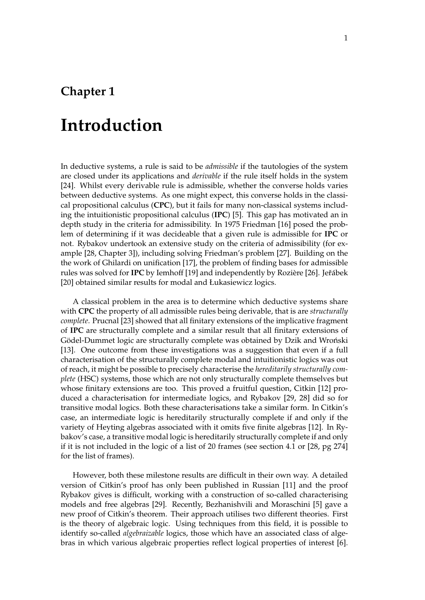# <span id="page-4-0"></span>**Chapter 1**

# **Introduction**

In deductive systems, a rule is said to be *admissible* if the tautologies of the system are closed under its applications and *derivable* if the rule itself holds in the system [\[24\]](#page-103-0). Whilst every derivable rule is admissible, whether the converse holds varies between deductive systems. As one might expect, this converse holds in the classical propositional calculus (**CPC**), but it fails for many non-classical systems including the intuitionistic propositional calculus (**IPC**) [\[5\]](#page-102-1). This gap has motivated an in depth study in the criteria for admissibility. In 1975 Friedman [\[16\]](#page-102-2) posed the problem of determining if it was decideable that a given rule is admissible for **IPC** or not. Rybakov undertook an extensive study on the criteria of admissibility (for example [\[28,](#page-103-1) Chapter 3]), including solving Friedman's problem [\[27\]](#page-103-2). Building on the the work of Ghilardi on unification [\[17\]](#page-102-3), the problem of finding bases for admissible rules was solved for **IPC** by Iemhoff [\[19\]](#page-103-3) and independently by Rozière [\[26\]](#page-103-4). Jeřábek [\[20\]](#page-103-5) obtained similar results for modal and Łukasiewicz logics.

A classical problem in the area is to determine which deductive systems share with **CPC** the property of all admissible rules being derivable, that is are *structurally complete*. Prucnal [\[23\]](#page-103-6) showed that all finitary extensions of the implicative fragment of **IPC** are structurally complete and a similar result that all finitary extensions of Gödel-Dummet logic are structurally complete was obtained by Dzik and Wroński [\[13\]](#page-102-4). One outcome from these investigations was a suggestion that even if a full characterisation of the structurally complete modal and intuitionistic logics was out of reach, it might be possible to precisely characterise the *hereditarily structurally complete* (HSC) systems, those which are not only structurally complete themselves but whose finitary extensions are too. This proved a fruitful question, Citkin [\[12\]](#page-102-5) produced a characterisation for intermediate logics, and Rybakov [\[29,](#page-103-7) [28\]](#page-103-1) did so for transitive modal logics. Both these characterisations take a similar form. In Citkin's case, an intermediate logic is hereditarily structurally complete if and only if the variety of Heyting algebras associated with it omits five finite algebras [\[12\]](#page-102-5). In Rybakov's case, a transitive modal logic is hereditarily structurally complete if and only if it is not included in the logic of a list of 20 frames (see section 4.1 or [\[28,](#page-103-1) pg 274] for the list of frames).

However, both these milestone results are difficult in their own way. A detailed version of Citkin's proof has only been published in Russian [\[11\]](#page-102-6) and the proof Rybakov gives is difficult, working with a construction of so-called characterising models and free algebras [\[29\]](#page-103-7). Recently, Bezhanishvili and Moraschini [\[5\]](#page-102-1) gave a new proof of Citkin's theorem. Their approach utilises two different theories. First is the theory of algebraic logic. Using techniques from this field, it is possible to identify so-called *algebraizable* logics, those which have an associated class of algebras in which various algebraic properties reflect logical properties of interest [\[6\]](#page-102-7).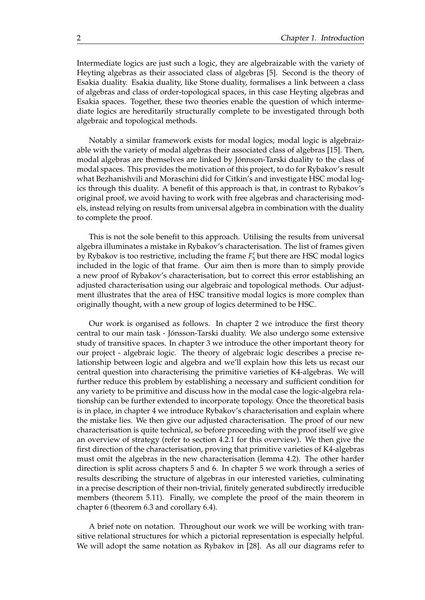Intermediate logics are just such a logic, they are algebraizable with the variety of Heyting algebras as their associated class of algebras [\[5\]](#page-102-1). Second is the theory of Esakia duality. Esakia duality, like Stone duality, formalises a link between a class of algebras and class of order-topological spaces, in this case Heyting algebras and Esakia spaces. Together, these two theories enable the question of which intermediate logics are hereditarily structurally complete to be investigated through both algebraic and topological methods.

Notably a similar framework exists for modal logics; modal logic is algebraizable with the variety of modal algebras their associated class of algebras [\[15\]](#page-102-8). Then, modal algebras are themselves are linked by Jónnson-Tarski duality to the class of modal spaces. This provides the motivation of this project, to do for Rybakov's result what Bezhanishvili and Moraschini did for Citkin's and investigate HSC modal logics through this duality. A benefit of this approach is that, in contrast to Rybakov's original proof, we avoid having to work with free algebras and characterising models, instead relying on results from universal algebra in combination with the duality to complete the proof.

This is not the sole benefit to this approach. Utilising the results from universal algebra illuminates a mistake in Rybakov's characterisation. The list of frames given by Rybakov is too restrictive, including the frame  $F_3'$  but there are HSC modal logics included in the logic of that frame. Our aim then is more than to simply provide a new proof of Rybakov's characterisation, but to correct this error establishing an adjusted characterisation using our algebraic and topological methods. Our adjustment illustrates that the area of HSC transitive modal logics is more complex than originally thought, with a new group of logics determined to be HSC.

Our work is organised as follows. In chapter 2 we introduce the first theory central to our main task - Jónsson-Tarski duality. We also undergo some extensive study of transitive spaces. In chapter 3 we introduce the other important theory for our project - algebraic logic. The theory of algebraic logic describes a precise relationship between logic and algebra and we'll explain how this lets us recast our central question into characterising the primitive varieties of K4-algebras. We will further reduce this problem by establishing a necessary and sufficient condition for any variety to be primitive and discuss how in the modal case the logic-algebra relationship can be further extended to incorporate topology. Once the theoretical basis is in place, in chapter 4 we introduce Rybakov's characterisation and explain where the mistake lies. We then give our adjusted characterisation. The proof of our new characterisation is quite technical, so before proceeding with the proof itself we give an overview of strategy (refer to section 4.2.1 for this overview). We then give the first direction of the characterisation, proving that primitive varieties of K4-algebras must omit the algebras in the new characterisation (lemma [4.2\)](#page-48-1). The other harder direction is split across chapters 5 and 6. In chapter 5 we work through a series of results describing the structure of algebras in our interested varieties, culminating in a precise description of their non-trivial, finitely generated subdirectly irreducible members (theorem [5.11\)](#page-81-1). Finally, we complete the proof of the main theorem in chapter 6 (theorem [6.3](#page-98-0) and corollary [6.4\)](#page-98-1).

A brief note on notation. Throughout our work we will be working with transitive relational structures for which a pictorial representation is especially helpful. We will adopt the same notation as Rybakov in [\[28\]](#page-103-1). As all our diagrams refer to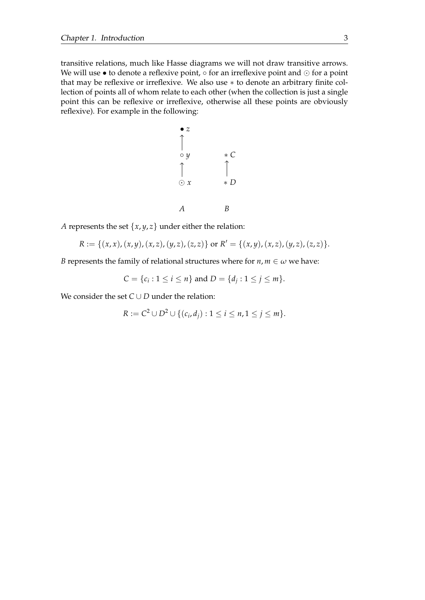transitive relations, much like Hasse diagrams we will not draw transitive arrows. We will use • to denote a reflexive point, ○ for an irreflexive point and ⊙ for a point that may be reflexive or irreflexive. We also use ∗ to denote an arbitrary finite collection of points all of whom relate to each other (when the collection is just a single point this can be reflexive or irreflexive, otherwise all these points are obviously reflexive). For example in the following:



*A* represents the set  $\{x, y, z\}$  under either the relation:

$$
R := \{(x,x),(x,y),(x,z),(y,z),(z,z)\} \text{ or } R' = \{(x,y),(x,z),(y,z),(z,z)\}.
$$

*B* represents the family of relational structures where for  $n, m \in \omega$  we have:

$$
C = \{c_i : 1 \le i \le n\} \text{ and } D = \{d_j : 1 \le j \le m\}.
$$

We consider the set  $C \cup D$  under the relation:

$$
R := C2 \cup D2 \cup \{ (c_i, d_j) : 1 \le i \le n, 1 \le j \le m \}.
$$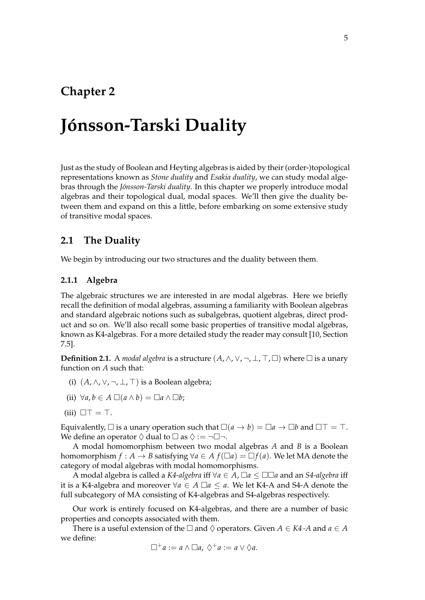## <span id="page-8-0"></span>**Chapter 2**

# **Jónsson-Tarski Duality**

Just as the study of Boolean and Heyting algebras is aided by their (order-)topological representations known as *Stone duality* and *Esakia duality*, we can study modal algebras through the *Jónsson-Tarski duality*. In this chapter we properly introduce modal algebras and their topological dual, modal spaces. We'll then give the duality between them and expand on this a little, before embarking on some extensive study of transitive modal spaces.

## <span id="page-8-1"></span>**2.1 The Duality**

We begin by introducing our two structures and the duality between them.

## <span id="page-8-2"></span>**2.1.1 Algebra**

The algebraic structures we are interested in are modal algebras. Here we briefly recall the definition of modal algebras, assuming a familiarity with Boolean algebras and standard algebraic notions such as subalgebras, quotient algebras, direct product and so on. We'll also recall some basic properties of transitive modal algebras, known as K4-algebras. For a more detailed study the reader may consult [\[10,](#page-102-9) Section 7.5].

**Definition 2.1.** A *modal algebra* is a structure  $(A, \wedge, \vee, \neg, \bot, \top, \Box)$  where  $\Box$  is a unary function on *A* such that:

- (i)  $(A, \wedge, \vee, \neg, \bot, \top)$  is a Boolean algebra;
- (ii)  $\forall a, b \in A \square (a \land b) = \square a \land \square b;$
- (iii)  $\Box \top = \top$ .

Equivalently,  $\Box$  is a unary operation such that  $\Box(a \rightarrow b) = \Box a \rightarrow \Box b$  and  $\Box \top = \top$ . We define an operator  $\Diamond$  dual to  $\Box$  as  $\Diamond := \neg \Box \neg$ .

A modal homomorphism between two modal algebras *A* and *B* is a Boolean homomorphism  $f : A \to B$  satisfying  $\forall a \in A$   $f(\Box a) = \Box f(a)$ . We let MA denote the category of modal algebras with modal homomorphisms.

A modal algebra is called a *K4-algebra* iff ∀*a* ∈ *A*, □*a* ≤ □□*a* and an *S4-algebra* iff it is a K4-algebra and moreover  $\forall a \in A \square a \le a$ . We let K4-A and S4-A denote the full subcategory of MA consisting of K4-algebras and S4-algebras respectively.

Our work is entirely focused on K4-algebras, and there are a number of basic properties and concepts associated with them.

There is a useful extension of the  $\Box$  and  $\Diamond$  operators. Given  $A \in K4$ -A and  $a \in A$ we define:

$$
\Box^+ a := a \wedge \Box a, \ \Diamond^+ a := a \vee \Diamond a.
$$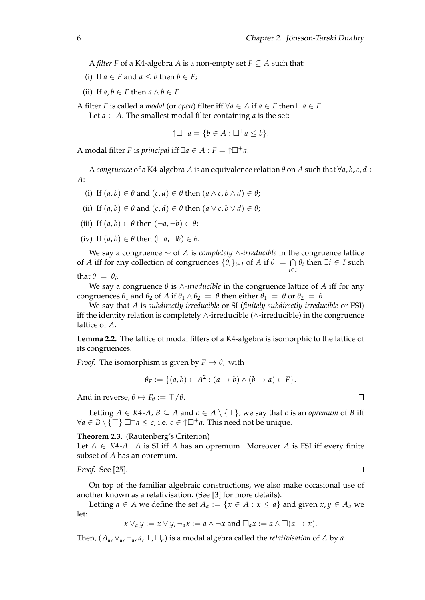A *filter F* of a K4-algebra *A* is a non-empty set  $F \subseteq A$  such that:

- (i) If  $a \in F$  and  $a \leq b$  then  $b \in F$ ;
- (ii) If  $a, b \in F$  then  $a \wedge b \in F$ .

A filter *F* is called a *modal* (or *open*) filter iff  $\forall a \in A$  if  $a \in F$  then  $\Box a \in F$ .

Let  $a \in A$ . The smallest modal filter containing  $a$  is the set:

$$
\uparrow \Box^+ a = \{ b \in A : \Box^+ a \leq b \}.
$$

A modal filter *F* is *principal* iff  $\exists a \in A : F = \uparrow \Box^+ a$ .

A *congruence* of a K4-algebra *A* is an equivalence relation *θ* on *A* such that ∀*a*, *b*, *c*, *d* ∈ *A*:

- (i) If  $(a, b) \in \theta$  and  $(c, d) \in \theta$  then  $(a \wedge c, b \wedge d) \in \theta$ ;
- (ii) If  $(a, b) \in \theta$  and  $(c, d) \in \theta$  then  $(a \vee c, b \vee d) \in \theta$ ;
- (iii) If  $(a, b) \in \theta$  then  $(\neg a, \neg b) \in \theta$ ;
- (iv) If  $(a, b) \in \theta$  then  $(\Box a, \Box b) \in \theta$ .

We say a congruence ∼ of *A* is *completely* ∧*-irreducible* in the congruence lattice of *A* iff for any collection of congruences  $\{\theta_i\}_{i\in I}$  of *A* if  $\theta = \bigcap \theta_i$  then  $\exists i \in I$  such *i*∈*I* that  $\theta = \theta_i$ .

We say a congruence *θ* is ∧*-irreducible* in the congruence lattice of *A* iff for any congruences  $\theta_1$  and  $\theta_2$  of *A* if  $\theta_1 \wedge \theta_2 = \theta$  then either  $\theta_1 = \theta$  or  $\theta_2 = \theta$ .

We say that *A* is *subdirectly irreducible* or SI (*finitely subdirectly irreducible* or FSI) iff the identity relation is completely ∧-irreducible (∧-irreducible) in the congruence lattice of *A*.

**Lemma 2.2.** The lattice of modal filters of a K4-algebra is isomorphic to the lattice of its congruences.

*Proof.* The isomorphism is given by  $F \mapsto \theta_F$  with

$$
\theta_F := \{ (a,b) \in A^2 : (a \to b) \land (b \to a) \in F \}.
$$

And in reverse,  $\theta \mapsto F_{\theta} := \top / \theta$ .

Letting *A* ∈ *K*4-*A*, *B* ⊆ *A* and *c* ∈ *A* \ {⊤}, we say that *c* is an *opremum* of *B* iff  $\forall a \in B \setminus \{\top\} \square^+ a \leq c$ , i.e.  $c \in \uparrow \square^+ a$ . This need not be unique.

#### **Theorem 2.3.** (Rautenberg's Criterion)

Let  $A \in K4$ -A. A is SI iff A has an opremum. Moreover A is FSI iff every finite subset of *A* has an opremum.

*Proof.* See [\[25\]](#page-103-8).

On top of the familiar algebraic constructions, we also make occasional use of another known as a relativisation. (See [\[3\]](#page-102-10) for more details).

Letting *a* ∈ *A* we define the set  $A_a := \{x \in A : x \le a\}$  and given  $x, y \in A_a$  we let:

$$
x \vee_a y := x \vee y, \neg_a x := a \wedge \neg x \text{ and } \Box_a x := a \wedge \Box (a \rightarrow x).
$$

Then,  $(A_a, \vee_a, \neg_a, a, \perp, \square_a)$  is a modal algebra called the *relativisation* of A by *a*.

 $\Box$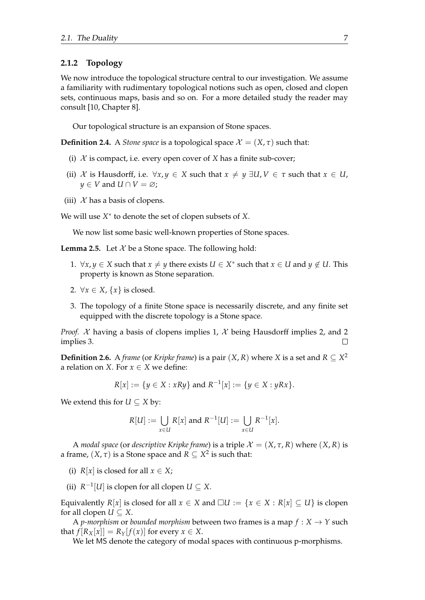### <span id="page-10-0"></span>**2.1.2 Topology**

We now introduce the topological structure central to our investigation. We assume a familiarity with rudimentary topological notions such as open, closed and clopen sets, continuous maps, basis and so on. For a more detailed study the reader may consult [\[10,](#page-102-9) Chapter 8].

Our topological structure is an expansion of Stone spaces.

**Definition 2.4.** A *Stone space* is a topological space  $\mathcal{X} = (X, \tau)$  such that:

- (i)  $X$  is compact, i.e. every open cover of  $X$  has a finite sub-cover;
- (ii) X is Hausdorff, i.e.  $\forall x, y \in X$  such that  $x \neq y \exists U, V \in \tau$  such that  $x \in U$ , *y* ∈ *V* and *U* ∩ *V* =  $\emptyset$ ;
- (iii)  $\mathcal X$  has a basis of clopens.

We will use *X* ∗ to denote the set of clopen subsets of *X*.

We now list some basic well-known properties of Stone spaces.

<span id="page-10-1"></span>**Lemma 2.5.** Let  $X$  be a Stone space. The following hold:

- 1.  $\forall x, y \in X$  such that  $x \neq y$  there exists  $U \in X^*$  such that  $x \in U$  and  $y \notin U$ . This property is known as Stone separation.
- 2.  $\forall x \in X, \{x\}$  is closed.
- 3. The topology of a finite Stone space is necessarily discrete, and any finite set equipped with the discrete topology is a Stone space.

*Proof.*  $X$  having a basis of clopens implies 1,  $X$  being Hausdorff implies 2, and 2 implies 3. П

**Definition 2.6.** A *frame* (or *Kripke frame*) is a pair  $(X, R)$  where *X* is a set and  $R \subseteq X^2$ a relation on *X*. For  $x \in X$  we define:

$$
R[x] := \{ y \in X : xRy \} \text{ and } R^{-1}[x] := \{ y \in X : yRx \}.
$$

We extend this for  $U \subseteq X$  by:

$$
R[U] := \bigcup_{x \in U} R[x] \text{ and } R^{-1}[U] := \bigcup_{x \in U} R^{-1}[x].
$$

A *modal space* (or *descriptive Kripke frame*) is a triple  $\mathcal{X} = (X, \tau, R)$  where  $(X, R)$  is a frame,  $(X, \tau)$  is a Stone space and  $R \subseteq X^2$  is such that:

(i)  $R[x]$  is closed for all  $x \in X$ ;

(ii)  $R^{-1}[U]$  is clopen for all clopen  $U \subseteq X$ .

Equivalently  $R[x]$  is closed for all  $x \in X$  and  $\Box U := \{x \in X : R[x] \subseteq U\}$  is clopen for all clopen  $U \subseteq X$ .

A *p-morphism* or *bounded morphism* between two frames is a map  $f : X \rightarrow Y$  such that  $f[R_X[x]] = R_Y[f(x)]$  for every  $x \in X$ .

We let MS denote the category of modal spaces with continuous p-morphisms.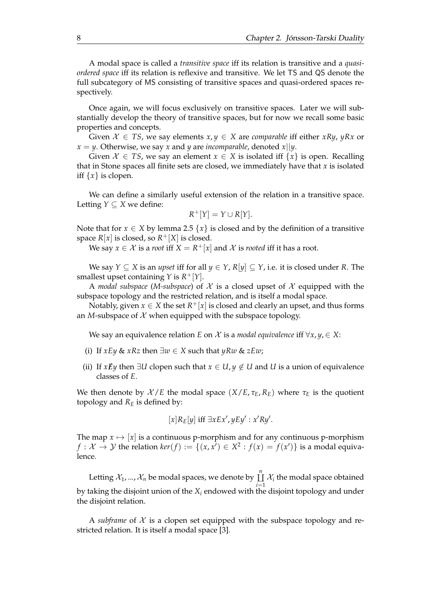A modal space is called a *transitive space* iff its relation is transitive and a *quasiordered space* iff its relation is reflexive and transitive. We let TS and QS denote the full subcategory of MS consisting of transitive spaces and quasi-ordered spaces respectively.

Once again, we will focus exclusively on transitive spaces. Later we will substantially develop the theory of transitive spaces, but for now we recall some basic properties and concepts.

Given  $X \in TS$ , we say elements  $x, y \in X$  are *comparable* iff either  $xRy, yRx$  or  $x = y$ . Otherwise, we say *x* and *y* are *incomparable*, denoted *x*||*y*.

Given  $\mathcal{X} \in TS$ , we say an element  $x \in X$  is isolated iff  $\{x\}$  is open. Recalling that in Stone spaces all finite sets are closed, we immediately have that *x* is isolated iff  $\{x\}$  is clopen.

We can define a similarly useful extension of the relation in a transitive space. Letting  $Y \subseteq X$  we define:

$$
R^+[Y] = Y \cup R[Y].
$$

Note that for  $x \in X$  by lemma [2.5](#page-10-1)  $\{x\}$  is closed and by the definition of a transitive space  $R[x]$  is closed, so  $R^+[X]$  is closed.

We say  $x \in \mathcal{X}$  is a *root* iff  $X = R^+[x]$  and  $\mathcal{X}$  is *rooted* iff it has a root.

We say  $Y \subseteq X$  is an *upset* iff for all  $y \in Y$ ,  $R[y] \subseteq Y$ , i.e. it is closed under R. The smallest upset containing *Y* is *R* <sup>+</sup>[*Y*].

A *modal subspace* (*M-subspace*) of  $X$  is a closed upset of  $X$  equipped with the subspace topology and the restricted relation, and is itself a modal space.

Notably, given  $x \in X$  the set  $R^+[x]$  is closed and clearly an upset, and thus forms an *M*-subspace of  $X$  when equipped with the subspace topology.

We say an equivalence relation *E* on  $\mathcal X$  is a *modal equivalence* iff  $\forall x, y \in X$ :

- (i) If *xEy* & *xRz* then  $\exists w \in X$  such that *yRw* & *zEw*;
- (ii) If *xEy* then  $\exists U$  clopen such that  $x \in U, y \notin U$  and *U* is a union of equivalence classes of *E*.

We then denote by  $X/E$  the modal space  $(X/E, \tau_E, R_E)$  where  $\tau_E$  is the quotient topology and  $R<sub>E</sub>$  is defined by:

$$
[x]R_E[y] \text{ iff } \exists x Ex', y Ey' : x'Ry'.
$$

The map  $x \mapsto [x]$  is a continuous p-morphism and for any continuous p-morphism *f* :  $\mathcal{X} \to \mathcal{Y}$  the relation  $\ker(f) := \{(x, x') \in X^2 : f(x) = f(x')\}$  is a modal equivalence.

Letting  $\mathcal{X}_1,...,\mathcal{X}_n$  be modal spaces, we denote by  $\mathop{\hbox{\rm L}}\limits^n$ ⨿  $\coprod_{i=1} X_i$  the modal space obtained by taking the disjoint union of the *X<sup>i</sup>* endowed with the disjoint topology and under the disjoint relation.

A *subframe* of  $X$  is a clopen set equipped with the subspace topology and restricted relation. It is itself a modal space [\[3\]](#page-102-10).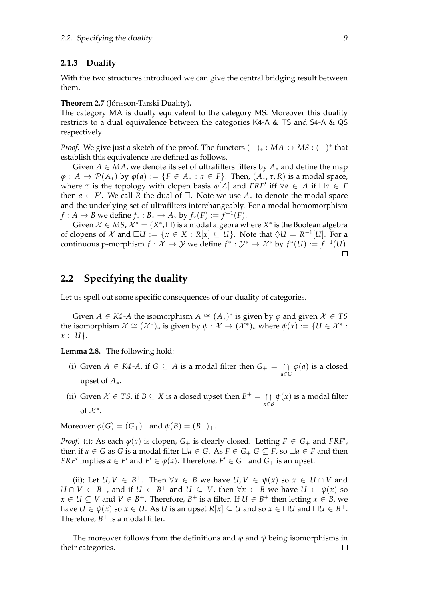## <span id="page-12-0"></span>**2.1.3 Duality**

With the two structures introduced we can give the central bridging result between them.

**Theorem 2.7** (Jónsson-Tarski Duality)**.**

The category MA is dually equivalent to the category MS. Moreover this duality restricts to a dual equivalence between the categories K4-A & TS and S4-A & QS respectively.

*Proof.* We give just a sketch of the proof. The functors  $(-)_* : MA \leftrightarrow MS : (-)^*$  that establish this equivalence are defined as follows.

Given  $A \in MA$ , we denote its set of ultrafilters filters by  $A_*$  and define the map  $\varphi: A \to \mathcal{P}(A_*)$  by  $\varphi(a) := \{F \in A_* : a \in F\}$ . Then,  $(A_*, \tau, R)$  is a modal space, where  $\tau$  is the topology with clopen basis  $\varphi[A]$  and *FRF'* iff  $\forall a \in A$  if  $\Box a \in F$ then  $a \in F'$ . We call  $\overline{R}$  the dual of  $\Box$ . Note we use  $A_*$  to denote the modal space and the underlying set of ultrafilters interchangeably. For a modal homomorphism *f* : *A* → *B* we define  $f_*$  :  $B_*$  →  $A_*$  by  $f_*(F) := \overline{f}^{-1}(F)$ .

Given  $\mathcal{X} \in MS$ ,  $\mathcal{X}^* = (X^*, \Box)$  is a modal algebra where  $X^*$  is the Boolean algebra of clopens of  $\mathcal X$  and  $\Box U := \{x \in X : R[x] \subseteq U\}$ . Note that  $\Diamond U = R^{-1}[U]$ . For a continuous p-morphism  $f: \mathcal{X} \to \mathcal{Y}$  we define  $f^*: \mathcal{Y}^* \to \mathcal{X}^*$  by  $f^*(U) := f^{-1}(U)$ .  $\Box$ 

## <span id="page-12-1"></span>**2.2 Specifying the duality**

Let us spell out some specific consequences of our duality of categories.

Given *A* ∈ *K4*-*A* the isomorphism  $A \cong (A_*)^*$  is given by  $\varphi$  and given  $X \in TS$ the isomorphism  $\mathcal{X} \cong (\mathcal{X}^*)_*$  is given by  $\psi : \mathcal{X} \to (\mathcal{X}^*)_*$  where  $\psi(x) := \{U \in \mathcal{X}^* :$  $x \in U$ .

**Lemma 2.8.** The following hold:

- (i) Given *A* ∈ *K4*-*A*, if *G* ⊆ *A* is a modal filter then  $G_+ = \bigcap$  $\bigcap_{a \in G} \varphi(a)$  is a closed upset of *A*∗.
- (ii) Given  $X \in TS$ , if  $B \subseteq X$  is a closed upset then  $B^+ = \bigcap$  $\bigcap_{x \in B} \psi(x)$  is a modal filter of  $\mathcal{X}^*$ .

 $\text{Moreover } \varphi(G) = (G_{+})^{+} \text{ and } \psi(B) = (B^{+})_{+}.$ 

*Proof.* (i); As each  $\varphi(a)$  is clopen,  $G_+$  is clearly closed. Letting  $F \in G_+$  and  $FRF'$ , then if  $a \in G$  as  $G$  is a modal filter  $\Box a \in G$ . As  $F \in G_+$   $G \subseteq F$ , so  $\Box a \in F$  and then *FRF*<sup> $\prime$ </sup> implies  $a \in F'$  and  $F' \in \varphi(a)$ . Therefore,  $F' \in G_+$  and  $G_+$  is an upset.

(ii); Let  $U, V \in B^+$ . Then  $\forall x \in B$  we have  $U, V \in \psi(x)$  so  $x \in U \cap V$  and *U* ∩ *V* ∈ *B*<sup>+</sup>, and if *U* ∈ *B*<sup>+</sup> and *U* ⊆ *V*, then  $\forall x \in B$  we have *U* ∈  $\psi(x)$  so *x* ∈ *U* ⊆ *V* and *V* ∈ *B*<sup>+</sup>. Therefore, *B*<sup>+</sup> is a filter. If *U* ∈ *B*<sup>+</sup> then letting *x* ∈ *B*, we  $A$  have  $U \in \psi(x)$  so  $x \in U$ . As  $U$  is an upset  $R[x] \subseteq U$  and so  $x \in \Box U$  and  $\Box U \in B^+.$ Therefore,  $B^+$  is a modal filter.

The moreover follows from the definitions and *φ* and *ψ* being isomorphisms in their categories. $\Box$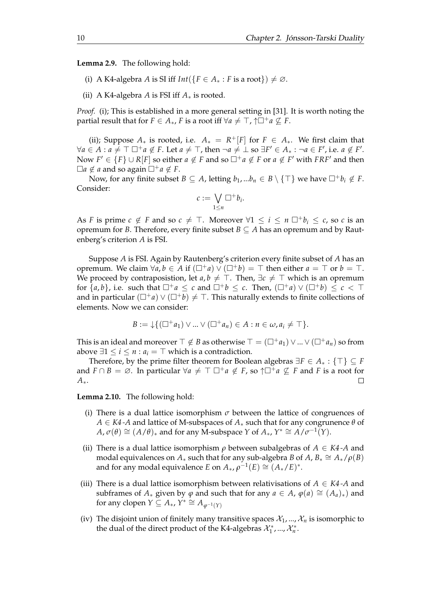<span id="page-13-1"></span>**Lemma 2.9.** The following hold:

- (i) A K4-algebra *A* is SI iff  $Int({F \in A_* : F \text{ is a root}}) \neq \emptyset$ .
- (ii) A K4-algebra *A* is FSI iff  $A_*$  is rooted.

*Proof.* (i); This is established in a more general setting in [\[31\]](#page-103-9). It is worth noting the partial result that for  $F \in A_*, F$  is a root iff  $\forall a \neq \top$ ,  $\uparrow \Box^+ a \nsubseteq F$ .

(ii); Suppose  $A_*$  is rooted, i.e.  $A_* = R^+[F]$  for  $F \in A_*$ . We first claim that  $\forall a \in A : a \neq \top \Box^+ a \notin F$ . Let  $a \neq \top$ , then  $\neg a \neq \bot$  so  $\exists F' \in A_* : \neg a \in F'$ , i.e.  $a \notin F'$ . Now  $F' \in \{F\} \cup R[F]$  so either  $a \notin F$  and so  $\Box^+ a \notin F$  or  $a \notin F'$  with  $FRF'$  and then  $\Box a \notin a$  and so again  $\Box^+ a \notin F$ .

Now, for any finite subset *B*  $\subseteq$  *A*, letting  $b_1$ , ... $b_n \in B \setminus \{T\}$  we have  $\Box^+ b_i \notin F$ . Consider:

$$
c:=\bigvee_{1\leq n}\Box^+b_i.
$$

As *F* is prime  $c \notin F$  and so  $c \neq \top$ . Moreover  $\forall 1 \leq i \leq n \square^+ b_i \leq c$ , so *c* is an opremum for *B*. Therefore, every finite subset  $B \subseteq A$  has an opremum and by Rautenberg's criterion *A* is FSI.

Suppose *A* is FSI. Again by Rautenberg's criterion every finite subset of *A* has an opremum. We claim  $\forall a, b \in A$  if  $(\Box^+ a) \vee (\Box^+ b) = \top$  then either  $a = \top$  or  $b = \top$ . We proceed by contraposistion, let  $a, b \neq \top$ . Then,  $\exists c \neq \top$  which is an opremum for  $\{a, b\}$ , i.e. such that  $\Box^+ a \leq c$  and  $\Box^+ b \leq c$ . Then,  $(\Box^+ a) \vee (\Box^+ b) \leq c < \top$ and in particular  $(\Box^+ a) \vee (\Box^+ b) \neq \top$ . This naturally extends to finite collections of elements. Now we can consider:

$$
B := \downarrow \{ (\square^+ a_1) \vee \ldots \vee (\square^+ a_n) \in A : n \in \omega, a_i \neq \top \}.
$$

This is an ideal and moreover  $\top \notin B$  as otherwise  $\top = (\square^+ a_1) \vee ... \vee (\square^+ a_n)$  so from above  $\exists 1 \le i \le n : a_i = ⊤$  which is a contradiction.

Therefore, by the prime filter theorem for Boolean algebras ∃*F* ∈ *A*<sup>∗</sup> : {⊤} ⊆ *F* and  $F \cap B = \emptyset$ . In particular  $\forall a \neq \top \square^+ a \notin F$ , so  $\uparrow \square^+ a \not\subseteq F$  and F is a root for *A*∗.  $\Box$ 

<span id="page-13-0"></span>**Lemma 2.10.** The following hold:

- (i) There is a dual lattice isomorphism  $\sigma$  between the lattice of congruences of *A* ∈ *K4 -A* and lattice of M-subspaces of *A*<sup>∗</sup> such that for any congrunence *θ* of  $A, \sigma(\theta) \cong (A/\theta)_{*}$  and for any M-subspace *Y* of  $A_{*}, Y^{*} \cong A/\sigma^{-1}(Y)$ .
- (ii) There is a dual lattice isomorphism *ρ* between subalgebras of *A* ∈ *K4 -A* and modal equivalences on  $A_*$  such that for any sub-algebra *B* of  $A$ ,  $B_* \cong A_*/\rho(B)$ and for any modal equivalence *E* on  $A_*, \rho^{-1}(E) \cong (A_*/E)^*$ .
- (iii) There is a dual lattice isomorphism between relativisations of  $A \in K4$ -A and subframes of  $A_*$  given by  $\varphi$  and such that for any  $a \in A$ ,  $\varphi(a) \cong (A_a)_*$  and for any clopen  $Y \subseteq A_*, Y^* \cong A_{\varphi^{-1}(Y)}$
- (iv) The disjoint union of finitely many transitive spaces  $\mathcal{X}_1, ..., \mathcal{X}_n$  is isomorphic to the dual of the direct product of the K4-algebras  $\mathcal{X}_1^*$ , ...,  $\mathcal{X}_n^*$ .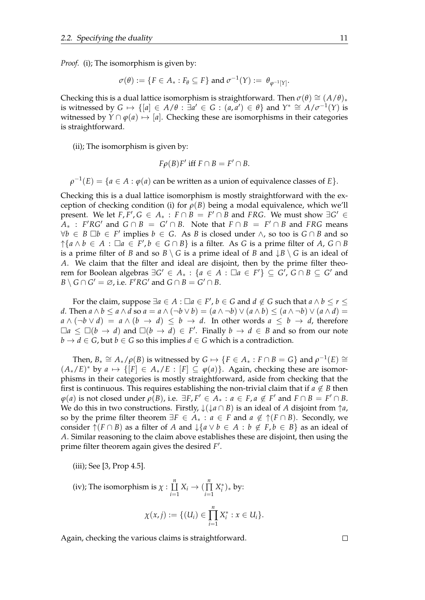*Proof.* (i); The isomorphism is given by:

$$
\sigma(\theta) := \{ F \in A_* : F_{\theta} \subseteq F \} \text{ and } \sigma^{-1}(Y) := \theta_{\varphi^{-1}[Y]}.
$$

Checking this is a dual lattice isomorphism is straightforward. Then  $\sigma(\theta) \cong (A/\theta)_*$ is witnessed by  $G \mapsto \{ [a] \in A/\theta : \exists a' \in G : (a,a') \in \theta \}$  and  $Y^* \cong A/\sigma^{-1}(Y)$  is witnessed by  $Y \cap \varphi(a) \mapsto [a]$ . Checking these are isomorphisms in their categories is straightforward.

(ii); The isomorphism is given by:

$$
F\rho(B)F' \text{ iff } F \cap B = F' \cap B.
$$

 $\rho^{-1}(E) = \{a \in A : \varphi(a) \text{ can be written as a union of equivalence classes of } E\}.$ 

Checking this is a dual lattice isomorphism is mostly straightforward with the exception of checking condition (i) for  $\rho(B)$  being a modal equivalence, which we'll present. We let  $F, F', G \in A_* : F \cap B = F' \cap B$  and *FRG*. We must show  $\exists G' \in$  $\overline{A}_*$  : *F*'*RG*' and  $G \cap B = G' \cap B$ . Note that  $F \cap B = F' \cap B$  and *FRG* means  $\forall b \in B \Box b \in F'$  implies  $b \in G$ . As *B* is closed under ∧, so too is  $G \cap B$  and so ↑  ${a \land b \in A : \Box a \in F', b \in G \cap B}$  is a filter. As *G* is a prime filter of *A*, *G* ∩ *B* is a prime filter of *B* and so  $B \setminus G$  is a prime ideal of *B* and  $\downarrow B \setminus G$  is an ideal of *A*. We claim that the filter and ideal are disjoint, then by the prime filter theo*rem for Boolean algebras*  $\exists G' \in A_* : \{a \in A : \Box a \in F'\} \subseteq G', G \cap B \subseteq G'$  and  $B \setminus G \cap G' = \emptyset$ , i.e. *F*'*RG*' and  $G \cap B = G' \cap B$ .

For the claim, suppose  $\exists a \in A : \Box a \in F'$ ,  $b \in G$  and  $d \notin G$  such that  $a \wedge b \leq r \leq f$ *d*. Then *a* ∧ *b* ≤ *a* ∧ *d* so *a* = *a* ∧ (¬*b* ∨ *b*) = (*a* ∧ ¬*b*) ∨ (*a* ∧ *b*) ≤ (*a* ∧ ¬*b*) ∨ (*a* ∧ *d*) =  $a \wedge (\neg b \vee d) = a \wedge (b \rightarrow d) \leq b \rightarrow d$ . In other words  $a \leq b \rightarrow d$ , therefore  $\Box a \leq \Box (b \rightarrow d)$  and  $\Box (b \rightarrow d) \in F'$ . Finally  $b \rightarrow d \in B$  and so from our note  $b \rightarrow d \in G$ , but  $b \in G$  so this implies  $d \in G$  which is a contradiction.

Then,  $B_* \cong A_*/\rho(B)$  is witnessed by  $G \mapsto \{F \in A_* : F \cap B = G\}$  and  $\rho^{-1}(E) \cong$  $(A_*/E)^*$  by  $a \mapsto \{[F] \in A_*/E : [F] \subseteq \varphi(a)\}.$  Again, checking these are isomorphisms in their categories is mostly straightforward, aside from checking that the first is continuous. This requires establishing the non-trivial claim that if  $a \notin B$  then  $\varphi$ (*a*) is not closed under  $\rho$ (*B*), i.e.  $\exists F, F' \in A_* : a \in F, a \notin F'$  and  $F \cap B = F' \cap B$ . We do this in two constructions. Firstly,  $\downarrow$  ( $\downarrow$ *a*  $\cap$  *B*) is an ideal of *A* disjoint from  $\uparrow$ *a*, so by the prime filter theorem  $\exists F \in A_* : a \in F$  and  $a \notin \uparrow(F \cap B)$ . Secondly, we consider  $\uparrow$  (*F* ∩ *B*) as a filter of *A* and  $\downarrow$  {*a* ∨ *b* ∈ *A* : *b* ∉ *F*, *b* ∈ *B*} as an ideal of *A*. Similar reasoning to the claim above establishes these are disjoint, then using the prime filter theorem again gives the desired *F* ′ .

(iii); See [\[3,](#page-102-10) Prop 4.5].

(iv); The isomorphism is  $\chi : \coprod^n$ ⨿  $\coprod_{i=1}^{n} X_i \to \left(\prod_{i=1}^{n} X_i\right)$ ∏ *i*=1 *X* ∗ *i* )<sup>∗</sup> by:  $\chi(x, j) := \{ (U_i) \in$ *n* ∏ *i*=1  $X_i^* : x \in U_i$ .

Again, checking the various claims is straightforward.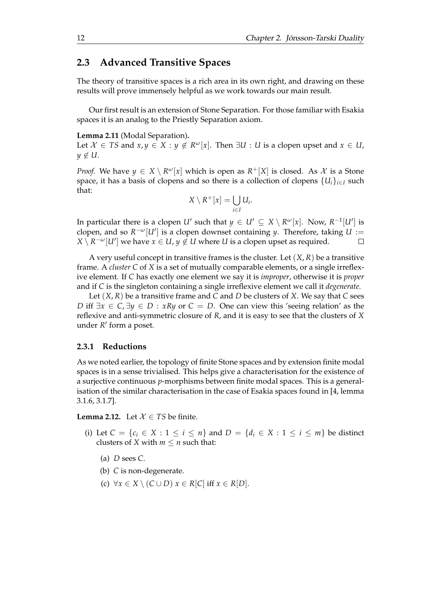## <span id="page-15-0"></span>**2.3 Advanced Transitive Spaces**

The theory of transitive spaces is a rich area in its own right, and drawing on these results will prove immensely helpful as we work towards our main result.

Our first result is an extension of Stone Separation. For those familiar with Esakia spaces it is an analog to the Priestly Separation axiom.

#### <span id="page-15-3"></span>**Lemma 2.11** (Modal Separation)**.**

Let  $\mathcal{X} \in TS$  and  $x, y \in X : y \notin R^{\omega}[x]$ . Then  $\exists U : U$  is a clopen upset and  $x \in U$ ,  $y \notin U$ .

*Proof.* We have  $y \in X \setminus R^{\omega}[x]$  which is open as  $R^+[X]$  is closed. As  $\mathcal X$  is a Stone space, it has a basis of clopens and so there is a collection of clopens  ${U_i}_{i \in I}$  such that:

$$
X\setminus R^+[x]=\bigcup_{i\in I}U_i.
$$

In particular there is a clopen *U'* such that  $y \in U' \subseteq X \setminus R^{\omega}[x]$ . Now,  $R^{-1}[U']$  is clopen, and so  $R^{-\omega}[U']$  is a clopen downset containing *y*. Therefore, taking  $U :=$  $X \setminus R^{-\omega}[U']$  we have  $x \in U$ ,  $y \notin U$  where  $U$  is a clopen upset as required.  $\Box$ 

A very useful concept in transitive frames is the cluster. Let  $(X, R)$  be a transitive frame. A *cluster C* of *X* is a set of mutually comparable elements, or a single irreflexive element. If *C* has exactly one element we say it is *improper*, otherwise it is *proper* and if *C* is the singleton containing a single irreflexive element we call it *degenerate*.

Let (*X*, *R*) be a transitive frame and *C* and *D* be clusters of *X*. We say that *C* sees *D* iff ∃*x* ∈ *C*, ∃*y* ∈ *D* : *xRy* or *C* = *D*. One can view this 'seeing relation' as the reflexive and anti-symmetric closure of *R*, and it is easy to see that the clusters of *X* under *R'* form a poset.

#### <span id="page-15-1"></span>**2.3.1 Reductions**

As we noted earlier, the topology of finite Stone spaces and by extension finite modal spaces is in a sense trivialised. This helps give a characterisation for the existence of a surjective continuous *p*-morphisms between finite modal spaces. This is a generalisation of the similar characterisation in the case of Esakia spaces found in [\[4,](#page-102-11) lemma 3.1.6, 3.1.7].

<span id="page-15-2"></span>**Lemma 2.12.** Let  $X \in TS$  be finite.

- (i) Let  $C = \{c_i \in X : 1 \le i \le n\}$  and  $D = \{d_i \in X : 1 \le i \le m\}$  be distinct clusters of *X* with  $m \le n$  such that:
	- (a) *D* sees *C*.
	- (b) *C* is non-degenerate.
	- (c)  $\forall x \in X \setminus (C \cup D)$   $x \in R[C]$  iff  $x \in R[D]$ .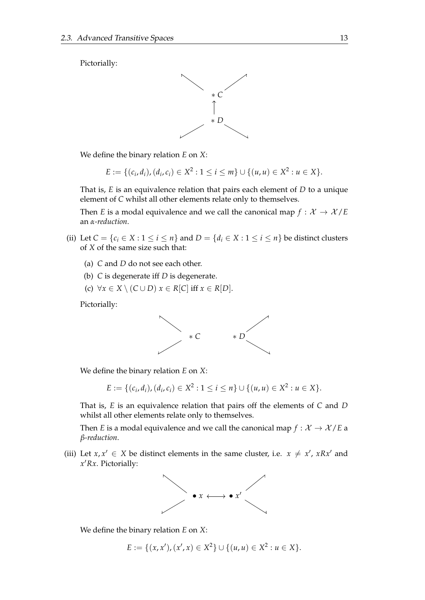Pictorially:



We define the binary relation *E* on *X*:

$$
E := \{ (c_i, d_i), (d_i, c_i) \in X^2 : 1 \le i \le m \} \cup \{ (u, u) \in X^2 : u \in X \}.
$$

That is, *E* is an equivalence relation that pairs each element of *D* to a unique element of *C* whilst all other elements relate only to themselves.

Then *E* is a modal equivalence and we call the canonical map  $f : \mathcal{X} \to \mathcal{X}/E$ an *α-reduction*.

- (ii) Let  $C = \{c_i \in X : 1 \le i \le n\}$  and  $D = \{d_i \in X : 1 \le i \le n\}$  be distinct clusters of *X* of the same size such that:
	- (a) *C* and *D* do not see each other.
	- (b) *C* is degenerate iff *D* is degenerate.
	- (c)  $\forall x \in X \setminus (C \cup D)$   $x \in R[C]$  iff  $x \in R[D]$ .

Pictorially:



We define the binary relation *E* on *X*:

$$
E := \{ (c_i, d_i), (d_i, c_i) \in X^2 : 1 \le i \le n \} \cup \{ (u, u) \in X^2 : u \in X \}.
$$

That is, *E* is an equivalence relation that pairs off the elements of *C* and *D* whilst all other elements relate only to themselves.

Then *E* is a modal equivalence and we call the canonical map  $f : \mathcal{X} \to \mathcal{X}/E$  a *β-reduction*.

(iii) Let  $x, x' \in X$  be distinct elements in the same cluster, i.e.  $x \neq x'$ ,  $xRx'$  and *x* ′*Rx*. Pictorially:



We define the binary relation *E* on *X*:

$$
E := \{(x, x'), (x', x) \in X^2\} \cup \{(u, u) \in X^2 : u \in X\}.
$$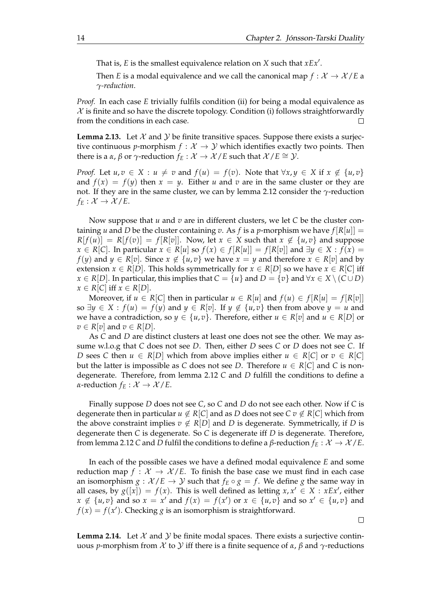That is, *E* is the smallest equivalence relation on *X* such that *xEx*′ .

Then *E* is a modal equivalence and we call the canonical map  $f: \mathcal{X} \to \mathcal{X}/E$  a *γ-reduction*.

*Proof.* In each case *E* trivially fulfils condition (ii) for being a modal equivalence as  $X$  is finite and so have the discrete topology. Condition (i) follows straightforwardly from the conditions in each case.  $\Box$ 

<span id="page-17-0"></span>**Lemma 2.13.** Let  $\mathcal{X}$  and  $\mathcal{Y}$  be finite transitive spaces. Suppose there exists a surjective continuous *p*-morphism  $f : \mathcal{X} \to \mathcal{Y}$  which identifies exactly two points. Then there is a *α*, *β* or *γ*-reduction *f<sub>E</sub>* :  $X$  →  $X$ /*E* such that  $X$ /*E*  $\cong$  *Y*.

*Proof.* Let  $u, v \in X : u \neq v$  and  $f(u) = f(v)$ . Note that  $\forall x, y \in X$  if  $x \notin \{u, v\}$ and  $f(x) = f(y)$  then  $x = y$ . Either *u* and *v* are in the same cluster or they are not. If they are in the same cluster, we can by lemma [2.12](#page-15-2) consider the *γ*-reduction  $f_E: \mathcal{X} \to \mathcal{X}/E$ .

Now suppose that *u* and *v* are in different clusters, we let *C* be the cluster containing *u* and *D* be the cluster containing *v*. As *f* is a *p*-morphism we have  $f[R[u]] =$  $R[f(u)] = R[f(v)] = f[R[v]]$ . Now, let  $x \in X$  such that  $x \notin \{u, v\}$  and suppose *x* ∈ *R*[*C*]. In particular *x* ∈ *R*[*u*] so *f*(*x*) ∈ *f*[*R*[*u*]] = *f*[*R*[*v*]] and ∃*y* ∈ *X* : *f*(*x*) = *f*(*y*) and *y* ∈ *R*[*v*]. Since *x* ∉ {*u*, *v*} we have *x* = *y* and therefore *x* ∈ *R*[*v*] and by extension  $x \in R[D]$ . This holds symmetrically for  $x \in R[D]$  so we have  $x \in R[C]$  iff *x* ∈ *R*[*D*]. In particular, this implies that  $C = \{u\}$  and  $D = \{v\}$  and  $\forall x \in X \setminus (C \cup D)$  $x \in R[C]$  iff  $x \in R[D]$ .

Moreover, if  $u \in R[C]$  then in particular  $u \in R[u]$  and  $f(u) \in f[R[u] = f[R[v]]$ so  $\exists y \in X : f(u) = f(y)$  and  $y \in R[v]$ . If  $y \notin \{u, v\}$  then from above  $y = u$  and we have a contradiction, so  $y \in \{u, v\}$ . Therefore, either  $u \in R[v]$  and  $u \in R[D]$  or  $v \in R[v]$  and  $v \in R[D]$ .

As *C* and *D* are distinct clusters at least one does not see the other. We may assume w.l.o.g that *C* does not see *D*. Then, either *D* sees *C* or *D* does not see *C*. If *D* sees *C* then  $u \in R[D]$  which from above implies either  $u \in R[C]$  or  $v \in R[C]$ but the latter is impossible as *C* does not see *D*. Therefore  $u \in R[C]$  and *C* is nondegenerate. Therefore, from lemma [2.12](#page-15-2) *C* and *D* fulfill the conditions to define a *α*-reduction  $f_E: \mathcal{X} \to \mathcal{X}/E$ .

Finally suppose *D* does not see *C*, so *C* and *D* do not see each other. Now if *C* is degenerate then in particular  $u \notin R[C]$  and as *D* does not see  $C v \notin R[C]$  which from the above constraint implies  $v \notin R[D]$  and *D* is degenerate. Symmetrically, if *D* is degenerate then *C* is degenerate. So *C* is degenerate iff *D* is degenerate. Therefore, from lemma [2.12](#page-15-2) *C* and *D* fulfil the conditions to define a *β*-reduction *f<sup>E</sup>* : X → X /*E*.

In each of the possible cases we have a defined modal equivalence *E* and some reduction map  $f : \mathcal{X} \to \mathcal{X}/E$ . To finish the base case we must find in each case an isomorphism  $g : \mathcal{X}/E \to \mathcal{Y}$  such that  $f_E \circ g = f$ . We define g the same way in all cases, by  $g([x]) = f(x)$ . This is well defined as letting  $x, x' \in X : xEx'$ , either  $x \notin \{u, v\}$  and so  $x = x'$  and  $f(x) = f(x')$  or  $x \in \{u, v\}$  and so  $x' \in \{u, v\}$  and  $f(x) = f(x')$ . Checking *g* is an isomorphism is straightforward.

<span id="page-17-1"></span>**Lemma 2.14.** Let  $X$  and  $Y$  be finite modal spaces. There exists a surjective continuous *p*-morphism from X to Y iff there is a finite sequence of  $\alpha$ ,  $\beta$  and  $\gamma$ -reductions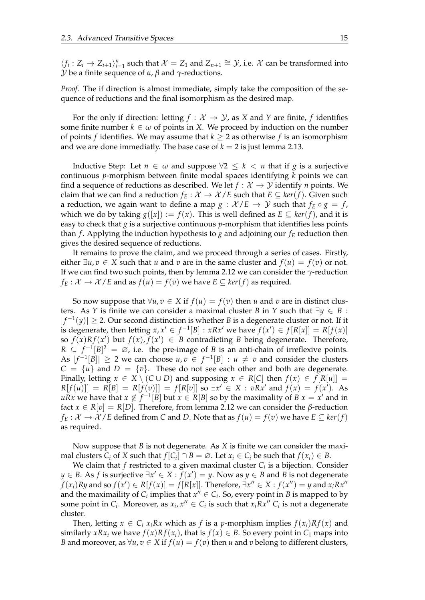$\langle f_i : Z_i \to Z_{i+1} \rangle_{i=1}^n$  such that  $\mathcal{X} = Z_1$  and  $Z_{n+1} \cong \mathcal{Y}$ , i.e.  $\mathcal{X}$  can be transformed into Y be a finite sequence of *α*, *β* and *γ*-reductions.

*Proof.* The if direction is almost immediate, simply take the composition of the sequence of reductions and the final isomorphism as the desired map.

For the only if direction: letting  $f : \mathcal{X} \rightarrow \mathcal{Y}$ , as *X* and *Y* are finite, *f* identifies some finite number  $k \in \omega$  of points in *X*. We proceed by induction on the number of points *f* identifies. We may assume that  $k \geq 2$  as otherwise *f* is an isomorphism and we are done immediatly. The base case of  $k = 2$  is just lemma [2.13.](#page-17-0)

Inductive Step: Let *n* ∈  $\omega$  and suppose  $\forall 2 \leq k \leq n$  that if *g* is a surjective continuous *p*-morphism between finite modal spaces identifying *k* points we can find a sequence of reductions as described. We let  $f: \mathcal{X} \to \mathcal{Y}$  identify *n* points. We claim that we can find a reduction  $f_E: \mathcal{X} \to \mathcal{X}/E$  such that  $E \subseteq \text{ker}(f)$ . Given such a reduction, we again want to define a map  $g : \mathcal{X}/E \to \mathcal{Y}$  such that  $f_E \circ g = f$ , which we do by taking  $g([x]) := f(x)$ . This is well defined as  $E \subseteq \text{ker}(f)$ , and it is easy to check that *g* is a surjective continuous *p*-morphism that identifies less points than *f*. Applying the induction hypothesis to *g* and adjoining our  $f_E$  reduction then gives the desired sequence of reductions.

It remains to prove the claim, and we proceed through a series of cases. Firstly, either  $\exists u, v \in X$  such that *u* and *v* are in the same cluster and  $f(u) = f(v)$  or not. If we can find two such points, then by lemma [2.12](#page-15-2) we can consider the *γ*-reduction  $f_E: \mathcal{X} \to \mathcal{X}/E$  and as  $f(u) = f(v)$  we have  $E \subseteq \text{ker}(f)$  as required.

So now suppose that  $\forall u, v \in X$  if  $f(u) = f(v)$  then *u* and *v* are in distinct clusters. As *Y* is finite we can consider a maximal cluster *B* in *Y* such that  $\exists y \in B$ :  $|f^{-1}(y)|$  ≥ 2. Our second distinction is whether *B* is a degenerate cluster or not. If it is degenerate, then letting  $x, x' \in f^{-1}[B] : xRx'$  we have  $f(x') \in f[R[x]] = R[f(x)]$ so  $f(x)Rf(x')$  but  $f(x), f(x') \in B$  contradicting *B* being degenerate. Therefore,  $R \subseteq f^{-1}[B]^2 = \emptyset$ , i.e. the pre-image of *B* is an anti-chain of irreflexive points. As  $|f^{-1}[B]| \ge 2$  we can choose  $u, v \in f^{-1}[B] : u \ne v$  and consider the clusters  $C = \{u\}$  and  $D = \{v\}$ . These do not see each other and both are degenerate. Finally, letting  $x \in X \setminus (C \cup D)$  and supposing  $x \in R[C]$  then  $f(x) \in f[R[u]] =$  $R[f(u)] = R[B] = R[f(v)] = f[R[v]]$  so  $\exists x' \in X : vRx'$  and  $f(x) = f(x')$ . As *uRx* we have that *x* ∉  $f^{-1}[B]$  but  $x \in R[B]$  so by the maximality of *B*  $x = x'$  and in fact  $x \in R[v] = R[D]$ . Therefore, from lemma [2.12](#page-15-2) we can consider the *β*-reduction *f***E** :  $X$  →  $X$  / E defined from *C* and *D*. Note that as  $f(u) = f(v)$  we have  $E ⊆ ker(f)$ as required.

Now suppose that *B* is not degenerate. As *X* is finite we can consider the maximal clusters  $C_i$  of  $X$  such that  $f[C_i] \cap B = \emptyset$ . Let  $x_i \in C_i$  be such that  $f(x_i) \in B$ .

We claim that *f* restricted to a given maximal cluster *C<sup>i</sup>* is a bijection. Consider *y* ∈ *B*. As *f* is surjective  $\exists x' \in X : f(x') = y$ . Now as *y* ∈ *B* and *B* is not degenerate  $f(x_i)Ry$  and so  $f(x') \in R[f(x)] = f[R[x]]$ . Therefore,  $\exists x'' \in X : f(x'') = y$  and  $x_iRx''$ and the maximaility of  $C_i$  implies that  $x'' \in C_i$ . So, every point in *B* is mapped to by some point in  $C_i$ . Moreover, as  $x_i$ ,  $x'' \in C_i$  is such that  $x_i R x'' C_i$  is not a degenerate cluster.

Then, letting  $x \in C_i$  *x*<sub>i</sub> $Rx$ </sub> which as *f* is a *p*-morphism implies  $f(x_i)Rf(x)$  and similarly *xRx<sub>i</sub>* we have  $f(x)Rf(x_i)$ , that is  $f(x) \in B$ . So every point in  $C_1$  maps into *B* and moreover, as  $\forall u, v \in X$  if  $f(u) = f(v)$  then *u* and *v* belong to different clusters,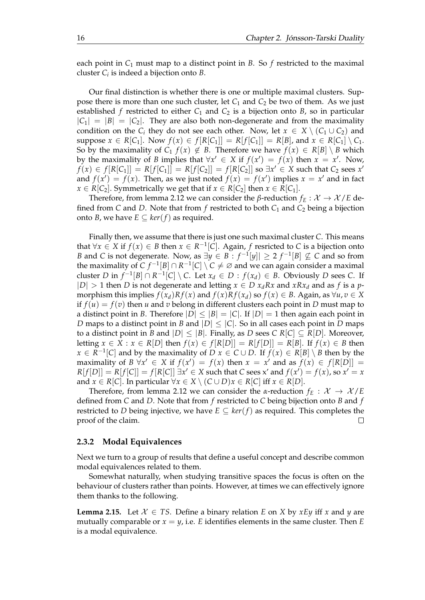each point in  $C_1$  must map to a distinct point in *B*. So *f* restricted to the maximal cluster *C<sup>i</sup>* is indeed a bijection onto *B*.

Our final distinction is whether there is one or multiple maximal clusters. Suppose there is more than one such cluster, let  $C_1$  and  $C_2$  be two of them. As we just established *f* restricted to either  $C_1$  and  $C_2$  is a bijection onto *B*, so in particular  $|C_1| = |B| = |C_2|$ . They are also both non-degenerate and from the maximality condition on the  $C_i$  they do not see each other. Now, let  $x \in X \setminus (C_1 \cup C_2)$  and suppose  $x \in R[C_1]$ . Now  $f(x) \in f[R[C_1]] = R[f[C_1]] = R[B]$ , and  $x \in R[C_1] \setminus C_1$ . So by the maximality of  $C_1$   $f(x) \notin B$ . Therefore we have  $f(x) \in R[B] \setminus B$  which by the maximality of *B* implies that  $\forall x' \in X$  if  $f(x') = f(x)$  then  $x = x'$ . Now, *f*(*x*) ∈ *f*[*R*[*C*<sub>1</sub>]] = *R*[*f*[*C*<sub>1</sub>]] = *R*[*f*[*C*<sub>2</sub>]] = *f*[*R*[*C*<sub>2</sub>]] so ∃*x*<sup>*'*</sup> ∈ *X* such that *C*<sub>2</sub> sees *x*<sup>*'*</sup> and  $f(x') = f(x)$ . Then, as we just noted  $f(x) = f(x')$  implies  $x = x'$  and in fact *x* ∈ *R*[*C*<sub>2</sub>]. Symmetrically we get that if *x* ∈ *R*[*C*<sub>2</sub>] then *x* ∈ *R*[*C*<sub>1</sub>].

Therefore, from lemma [2.12](#page-15-2) we can consider the *β*-reduction  $f_E: X \to X/E$  defined from *C* and *D*. Note that from *f* restricted to both  $C_1$  and  $C_2$  being a bijection onto *B*, we have  $E \subseteq \text{ker}(f)$  as required.

Finally then, we assume that there is just one such maximal cluster *C*. This means that  $∀x ∈ X$  if  $f(x) ∈ B$  then  $x ∈ R<sup>-1</sup>[C]$ . Again,  $f$  resricted to  $C$  is a bijection onto *B* and *C* is not degenerate. Now, as  $\exists y \in B : f^{-1}[y]$  ≥ 2  $f^{-1}[B] \nsubseteq C$  and so from the maximality of  $C f^{-1}[B] \cap R^{-1}[C] \setminus C \neq \emptyset$  and we can again consider a maximal cluster *D* in  $f^{-1}[B] \cap R^{-1}[C] \setminus C$ . Let  $x_d \in D : f(x_d) \in B$ . Obviously *D* sees *C*. If  $|D| > 1$  then *D* is not degenerate and letting  $x \in D$   $x_d R x$  and  $x R x_d$  and as *f* is a *p*morphism this implies  $f(x_d)Rf(x)$  and  $f(x)Rf(x_d)$  so  $f(x) \in B$ . Again, as  $\forall u, v \in X$ if  $f(u) = f(v)$  then *u* and *v* belong in different clusters each point in *D* must map to a distinct point in *B*. Therefore  $|D| \leq |B| = |C|$ . If  $|D| = 1$  then again each point in *D* maps to a distinct point in *B* and  $|D| \leq |C|$ . So in all cases each point in *D* maps to a distinct point in *B* and  $|D| \leq |B|$ . Finally, as *D* sees *C*  $R[C] \subseteq R[D]$ . Moreover, letting *x* ∈ *X* : *x* ∈ *R*[*D*] then  $f(x)$  ∈  $f[R[D]] = R[f[D]] = R[B]$ . If  $f(x)$  ∈ *B* then *x* ∈ *R*<sup>-1</sup>[*C*] and by the maximality of *D x* ∈ *C* ∪ *D*. If *f*(*x*) ∈ *R*[*B*] \ *B* then by the maximality of *B*  $\forall x' \in X$  if  $f(x') = f(x)$  then  $x = x'$  and as  $f(x) \in f[R[D]] =$  $R[f[D]] = R[f[C]] = f[R[C]] \exists x' \in X \text{ such that } C \text{ sees } x' \text{ and } f(x') = f(x), \text{ so } x' = x$ and *x*  $\in$  *R*[*C*]. In particular  $\forall x \in X \setminus (C \cup D)x \in R[C]$  iff  $x \in R[D]$ .

Therefore, from lemma [2.12](#page-15-2) we can consider the *α*-reduction  $f_E: \mathcal{X} \rightarrow \mathcal{X}/E$ defined from *C* and *D*. Note that from *f* restricted to *C* being bijection onto *B* and *f* restricted to *D* being injective, we have  $E \subseteq \text{ker}(f)$  as required. This completes the proof of the claim. П

### <span id="page-19-0"></span>**2.3.2 Modal Equivalences**

Next we turn to a group of results that define a useful concept and describe common modal equivalences related to them.

Somewhat naturally, when studying transitive spaces the focus is often on the behaviour of clusters rather than points. However, at times we can effectively ignore them thanks to the following.

<span id="page-19-1"></span>**Lemma 2.15.** Let  $X \in TS$ . Define a binary relation *E* on *X* by *xEy* iff *x* and *y* are mutually comparable or  $x = y$ , i.e. *E* identifies elements in the same cluster. Then *E* is a modal equivalence.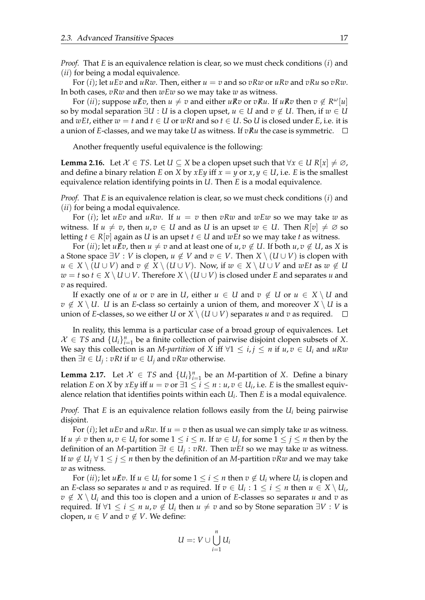*Proof.* That *E* is an equivalence relation is clear, so we must check conditions (*i*) and (*ii*) for being a modal equivalence.

For  $(i)$ ; let  $uEv$  and  $uRw$ . Then, either  $u = v$  and so  $vRw$  or  $uRv$  and  $vRu$  so  $vRw$ . In both cases, *vRw* and then *wEw* so we may take *w* as witness.

For  $(ii)$ ; suppose  $u\,\ell v$ , then  $u \neq v$  and either  $u\,\ell v$  or  $v\,\ell u$ . If  $u\,\ell v$  then  $v \notin R^\omega[u]$ so by modal separation  $\exists U : U$  is a clopen upset,  $u \in U$  and  $v \notin U$ . Then, if  $w \in U$ and  $wEt$ , either  $w = t$  and  $t \in U$  or  $wRt$  and so  $t \in U$ . So U is closed under E, i.e. it is a union of *E*-classes, and we may take *U* as witness. If  $vRu$  the case is symmetric.  $\Box$ 

Another frequently useful equivalence is the following:

<span id="page-20-1"></span>**Lemma 2.16.** Let  $\mathcal{X} \in TS$ . Let  $U \subseteq X$  be a clopen upset such that  $\forall x \in U \; R[x] \neq \emptyset$ , and define a binary relation *E* on *X* by *xEy* iff  $x = y$  or  $x, y \in U$ , i.e. *E* is the smallest equivalence relation identifying points in *U*. Then *E* is a modal equivalence.

*Proof.* That *E* is an equivalence relation is clear, so we must check conditions (*i*) and (*ii*) for being a modal equivalence.

For (*i*); let *uEv* and *uRw*. If *u* = *v* then *vRw* and *wEw* so we may take *w* as witness. If  $u \neq v$ , then  $u, v \in U$  and as *U* is an upset  $w \in U$ . Then  $R[v] \neq \emptyset$  so letting *t* ∈ *R*[*v*] again as *U* is an upset *t* ∈ *U* and *wEt* so we may take *t* as witness.

For (*ii*); let  $u \not\in v$ , then  $u \neq v$  and at least one of  $u, v \notin U$ . If both  $u, v \notin U$ , as X is a Stone space ∃*V* : *V* is clopen,  $u \notin V$  and  $v \in V$ . Then  $X \setminus (U \cup V)$  is clopen with  $u \in X \setminus (U \cup V)$  and  $v \notin X \setminus (U \cup V)$ . Now, if  $w \in X \setminus U \cup V$  and wEt as  $w \notin U$ *w* = *t* so *t* ∈ *X* \ *U* ∪ *V*. Therefore *X* \ (*U* ∪ *V*) is closed under *E* and separates *u* and *v* as required.

If exactly one of *u* or *v* are in *U*, either  $u \in U$  and  $v \notin U$  or  $u \in X \setminus U$  and  $v \notin X \setminus U$ . *U* is an *E*-class so certainly a union of them, and moreover  $X \setminus U$  is a union of *E*-classes, so we either *U* or  $X \setminus (U \cup V)$  separates *u* and *v* as required.  $\Box$ 

In reality, this lemma is a particular case of a broad group of equivalences. Let  $X \in TS$  and  $\{U_i\}_{i=1}^n$  be a finite collection of pairwise disjoint clopen subsets of *X*. We say this collection is an *M-partition* of *X* iff  $\forall 1 \le i, j \le n$  if  $u, v \in U_i$  and  $uRw$ then  $∃t ∈ U_j : vRt$  if  $w ∈ U_j$  and  $vRw$  otherwise.

<span id="page-20-0"></span>**Lemma 2.17.** Let  $\mathcal{X} \in TS$  and  $\{U_i\}_{i=1}^n$  be an *M*-partition of *X*. Define a binary relation *E* on *X* by *xEy* iff  $u = v$  or  $\exists 1 \le i \le n : u, v \in U_i$ , i.e. *E* is the smallest equivalence relation that identifies points within each *U<sup>i</sup>* . Then *E* is a modal equivalence.

*Proof.* That *E* is an equivalence relation follows easily from the *U<sup>i</sup>* being pairwise disjoint.

For  $(i)$ ; let  $uEv$  and  $uRw$ . If  $u = v$  then as usual we can simply take w as witness. If  $u \neq v$  then  $u, v \in U_i$  for some  $1 \leq i \leq n$ . If  $w \in U_j$  for some  $1 \leq j \leq n$  then by the definition of an *M*-partition ∃*t* ∈ *U<sup>j</sup>* : *vRt*. Then *wEt* so we may take *w* as witness. If  $w \notin U_i \,\forall\, 1 \leq j \leq n$  then by the definition of an *M*-partition  $vRw$  and we may take *w* as witness.

For  $(ii)$ ; let  $u \not\equiv v$ . If  $u \in U_i$  for some  $1 \leq i \leq n$  then  $v \notin U_i$  where  $U_i$  is clopen and an *E*-class so separates *u* and *v* as required. If  $v \in U_i : 1 \leq i \leq n$  then  $u \in X \setminus U_i$ ,  $v \notin X \setminus U_i$  and this too is clopen and a union of *E*-classes so separates *u* and *v* as required. If  $\forall 1 \leq i \leq n$   $u, v \notin U_i$  then  $u \neq v$  and so by Stone separation  $\exists V: V$  is clopen,  $u \in V$  and  $v \notin V$ . We define:

$$
U=:V\cup\bigcup_{i=1}^n U_i
$$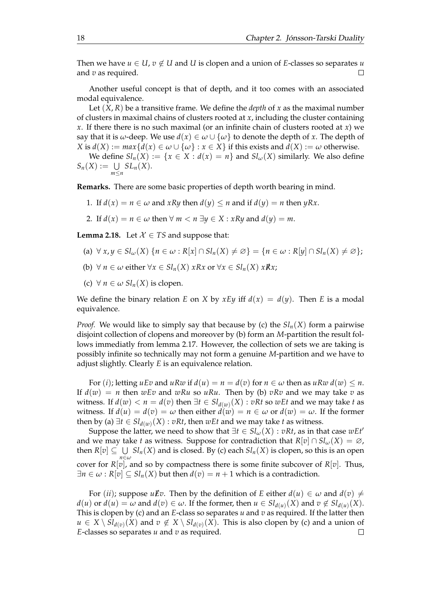Then we have  $u \in U$ ,  $v \notin U$  and *U* is clopen and a union of *E*-classes so separates *u* and *v* as required.  $\Box$ 

Another useful concept is that of depth, and it too comes with an associated modal equivalence.

Let  $(X, R)$  be a transitive frame. We define the *depth* of *x* as the maximal number of clusters in maximal chains of clusters rooted at *x*, including the cluster containing *x*. If there there is no such maximal (or an infinite chain of clusters rooted at *x*) we say that it is *ω*-deep. We use  $d(x) \in \omega \cup \{\omega\}$  to denote the depth of *x*. The depth of *X* is  $d(X) := max\{d(x) \in \omega \cup \{\omega\} : x \in X\}$  if this exists and  $d(X) := \omega$  otherwise.

We define  $Sl_n(X) := \{x \in X : d(x) = n\}$  and  $Sl_\omega(X)$  similarly. We also define  $S_n(X) := \bigcup SL_n(X).$ *m*≤*n*

**Remarks.** There are some basic properties of depth worth bearing in mind.

- 1. If  $d(x) = n \in \omega$  and  $xRy$  then  $d(y) \leq n$  and if  $d(y) = n$  then  $yRx$ .
- 2. If  $d(x) = n \in \omega$  then  $\forall m < n \exists y \in X : xRy$  and  $d(y) = m$ .

<span id="page-21-0"></span>**Lemma 2.18.** Let  $X \in TS$  and suppose that:

- $(a) \forall x, y \in Sl_\omega(X) \{n \in \omega : R[x] \cap Sl_n(X) \neq \emptyset\} = \{n \in \omega : R[y] \cap Sl_n(X) \neq \emptyset\};$
- (b)  $\forall n \in \omega$  either  $\forall x \in Sl_n(X)$  *xRx* or  $\forall x \in Sl_n(X)$  *xRx*;
- (c)  $\forall n \in \omega Sl_n(X)$  is clopen.

We define the binary relation *E* on *X* by *xEy* iff  $d(x) = d(y)$ . Then *E* is a modal equivalence.

*Proof.* We would like to simply say that because by (c) the  $Sl_n(X)$  form a pairwise disjoint collection of clopens and moreover by (b) form an *M*-partition the result follows immediatly from lemma [2.17.](#page-20-0) However, the collection of sets we are taking is possibly infinite so technically may not form a genuine *M*-partition and we have to adjust slightly. Clearly *E* is an equivalence relation.

For (*i*); letting  $uEv$  and  $uRw$  if  $d(u) = n = d(v)$  for  $n \in \omega$  then as  $uRw d(w) \leq n$ . If  $d(w) = n$  then  $wEv$  and  $wRu$  so  $uRu$ . Then by (b)  $vRv$  and we may take  $v$  as witness. If  $d(w) < n = d(v)$  then  $\exists t \in Sl_{d(w)}(X) : vRt$  so  $wEt$  and we may take  $t$  as witness. If  $d(u) = d(v) = \omega$  then either  $d(w) = n \in \omega$  or  $d(w) = \omega$ . If the former then by (a)  $\exists t \in Sl_{d(w)}(X) : vRt$ , then  $wEt$  and we may take *t* as witness.

Suppose the latter, we need to show that  $\exists t \in Sl_\omega(X) : vRt$ , as in that case  $wEt'$ and we may take *t* as witness. Suppose for contradiction that  $R[v] \cap SL_{\omega}(X) = \emptyset$ , then  $R[v] \subseteq \bigcup \: Sl_n(X)$  and is closed. By (c) each  $Sl_n(X)$  is clopen, so this is an open *n*∈*ω* cover for *R*[*v*], and so by compactness there is some finite subcover of *R*[*v*]. Thus,  $\exists n \in \omega : R[v] \subseteq Sl_n(X)$  but then  $d(v) = n + 1$  which is a contradiction.

For (*ii*); suppose  $u \not\equiv v$ . Then by the definition of *E* either  $d(u) \in \omega$  and  $d(v) \neq$  $d(u)$  or  $d(u) = \omega$  and  $d(v) \in \omega$ . If the former, then  $u \in Sl_{d(u)}(X)$  and  $v \notin Sl_{d(u)}(X)$ . This is clopen by (c) and an *E*-class so separates *u* and *v* as required. If the latter then  $u \in X \setminus Sl_{d(v)}(X)$  and  $v \notin X \setminus Sl_{d(v)}(X)$ . This is also clopen by (c) and a union of *E*-classes so separates *u* and *v* as required. $\Box$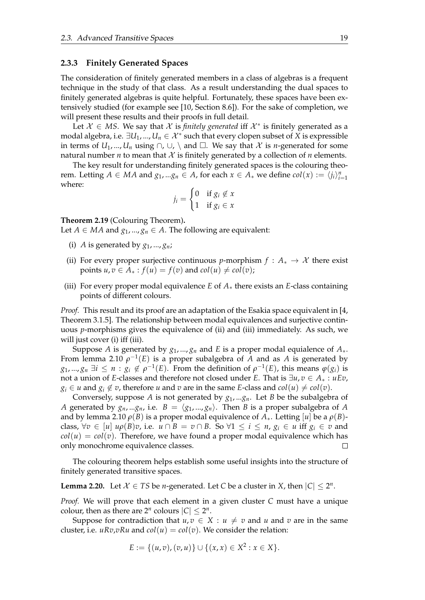#### <span id="page-22-0"></span>**2.3.3 Finitely Generated Spaces**

The consideration of finitely generated members in a class of algebras is a frequent technique in the study of that class. As a result understanding the dual spaces to finitely generated algebras is quite helpful. Fortunately, these spaces have been extensively studied (for example see [\[10,](#page-102-9) Section 8.6]). For the sake of completion, we will present these results and their proofs in full detail.

Let  $X \in MS$ . We say that X is *finitely generated* iff  $X^*$  is finitely generated as a modal algebra, i.e.  $\exists U_1,...,U_n \in \mathcal{X}^*$  such that every clopen subset of  $X$  is expressible in terms of  $U_1, ..., U_n$  using  $\cap$ ,  $\cup$ ,  $\setminus$  and  $\Box$ . We say that X is *n*-generated for some natural number *n* to mean that  $X$  is finitely generated by a collection of *n* elements.

The key result for understanding finitely generated spaces is the colouring theorem. Letting  $A \in MA$  and  $g_1, \ldots, g_n \in A$ , for each  $x \in A_*$  we define  $col(x) := \langle j_i \rangle_{i=1}^n$ where:

$$
j_i = \begin{cases} 0 & \text{if } g_i \notin x \\ 1 & \text{if } g_i \in x \end{cases}
$$

#### **Theorem 2.19** (Colouring Theorem)**.**

Let *A*  $\in$  *MA* and  $g_1$ , ...,  $g_n \in A$ . The following are equivalent:

- (i) *A* is generated by  $g_1$ , ...,  $g_n$ ;
- (ii) For every proper surjective continuous *p*-morphism  $f : A_* \to \mathcal{X}$  there exist points  $u, v \in A_* : f(u) = f(v)$  and  $col(u) \neq col(v);$
- (iii) For every proper modal equivalence *E* of  $A_*$  there exists an *E*-class containing points of different colours.

*Proof.* This result and its proof are an adaptation of the Esakia space equivalent in [\[4,](#page-102-11) Theorem 3.1.5]. The relationship between modal equivalences and surjective continuous *p*-morphisms gives the equivalence of (ii) and (iii) immediately. As such, we will just cover (i) iff (iii).

Suppose *A* is generated by  $g_1$ , ...,  $g_n$  and *E* is a proper modal equialence of  $A_*$ . From lemma [2.10](#page-13-0)  $\rho^{-1}(E)$  is a proper subalgebra of  $\overline{A}$  and as  $\overline{A}$  is generated by *g*<sub>1</sub>, ..., *g*<sub>*n*</sub>  $\exists i \leq n : g_i \notin \rho^{-1}(E)$ . From the definition of  $\rho^{-1}(E)$ , this means  $\varphi(g_i)$  is not a union of *E*-classes and therefore not closed under *E*. That is ∃*u*, *v* ∈ *A*<sup>∗</sup> : *uEv*,  $g_i \in u$  and  $g_i \notin v$ , therefore *u* and *v* are in the same *E*-class and  $col(u) \neq col(v)$ .

Conversely, suppose *A* is not generated by *g*1, ...*gn*. Let *B* be the subalgebra of *A* generated by  $g_n$ , ... $g_n$ , i.e.  $B = \langle g_1, ..., g_n \rangle$ . Then *B* is a proper subalgebra of *A* and by lemma [2.10](#page-13-0)  $\rho(B)$  is a proper modal equivalence of  $A_{*}$ . Letting [*u*] be a  $\rho(B)$ class,  $\forall v \in [u] \ u \rho(B)v$ , i.e.  $u \cap B = v \cap B$ . So  $\forall 1 \le i \le n$ ,  $g_i \in u$  iff  $g_i \in v$  and  $col(u) = col(v)$ . Therefore, we have found a proper modal equivalence which has only monochrome equivalence classes.  $\Box$ 

The colouring theorem helps establish some useful insights into the structure of finitely generated transitive spaces.

<span id="page-22-1"></span>**Lemma 2.20.** Let  $X \in TS$  be *n*-generated. Let *C* be a cluster in *X*, then  $|C| \leq 2^n$ .

*Proof.* We will prove that each element in a given cluster *C* must have a unique colour, then as there are  $2^n$  colours  $|C| \leq 2^n$ .

Suppose for contradiction that  $u, v \in X : u \neq v$  and *u* and *v* are in the same cluster, i.e.  $uRv,vRu$  and  $col(u) = col(v)$ . We consider the relation:

$$
E := \{(u,v), (v,u)\} \cup \{(x,x) \in X^2 : x \in X\}.
$$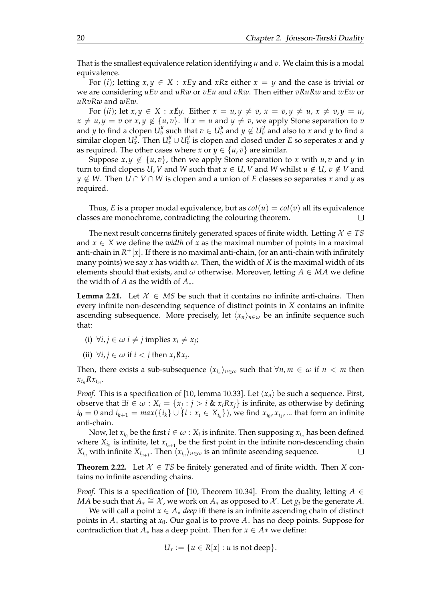That is the smallest equivalence relation identifying *u* and *v*. We claim this is a modal equivalence.

For (*i*); letting  $x, y \in X : xEy$  and  $xRz$  either  $x = y$  and the case is trivial or we are considering *uEv* and *uRw* or *vEu* and *vRw*. Then either *vRuRw* and *wEw* or *uRvRw* and *wEw*.

For (*ii*); let  $x, y \in X : x \not\mathbb{E} y$ . Either  $x = u, y \neq v$ ,  $x = v, y \neq u$ ,  $x \neq v, y = u$ ,  $x \neq u, y = v$  or  $x, y \notin \{u, v\}$ . If  $x = u$  and  $y \neq v$ , we apply Stone separation to *v* and *y* to find a clopen  $U_v^y$  such that  $v \in U_v^y$  and  $y \notin U_v^y$  and also to *x* and *y* to find a similar clopen  $U_x^y$ . Then  $U_x^y \cup U_v^y$  is clopen and closed under *E* so seperates *x* and *y* as required. The other cases where *x* or  $y \in \{u, v\}$  are similar.

Suppose  $x, y \notin \{u, v\}$ , then we apply Stone separation to *x* with  $u, v$  and *y* in turn to find clopens *U*, *V* and *W* such that  $x \in U$ , *V* and *W* whilst  $u \notin U$ ,  $v \notin V$  and *y* ∉ *W*. Then *U* ∩ *V* ∩ *W* is clopen and a union of *E* classes so separates *x* and *y* as required.

Thus, *E* is a proper modal equivalence, but as  $col(u) = col(v)$  all its equivalence classes are monochrome, contradicting the colouring theorem.

The next result concerns finitely generated spaces of finite width. Letting  $X \in TS$ and  $x \in X$  we define the *width* of x as the maximal number of points in a maximal anti-chain in *R* <sup>+</sup>[*x*]. If there is no maximal anti-chain, (or an anti-chain with infinitely many points) we say *x* has width *ω*. Then, the width of *X* is the maximal width of its elements should that exists, and  $\omega$  otherwise. Moreover, letting  $A \in MA$  we define the width of *A* as the width of *A*∗.

<span id="page-23-0"></span>**Lemma 2.21.** Let  $\mathcal{X} \in MS$  be such that it contains no infinite anti-chains. Then every infinite non-descending sequence of distinct points in *X* contains an infinite ascending subsequence. More precisely, let  $\langle x_n \rangle_{n \in \omega}$  be an infinite sequence such that:

- $(i) \forall i, j \in \omega \ i \neq j \text{ implies } x_i \neq x_j;$
- (ii)  $\forall i, j \in \omega \text{ if } i < j \text{ then } x_j \mathbb{R} x_i$ .

Then, there exists a sub-subsequence  $\langle x_{i_n} \rangle_{n \in \omega}$  such that  $\forall n, m \in \omega$  if  $n < m$  then  $x_{i_n}Rx_{i_m}$ .

*Proof.* This is a specification of [\[10,](#page-102-9) lemma 10.33]. Let ⟨*xn*⟩ be such a sequence. First, observe that ∃*i* ∈ *ω* : *X<sup>i</sup>* = {*x<sup>j</sup>* : *j* > *i* & *xiRxj*} is infinite, as otherwise by defining  $i_0 = 0$  and  $i_{k+1} = max(\{i_k\} \cup \{i : x_i \in X_{i_k}\})$ , we find  $x_{i_0}, x_{i_1}, ...$  that form an infinite anti-chain.

Now, let  $x_{i_0}$  be the first  $i \in \omega : X_i$  is infinite. Then supposing  $x_{i_n}$  has been defined where  $X_{i_n}$  is infinite, let  $x_{i_{n+1}}$  be the first point in the infinite non-descending chain  $X_{i_n}$  with infinite  $X_{i_{n+1}}$ . Then  $\langle x_{i_n} \rangle_{n \in \omega}$  is an infinite ascending sequence.  $\Box$ 

<span id="page-23-1"></span>**Theorem 2.22.** Let  $\mathcal{X} \in TS$  be finitely generated and of finite width. Then *X* contains no infinite ascending chains.

*Proof.* This is a specification of [\[10,](#page-102-9) Theorem 10.34]. From the duality, letting  $A \in$ *MA* be such that  $A_* \cong \mathcal{X}$ , we work on  $A_*$  as opposed to  $\mathcal{X}$ . Let  $g_i$  be the generate  $A$ .

We will call a point  $x \in A_*$  *deep* iff there is an infinite ascending chain of distinct points in  $A_*$  starting at  $x_0$ . Our goal is to prove  $A_*$  has no deep points. Suppose for contradiction that  $A_*$  has a deep point. Then for  $x \in A*$  we define:

$$
U_x := \{u \in R[x] : u \text{ is not deep}\}.
$$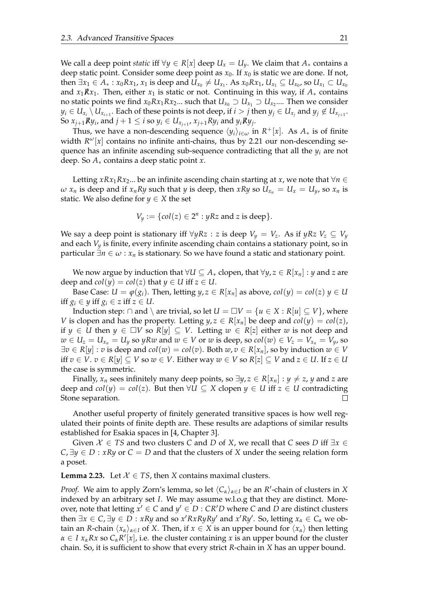We call a deep point *static* iff  $\forall y \in R[x]$  deep  $U_x = U_y$ . We claim that  $A_*$  contains a deep static point. Consider some deep point as  $x_0$ . If  $x_0$  is static we are done. If not,  $t$ hen ∃ $x_1$  ∈  $A_*: x_0Rx_1$ ,  $x_1$  is deep and  $U_{x_0} \neq U_{x_1}$ . As  $x_0Rx_1$ ,  $U_{x_1} \subseteq U_{x_0}$ , so  $U_{x_1} \subset U_{x_0}$ and  $x_1Rx_1$ . Then, either  $x_1$  is static or not. Continuing in this way, if  $A_*$  contains no static points we find  $x_0Rx_1Rx_2...$  such that  $U_{x_0}\supset U_{x_1}\supset U_{x_2}...$  Then we consider  $y_i\in U_{x_i}\setminus U_{x_{i+1}}.$  Each of these points is not deep, if  $i>j$  then  $y_j\in U_{x_j}$  and  $y_j\not\in U_{x_{j+1}}.$ So  $x_{j+1}$   $R$   $y_i$  , and  $j+1 \leq i$  so  $y_i \in U_{x_{j+1}}$  ,  $x_{j+1}$   $R$   $y_i$  and  $y_i$   $R$   $y_j$  .

Thus, we have a non-descending sequence  $\langle y_i \rangle_{i \in \omega}$  in  $R^+[x]$ . As  $A_*$  is of finite width  $R^{\omega}[x]$  contains no infinite anti-chains, thus by [2.21](#page-23-0) our non-descending sequence has an infinite ascending sub-sequence contradicting that all the *y<sup>i</sup>* are not deep. So *A*∗ contains a deep static point *x*.

Letting *xRx*<sub>1</sub>*Rx*<sub>2</sub>... be an infinite ascending chain starting at *x*, we note that  $\forall n \in$  $\omega$  *x*<sub>*n*</sub> is deep and if *x*<sub>*n*</sub>*Ry* such that *y* is deep, then *xRy* so  $U_{x_n} = U_x = U_y$ , so *x<sub>n</sub>* is static. We also define for  $y \in X$  the set

$$
V_y := \{col(z) \in 2^n : yRz \text{ and } z \text{ is deep}\}.
$$

We say a deep point is stationary iff  $\forall y Rz : z$  is deep  $V_y = V_z$ . As if  $yRz V_z \subseteq V_y$ and each *V<sup>y</sup>* is finite, every infinite ascending chain contains a stationary point, so in particular  $\exists n \in \omega : x_n$  is stationary. So we have found a static and stationary point.

We now argue by induction that  $∀U ⊆ A_*$  clopen, that  $∀y, z ∈ R[x_n] : y$  and *z* are deep and  $col(y) = col(z)$  that  $y \in U$  iff  $z \in U$ .

Base Case:  $U = \varphi(g_i)$ . Then, letting  $y, z \in R[x_n]$  as above,  $col(y) = col(z)$   $y \in U$ iff  $g_i \in y$  iff  $g_i \in z$  iff  $z \in U$ .

Induction step:  $\cap$  and  $\setminus$  are trivial, so let  $U = \square V = \{u \in X : R[u] \subseteq V\}$ , where *V* is clopen and has the property. Letting  $y, z \in R[x_n]$  be deep and  $col(y) = col(z)$ , if *y* ∈ *U* then *y* ∈ □*V* so *R*[*y*] ⊆ *V*. Letting  $w ∈ R[z]$  either *w* is not deep and  $w \in U_z = U_{x_n} = U_y$  so yRw and  $w \in V$  or w is deep, so  $col(w) \in V_z = V_{x_n} = V_y$ , so  $\exists v \in R[y] : v$  is deep and  $col(w) = col(v)$ . Both  $w, v \in R[x_n]$ , so by induction  $w \in V$ iff *v* ∈ *V*. *v* ∈ *R*[*y*] ⊆ *V* so *w* ∈ *V*. Either way *w* ∈ *V* so *R*[*z*] ⊆ *V* and *z* ∈ *U*. If *z* ∈ *U* the case is symmetric.

Finally,  $x_n$  sees infinitely many deep points, so  $\exists y, z \in R[x_n] : y \neq z$ , *y* and *z* are deep and  $col(y) = col(z)$ . But then  $\forall U \subseteq X$  clopen  $y \in U$  iff  $z \in U$  contradicting Stone separation.  $\Box$ 

Another useful property of finitely generated transitive spaces is how well regulated their points of finite depth are. These results are adaptions of similar results established for Esakia spaces in [\[4,](#page-102-11) Chapter 3].

Given  $\mathcal{X} \in TS$  and two clusters *C* and *D* of *X*, we recall that *C* sees *D* iff  $\exists x \in$  $C, \exists y \in D : xRy$  or  $C = D$  and that the clusters of *X* under the seeing relation form a poset.

<span id="page-24-0"></span>**Lemma 2.23.** Let  $X \in TS$ , then *X* contains maximal clusters.

*Proof.* We aim to apply Zorn's lemma, so let  $\langle C_\alpha \rangle_{\alpha \in I}$  be an  $R'$ -chain of clusters in X indexed by an arbitrary set *I*. We may assume w.l.o.g that they are distinct. Moreover, note that letting  $x' \in C$  and  $y' \in D$  :  $CR'D$  where  $C$  and  $D$  are distinct clusters then  $\exists x \in C$ ,  $\exists y \in D : xRy$  and so  $x'RxRyRy'$  and  $x'Ry'$ . So, letting  $x_\alpha \in C_\alpha$  we obtain an *R*-chain  $\langle x_\alpha \rangle_{\alpha \in I}$  of *X*. Then, if  $x \in X$  is an upper bound for  $\langle x_\alpha \rangle$  then letting  $\alpha \in I$   $x_{\alpha}Rx$  so  $C_{\alpha}R'[x]$ , i.e. the cluster containing *x* is an upper bound for the cluster chain. So, it is sufficient to show that every strict *R*-chain in *X* has an upper bound.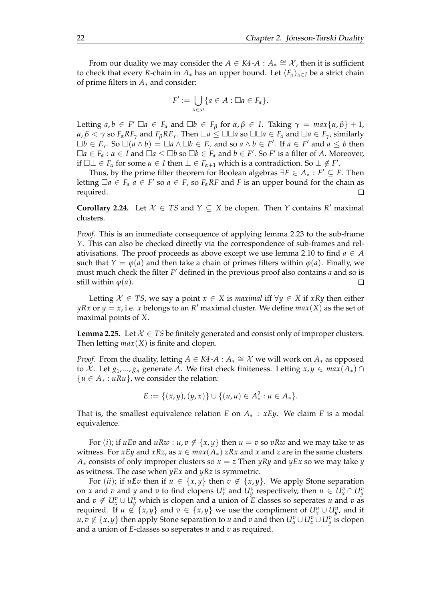From our duality we may consider the  $A \in K4$  - $A : A_* \cong \mathcal{X}$ , then it is sufficient to check that every *R*-chain in  $A_*$  has an upper bound. Let  $\langle F_\alpha \rangle_{\alpha \in I}$  be a strict chain of prime filters in *A*∗ and consider:

$$
F' := \bigcup_{\alpha \in \omega} \{a \in A : \Box a \in F_{\alpha}\}.
$$

Letting  $a, b \in F' \square a \in F_\alpha$  and  $\square b \in F_\beta$  for  $\alpha, \beta \in I$ . Taking  $\gamma = \max\{\alpha, \beta\} + 1$ ,  $\alpha, \beta < \gamma$  so  $F_{\alpha}RF_{\gamma}$  and  $F_{\beta}RF_{\gamma}$ . Then  $\square a \leq \square \square a$  so  $\square \square a \in F_{\alpha}$  and  $\square a \in F_{\gamma}$ , similarly  $\Box b \in F_\gamma$ . So  $\Box(a \land b) = \Box a \land \Box b \in F_\gamma$  and so  $a \land b \in F'$ . If  $a \in F'$  and  $a \leq b$  then  $\Box a \in F_\alpha : \alpha \in I$  and  $\Box a \le \Box b$  so  $\Box b \in F_\alpha$  and  $b \in F'$ . So  $F'$  is a filter of *A*. Moreover, if  $\Box \bot \in F_\alpha$  for some  $\alpha \in I$  then  $\bot \in F_{\alpha+1}$  which is a contradiction. So  $\bot \notin F'$ .

Thus, by the prime filter theorem for Boolean algebras ∃*F* ∈ *A*<sup>∗</sup> : *F* ′ ⊆ *F*. Then letting  $\Box a \in F_a$   $\dot{a} \in F'$  so  $a \in F$ , so  $F_\alpha R$  and  $F$  is an upper bound for the chain as required.  $\Box$ 

**Corollary 2.24.** Let  $X \in TS$  and  $Y \subseteq X$  be clopen. Then *Y* contains  $R'$  maximal clusters.

*Proof.* This is an immediate consequence of applying lemma [2.23](#page-24-0) to the sub-frame *Y*. This can also be checked directly via the correspondence of sub-frames and rel-ativisations. The proof proceeds as above except we use lemma [2.10](#page-13-0) to find  $a \in A$ such that  $Y = \varphi(a)$  and then take a chain of primes filters within  $\varphi(a)$ . Finally, we must much check the filter *F* ′ defined in the previous proof also contains *a* and so is still within *φ*(*a*).  $\Box$ 

Letting  $X \in TS$ , we say a point  $x \in X$  is *maximal* iff  $\forall y \in X$  if *xRy* then either *yRx* or  $y = x$ , i.e. *x* belongs to an *R*<sup>*'*</sup> maximal cluster. We define  $max(X)$  as the set of maximal points of *X*.

<span id="page-25-0"></span>**Lemma 2.25.** Let  $\mathcal{X} \in TS$  be finitely generated and consist only of improper clusters. Then letting  $max(X)$  is finite and clopen.

*Proof.* From the duality, letting  $A \in K4$  -  $A : A_* \cong \mathcal{X}$  we will work on  $A_*$  as opposed to X. Let  $g_1, ..., g_n$  generate A. We first check finiteness. Letting  $x, y \in max(A_*) \cap$ {*u* ∈ *A*<sup>∗</sup> : *uRu*}, we consider the relation:

$$
E := \{(x,y), (y,x)\} \cup \{(u,u) \in A_*^2 : u \in A_*\}.
$$

That is, the smallest equivalence relation *E* on  $A_*$  :  $xEy$ . We claim *E* is a modal equivalence.

For (*i*); if  $uEv$  and  $uRw : u, v \notin \{x, y\}$  then  $u = v$  so  $vRw$  and we may take  $w$  as witness. For *xEy* and *xRz*, as  $x \in max(A_*)$  *zRx* and *x* and *z* are in the same clusters. *A*<sup>∗</sup> consists of only improper clusters so *x* = *z* Then *yRy* and *yEx* so we may take *y* as witness. The case when *yEx* and *yRz* is symmetric.

For (*ii*); if  $u \not\equiv v$  then if  $u \in \{x, y\}$  then  $v \notin \{x, y\}$ . We apply Stone separation on *x* and *v* and *y* and *v* to find clopens  $U_x^v$  and  $U_y^v$  respectively, then  $u \in U_x^v \cap U_y^v$ and  $v \notin U_x^v \cup U_y^v$  which is clopen and a union of *E* classes so seperates *u* and *v* as required. If  $u \notin \{x, y\}$  and  $v \in \{x, y\}$  we use the compliment of  $U_x^u \cup U_y^u$ , and if  $u, v \notin \{x, y\}$  then apply Stone separation to *u* and *v* and then  $U_u^v \cup U_y^v$  is clopen and a union of *E*-classes so seperates *u* and *v* as required.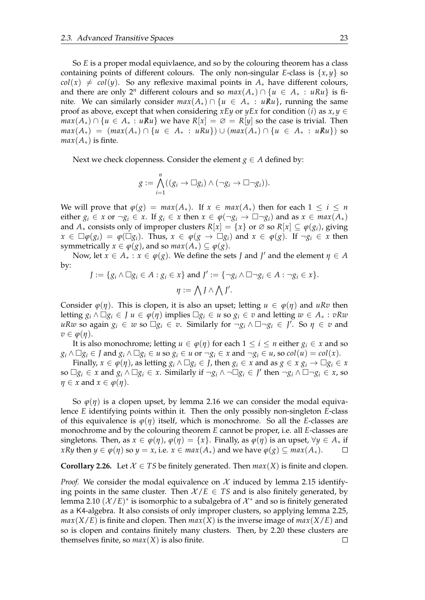So *E* is a proper modal equivlaence, and so by the colouring theorem has a class containing points of different colours. The only non-singular *E*-class is {*x*, *y*} so  $col(x) \neq col(y)$ . So any reflexive maximal points in  $A_{*}$  have different colours, and there are only 2<sup>n</sup> different colours and so  $max(A_*) \cap \{u \in A_* : uRu\}$  is finite. We can similarly consider  $max(A_*) \cap \{u \in A_* : uRu\}$ , running the same proof as above, except that when considering *xEy* or *yEx* for condition (*i*) as  $x, y \in$ *max*( $A_*$ ) ∩ { $u \in A_* : uRu$ } we have  $R[x] = \emptyset = R[y]$  so the case is trivial. Then *max*(*A*<sub>\*</sub>) = (*max*(*A*<sub>\*</sub>) ∩ {*u* ∈ *A*<sub>\*</sub> : *uRu*}) ∪ (*max*(*A*<sub>\*</sub>) ∩ {*u* ∈ *A*<sub>\*</sub> : *uRu*}) so  $max(A_*)$  is finte.

Next we check clopenness. Consider the element  $g \in A$  defined by:

$$
g := \bigwedge_{i=1}^n ((g_i \to \Box g_i) \land (\neg g_i \to \Box \neg g_i)).
$$

We will prove that  $\varphi(g) = \max(A_*)$ . If  $x \in \max(A_*)$  then for each  $1 \le i \le n$ either  $g_i \in x$  or  $\neg g_i \in x$ . If  $g_i \in x$  then  $x \in \varphi(\neg g_i \to \Box \neg g_i)$  and as  $x \in max(A_*)$ and  $A_*$  consists only of improper clusters  $R[x] = \{x\}$  or  $\emptyset$  so  $R[x] \subseteq \varphi(g_i)$ , giving  $x \in \Box \varphi(g_i) = \varphi(\Box g_i)$ . Thus,  $x \in \varphi(g \rightarrow \Box g_i)$  and  $x \in \varphi(g)$ . If  $\neg g_i \in x$  then symmetrically  $x \in \varphi(g)$ , and so  $max(A_*) \subseteq \varphi(g)$ .

Now, let  $x \in A_* : x \in \varphi(g)$ . We define the sets *J* and *J'* and the element  $\eta \in A$ by:

$$
J := \{ g_i \wedge \Box g_i \in A : g_i \in x \} \text{ and } J' := \{ \neg g_i \wedge \Box \neg g_i \in A : \neg g_i \in x \}.
$$

$$
\eta := \bigwedge J \wedge \bigwedge J'.
$$

Consider  $\varphi(\eta)$ . This is clopen, it is also an upset; letting  $u \in \varphi(\eta)$  and  $uRv$  then letting  $g_i \wedge \Box g_i \in J$   $u \in \varphi(\eta)$  implies  $\Box g_i \in u$  so  $g_i \in v$  and letting  $w \in A_* : vRw$  $uRw$  so again  $g_i \in w$  so  $\Box g_i \in v$ . Similarly for  $\neg g_i \land \Box \neg g_i \in J'$ . So  $\eta \in v$  and  $v \in \varphi(\eta)$ .

It is also monochrome; letting  $u \in \varphi(\eta)$  for each  $1 \le i \le n$  either  $g_i \in x$  and so  $g_i \wedge \Box g_i \in J$  and  $g_i \wedge \Box g_i \in u$  so  $g_i \in u$  or  $\neg g_i \in x$  and  $\neg g_i \in u$ , so  $col(u) = col(x)$ .

Finally,  $x \in \varphi(\eta)$ , as letting  $g_i \wedge \Box g_i \in I$ , then  $g_i \in x$  and as  $g \in x \ g_i \to \Box g_i \in x$ so  $\Box g_i \in x$  and  $g_i \land \Box g_i \in x$ . Similarly if  $\neg g_i \land \neg \Box g_i \in J'$  then  $\neg g_i \land \Box \neg g_i \in x$ , so  $\eta \in x$  and  $x \in \varphi(\eta)$ .

So  $\varphi(\eta)$  is a clopen upset, by lemma [2.16](#page-20-1) we can consider the modal equivalence *E* identifying points within it. Then the only possibly non-singleton *E*-class of this equivalence is  $\varphi(\eta)$  itself, which is monochrome. So all the *E*-classes are monochrome and by the colouring theorem *E* cannot be proper, i.e. all *E*-classes are singletons. Then, as  $x \in \varphi(\eta)$ ,  $\varphi(\eta) = \{x\}$ . Finally, as  $\varphi(\eta)$  is an upset,  $\forall y \in A_*$  if *xRy* then  $y \in \varphi(\eta)$  so  $y = x$ , i.e.  $x \in max(A_*)$  and we have  $\varphi(g) \subseteq max(A_*)$ .  $\Box$ 

<span id="page-26-0"></span>**Corollary 2.26.** Let  $X \in TS$  be finitely generated. Then  $max(X)$  is finite and clopen.

*Proof.* We consider the modal equivalence on  $\mathcal{X}$  induced by lemma [2.15](#page-19-1) identifying points in the same cluster. Then  $\mathcal{X}/E \in TS$  and is also finitely generated, by lemma [2.10](#page-13-0)  $(X/E)^*$  is isomorphic to a subalgebra of  $\mathcal{X}^*$  and so is finitely generated as a K4-algebra. It also consists of only improper clusters, so applying lemma [2.25,](#page-25-0)  $max(X/E)$  is finite and clopen. Then  $max(X)$  is the inverse image of  $max(X/E)$  and so is clopen and contains finitely many clusters. Then, by [2.20](#page-22-1) these clusters are themselves finite, so  $max(X)$  is also finite.  $\Box$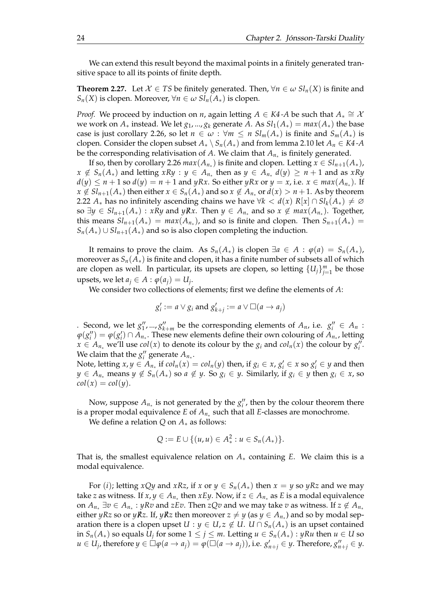We can extend this result beyond the maximal points in a finitely generated transitive space to all its points of finite depth.

<span id="page-27-0"></span>**Theorem 2.27.** Let  $\mathcal{X} \in TS$  be finitely generated. Then,  $\forall n \in \omega \, Sl_n(X)$  is finite and *Sn*(*X*) is clopen. Moreover, ∀*n* ∈ *ω Sln*(*A*∗) is clopen.

*Proof.* We proceed by induction on *n*, again letting  $A \in K4$ -A be such that  $A_* \cong \lambda$ we work on  $A_*$  instead. We let  $g_1, ..., g_k$  generate  $A$ . As  $Sl_1(A_*) = max(A_*)$  the base case is just corollary [2.26,](#page-26-0) so let  $n \in \omega : \forall m \leq n \; sl_m(A_*)$  is finite and  $S_m(A_*)$  is clopen. Consider the clopen subset  $A_* \setminus S_n(A_*)$  and from lemma [2.10](#page-13-0) let  $A_n \in K4$ -A be the corresponding relativisation of *A*. We claim that *An*<sup>∗</sup> is finitely generated.

If so, then by corollary [2.26](#page-26-0)  $max(A_{n_*})$  is finite and clopen. Letting  $x \in Sl_{n+1}(A_*)$ ,  $x \notin S_n(A_*)$  and letting  $xRy : y \in A_{n_*}$  then as  $y \in A_{n_*}$   $d(y) \ge n+1$  and as  $xRy$  $d(y) \leq n + 1$  so  $d(y) = n + 1$  and  $yRx$ . So either  $yRx$  or  $y = x$ , i.e.  $x \in max(A_{n_*})$ . If *x* ∉ *Sl*<sub>*n*+1</sub>(*A*<sub>\*</sub>) then either *x* ∈ *S*<sub>*n*</sub>(*A*<sub>\*</sub>) and so *x* ∉ *A*<sub>*n*<sup>\*</sup></sub> or *d*(*x*) > *n* + 1. As by theorem [2.22](#page-23-1)  $A_*$  has no infinitely ascending chains we have  $\forall k < d(x) R[x] \cap Sl_k(A_*) \neq \emptyset$ *so* ∃*y* ∈  $Sl_{n+1}(A_*)$  : *xRy* and *yRx*. Then *y* ∈  $A_{n_*}$  and so  $x \notin max(A_{n_*})$ . Together, this means  $Sl_{n+1}(A_*) = max(A_{n_*})$ , and so is finite and clopen. Then  $S_{n+1}(A_*) =$  $S_n(A_*) \cup Sl_{n+1}(A_*)$  and so is also clopen completing the induction.

It remains to prove the claim. As  $S_n(A_*)$  is clopen  $\exists a \in A : \varphi(a) = S_n(A_*)$ , moreover as  $S_n(A_*)$  is finite and clopen, it has a finite number of subsets all of which are clopen as well. In particular, its upsets are clopen, so letting  $\{U_j\}_{j=1}^m$  be those upsets, we let  $a_j \in A : \varphi(a_j) = U_j$ .

We consider two collections of elements; first we define the elements of *A*:

$$
g'_i := a \vee g_i
$$
 and  $g'_{k+j} := a \vee \Box (a \rightarrow a_j)$ 

. Second, we let  $g''_1, ..., g''_{k+m}$  be the corresponding elements of  $A_n$ , i.e.  $g''_i \in A_n$ :  $\varphi(g_i'') = \varphi(g_i') \cap A_{n_*}$ . These new elements define their own colouring of  $A_{n_*}$ , letting  $x \in A_{n*}$  we'll use *col*(*x*) to denote its colour by the *g<sub>i</sub>* and *col<sub>n</sub>*(*x*) the colour by  $g_i^{n}$ . We claim that the  $g''_i$  generate  $A_{n_*}$ .

Note, letting  $x, y \in A_{n_*}$  if  $col_n(x) = col_n(y)$  then, if  $g_i \in x$ ,  $g'_i \in x$  so  $g'_i \in y$  and then *y* ∈ *A*<sub>*n*<sup>\*</sup></sub> means *y* ∉ *S*<sub>*n*</sub>(*A*<sup>\*</sup>) so *a* ∉ *y*. So *g*<sub>*i*</sub> ∈ *y*. Similarly, if *g*<sub>*i*</sub> ∈ *y* then *g*<sub>*i*</sub> ∈ *x*, so  $col(x) = col(y)$ .

Now, suppose  $A_{n_*}$  is not generated by the  $g''_i$ , then by the colour theorem there is a proper modal equivalence *E* of *An*<sup>∗</sup> such that all *E*-classes are monochrome.

We define a relation *Q* on *A*∗ as follows:

$$
Q := E \cup \{ (u, u) \in A_*^2 : u \in S_n(A_*) \}.
$$

That is, the smallest equivalence relation on  $A_*$  containing  $E$ . We claim this is a modal equivalence.

For (*i*); letting *x*Qy and *xRz*, if *x* or  $y \in S_n(A_*)$  then  $x = y$  so yRz and we may take *z* as witness. If  $x, y \in A_{n_*}$  then  $xEy$ . Now, if  $z \in A_{n_*}$  as  $E$  is a modal equivalence on  $A_{n_*}$  ∃ $v \in A_{n_*}$ : *yRv* and *zEv*. Then *zQv* and we may take  $v$  as witness. If  $z \notin A_{n_*}$ either  $yRz$  so or  $yRz$ . If,  $yRz$  then moreover  $z\neq y$  (as  $y\in A_{n_*}$ ) and so by modal separation there is a clopen upset  $U : y \in U$ ,  $z \notin U$ .  $U \cap S_n(A_*)$  is an upset contained in  $S_n(A_*)$  so equals  $U_j$  for some  $1 \leq j \leq m$ . Letting  $u \in S_n(A_*)$  :  $yRu$  then  $u \in U$  so  $u \in U_j$ , therefore  $y \in \Box \varphi(a \to a_j) = \varphi(\Box(a \to a_j))$ , i.e.  $g'_{n+j} \in y$ . Therefore,  $g''_{n+j} \in y$ .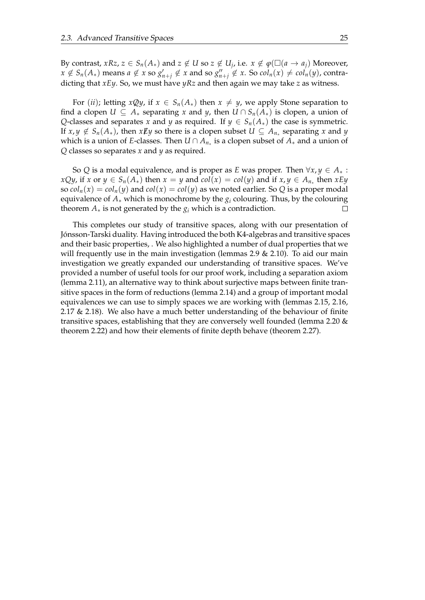By contrast,  $xRz$ ,  $z \in S_n(A_*)$  and  $z \notin U$  so  $z \notin U_j$ , i.e.  $x \notin \varphi(\Box(a \to a_j))$  Moreover,  $x \notin S_n(A_*)$  means  $a \notin x$  so  $g'_{n+j} \notin x$  and so  $g''_{n+j} \notin x$ . So  $col_n(x) \neq col_n(y)$ , contradicting that *xEy*. So, we must have *yRz* and then again we may take *z* as witness.

For (*ii*); letting *xQy*, if  $x \in S_n(A_*)$  then  $x \neq y$ , we apply Stone separation to find a clopen  $U \subseteq A_*$  separating *x* and *y*, then  $U \cap S_n(A_*)$  is clopen, a union of *Q*-classes and separates *x* and *y* as required. If  $y \in S_n(A_*)$  the case is symmetric. If  $x, y \notin S_n(A_*)$ , then  $x \cancel{E} y$  so there is a clopen subset  $U \subseteq A_{n_*}$  separating  $x$  and  $y$ which is a union of *E*-classes. Then  $U \cap A_{n_\ast}$  is a clopen subset of  $A_\ast$  and a union of *Q* classes so separates *x* and *y* as required.

So *Q* is a modal equivalence, and is proper as *E* was proper. Then  $\forall x, y \in A_*$ : *x*Qy, if *x* or *y* ∈ *S*<sub>*n*</sub>(*A*<sub>\*</sub>) then *x* = *y* and *col*(*x*) = *col*(*y*) and if *x*, *y* ∈ *A*<sub>*n*\*</sub></sup> then *xEy* so  $col_n(x) = col_n(y)$  and  $col(x) = col(y)$  as we noted earlier. So Q is a proper modal equivalence of  $A_*$  which is monochrome by the  $g_i$  colouring. Thus, by the colouring theorem  $A_*$  is not generated by the  $g_i$  which is a contradiction.  $\Box$ 

This completes our study of transitive spaces, along with our presentation of Jónsson-Tarski duality. Having introduced the both K4-algebras and transitive spaces and their basic properties, . We also highlighted a number of dual properties that we will frequently use in the main investigation (lemmas [2.9](#page-13-1)  $\&$  [2.10\)](#page-13-0). To aid our main investigation we greatly expanded our understanding of transitive spaces. We've provided a number of useful tools for our proof work, including a separation axiom (lemma [2.11\)](#page-15-3), an alternative way to think about surjective maps between finite transitive spaces in the form of reductions (lemma [2.14\)](#page-17-1) and a group of important modal equivalences we can use to simply spaces we are working with (lemmas [2.15,](#page-19-1) [2.16,](#page-20-1) [2.17](#page-20-0) & [2.18\)](#page-21-0). We also have a much better understanding of the behaviour of finite transitive spaces, establishing that they are conversely well founded (lemma [2.20](#page-22-1) & theorem [2.22\)](#page-23-1) and how their elements of finite depth behave (theorem [2.27\)](#page-27-0).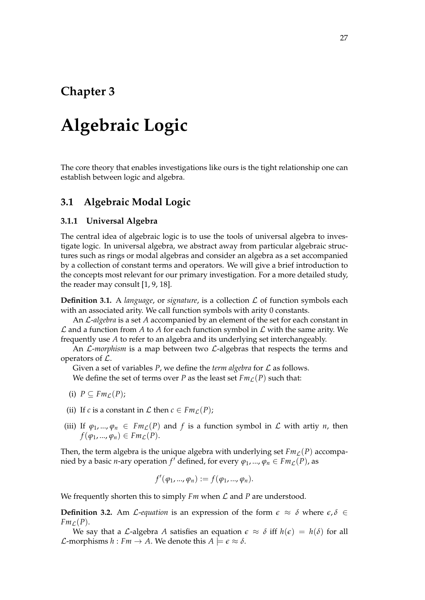## <span id="page-30-0"></span>**Chapter 3**

# **Algebraic Logic**

The core theory that enables investigations like ours is the tight relationship one can establish between logic and algebra.

## <span id="page-30-1"></span>**3.1 Algebraic Modal Logic**

### <span id="page-30-2"></span>**3.1.1 Universal Algebra**

The central idea of algebraic logic is to use the tools of universal algebra to investigate logic. In universal algebra, we abstract away from particular algebraic structures such as rings or modal algebras and consider an algebra as a set accompanied by a collection of constant terms and operators. We will give a brief introduction to the concepts most relevant for our primary investigation. For a more detailed study, the reader may consult [\[1,](#page-102-12) [9,](#page-102-13) [18\]](#page-103-10).

**Definition 3.1.** A *language*, or *signature*, is a collection  $\mathcal{L}$  of function symbols each with an associated arity. We call function symbols with arity 0 constants.

An L-*algebra* is a set *A* accompanied by an element of the set for each constant in  $\mathcal L$  and a function from A to A for each function symbol in  $\mathcal L$  with the same arity. We frequently use *A* to refer to an algebra and its underlying set interchangeably.

An  $\mathcal{L}\text{-}morphism$  is a map between two  $\mathcal{L}\text{-}algebras$  that respects the terms and operators of L.

Given a set of variables  $P$ , we define the *term algebra* for  $\mathcal L$  as follows. We define the set of terms over *P* as the least set  $Fm<sub>L</sub>(P)$  such that:

- (i)  $P \subseteq Fm_{\mathcal{L}}(P)$ ;
- (ii) If *c* is a constant in *L* then  $c \in Fm_{\mathcal{L}}(P)$ ;
- (iii) If  $\varphi_1, ..., \varphi_n \in Fm_{\mathcal{L}}(P)$  and f is a function symbol in  $\mathcal L$  with artiy *n*, then  $f(\varphi_1, ..., \varphi_n) \in Fm$ <sub>C</sub>(*P*).

Then, the term algebra is the unique algebra with underlying set  $Fm<sub>L</sub>(P)$  accompanied by a basic *n*-ary operation  $f'$  defined, for every  $\varphi_1, ..., \varphi_n \in Fm_{\mathcal{L}}(P)$ , as

$$
f'(\varphi_1, ..., \varphi_n) := f(\varphi_1, ..., \varphi_n).
$$

We frequently shorten this to simply *Fm* when L and *P* are understood.

**Definition 3.2.** Am *L*-*equation* is an expression of the form  $\epsilon \approx \delta$  where  $\epsilon, \delta \in$  $Fm_l(P)$ .

We say that a *L*-algebra *A* satisfies an equation  $\epsilon \approx \delta$  iff  $h(\epsilon) = h(\delta)$  for all *L*-morphisms  $h : Fm \to A$ . We denote this  $A \models \epsilon \approx \delta$ .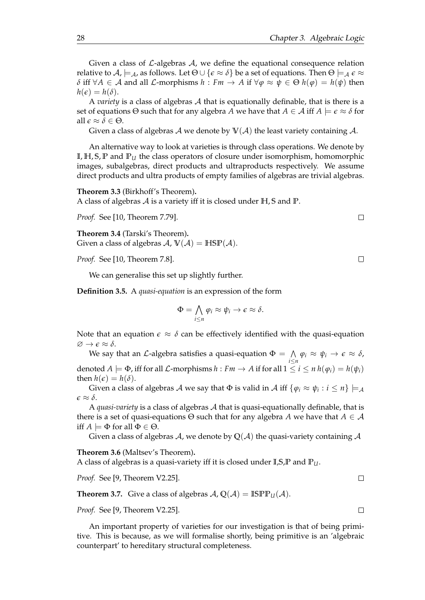Given a class of  $\mathcal{L}\text{-algebras }\mathcal{A}$ , we define the equational consequence relation relative to  $\mathcal{A}$ ,  $\models_{\mathcal{A}}$ , as follows. Let  $\Theta \cup {\{\epsilon \approx \delta\}}$  be a set of equations. Then  $\Theta \models_{\mathcal{A}} \epsilon \approx$  $\delta$  iff  $\forall A \in \mathcal{A}$  and all  $\mathcal{L}$ -morphisms  $h : Fm \to A$  if  $\forall \varphi \approx \psi \in \Theta$   $h(\varphi) = h(\psi)$  then  $h(\epsilon) = h(\delta).$ 

A *variety* is a class of algebras A that is equationally definable, that is there is a set of equations  $\Theta$  such that for any algebra *A* we have that  $A \in \mathcal{A}$  iff  $A \models \epsilon \approx \delta$  for all  $\epsilon \approx \delta \in \Theta$ .

Given a class of algebras A we denote by  $V(\mathcal{A})$  the least variety containing A.

An alternative way to look at varieties is through class operations. We denote by **I**, **H**, **S**, **P** and **P***<sup>U</sup>* the class operators of closure under isomorphism, homomorphic images, subalgebras, direct products and ultraproducts respectively. We assume direct products and ultra products of empty families of algebras are trivial algebras.

**Theorem 3.3** (Birkhoff's Theorem)**.**

A class of algebras A is a variety iff it is closed under **H**, **S** and **P**.

*Proof.* See [\[10,](#page-102-9) Theorem 7.79].

**Theorem 3.4** (Tarski's Theorem)**.** Given a class of algebras  $A$ ,  $V(A) = HSP(A)$ .

*Proof.* See [\[10,](#page-102-9) Theorem 7.8].

We can generalise this set up slightly further.

**Definition 3.5.** A *quasi-equation* is an expression of the form

$$
\Phi = \bigwedge_{i \leq n} \varphi_i \approx \psi_i \to \epsilon \approx \delta.
$$

Note that an equation  $\epsilon \approx \delta$  can be effectively identified with the quasi-equation  $\varnothing \to \epsilon \approx \delta$ .

We say that an  $\mathcal L$ -algebra satisfies a quasi-equation  $\Phi = \Lambda$  $\bigwedge_{i\leq n}\varphi_i \approx \psi_i \rightarrow \epsilon \approx \delta$ , denoted  $A \models \Phi$ , iff for all  $\mathcal{L}$ -morphisms  $h : Fm \rightarrow A$  if for all  $1 \le i \le n$   $h(\varphi_i) = h(\psi_i)$ then  $h(\epsilon) = h(\delta)$ .

Given a class of algebras  $\cal A$  we say that  $\Phi$  is valid in  $\cal A$  iff  $\{\varphi_i\approx\psi_i:i\leq n\}\models_{\cal A}$  $\epsilon \approx \delta$ .

A *quasi-variety* is a class of algebras A that is quasi-equationally definable, that is there is a set of quasi-equations  $\Theta$  such that for any algebra *A* we have that  $A \in \mathcal{A}$ iff  $A \models \Phi$  for all  $\Phi \in \Theta$ .

Given a class of algebras A, we denote by  $Q(A)$  the quasi-variety containing A

**Theorem 3.6** (Maltsev's Theorem)**.**

A class of algebras is a quasi-variety iff it is closed under **I**,**S**,**P** and **P***U*.

*Proof.* See [\[9,](#page-102-13) Theorem V2.25].

**Theorem 3.7.** Give a class of algebras  $A$ ,  $Q(A) = IBPP_U(A)$ .

*Proof.* See [\[9,](#page-102-13) Theorem V2.25].

An important property of varieties for our investigation is that of being primitive. This is because, as we will formalise shortly, being primitive is an 'algebraic counterpart' to hereditary structural completeness.

 $\Box$ 

 $\Box$ 

 $\Box$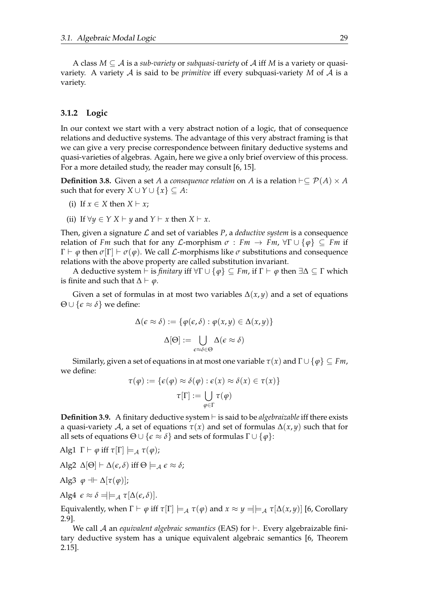A class *M* ⊆ A is a *sub-variety* or *subquasi-variety* of A iff *M* is a variety or quasivariety. A variety  $A$  is said to be *primitive* iff every subquasi-variety  $M$  of  $A$  is a variety.

### <span id="page-32-0"></span>**3.1.2 Logic**

In our context we start with a very abstract notion of a logic, that of consequence relations and deductive systems. The advantage of this very abstract framing is that we can give a very precise correspondence between finitary deductive systems and quasi-varieties of algebras. Again, here we give a only brief overview of this process. For a more detailed study, the reader may consult [\[6,](#page-102-7) [15\]](#page-102-8).

**Definition 3.8.** Given a set *A* a *consequence relation* on *A* is a relation  $\vdash ⊆ \mathcal{P}(A) \times A$ such that for every *X* ∪ *Y* ∪  $\{x\} \subseteq A$ :

- (i) If  $x \in X$  then  $X \vdash x$ ;
- (ii) If  $\forall y \in Y \ X \vdash y$  and  $Y \vdash x$  then  $X \vdash x$ .

Then, given a signature  $\mathcal L$  and set of variables  $P$ , a *deductive system* is a consequence relation of *Fm* such that for any *L*-morphism  $\sigma : Fm \to Fm$ ,  $\forall \Gamma \cup \{\phi\} \subseteq Fm$  if  $\Gamma \vdash \varphi$  then  $\sigma[\Gamma] \vdash \sigma(\varphi)$ . We call *L*-morphisms like  $\sigma$  substitutions and consequence relations with the above property are called substitution invariant.

A deductive system ⊢ is *finitary* iff  $\forall \Gamma \cup \{\varphi\} \subseteq Fm$ , if  $\Gamma \vdash \varphi$  then  $\exists \Delta \subseteq \Gamma$  which is finite and such that  $\Delta \vdash \varphi$ .

Given a set of formulas in at most two variables  $\Delta(x, y)$  and a set of equations  $\Theta \cup {\epsilon \approx \delta}$  we define:

$$
\Delta(\epsilon \approx \delta) := \{ \varphi(\epsilon, \delta) : \varphi(x, y) \in \Delta(x, y) \}
$$

$$
\Delta[\Theta] := \bigcup_{\epsilon \approx \delta \in \Theta} \Delta(\epsilon \approx \delta)
$$

Similarly, given a set of equations in at most one variable  $\tau(x)$  and  $\Gamma \cup \{\varphi\} \subseteq Fm$ , we define:

$$
\tau(\varphi) := \{ \epsilon(\varphi) \approx \delta(\varphi) : \epsilon(x) \approx \delta(x) \in \tau(x) \}
$$

$$
\tau[\Gamma] := \bigcup_{\varphi \in \Gamma} \tau(\varphi)
$$

**Definition 3.9.** A finitary deductive system ⊢ is said to be *algebraizable* iff there exists a quasi-variety A, a set of equations *τ*(*x*) and set of formulas ∆(*x*, *y*) such that for all sets of equations  $Θ ∪ {ε ≈ δ}$  and sets of formulas  $Γ ∪ {φ}$ :

$$
\text{Alg1 }\Gamma \vdash \varphi \text{ iff } \tau[\Gamma] \models_{\mathcal{A}} \tau(\varphi);
$$

$$
Alg2 \Delta[\Theta] \vdash \Delta(\epsilon, \delta) \text{ iff } \Theta \models_{\mathcal{A}} \epsilon \approx \delta;
$$

$$
Alg3 \varphi + \Delta[\tau(\varphi)];
$$

$$
Alg4 \epsilon \approx \delta = | \models_{\mathcal{A}} \tau[\Delta(\epsilon, \delta)].
$$

Equivalently, when Γ  $\vdash$  *φ* iff *τ*[Γ]  $\models$  *Λ τ*(*φ*) and *x* ≈ *y* =| $\models$  *Λ τ*[Δ(*x, y*)] [\[6,](#page-102-7) Corollary 2.9].

We call A an *equivalent algebraic semantics* (EAS) for ⊢. Every algebraizable finitary deductive system has a unique equivalent algebraic semantics [\[6,](#page-102-7) Theorem 2.15].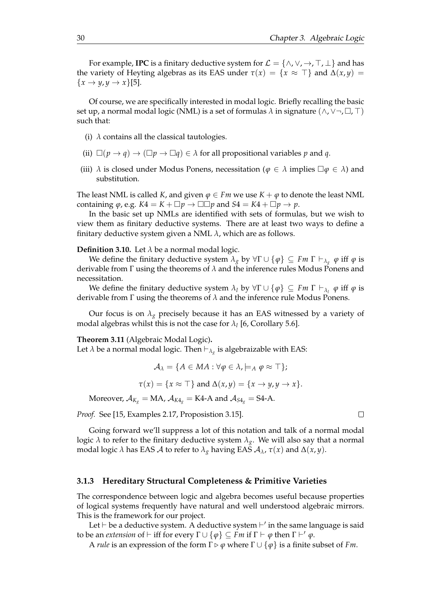For example, **IPC** is a finitary deductive system for  $\mathcal{L} = \{ \wedge, \vee, \rightarrow, \top, \bot \}$  and has the variety of Heyting algebras as its EAS under  $\tau(x) = \{x \approx \top\}$  and  $\Delta(x, y) =$  $\{x \rightarrow y, y \rightarrow x\}$ [\[5\]](#page-102-1).

Of course, we are specifically interested in modal logic. Briefly recalling the basic set up, a normal modal logic (NML) is a set of formulas *λ* in signature (∧, ∨¬, □, ⊤) such that:

- (i)  $\lambda$  contains all the classical tautologies.
- (ii)  $\square(p \to q) \to (\square p \to \square q) \in \lambda$  for all propositional variables p and q.
- (iii)  $\lambda$  is closed under Modus Ponens, necessitation ( $\varphi \in \lambda$  implies  $\Box \varphi \in \lambda$ ) and substitution.

The least NML is called *K*, and given  $\varphi \in Fm$  we use  $K + \varphi$  to denote the least NML containing  $\varphi$ , e.g.  $K4 = K + \Box p \rightarrow \Box \Box p$  and  $S4 = K4 + \Box p \rightarrow p$ .

In the basic set up NMLs are identified with sets of formulas, but we wish to view them as finitary deductive systems. There are at least two ways to define a finitary deductive system given a NML *λ*, which are as follows.

#### **Definition 3.10.** Let  $\lambda$  be a normal modal logic.

We define the finitary deductive system  $\lambda_g$  by  $\forall \Gamma \cup \{\varphi\} \subseteq Fm \Gamma \vdash_{\lambda_g} \varphi$  iff  $\varphi$  is derivable from Γ using the theorems of *λ* and the inference rules Modus Ponens and necessitation.

We define the finitary deductive system  $\lambda_l$  by  $\forall \Gamma \cup \{\varphi\} \subseteq Fm \Gamma \vdash_{\lambda_l} \varphi$  iff  $\varphi$  is derivable from Γ using the theorems of *λ* and the inference rule Modus Ponens.

Our focus is on  $\lambda_g$  precisely because it has an EAS witnessed by a variety of modal algebras whilst this is not the case for  $\lambda_l$  [\[6,](#page-102-7) Corollary 5.6].

**Theorem 3.11** (Algebraic Modal Logic)**.**

Let  $\lambda$  be a normal modal logic. Then  $\vdash_{\lambda_g}$  is algebraizable with EAS:

$$
\mathcal{A}_{\lambda} = \{ A \in MA : \forall \varphi \in \lambda, \models_A \varphi \approx \top \};
$$
  

$$
\tau(x) = \{ x \approx \top \} \text{ and } \Delta(x, y) = \{ x \rightarrow y, y \rightarrow x \}.
$$

Moreover,  $A_{K_g} = MA$ ,  $A_{K4_g} = K4-A$  and  $A_{S4_g} = S4-A$ .

*Proof.* See [\[15,](#page-102-8) Examples 2.17, Proposistion 3.15].

Going forward we'll suppress a lot of this notation and talk of a normal modal logic *λ* to refer to the finitary deductive system  $λ<sub>g</sub>$ . We will also say that a normal modal logic *λ* has EAS *A* to refer to  $λ_g$  having EAS  $A_\lambda$ ,  $\tau(x)$  and  $Δ(x, y)$ .

### <span id="page-33-0"></span>**3.1.3 Hereditary Structural Completeness & Primitive Varieties**

The correspondence between logic and algebra becomes useful because properties of logical systems frequently have natural and well understood algebraic mirrors. This is the framework for our project.

Let ⊢ be a deductive system. A deductive system ⊢ ′ in the same language is said to be an *extension* of  $\vdash$  iff for every  $\Gamma \cup \{\varphi\} \subseteq Fm$  if  $\Gamma \vdash \varphi$  then  $\Gamma \vdash' \varphi$ .

A *rule* is an expression of the form  $\Gamma \triangleright \varphi$  where  $\Gamma \cup \{\varphi\}$  is a finite subset of *Fm*.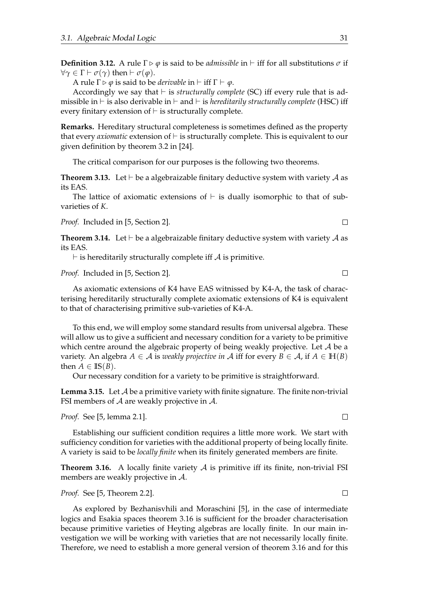**Definition 3.12.** A rule  $\Gamma \triangleright \varphi$  is said to be *admissible* in  $\vdash$  iff for all substitutions  $\sigma$  if *∀γ* ∈ Γ  $\vdash$  *σ*(*γ*) then  $\vdash$  *σ*(*φ*).

A rule  $\Gamma \triangleright \varphi$  is said to be *derivable* in  $\vdash$  iff  $\Gamma \vdash \varphi$ .

Accordingly we say that ⊢ is *structurally complete* (SC) iff every rule that is admissible in ⊢ is also derivable in ⊢ and ⊢ is *hereditarily structurally complete* (HSC) iff every finitary extension of  $\vdash$  is structurally complete.

**Remarks.** Hereditary structural completeness is sometimes defined as the property that every *axiomatic* extension of ⊢ is structurally complete. This is equivalent to our given definition by theorem 3.2 in [\[24\]](#page-103-0).

The critical comparison for our purposes is the following two theorems.

**Theorem 3.13.** Let  $\vdash$  be a algebraizable finitary deductive system with variety A as its EAS.

The lattice of axiomatic extensions of  $\vdash$  is dually isomorphic to that of subvarieties of *K*.

*Proof.* Included in [\[5,](#page-102-1) Section 2].

<span id="page-34-1"></span>**Theorem 3.14.** Let  $\vdash$  be a algebraizable finitary deductive system with variety A as its EAS.

 $⊢$  is hereditarily structurally complete iff  $A$  is primitive.

*Proof.* Included in [\[5,](#page-102-1) Section 2].

As axiomatic extensions of K4 have EAS witnissed by K4-A, the task of characterising hereditarily structurally complete axiomatic extensions of K4 is equivalent to that of characterising primitive sub-varieties of K4-A.

To this end, we will employ some standard results from universal algebra. These will allow us to give a sufficient and necessary condition for a variety to be primitive which centre around the algebraic property of being weakly projective. Let  $A$  be a variety. An algebra  $A \in \mathcal{A}$  is *weakly projective in*  $\mathcal{A}$  iff for every  $B \in \mathcal{A}$ , if  $A \in \mathbb{H}(B)$ then  $A \in \mathbb{IS}(B)$ .

Our necessary condition for a variety to be primitive is straightforward.

**Lemma 3.15.** Let A be a primitive variety with finite signature. The finite non-trivial FSI members of  $A$  are weakly projective in  $A$ .

*Proof.* See [\[5,](#page-102-1) lemma 2.1].

Establishing our sufficient condition requires a little more work. We start with sufficiency condition for varieties with the additional property of being locally finite. A variety is said to be *locally finite* when its finitely generated members are finite.

<span id="page-34-0"></span>**Theorem 3.16.** A locally finite variety  $A$  is primitive iff its finite, non-trivial FSI members are weakly projective in  $\mathcal{A}$ .

*Proof.* See [\[5,](#page-102-1) Theorem 2.2].

As explored by Bezhanisvhili and Moraschini [\[5\]](#page-102-1), in the case of intermediate logics and Esakia spaces theorem [3.16](#page-34-0) is sufficient for the broader characterisation because primitive varieties of Heyting algebras are locally finite. In our main investigation we will be working with varieties that are not necessarily locally finite. Therefore, we need to establish a more general version of theorem [3.16](#page-34-0) and for this

 $\Box$ 

 $\Box$ 

 $\Box$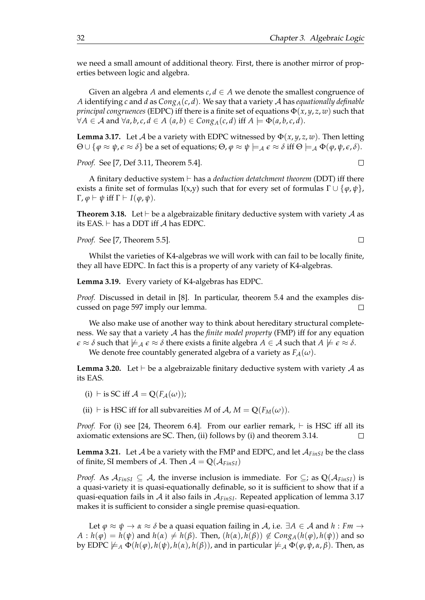we need a small amount of additional theory. First, there is another mirror of properties between logic and algebra.

Given an algebra *A* and elements  $c, d \in A$  we denote the smallest congruence of *A* identifying *c* and *d* as *CongA*(*c*, *d*). We say that a variety A has *equationally definable principal congruences* (EDPC) iff there is a finite set of equations  $\Phi(x, y, z, w)$  such that  $∀A ∈ A$  and  $∀a, b, c, d ∈ A$   $(a, b) ∈ Cong_A(c, d)$  iff  $A ⊨ \Phi(a, b, c, d)$ .

<span id="page-35-0"></span>**Lemma 3.17.** Let A be a variety with EDPC witnessed by  $\Phi(x, y, z, w)$ . Then letting  $\Theta \cup \{\varphi \approx \psi, \varepsilon \approx \delta\}$  be a set of equations;  $\Theta$ ,  $\varphi \approx \psi \models_{\mathcal{A}} \varepsilon \approx \delta$  iff  $\Theta \models_{\mathcal{A}} \Phi(\varphi, \psi, \varepsilon, \delta)$ .

*Proof.* See [\[7,](#page-102-14) Def 3.11, Theorem 5.4].

A finitary deductive system ⊢ has a *deduction detatchment theorem* (DDT) iff there exists a finite set of formulas I(x,y) such that for every set of formulas  $\Gamma \cup {\phi, \psi}$ , Γ, *φ* ⊢ *ψ* iff Γ ⊢ *I*(*φ*, *ψ*).

**Theorem 3.18.** Let  $\vdash$  be a algebraizable finitary deductive system with variety  $\mathcal A$  as its EAS.  $⊢$  has a DDT iff  $A$  has EDPC.

*Proof.* See [\[7,](#page-102-14) Theorem 5.5].

Whilst the varieties of K4-algebras we will work with can fail to be locally finite, they all have EDPC. In fact this is a property of any variety of K4-algebras.

**Lemma 3.19.** Every variety of K4-algebras has EDPC.

*Proof.* Discussed in detail in [\[8\]](#page-102-15). In particular, theorem 5.4 and the examples discussed on page 597 imply our lemma.  $\Box$ 

We also make use of another way to think about hereditary structural completeness. We say that a variety A has the *finite model property* (FMP) iff for any equation  $\epsilon \approx \delta$  such that  $\not\models_{\mathcal{A}} \epsilon \approx \delta$  there exists a finite algebra  $A \in \mathcal{A}$  such that  $A \not\models \epsilon \approx \delta$ .

We denote free countably generated algebra of a variety as  $F_A(\omega)$ .

**Lemma 3.20.** Let  $\vdash$  be a algebraizable finitary deductive system with variety  $\mathcal A$  as its EAS.

- (i) ⊢ is SC iff  $A = Q(F_A(\omega))$ ;
- (ii) ⊢ is HSC iff for all subvareities *M* of *A*, *M* =  $Q(F_M(\omega))$ .

*Proof.* For (i) see [\[24,](#page-103-0) Theorem 6.4]. From our earlier remark,  $\vdash$  is HSC iff all its axiomatic extensions are SC. Then, (ii) follows by (i) and theorem [3.14.](#page-34-1)  $\Box$ 

**Lemma 3.21.** Let  $A$  be a variety with the FMP and EDPC, and let  $A_{\text{FinSI}}$  be the class of finite, SI members of A. Then  $A = Q(A_{\text{FinSI}})$ 

*Proof.* As  $\mathcal{A}_{FinsI} \subseteq \mathcal{A}$ , the inverse inclusion is immediate. For  $\subseteq$ ; as  $\mathbb{Q}(\mathcal{A}_{FinsI})$  is a quasi-variety it is quasi-equationally definable, so it is sufficient to show that if a quasi-equation fails in A it also fails in A*FinSI*. Repeated application of lemma [3.17](#page-35-0) makes it is sufficient to consider a single premise quasi-equation.

Let  $\varphi \approx \psi \rightarrow \alpha \approx \delta$  be a quasi equation failing in A, i.e.  $\exists A \in \mathcal{A}$  and  $h : Fm \rightarrow$  $A: h(\varphi) = h(\psi)$  and  $h(\alpha) \neq h(\beta)$ . Then,  $(h(\alpha), h(\beta)) \notin \text{Cong}_A(h(\varphi), h(\psi))$  and so by EDPC  $\nvDash_A \Phi(h(\phi), h(\psi), h(\alpha), h(\beta))$ , and in particular  $\nvDash_A \Phi(\phi, \psi, \alpha, \beta)$ . Then, as

 $\Box$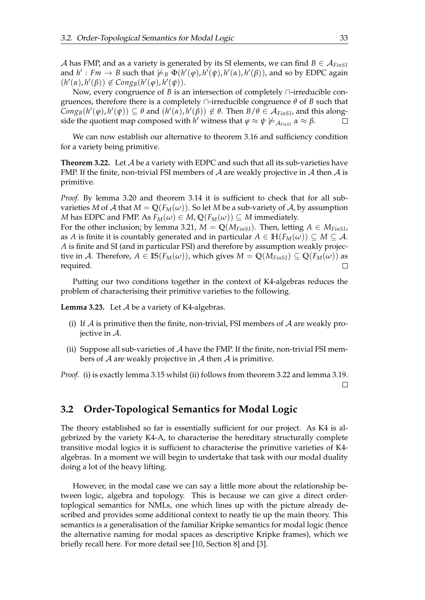A has FMP, and as a variety is generated by its SI elements, we can find  $B \in A_{FinsI}$ and  $h': Fm \to B$  such that  $\not\models_B \Phi(h'(\varphi), h'(\psi), h'(\alpha), h'(\beta))$ , and so by EDPC again  $(h'(\alpha), h'(\beta)) \notin \text{Cong}_B(h'(\varphi), h'(\psi)).$ 

Now, every congruence of *B* is an intersection of completely ∩-irreducible congruences, therefore there is a completely ∩-irreducible congruence *θ* of *B* such that  $Cong_B(h'(\varphi), h'(\psi)) \subseteq \theta$  and  $(h'(\alpha), h'(\beta)) \notin \theta$ . Then  $B/\theta \in A_{FinsI}$ , and this alongside the quotient map composed with *h'* witness that  $\varphi \approx \psi \not\models_{\mathcal{A}_{FinsI}} \alpha \approx \beta$ .  $\Box$ 

We can now establish our alternative to theorem [3.16](#page-34-0) and sufficiency condition for a variety being primitive.

<span id="page-36-0"></span>**Theorem 3.22.** Let  $A$  be a variety with EDPC and such that all its sub-varieties have FMP. If the finite, non-trivial FSI members of  $A$  are weakly projective in  $A$  then  $A$  is primitive.

*Proof.* By lemma [3.20](#page-35-0) and theorem [3.14](#page-34-1) it is sufficient to check that for all subvarieties *M* of *A* that  $M = Q(F_M(\omega))$ . So let *M* be a sub-variety of *A*, by assumption *M* has EDPC and FMP. As  $F_M(\omega) \in M$ ,  $\mathbb{Q}(F_M(\omega)) \subseteq M$  immediately.

For the other inclusion; by lemma [3.21,](#page-35-1)  $M = Q(M_{FinsI})$ . Then, letting  $A \in M_{FinsI}$ , as *A* is finite it is countably generated and in particular  $A \in \mathbb{H}(F_M(\omega)) \subseteq M \subseteq \mathcal{A}$ . *A* is finite and SI (and in particular FSI) and therefore by assumption weakly projective in A. Therefore,  $A \in \mathbb{IS}(F_M(\omega))$ , which gives  $M = \mathbb{Q}(M_{FinsI}) \subseteq \mathbb{Q}(F_M(\omega))$  as required.

Putting our two conditions together in the context of K4-algebras reduces the problem of characterising their primitive varieties to the following.

<span id="page-36-1"></span>**Lemma 3.23.** Let A be a variety of K4-algebras.

- (i) If A is primitive then the finite, non-trivial, FSI members of A are weakly projective in A.
- (ii) Suppose all sub-varieties of  $\mathcal A$  have the FMP. If the finite, non-trivial FSI members of  $A$  are weakly projective in  $A$  then  $A$  is primitive.

*Proof.* (i) is exactly lemma [3.15](#page-34-2) whilst (ii) follows from theorem [3.22](#page-36-0) and lemma [3.19.](#page-35-2)  $\Box$ 

#### **3.2 Order-Topological Semantics for Modal Logic**

The theory established so far is essentially sufficient for our project. As K4 is algebrized by the variety K4-A, to characterise the hereditary structurally complete transitive modal logics it is sufficient to characterise the primitive varieties of K4 algebras. In a moment we will begin to undertake that task with our modal duality doing a lot of the heavy lifting.

However, in the modal case we can say a little more about the relationship between logic, algebra and topology. This is because we can give a direct ordertoplogical semantics for NMLs, one which lines up with the picture already described and provides some additional context to neatly tie up the main theory. This semantics is a generalisation of the familiar Kripke semantics for modal logic (hence the alternative naming for modal spaces as descriptive Kripke frames), which we briefly recall here. For more detail see [\[10,](#page-102-0) Section 8] and [\[3\]](#page-102-1).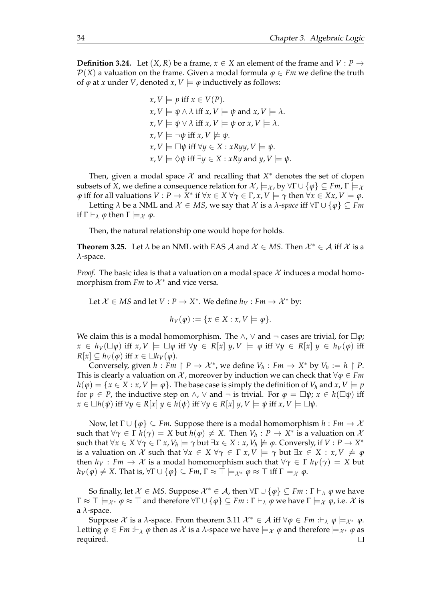<span id="page-37-1"></span>**Definition 3.24.** Let  $(X, R)$  be a frame,  $x \in X$  an element of the frame and  $V : P \rightarrow$  $P(X)$  a valuation on the frame. Given a modal formula  $\varphi \in Fm$  we define the truth of  $\varphi$  at *x* under *V*, denoted *x*, *V*  $\models \varphi$  inductively as follows:

> $x, V \models p$  iff  $x \in V(P)$ .  $x, V \models \psi \land \lambda$  iff  $x, V \models \psi$  and  $x, V \models \lambda$ .  $x, V \models \psi \lor \lambda$  iff  $x, V \models \psi$  or  $x, V \models \lambda$ .  $x, V \models \neg \psi$  iff  $x, V \not\models \psi$ .  $x, V \models \Box \psi$  iff  $\forall y \in X : xRyy, V \models \psi$ . *x*, *V*  $\models$   $\Diamond \psi$  iff  $\exists y \in X : xRy$  and  $y, V\models \psi$ .

Then, given a modal space  $X$  and recalling that  $X^*$  denotes the set of clopen subsets of *X*, we define a consequence relation for  $\mathcal{X}$ ,  $\models_{\mathcal{X}}$ , by  $\forall \Gamma \cup \{\phi\} \subseteq Fm$ ,  $\Gamma \models_{\mathcal{X}}$  $\varphi$  iff for all valuations  $V: P \to X^*$  if  $\forall x \in X \,\forall \gamma \in \Gamma$ ,  $x, V \models \gamma$  then  $\forall x \in Xx, V \models \varphi$ .

Letting  $\lambda$  be a NML and  $\mathcal{X} \in MS$ , we say that  $\mathcal{X}$  is a  $\lambda$ -*space* iff  $\forall \Gamma \cup \{\phi\} \subseteq Fm$ if  $\Gamma \vdash_{\lambda} \varphi$  then  $\Gamma \models_{\mathcal{X}} \varphi$ .

Then, the natural relationship one would hope for holds.

<span id="page-37-0"></span>**Theorem 3.25.** Let  $\lambda$  be an NML with EAS  $\mathcal{A}$  and  $\mathcal{X} \in M$ S. Then  $\mathcal{X}^* \in \mathcal{A}$  iff  $\mathcal{X}$  is a *λ*-space.

*Proof.* The basic idea is that a valuation on a modal space  $\mathcal X$  induces a modal homomorphism from *Fm* to  $\mathcal{X}^*$  and vice versa.

Let  $X \in MS$  and let  $V : P \to X^*$ . We define  $h_V : Fm \to X^*$  by:

$$
h_V(\varphi) := \{ x \in X : x, V \models \varphi \}.
$$

We claim this is a modal homomorphism. The  $\land$ ,  $\lor$  and  $\neg$  cases are trivial, for  $\Box \varphi$ ;  $x \in h_V(\Box \varphi)$  iff  $x, V \models \Box \varphi$  iff  $\forall y \in R[x]$   $y, V \models \varphi$  iff  $\forall y \in R[x]$   $y \in h_V(\varphi)$  iff  $R[x] \subseteq h_V(\varphi)$  iff  $x \in \Box h_V(\varphi)$ .

Conversely, given  $h : Fm \upharpoonright P \to \mathcal{X}^*$ , we define  $V_h : Fm \to X^*$  by  $V_h := h \upharpoonright P$ . This is clearly a valuation on X, moreover by induction we can check that  $\forall \varphi \in Fm$  $h(\varphi) = \{x \in X : x, V \models \varphi\}$ . The base case is simply the definition of  $V_h$  and  $x, V \models p$ for  $p \in P$ , the inductive step on  $\wedge$ ,  $\vee$  and  $\neg$  is trivial. For  $\varphi = \Box \psi$ ;  $x \in h(\Box \psi)$  iff  $x \in \Box h(\psi)$  iff  $\forall y \in R[x]$   $y \in h(\psi)$  iff  $\forall y \in R[x]$   $y, V \models \psi$  iff  $x, V \models \Box \psi$ .

Now, let  $\Gamma \cup \{\varphi\} \subseteq Fm$ . Suppose there is a modal homomorphism  $h : Fm \to \mathcal{X}$ such that  $\forall \gamma \in \Gamma$   $h(\gamma) = X$  but  $h(\varphi) \neq X$ . Then  $V_h: P \to X^*$  is a valuation on  $\lambda$ such that  $\forall x \in X \ \forall \gamma \in \Gamma \ x$ ,  $V_h \models \gamma$  but  $\exists x \in X : x$ ,  $V_h \not\models \varphi$ . Conversly, if  $V : P \to X^*$ is a valuation on X such that  $\forall x \in X \forall \gamma \in \Gamma \ x, V \models \gamma$  but  $\exists x \in X : x, V \not\models \varphi$ then  $h_V : Fm \to \mathcal{X}$  is a modal homomorphism such that  $\forall \gamma \in \Gamma$   $h_V(\gamma) = X$  but  $h_V(\varphi) \neq X$ . That is,  $\forall \Gamma \cup \{\varphi\} \subseteq Fm$ ,  $\Gamma \approx \top \models_{\mathcal{X}^*} \varphi \approx \top$  iff  $\Gamma \models_{\mathcal{X}} \varphi$ .

So finally, let  $X \in MS$ . Suppose  $X^* \in \mathcal{A}$ , then  $\forall \Gamma \cup \{\varphi\} \subseteq Fm : \Gamma \vdash_{\lambda} \varphi$  we have  $\Gamma \approx \top \models_{\mathcal{X}^*} \varphi \approx \top$  and therefore  $\forall \Gamma \cup \{\varphi\} \subseteq Fm : \Gamma \vdash_{\lambda} \varphi$  we have  $\Gamma \models_{\mathcal{X}} \varphi$ , i.e. X is a *λ*-space.

Suppose X is a  $\lambda$ -space. From theorem [3.11](#page-33-0)  $\mathcal{X}^* \in \mathcal{A}$  iff  $\forall \varphi \in Fm : \vdash_{\lambda} \varphi \models_{\mathcal{X}^*} \varphi$ . Letting  $\varphi \in Fm : \vdash_{\lambda} \varphi$  then as X is a  $\lambda$ -space we have  $\models_{\chi} \varphi$  and therefore  $\models_{\chi^*} \varphi$  as required. $\Box$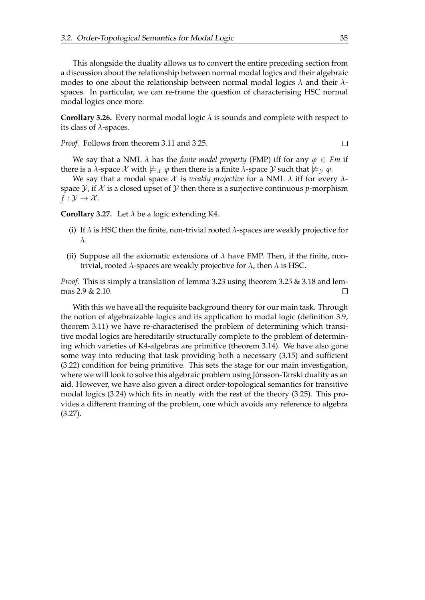This alongside the duality allows us to convert the entire preceding section from a discussion about the relationship between normal modal logics and their algebraic modes to one about the relationship between normal modal logics *λ* and their *λ*spaces. In particular, we can re-frame the question of characterising HSC normal modal logics once more.

**Corollary 3.26.** Every normal modal logic  $\lambda$  is sounds and complete with respect to its class of *λ*-spaces.

*Proof.* Follows from theorem [3.11](#page-33-0) and [3.25.](#page-37-0)

 $\Box$ 

We say that a NML  $\lambda$  has the *finite model property* (FMP) iff for any  $\varphi \in Fm$  if there is a *λ*-space X with  $\not\models_{\mathcal{X}} \varphi$  then there is a finite *λ*-space Y such that  $\not\models_{\mathcal{Y}} \varphi$ .

We say that a modal space  $X$  is *weakly projective* for a NML  $\lambda$  iff for every  $\lambda$ space  $\mathcal{Y}$ , if  $\mathcal{X}$  is a closed upset of  $\mathcal{Y}$  then there is a surjective continuous *p*-morphism  $f: \mathcal{Y} \to \mathcal{X}$ .

<span id="page-38-0"></span>**Corollary 3.27.** Let  $\lambda$  be a logic extending K4.

- (i) If  $\lambda$  is HSC then the finite, non-trivial rooted  $\lambda$ -spaces are weakly projective for *λ*.
- (ii) Suppose all the axiomatic extensions of  $\lambda$  have FMP. Then, if the finite, nontrivial, rooted *λ*-spaces are weakly projective for *λ*, then *λ* is HSC.

*Proof.* This is simply a translation of lemma [3.23](#page-36-1) using theorem [3.25](#page-37-0) & [3.18](#page-35-3) and lemmas [2.9](#page-13-0) & [2.10.](#page-13-1)  $\Box$ 

With this we have all the requisite background theory for our main task. Through the notion of algebraizable logics and its application to modal logic (definition [3.9,](#page-32-0) theorem [3.11\)](#page-33-0) we have re-characterised the problem of determining which transitive modal logics are hereditarily structurally complete to the problem of determining which varieties of K4-algebras are primitive (theorem [3.14\)](#page-34-1). We have also gone some way into reducing that task providing both a necessary [\(3.15\)](#page-34-2) and sufficient [\(3.22\)](#page-36-0) condition for being primitive. This sets the stage for our main investigation, where we will look to solve this algebraic problem using Jónsson-Tarski duality as an aid. However, we have also given a direct order-topological semantics for transitive modal logics [\(3.24\)](#page-37-1) which fits in neatly with the rest of the theory [\(3.25\)](#page-37-0). This provides a different framing of the problem, one which avoids any reference to algebra [\(3.27\)](#page-38-0).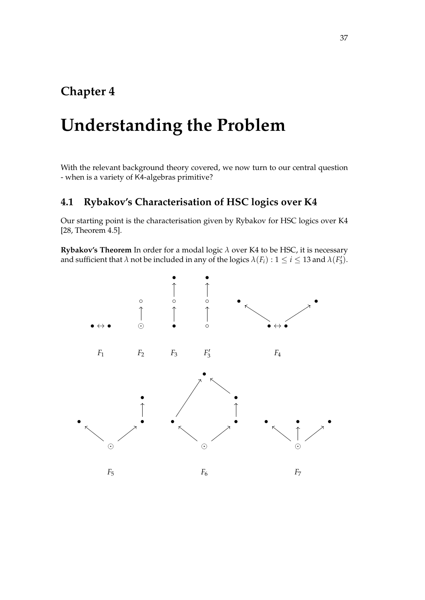## **Chapter 4**

# **Understanding the Problem**

With the relevant background theory covered, we now turn to our central question - when is a variety of K4-algebras primitive?

### **4.1 Rybakov's Characterisation of HSC logics over K4**

Our starting point is the characterisation given by Rybakov for HSC logics over K4 [\[28,](#page-103-0) Theorem 4.5].

**Rybakov's Theorem** In order for a modal logic *λ* over K4 to be HSC, it is necessary and sufficient that  $\lambda$  not be included in any of the logics  $\lambda(F_i)$  :  $1 \leq i \leq 13$  and  $\lambda(F'_3)$ .

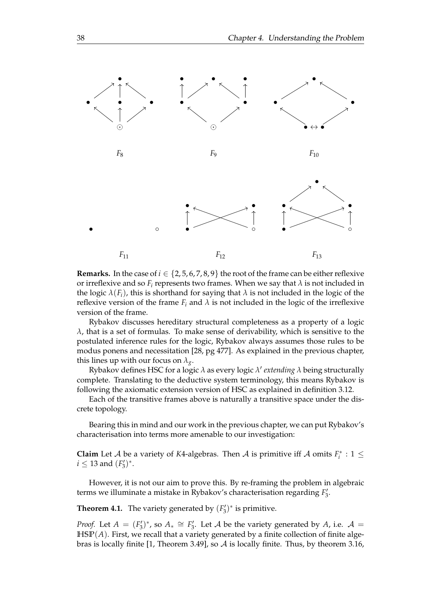

**Remarks.** In the case of  $i \in \{2, 5, 6, 7, 8, 9\}$  the root of the frame can be either reflexive or irreflexive and so  $F_i$  represents two frames. When we say that  $\lambda$  is not included in the logic  $\lambda(F_i)$ , this is shorthand for saying that  $\lambda$  is not included in the logic of the reflexive version of the frame  $F_i$  and  $\lambda$  is not included in the logic of the irreflexive version of the frame.

Rybakov discusses hereditary structural completeness as a property of a logic  $λ$ , that is a set of formulas. To make sense of derivability, which is sensitive to the postulated inference rules for the logic, Rybakov always assumes those rules to be modus ponens and necessitation [\[28,](#page-103-0) pg 477]. As explained in the previous chapter, this lines up with our focus on  $\lambda_{g}$ .

Rybakov defines HSC for a logic *λ* as every logic *λ* ′ *extending λ* being structurally complete. Translating to the deductive system terminology, this means Rybakov is following the axiomatic extension version of HSC as explained in definition [3.12.](#page-34-3)

Each of the transitive frames above is naturally a transitive space under the discrete topology.

Bearing this in mind and our work in the previous chapter, we can put Rybakov's characterisation into terms more amenable to our investigation:

**Claim** Let *A* be a variety of *K*4-algebras. Then *A* is primitive iff *A* omits  $F_i^* : 1 \leq$  $i \leq 13$  and  $(F'_3)^*$ .

However, it is not our aim to prove this. By re-framing the problem in algebraic terms we illuminate a mistake in Rybakov's characterisation regarding  $F_3'$ .

<span id="page-41-0"></span>**Theorem 4.1.** The variety generated by  $(F_3^{\prime})^*$  is primitive.

*Proof.* Let  $A = (F_3')^*$ , so  $A_* \cong F_3'$ . Let  $A$  be the variety generated by  $A$ , i.e.  $A =$ **HSP**(*A*). First, we recall that a variety generated by a finite collection of finite algebras is locally finite [\[1,](#page-102-2) Theorem 3.49], so A is locally finite. Thus, by theorem [3.16,](#page-34-0)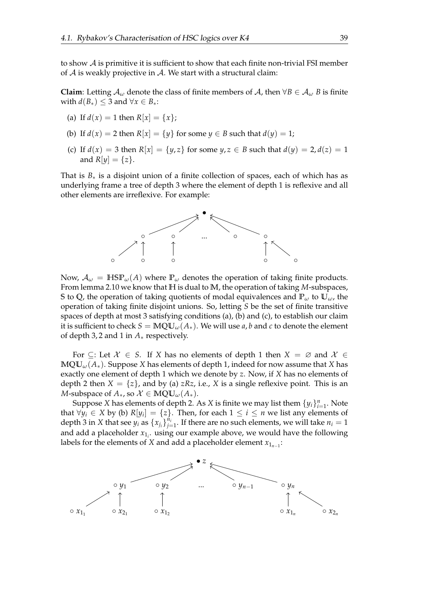to show  $\mathcal A$  is primitive it is sufficient to show that each finite non-trivial FSI member of  $A$  is weakly projective in  $A$ . We start with a structural claim:

**Claim**: Letting  $A_\omega$  denote the class of finite members of A, then  $\forall B \in A_\omega$  *B* is finite with  $d(B_*) \leq 3$  and  $\forall x \in B_*$ :

- (a) If  $d(x) = 1$  then  $R[x] = \{x\}$ ;
- (b) If  $d(x) = 2$  then  $R[x] = {y}$  for some  $y \in B$  such that  $d(y) = 1$ ;
- (c) If  $d(x) = 3$  then  $R[x] = {y, z}$  for some  $y, z \in B$  such that  $d(y) = 2, d(z) = 1$ and  $R[y] = \{z\}.$

That is  $B_*$  is a disjoint union of a finite collection of spaces, each of which has as underlying frame a tree of depth 3 where the element of depth 1 is reflexive and all other elements are irreflexive. For example:



Now,  $A_{\omega} = \text{HSP}_{\omega}(A)$  where  $\mathbb{P}_{\omega}$  denotes the operation of taking finite products. From lemma [2.10](#page-13-1) we know that **H** is dual to **M**, the operation of taking *M*-subspaces, **S** to **Q**, the operation of taking quotients of modal equivalences and  $\mathbb{P}_{\omega}$  to  $\mathbb{U}_{\omega}$ , the operation of taking finite disjoint unions. So, letting *S* be the set of finite transitive spaces of depth at most 3 satisfying conditions (a), (b) and (c), to establish our claim it is sufficient to check  $S = \text{MQU}_{\omega}(A_*)$ . We will use *a*, *b* and *c* to denote the element of depth 3, 2 and 1 in *A*∗ respectively.

For  $\subseteq$ : Let  $\mathcal{X} \in S$ . If X has no elements of depth 1 then  $X = \emptyset$  and  $\mathcal{X} \in$  $\text{MQU}_{\omega}(A_*)$ . Suppose *X* has elements of depth 1, indeed for now assume that *X* has exactly one element of depth 1 which we denote by *z*. Now, if *X* has no elements of depth 2 then  $X = \{z\}$ , and by (a)  $zRz$ , i.e., X is a single reflexive point. This is an *M*-subspace of  $A_*$ , so  $\mathcal{X} \in \mathbb{MQU}_\omega(A_*)$ .

Suppose *X* has elements of depth 2. As *X* is finite we may list them  $\{y_i\}_{i=1}^n$ . Note that ∀ $y_i$  ∈ *X* by (b)  $R[y_i] = \{z\}$ . Then, for each  $1 \le i \le n$  we list any elements of depth 3 in *X* that see  $y_i$  as  $\{x_{j_i}\}_{j=1}^{n_i}$  $j=1 \atop j=1}.$  If there are no such elements, we will take  $n_i=1$ and add a placeholder *x*1*<sup>i</sup>* . using our example above, we would have the following labels for the elements of *X* and add a placeholder element  $x_{1_{n-1}}$ :

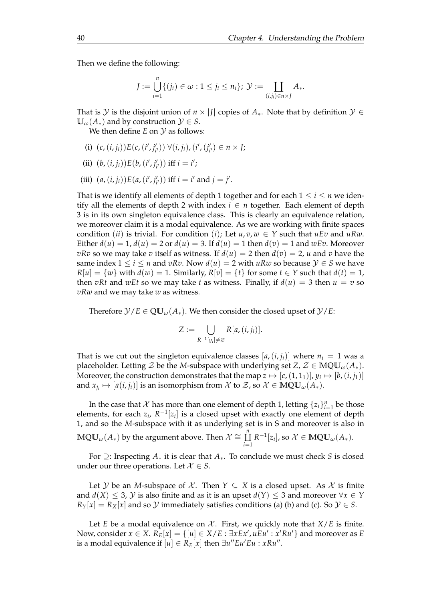Then we define the following:

$$
J := \bigcup_{i=1}^{n} \{ (j_i) \in \omega : 1 \leq j_i \leq n_i \}; \, \mathcal{Y} := \coprod_{(i,j_i) \in n \times J} A_*.
$$

That is Y is the disjoint union of  $n \times |J|$  copies of  $A_*$ . Note that by definition  $\mathcal{Y} \in$  $\mathbb{U}_{\omega}(A_*)$  and by construction  $\mathcal{Y} \in S$ .

We then define *E* on *y* as follows:

- (i)  $(c, (i, j_i))E(c, (i', j'_{i'})) \forall (i, j_i), (i', (j'_{i'}) \in n \times J;$
- (ii)  $(b, (i, j_i))E(b, (i', j'_{i'}))$  iff  $i = i'$ ;
- (iii)  $(a, (i, j_i))E(a, (i', j'_{i'}))$  iff  $i = i'$  and  $j = j'$ .

That is we identify all elements of depth 1 together and for each  $1 \le i \le n$  we identify all the elements of depth 2 with index  $i \in n$  together. Each element of depth 3 is in its own singleton equivalence class. This is clearly an equivalence relation, we moreover claim it is a modal equivalence. As we are working with finite spaces condition (*ii*) is trivial. For condition (*i*); Let  $u, v, w \in Y$  such that  $uEv$  and  $uRw$ . Either  $d(u) = 1$ ,  $d(u) = 2$  or  $d(u) = 3$ . If  $d(u) = 1$  then  $d(v) = 1$  and  $wEv$ . Moreover *vRv* so we may take *v* itself as witness. If  $d(u) = 2$  then  $d(v) = 2$ , *u* and *v* have the same index  $1 \le i \le n$  and  $vRv$ . Now  $d(u) = 2$  with  $uRw$  so because  $\mathcal{Y} \in S$  we have  $R[u] = \{w\}$  with  $d(w) = 1$ . Similarly,  $R[v] = \{t\}$  for some  $t \in Y$  such that  $d(t) = 1$ , then *vRt* and *wEt* so we may take *t* as witness. Finally, if  $d(u) = 3$  then  $u = v$  so *vRw* and we may take *w* as witness.

Therefore  $\mathcal{Y}/E \in \mathbb{QU}_{\omega}(A_*)$ . We then consider the closed upset of  $\mathcal{Y}/E$ :

$$
Z := \bigcup_{R^{-1}[y_i] \neq \varnothing} R[a,(i,j_i)].
$$

That is we cut out the singleton equivalence classes  $[a, (i, j_i)]$  where  $n_i = 1$  was a placeholder. Letting  $\mathcal{Z}$  be the *M*-subspace with underlying set  $Z$ ,  $\mathcal{Z} \in \mathbb{MQU}_\omega(A_*)$ . Moreover, the construction demonstrates that the map  $z \mapsto [c,(1,1_1)], y_i \mapsto [b,(i,j_1)]$ and  $x_{j_i}\mapsto [a(i,j_i)]$  is an isomorphism from  $\mathcal X$  to  $\mathcal Z$ , so  $\mathcal X\in\mathbb{MQU}_\omega(A_\ast).$ 

In the case that X has more than one element of depth 1, letting  $\{z_i\}_{i=1}^n$  be those elements, for each  $z_i$ ,  $R^{-1}[z_i]$  is a closed upset with exactly one element of depth 1, and so the *M*-subspace with it as underlying set is in S and moreover is also in  $\mathbb{MQU}_{\omega}(A_*)$  by the argument above. Then  $\mathcal{X}\cong \coprod^n$ Ц *i*=1  $R^{-1}[z_i]$ , so  $\mathcal{X} \in \mathbb{MQU}_{\omega}(A_*)$ .

For ⊇: Inspecting *A*<sup>∗</sup> it is clear that *A*∗. To conclude we must check *S* is closed under our three operations. Let  $X \in S$ .

Let *Y* be an *M*-subspace of *X*. Then  $Y \subseteq X$  is a closed upset. As *X* is finite and  $d(X) \leq 3$ , Y is also finite and as it is an upset  $d(Y) \leq 3$  and moreover  $\forall x \in Y$  $R_Y[x] = R_X[x]$  and so  $Y$  immediately satisfies conditions (a) (b) and (c). So  $Y \in S$ .

Let *E* be a modal equivalence on  $\mathcal{X}$ . First, we quickly note that  $X/E$  is finite. Now, consider  $x \in X$ .  $R_E[x] = \{ [u] \in X/E : \exists x Ex', u E u' : x' Ru' \}$  and moreover as  $E$ is a modal equivalence if  $\overline{[u]} \in \overline{R}_E[x]$  then  $\exists u''Eu'Eu : xRu''$ .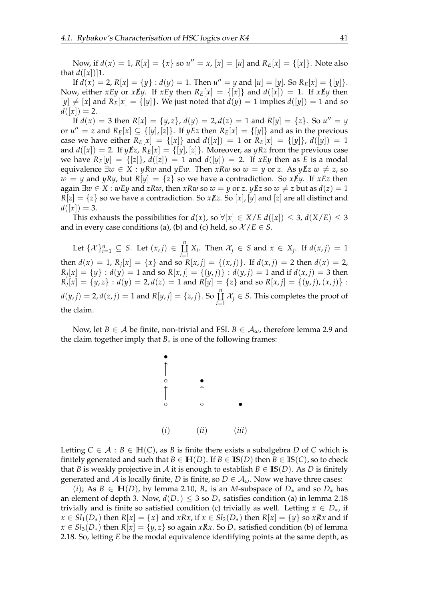Now, if  $d(x) = 1$ ,  $R[x] = \{x\}$  so  $u'' = x$ ,  $[x] = [u]$  and  $R_E[x] = \{[x]\}$ . Note also that  $d([x])$ ]1.

If  $d(x) = 2$ ,  $R[x] = {y} : d(y) = 1$ . Then  $u'' = y$  and  $[u] = [y]$ . So  $R_E[x] = {y}.$ Now, either *xEy* or *xEy*. If *xEy* then  $R_E[x] = \{ [x] \}$  and  $d([x]) = 1$ . If *xEy* then  $[y] \neq [x]$  and  $R_E[x] = \{[y]\}\$ . We just noted that  $d(y) = 1$  implies  $d([y]) = 1$  and so  $d([x]) = 2.$ 

If  $d(x) = 3$  then  $R[x] = {y, z}$ ,  $d(y) = 2$ ,  $d(z) = 1$  and  $R[y] = {z}$ . So  $u'' = y$ or  $u'' = z$  and  $R_E[x] \subseteq \{[y], [z]\}$ . If  $yEz$  then  $R_E[x] = \{[y]\}$  and as in the previous case we have either  $R_E[x] = \{ [x] \}$  and  $d([x]) = 1$  or  $R_E[x] = \{ [y] \}$ ,  $d([y]) = 1$ and  $d([x]) = 2$ . If  $y \cancel{\textbf{E}} z$ ,  $R_E[x] = \{[y], [z]\}$ . Moreover, as  $yRz$  from the previous case we have  $R_E[y] = \{[z]\}\$ ,  $d([z]) = 1$  and  $d([y]) = 2$ . If  $xEy$  then as *E* is a modal equivalence  $\exists w \in X : yRw$  and  $yEw$ . Then  $xRw$  so  $w = y$  or z. As  $yEz$   $w \neq z$ , so  $w = y$  and *yRy*, but  $R[y] = \{z\}$  so we have a contradiction. So *xEy*. If *xEz* then again  $\exists w \in X : wEy$  and  $zRw$ , then  $xRw$  so  $w = y$  or  $z$ .  $yEz$  so  $w \neq z$  but as  $d(z) = 1$  $R[z] = \{z\}$  so we have a contradiction. So  $x \cancel{E} z$ . So  $[x]$ ,  $[y]$  and  $[z]$  are all distinct and  $d([x]) = 3.$ 

This exhausts the possibilities for  $d(x)$ , so  $\forall |x| \in X/E d([x]) \leq 3$ ,  $d(X/E) \leq 3$ and in every case conditions (a), (b) and (c) held, so  $\mathcal{X}/E \in S$ .

Let  $\{\mathcal{X}\}_{i=1}^n \subseteq S$ . Let  $(x, j) \in \underline{\underline{\Gamma}}^n$ ⨿  $\coprod_{i=1} X_i$ . Then  $\mathcal{X}_j \in S$  and  $x \in X_j$ . If  $d(x, j) = 1$ then  $d(x) = 1$ ,  $R_j[x] = \{x\}$  and so  $R[x, j] = \{(x, j)\}$ . If  $d(x, j) = 2$  then  $d(x) = 2$ ,  $R_j[x] = \{y\} : d(y) = 1$  and so  $R[x, j] = \{(y, j)\} : d(y, j) = 1$  and if  $d(x, j) = 3$  then  $R_j[x] = \{y, z\} : d(y) = 2, d(z) = 1$  and  $R[y] = \{z\}$  and so  $R[x, j] = \{(y, j), (x, j)\}$ :  $d(y, j) = 2, d(z, j) = 1$  and  $R[y, j] = \{z, j\}$ . So  $\prod_{i=1}^{n}$ Ц  $\coprod_{i=1}$   $X_j$  ∈ *S*. This completes the proof of the claim.

Now, let *B*  $\in$  *A* be finite, non-trivial and FSI. *B*  $\in$  *A*<sub>ω</sub>, therefore lemma [2.9](#page-13-0) and the claim together imply that  $B_*$  is one of the following frames:



Letting  $C \in \mathcal{A} : B \in \mathbb{H}(\mathcal{C})$ , as *B* is finite there exists a subalgebra *D* of *C* which is finitely generated and such that  $B \in \mathbb{H}(D)$ . If  $B \in \mathbb{I}\mathbb{S}(D)$  then  $B \in \mathbb{I}\mathbb{S}(C)$ , so to check that *B* is weakly projective in *A* it is enough to establish  $B \in \mathbb{IS}(D)$ . As *D* is finitely generated and A is locally finite, *D* is finite, so  $D \in A_\omega$ . Now we have three cases:

(*i*); As  $B \in H(D)$ , by lemma [2.10,](#page-13-1)  $B_*$  is an *M*-subspace of  $D_*$  and so  $D_*$  has an element of depth 3. Now,  $d(D_*) \leq 3$  so  $D_*$  satisfies condition (a) in lemma [2.18](#page-21-0) trivially and is finite so satisfied condition (c) trivially as well. Letting  $x \in D_*,$  if *x* ∈ *Sl*<sub>1</sub>(*D*<sub>\*</sub>) then *R*[*x*] = {*x*} and *xRx*, if *x* ∈ *Sl*<sub>2</sub>(*D*<sub>\*</sub>) then *R*[*x*] = {*y*} so *xRx* and if *x* ∈ *Sl*<sub>3</sub>(*D*<sub>\*</sub>) then *R*[*x*] = {*y*, *z*} so again *xRx*. So *D*<sub>\*</sub> satisfied condition (b) of lemma [2.18.](#page-21-0) So, letting *E* be the modal equivalence identifying points at the same depth, as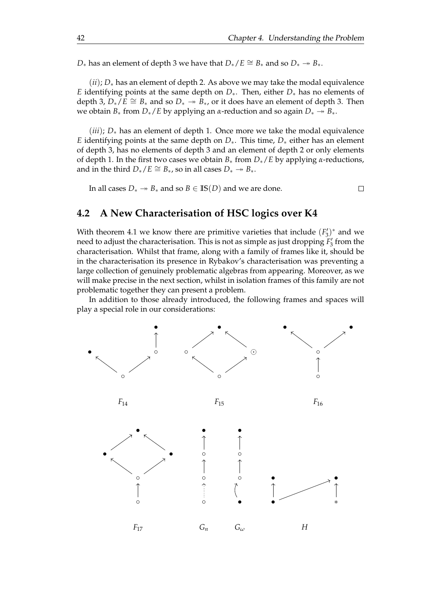*D*<sup>∗</sup> has an element of depth 3 we have that  $D_*/E \cong B_*$  and so  $D_* \twoheadrightarrow B_*$ .

(*ii*); *D*<sup>∗</sup> has an element of depth 2. As above we may take the modal equivalence *E* identifying points at the same depth on *D*∗. Then, either *D*∗ has no elements of depth 3,  $D_{*}/E \cong B_{*}$  and so  $D_{*} \rightarrow B_{*}$ , or it does have an element of depth 3. Then we obtain  $B_*$  from  $D_*/E$  by applying an *α*-reduction and so again  $D_* \to B_*$ .

 $(iii)$ ;  $D_*$  has an element of depth 1. Once more we take the modal equivalence *E* identifying points at the same depth on *D*∗. This time, *D*∗ either has an element of depth 3, has no elements of depth 3 and an element of depth 2 or only elements of depth 1. In the first two cases we obtain *B*<sup>∗</sup> from *D*∗/*E* by applying *α*-reductions, and in the third  $D_*/E \cong B_*/$  so in all cases  $D_* \to B_*$ .

In all cases *D*<sup>∗</sup>  $\rightarrow$  *B*<sup>∗</sup> and so *B* ∈ **IS**(*D*) and we are done.

 $\Box$ 

#### **4.2 A New Characterisation of HSC logics over K4**

With theorem [4.1](#page-41-0) we know there are primitive varieties that include  $(F_3')^*$  and we need to adjust the characterisation. This is not as simple as just dropping  $F_3'$  from the characterisation. Whilst that frame, along with a family of frames like it, should be in the characterisation its presence in Rybakov's characterisation was preventing a large collection of genuinely problematic algebras from appearing. Moreover, as we will make precise in the next section, whilst in isolation frames of this family are not problematic together they can present a problem.

In addition to those already introduced, the following frames and spaces will play a special role in our considerations:

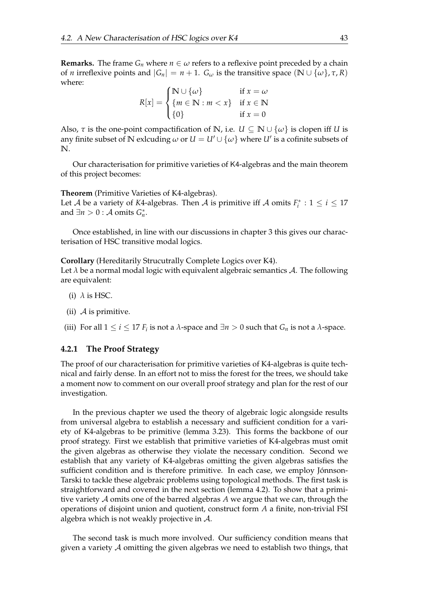**Remarks.** The frame  $G_n$  where  $n \in \omega$  refers to a reflexive point preceded by a chain of *n* irreflexive points and  $|G_n| = n + 1$ .  $G_\omega$  is the transitive space  $(\mathbb{N} \cup \{\omega\}, \tau, R)$ where:

$$
R[x] = \begin{cases} \mathbb{N} \cup \{\omega\} & \text{if } x = \omega \\ \{m \in \mathbb{N} : m < x\} & \text{if } x \in \mathbb{N} \\ \{0\} & \text{if } x = 0 \end{cases}
$$

Also,  $\tau$  is the one-point compactification of N, i.e.  $U \subseteq N \cup \{\omega\}$  is clopen iff *U* is any finite subset of  $\mathbb N$  exlcuding  $\omega$  or  $U = U' \cup \{\omega\}$  where  $U'$  is a cofinite subsets of **N**.

Our characterisation for primitive varieties of K4-algebras and the main theorem of this project becomes:

**Theorem** (Primitive Varieties of K4-algebras). Let *A* be a variety of *K*4-algebras. Then *A* is primitive iff *A* omits  $F_i^* : 1 \le i \le 17$ and  $\exists n > 0 : A \text{ omits } G_n^*$ .

Once established, in line with our discussions in chapter 3 this gives our characterisation of HSC transitive modal logics.

**Corollary** (Hereditarily Strucutrally Complete Logics over K4).

Let  $\lambda$  be a normal modal logic with equivalent algebraic semantics  $\mathcal{A}$ . The following are equivalent:

- (i)  $\lambda$  is HSC.
- (ii)  $\mathcal A$  is primitive.
- (iii) For all  $1 \le i \le 17$  *F*<sub>*i*</sub> is not a  $\lambda$ -space and  $\exists n > 0$  such that  $G_n$  is not a  $\lambda$ -space.

#### **4.2.1 The Proof Strategy**

The proof of our characterisation for primitive varieties of K4-algebras is quite technical and fairly dense. In an effort not to miss the forest for the trees, we should take a moment now to comment on our overall proof strategy and plan for the rest of our investigation.

In the previous chapter we used the theory of algebraic logic alongside results from universal algebra to establish a necessary and sufficient condition for a variety of K4-algebras to be primitive (lemma [3.23\)](#page-36-1). This forms the backbone of our proof strategy. First we establish that primitive varieties of K4-algebras must omit the given algebras as otherwise they violate the necessary condition. Second we establish that any variety of K4-algebras omitting the given algebras satisfies the sufficient condition and is therefore primitive. In each case, we employ Jónnson-Tarski to tackle these algebraic problems using topological methods. The first task is straightforward and covered in the next section (lemma [4.2\)](#page-48-0). To show that a primitive variety A omits one of the barred algebras *A* we argue that we can, through the operations of disjoint union and quotient, construct form *A* a finite, non-trivial FSI algebra which is not weakly projective in  $A$ .

The second task is much more involved. Our sufficiency condition means that given a variety A omitting the given algebras we need to establish two things, that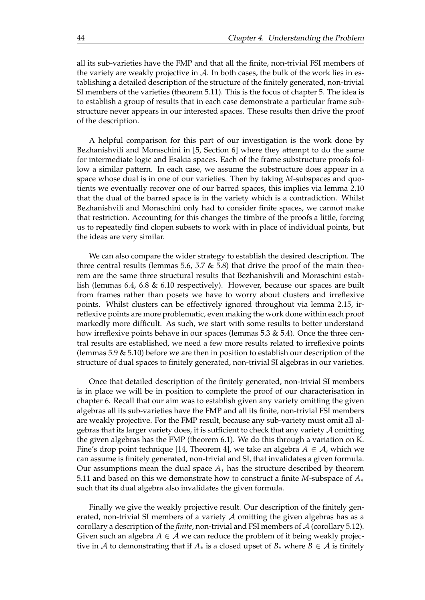all its sub-varieties have the FMP and that all the finite, non-trivial FSI members of the variety are weakly projective in  $\mathcal A$ . In both cases, the bulk of the work lies in establishing a detailed description of the structure of the finitely generated, non-trivial SI members of the varieties (theorem [5.11\)](#page-81-0). This is the focus of chapter 5. The idea is to establish a group of results that in each case demonstrate a particular frame substructure never appears in our interested spaces. These results then drive the proof of the description.

A helpful comparison for this part of our investigation is the work done by Bezhanishvili and Moraschini in [\[5,](#page-102-3) Section 6] where they attempt to do the same for intermediate logic and Esakia spaces. Each of the frame substructure proofs follow a similar pattern. In each case, we assume the substructure does appear in a space whose dual is in one of our varieties. Then by taking *M*-subspaces and quotients we eventually recover one of our barred spaces, this implies via lemma [2.10](#page-13-1) that the dual of the barred space is in the variety which is a contradiction. Whilst Bezhanishvili and Moraschini only had to consider finite spaces, we cannot make that restriction. Accounting for this changes the timbre of the proofs a little, forcing us to repeatedly find clopen subsets to work with in place of individual points, but the ideas are very similar.

We can also compare the wider strategy to establish the desired description. The three central results (lemmas [5.6,](#page-59-0) [5.7](#page-64-0)  $\&$  [5.8\)](#page-71-0) that drive the proof of the main theorem are the same three structural results that Bezhanishvili and Moraschini establish (lemmas 6.4, 6.8 & 6.10 respectively). However, because our spaces are built from frames rather than posets we have to worry about clusters and irreflexive points. Whilst clusters can be effectively ignored throughout via lemma [2.15,](#page-19-0) irreflexive points are more problematic, even making the work done within each proof markedly more difficult. As such, we start with some results to better understand how irreflexive points behave in our spaces (lemmas [5.3](#page-53-0) & [5.4\)](#page-56-0). Once the three central results are established, we need a few more results related to irreflexive points (lemmas [5.9](#page-78-0) & [5.10\)](#page-79-0) before we are then in position to establish our description of the structure of dual spaces to finitely generated, non-trivial SI algebras in our varieties.

Once that detailed description of the finitely generated, non-trivial SI members is in place we will be in position to complete the proof of our characterisation in chapter 6. Recall that our aim was to establish given any variety omitting the given algebras all its sub-varieties have the FMP and all its finite, non-trivial FSI members are weakly projective. For the FMP result, because any sub-variety must omit all algebras that its larger variety does, it is sufficient to check that any variety  $\mathcal A$  omitting the given algebras has the FMP (theorem [6.1\)](#page-90-0). We do this through a variation on K. Fine's drop point technique [\[14,](#page-102-4) Theorem 4], we take an algebra  $A \in \mathcal{A}$ , which we can assume is finitely generated, non-trivial and SI, that invalidates a given formula. Our assumptions mean the dual space *A*∗ has the structure described by theorem [5.11](#page-81-0) and based on this we demonstrate how to construct a finite *M*-subspace of *A*∗ such that its dual algebra also invalidates the given formula.

Finally we give the weakly projective result. Our description of the finitely generated, non-trivial SI members of a variety  $A$  omitting the given algebras has as a corollary a description of the *finite*, non-trivial and FSI members of A (corollary [5.12\)](#page-88-0). Given such an algebra  $A \in \mathcal{A}$  we can reduce the problem of it being weakly projective in A to demonstrating that if  $A_*$  is a closed upset of  $B_*$  where  $B \in A$  is finitely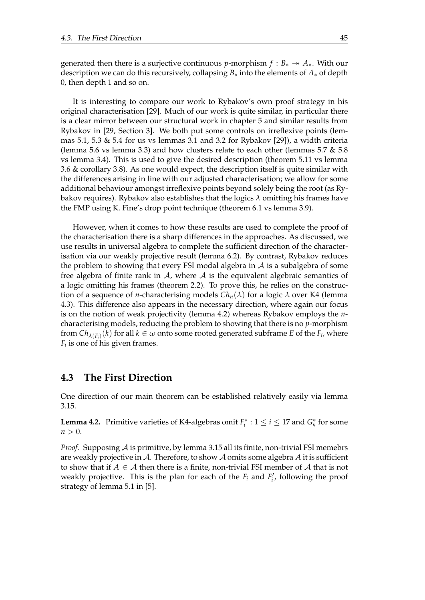generated then there is a surjective continuous *p*-morphism  $f : B_* \to A_*$ . With our description we can do this recursively, collapsing *B*∗ into the elements of *A*∗ of depth 0, then depth 1 and so on.

It is interesting to compare our work to Rybakov's own proof strategy in his original characterisation [\[29\]](#page-103-1). Much of our work is quite similar, in particular there is a clear mirror between our structural work in chapter 5 and similar results from Rybakov in [\[29,](#page-103-1) Section 3]. We both put some controls on irreflexive points (lem-mas [5.1,](#page-52-0) [5.3](#page-53-0)  $\&$  [5.4](#page-56-0) for us vs lemmas 3.1 and 3.2 for Rybakov [\[29\]](#page-103-1)), a width criteria (lemma [5.6](#page-59-0) vs lemma 3.3) and how clusters relate to each other (lemmas [5.7](#page-64-0)  $\&$  [5.8](#page-71-0) vs lemma 3.4). This is used to give the desired description (theorem [5.11](#page-81-0) vs lemma 3.6 & corollary 3.8). As one would expect, the description itself is quite similar with the differences arising in line with our adjusted characterisation; we allow for some additional behaviour amongst irreflexive points beyond solely being the root (as Rybakov requires). Rybakov also establishes that the logics *λ* omitting his frames have the FMP using K. Fine's drop point technique (theorem [6.1](#page-90-0) vs lemma 3.9).

However, when it comes to how these results are used to complete the proof of the characterisation there is a sharp differences in the approaches. As discussed, we use results in universal algebra to complete the sufficient direction of the characterisation via our weakly projective result (lemma [6.2\)](#page-92-0). By contrast, Rybakov reduces the problem to showing that every FSI modal algebra in  $A$  is a subalgebra of some free algebra of finite rank in  $\mathcal A$ , where  $\mathcal A$  is the equivalent algebraic semantics of a logic omitting his frames (theorem 2.2). To prove this, he relies on the construction of a sequence of *n*-characterising models  $Ch_n(\lambda)$  for a logic  $\lambda$  over K4 (lemma 4.3). This difference also appears in the necessary direction, where again our focus is on the notion of weak projectivity (lemma [4.2\)](#page-48-0) whereas Rybakov employs the *n*characterising models, reducing the problem to showing that there is no *p*-morphism from  $Ch_{\lambda(F_i)}(k)$  for all  $k \in \omega$  onto some rooted generated subframe  $E$  of the  $F_i$ , where *Fi* is one of his given frames.

#### **4.3 The First Direction**

One direction of our main theorem can be established relatively easily via lemma [3.15.](#page-34-2)

<span id="page-48-0"></span>**Lemma 4.2.** Primitive varieties of K4-algebras omit  $F_i^*$  :  $1 \le i \le 17$  and  $G_n^*$  for some  $n > 0$ .

*Proof.* Supposing A is primitive, by lemma [3.15](#page-34-2) all its finite, non-trivial FSI memebrs are weakly projective in A. Therefore, to show A omits some algebra *A* it is sufficient to show that if  $A \in \mathcal{A}$  then there is a finite, non-trivial FSI member of  $\mathcal{A}$  that is not weakly projective. This is the plan for each of the  $F_i$  and  $F'_i$ , following the proof strategy of lemma 5.1 in [\[5\]](#page-102-3).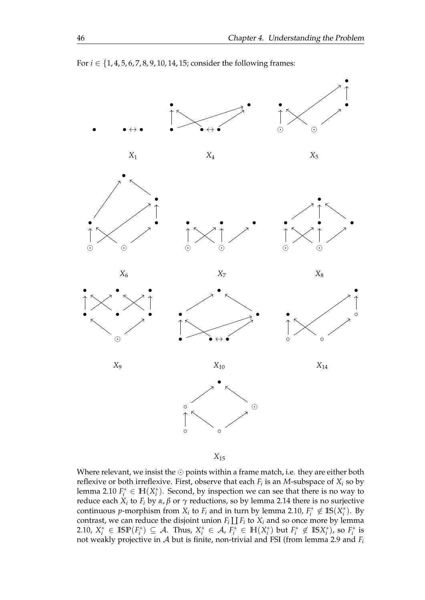

*X*<sup>15</sup>

Where relevant, we insist the  $\odot$  points within a frame match, i.e. they are either both reflexive or both irreflexive. First, observe that each *F<sup>i</sup>* is an *M*-subspace of *X<sup>i</sup>* so by lemma [2.10](#page-13-1)  $F_i^* \in \mathbb{H}(X_i^*)$ . Second, by inspection we can see that there is no way to reduce each *X<sup>i</sup>* to *F<sup>i</sup>* by *α*, *β* or *γ* reductions, so by lemma [2.14](#page-17-0) there is no surjective continuous *p*-morphism from  $X_i$  to  $F_i$  and in turn by lemma [2.10,](#page-13-1)  $F_i^* \notin \text{IS}(X_i^*)$ . By contrast, we can reduce the disjoint union  $F_i \coprod F_i$  to  $X_i$  and so once more by lemma [2.10,](#page-13-1)  $X_i^* \in \mathbb{ISP}(F_i^*) \subseteq \mathcal{A}$ . Thus,  $X_i^* \in \mathcal{A}$ ,  $F_i^* \in \mathbb{H}(X_i^*)$  but  $F_i^* \notin \mathbb{ISS}_i^*$ , so  $F_i^*$  is not weakly projective in A but is finite, non-trivial and FSI (from lemma [2.9](#page-13-0) and *F<sup>i</sup>*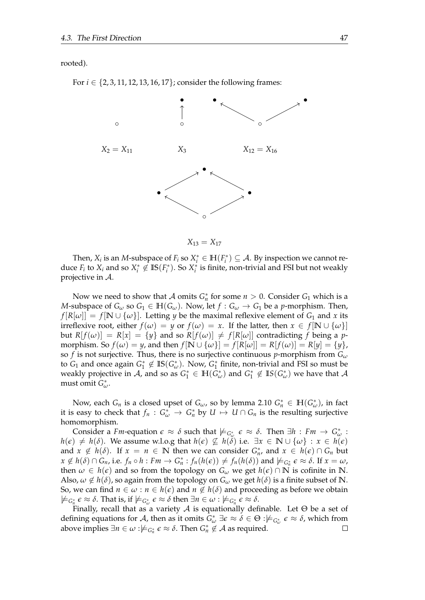rooted).

For *i* ∈ {2, 3, 11, 12, 13, 16, 17}; consider the following frames:



 $X_{13} = X_{17}$ 

Then,  $X_i$  is an *M*-subspace of  $F_i$  so  $X_i^* \in \mathbb{H}(F_i^*) \subseteq A$ . By inspection we cannot reduce  $F_i$  to  $X_i$  and so  $X_i^* \notin \text{IS}(F_i^*)$ . So  $X_i^*$  is finite, non-trivial and FSI but not weakly projective in A.

Now we need to show that  $A$  omits  $G_n^*$  for some  $n > 0$ . Consider  $G_1$  which is a *M*-subspace of  $G_\omega$  so  $G_1 \in \mathbb{H}(G_\omega)$ . Now, let  $f: G_\omega \to G_1$  be a *p*-morphism. Then,  $f[R[\omega]] = f[N \cup {\omega}]$ . Letting *y* be the maximal reflexive element of *G*<sub>1</sub> and *x* its irreflexive root, either  $f(\omega) = y$  or  $f(\omega) = x$ . If the latter, then  $x \in f[N \cup {\omega}]$ but  $R[f(\omega)] = R[x] = \{y\}$  and so  $R[f(\omega)] \neq f[R[\omega]]$  contradicting f being a pmorphism. So  $f(\omega) = y$ , and then  $f[N \cup {\omega}] = f[R[\omega]] = R[f(\omega)] = R[y] = {y}$ , so *f* is not surjective. Thus, there is no surjective continuous *p*-morphism from  $G_{\omega}$ to  $G_1$  and once again  $G_1^* \notin \text{IS}(G_{\omega}^*)$ . Now,  $G_1^*$  finite, non-trivial and FSI so must be weakly projective in  $A$ , and so as  $G_1^* \in \mathbb{H}(\bar{G}_\omega^*)$  and  $G_1^* \notin \mathbb{I}S(G_\omega^*)$  we have that  $A$ must omit *G* ∗ *ω*.

Now, each  $G_n$  is a closed upset of  $G_\omega$ , so by lemma [2.10](#page-13-1)  $G_n^* \in \mathbb{H}(G_\omega^*)$ , in fact it is easy to check that  $f_n$  :  $G^*_{\omega} \to G^*_n$  by  $U \mapsto U \cap G_n$  is the resulting surjective homomorphism.

Consider a *Fm*-equation  $\epsilon \approx \delta$  such that  $\not\models_{G_{\omega}^*} \epsilon \approx \delta$ . Then  $\exists h : Fm \to G_{\omega}^*$ : *h*( $\epsilon$ ) ≠ *h*( $\delta$ ). We assume w.l.o.g that *h*( $\epsilon$ )  $\not\subseteq$  *h*( $\delta$ ) i.e.  $\exists x \in \mathbb{N} \cup \{\omega\} : x \in h(\epsilon)$ and  $x \notin h(\delta)$ . If  $x = n \in \mathbb{N}$  then we can consider  $G_n^*$ , and  $x \in h(\epsilon) \cap G_n$  but  $x \notin h(\delta) \cap G_n$ , i.e.  $f_n \circ h : Fm \to G_n^* : f_n(h(\epsilon)) \neq f_n(h(\delta))$  and  $\models_{G_n^*} \epsilon \approx \delta$ . If  $x = \omega$ , then  $\omega \in h(\epsilon)$  and so from the topology on  $G_{\omega}$  we get  $h(\epsilon) \cap \mathbb{N}$  is cofinite in  $\mathbb{N}$ . Also,  $\omega \notin h(\delta)$ , so again from the topology on  $G_{\omega}$  we get  $h(\delta)$  is a finite subset of N. So, we can find  $n \in \omega : n \in h(\epsilon)$  and  $n \notin h(\delta)$  and proceeding as before we obtain  $\not\models$ <sub>*G*<sup>\*</sup></sub>,  $\epsilon \approx \delta$ . That is, if  $\not\models$ <sub>*G*<sup>\*</sup></sup>,  $\epsilon \approx \delta$  then  $\exists n \in \omega : \not\models$ <sub>*G*<sup>\*</sup></sup>,  $\epsilon \approx \delta$ .</sub></sub>

Finally, recall that as a variety  $A$  is equationally definable. Let  $\Theta$  be a set of defining equations for A, then as it omits  $G_{\omega}^* \exists \epsilon \approx \delta \in \Theta : \not\models_{G_{\omega}^*} \epsilon \approx \delta$ , which from above implies  $\exists n \in \omega : \nvDash_{G_n^*} \varepsilon \approx \delta$ . Then  $G_n^* \notin \mathcal{A}$  as required.  $\Box$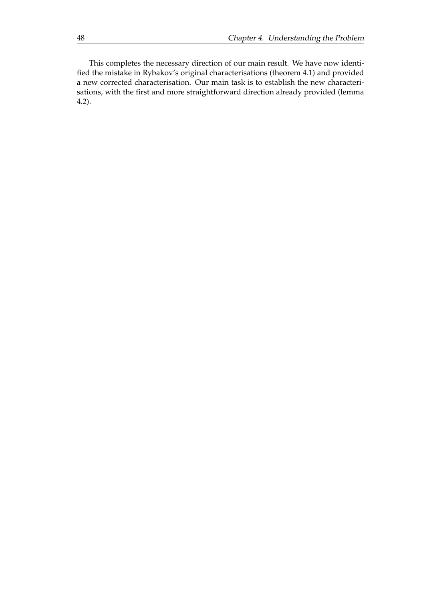This completes the necessary direction of our main result. We have now identified the mistake in Rybakov's original characterisations (theorem [4.1\)](#page-41-0) and provided a new corrected characterisation. Our main task is to establish the new characterisations, with the first and more straightforward direction already provided (lemma [4.2\)](#page-48-0).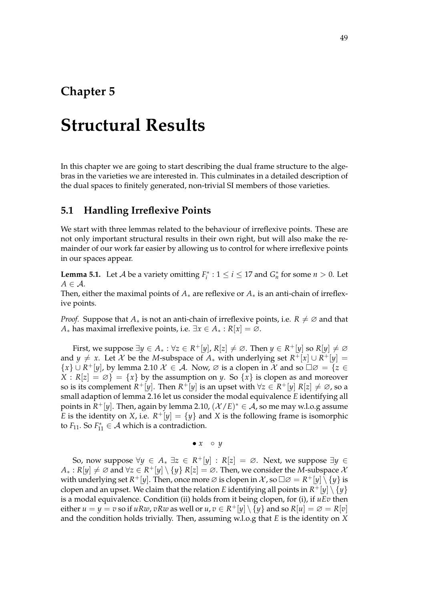### **Chapter 5**

## **Structural Results**

In this chapter we are going to start describing the dual frame structure to the algebras in the varieties we are interested in. This culminates in a detailed description of the dual spaces to finitely generated, non-trivial SI members of those varieties.

#### **5.1 Handling Irreflexive Points**

We start with three lemmas related to the behaviour of irreflexive points. These are not only important structural results in their own right, but will also make the remainder of our work far easier by allowing us to control for where irreflexive points in our spaces appear.

<span id="page-52-0"></span>**Lemma 5.1.** Let *A* be a variety omitting  $F_i^*$  :  $1 \le i \le 17$  and  $G_n^*$  for some  $n > 0$ . Let  $A \in \mathcal{A}$ .

Then, either the maximal points of *A*∗ are reflexive or *A*∗ is an anti-chain of irreflexive points.

*Proof.* Suppose that  $A_*$  is not an anti-chain of irreflexive points, i.e.  $R \neq \emptyset$  and that *A*<sup>∗</sup> has maximal irreflexive points, i.e.  $\exists x \in A^* : R[x] = \emptyset$ .

First, we suppose  $\exists y \in A_* : \forall z \in R^+[y]$ ,  $R[z] \neq \emptyset$ . Then  $y \in R^+[y]$  so  $R[y] \neq \emptyset$ and *y*  $\neq$  *x*. Let *X* be the *M*-subspace of *A*<sup>\*</sup> with underlying set  $R^+[x] \cup R^+[y]$  ${x} \cup R^+[y]$ , by lemma [2.10](#page-13-1)  $\mathcal{X} \in \mathcal{A}$ . Now,  $\emptyset$  is a clopen in  $\mathcal{X}$  and so  $\square \emptyset = \{z \in \mathcal{X} \mid z \in \mathcal{X}\}$  $X : R[z] = \emptyset$  = {*x*} by the assumption on *y*. So {*x*} is clopen as and moreover so is its complement  $R^+[y]$ . Then  $R^+[y]$  is an upset with  $\forall z \in R^+[y]$   $R[z] \neq \emptyset$ , so a small adaption of lemma [2.16](#page-20-0) let us consider the modal equivalence *E* identifying all points in  $R^+[y]$ . Then, again by lemma [2.10,](#page-13-1)  $(\mathcal{X}/E)^* \in \mathcal{A}$ , so me may w.l.o.g assume *E* is the identity on *X*, i.e.  $R^+[y] = \{y\}$  and *X* is the following frame is isomorphic to  $F_{11}$ . So  $F_{11}^* \in \mathcal{A}$  which is a contradiction.

•  $x \circ y$ 

So, now suppose  $\forall y \in A_* \exists z \in R^+[y] : R[z] = \emptyset$ . Next, we suppose  $\exists y \in A_*$  $A_*: R[y] \neq \emptyset$  and  $\forall z \in R^+[y] \setminus \{y\}$   $R[z] = \emptyset$ . Then, we consider the *M*-subspace  $\lambda$ with underlying set  $R^+[y]$ . Then, once more  $\varnothing$  is clopen in  $\mathcal X$ , so  $\Box \varnothing = R^+[y]\setminus\{y\}$  is clopen and an upset. We claim that the relation  $E$  identifying all points in  $R^+[y]\setminus\{y\}$ is a modal equivalence. Condition (ii) holds from it being clopen, for (i), if *uEv* then either  $u = y = v$  so if  $u R w$ ,  $v R w$  as well or  $u, v \in R^+[y] \setminus \{y\}$  and so  $R[u] = \varnothing = R[v]$ and the condition holds trivially. Then, assuming w.l.o.g that *E* is the identity on *X*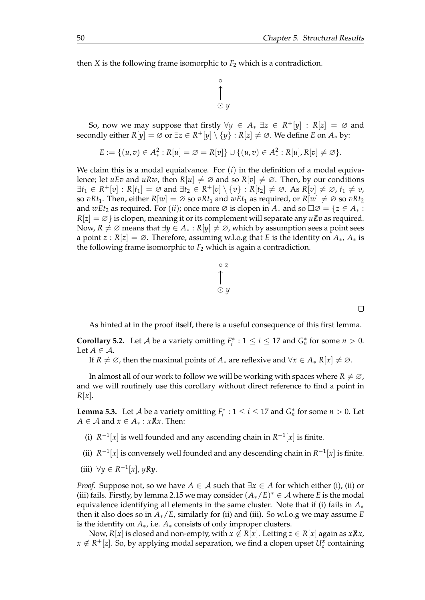then *X* is the following frame isomorphic to  $F_2$  which is a contradiction.

$$
\begin{array}{c}\n\circ \\
\uparrow \\
\odot y\n\end{array}
$$

So, now we may suppose that firstly  $\forall y \in A_* \exists z \in R^+[y] : R[z] = \emptyset$  and secondly either  $R[y] = \emptyset$  or  $\exists z \in R^+[y] \setminus \{y\} : R[z] \neq \emptyset$ . We define *E* on  $A_*$  by:

$$
E := \{ (u, v) \in A_*^2 : R[u] = \emptyset = R[v] \} \cup \{ (u, v) \in A_*^2 : R[u], R[v] \neq \emptyset \}.
$$

We claim this is a modal equialvance. For (*i*) in the definition of a modal equivalence; let *uEv* and *uRw*, then  $R[u] \neq \emptyset$  and so  $R[v] \neq \emptyset$ . Then, by our conditions ∃*t*<sup>1</sup> ∈ *R* <sup>+</sup>[*v*] : *R*[*t*1] = ∅ and ∃*t*<sup>2</sup> ∈ *R* <sup>+</sup>[*v*] \ {*v*} : *R*[*t*2] ̸= ∅. As *R*[*v*] ̸= ∅, *t*<sup>1</sup> ̸= *v*, so *vRt*<sub>1</sub>. Then, either  $R[w] = \emptyset$  so *vRt*<sub>1</sub> and *wEt*<sub>1</sub> as required, or  $R[w] \neq \emptyset$  so *vRt*<sub>2</sub> and *wEt*<sub>2</sub> as required. For (*ii*); once more  $\emptyset$  is clopen in  $A_*$  and so  $\square \emptyset = \{z \in A_* :$  $R[z] = \emptyset$  is clopen, meaning it or its complement will separate any  $u\mathcal{F}v$  as required. Now,  $R \neq \emptyset$  means that  $\exists y \in A_* : R[y] \neq \emptyset$ , which by assumption sees a point sees a point *z* :  $R[z] = \emptyset$ . Therefore, assuming w.l.o.g that *E* is the identity on  $A_*, A_*$  is the following frame isomorphic to  $F_2$  which is again a contradiction.



 $\Box$ 

As hinted at in the proof itself, there is a useful consequence of this first lemma.

<span id="page-53-1"></span>**Corollary 5.2.** Let *A* be a variety omitting  $F_i^*$  :  $1 \le i \le 17$  and  $G_n^*$  for some  $n > 0$ . Let  $A \in \mathcal{A}$ .

If *R*  $\neq \emptyset$ , then the maximal points of  $A_*$  are reflexive and  $\forall x \in A_*$  *R*[*x*]  $\neq \emptyset$ .

In almost all of our work to follow we will be working with spaces where  $R \neq \emptyset$ , and we will routinely use this corollary without direct reference to find a point in  $R[x]$ .

<span id="page-53-0"></span>**Lemma 5.3.** Let *A* be a variety omitting  $F_i^*$  :  $1 \le i \le 17$  and  $G_n^*$  for some  $n > 0$ . Let *A* ∈ *A* and *x* ∈ *A*<sup>\*</sup> : *xKx*. Then:

- (i)  $R^{-1}[x]$  is well founded and any ascending chain in  $R^{-1}[x]$  is finite.
- (ii)  $R^{-1}[x]$  is conversely well founded and any descending chain in  $R^{-1}[x]$  is finite.
- (iii)  $∀y ∈ R<sup>-1</sup>[x], yRy.$

*Proof.* Suppose not, so we have  $A \in \mathcal{A}$  such that  $\exists x \in A$  for which either (i), (ii) or (iii) fails. Firstly, by lemma [2.15](#page-19-0) we may consider  $(A_*/E)^* \in \mathcal{A}$  where *E* is the modal equivalence identifying all elements in the same cluster. Note that if (i) fails in *A*∗ then it also does so in *A*∗/*E*, similarly for (ii) and (iii). So w.l.o.g we may assume *E* is the identity on *A*∗, i.e. *A*∗ consists of only improper clusters.

Now,  $R[x]$  is closed and non-empty, with  $x \notin R[x]$ . Letting  $z \in R[x]$  again as  $x \cancel{R} x$ ,  $x \notin R^+[z]$ . So, by applying modal separation, we find a clopen upset  $U^x_z$  containing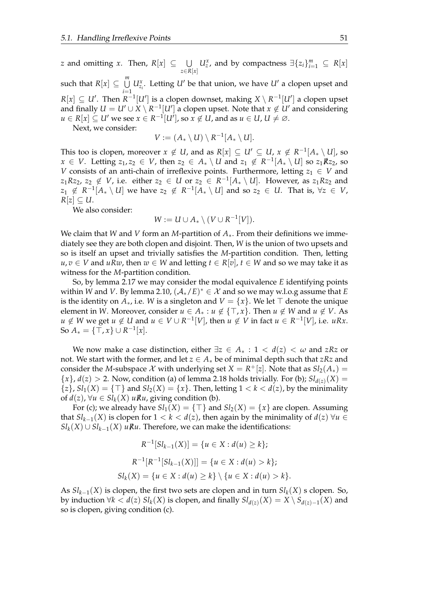*z* and omitting *x*. Then,  $R[x] \subseteq \cup$ *z*∈*R*[*x*] *U*<sup>*x*</sup></sup>, and by compactness  $\exists \{z_i\}_{i=1}^m$  ⊆ *R*[*x*] such that  $R[x] \subseteq \bigcup^{m}$ *i*=1  $U^x_{z_i}$ . Letting *U'* be that union, we have *U'* a clopen upset and  $R[x] \subseteq U'$ . Then  $R^{-1}[U']$  is a clopen downset, making  $X \setminus R^{-1}[U']$  a clopen upset and finally  $U = U' \cup X \setminus R^{-1}[U']$  a clopen upset. Note that  $x \notin U'$  and considering  $u \in R[x] \subseteq U'$  we see  $x \in R^{-1}[U'],$  so  $x \not\in U,$  and as  $u \in U,$   $U \neq \varnothing.$ 

Next, we consider:

$$
V:=(A_*\setminus U)\setminus R^{-1}[A_*\setminus U].
$$

This too is clopen, moreover  $x \notin U$ , and as  $R[x] \subseteq U' \subseteq U$ ,  $x \notin R^{-1}[A_* \setminus U]$ , so *x* ∈ *V*. Letting  $z_1, z_2$  ∈ *V*, then  $z_2$  ∈  $A_* \setminus U$  and  $z_1 \notin R^{-1}[A_* \setminus U]$  so  $z_1Rz_2$ , so *V* consists of an anti-chain of irreflexive points. Furthermore, letting  $z_1 \in V$  and  $z_1Rz_2$ ,  $z_2 \notin V$ , i.e. either  $z_2 \in U$  or  $z_2 \in R^{-1}[A_* \setminus U]$ . However, as  $z_1Rz_2$  and  $z_1 \notin R^{-1}[A_* \setminus U]$  we have  $z_2 \notin R^{-1}[A_* \setminus U]$  and so  $z_2 \in U$ . That is,  $\forall z \in V$ ,  $R[z] \subseteq U$ .

We also consider:

$$
W := U \cup A_* \setminus (V \cup R^{-1}[V]).
$$

We claim that *W* and *V* form an *M*-partition of *A*∗. From their definitions we immediately see they are both clopen and disjoint. Then, *W* is the union of two upsets and so is itself an upset and trivially satisfies the *M*-partition condition. Then, letting *u*, *v* ∈ *V* and *uRw*, then *w* ∈ *W* and letting *t* ∈ *R*[*v*], *t* ∈ *W* and so we may take it as witness for the *M*-partition condition.

So, by lemma [2.17](#page-20-1) we may consider the modal equivalence *E* identifying points within *W* and *V*. By lemma [2.10,](#page-13-1)  $(A_*/E)^* \in \mathcal{X}$  and so we may w.l.o.g assume that *E* is the identity on  $A_*$ , i.e. *W* is a singleton and  $V = \{x\}$ . We let  $\top$  denote the unique element in *W*. Moreover, consider  $u \in A_* : u \notin \{\top, x\}$ . Then  $u \notin W$  and  $u \notin V$ . As *u* ∉ *W* we get *u* ∉ *U* and *u* ∈ *V* ∪ *R*<sup>-1</sup>[*V*], then *u* ∉ *V* in fact *u* ∈ *R*<sup>-1</sup>[*V*], i.e. *uRx*. So  $A_* = \{\top, x\} \cup R^{-1}[x].$ 

We now make a case distinction, either ∃*z* ∈ *A*<sup>∗</sup> : 1 < *d*(*z*) < *ω* and *zRz* or not. We start with the former, and let  $z \in A_*$  be of minimal depth such that  $zRz$  and consider the *M*-subspace  $\mathcal X$  with underlying set  $X = R^+[z]$ . Note that as  $Sl_2(A_*) =$  $\{x\}$ ,  $d(z) > 2$ . Now, condition (a) of lemma [2.18](#page-21-0) holds trivially. For (b);  $Sl_{d(z)}(X) =$  $\{z\}$ ,  $Sl_1(X) = \{\top\}$  and  $Sl_2(X) = \{x\}$ . Then, letting  $1 < k < d(z)$ , by the minimality of *d*(*z*), ∀*u* ∈ *Sl*<sub>*k*</sub>(*X*) *uRu*, giving condition (b).

For (c); we already have  $Sl_1(X) = \{\top\}$  and  $Sl_2(X) = \{x\}$  are clopen. Assuming that  $Sl_{k-1}(X)$  is clopen for  $1 < k < d(z)$ , then again by the minimality of  $d(z)$   $\forall u \in$ *Sl*<sup>*k*</sup>(*X*) ∪ *Sl*<sup>*k*</sup>−1</sub>(*X*) *u* $\mathbb{R}$ *u*. Therefore, we can make the identifications:

$$
R^{-1}[Sl_{k-1}(X)] = \{u \in X : d(u) \ge k\};
$$
  

$$
R^{-1}[R^{-1}[Sl_{k-1}(X)]] = \{u \in X : d(u) > k\};
$$
  

$$
Sl_k(X) = \{u \in X : d(u) \ge k\} \setminus \{u \in X : d(u) > k\}.
$$

As *Slk*−1(*X*) is clopen, the first two sets are clopen and in turn *Slk*(*X*) s clopen. So, by induction  $\forall k < d(z)$   $Sl_k(X)$  is clopen, and finally  $Sl_{d(z)}(X) = X \setminus S_{d(z)-1}(X)$  and so is clopen, giving condition (c).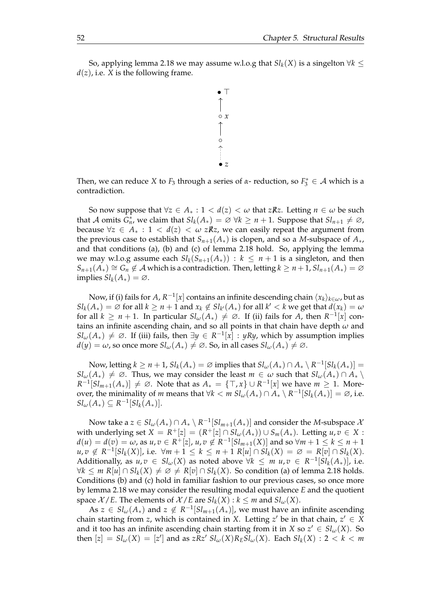So, applying lemma [2.18](#page-21-0) we may assume w.l.o.g that  $Sl_k(X)$  is a singelton  $∀k ≤$  $d(z)$ , i.e. *X* is the following frame.



Then, we can reduce *X* to  $F_3$  through a series of *α*- reduction, so  $F_3^* \in \mathcal{A}$  which is a contradiction.

So now suppose that  $\forall z \in A_* : 1 < d(z) < \omega$  that *zRz*. Letting  $n \in \omega$  be such that A omits  $G_n^*$ , we claim that  $Sl_k(A_*) = \emptyset \ \forall k \geq n+1$ . Suppose that  $Sl_{n+1} \neq \emptyset$ , because  $\forall z \in A_* : 1 < d(z) < \omega z \mathbb{R}$ *z*, we can easily repeat the argument from the previous case to establish that  $S_{n+1}(A_*)$  is clopen, and so a *M*-subspace of  $A_*,$ and that conditions (a), (b) and (c) of lemma [2.18](#page-21-0) hold. So, applying the lemma we may w.l.o.g assume each  $Sl_k(S_{n+1}(A_{\ast})) : k \leq n+1$  is a singleton, and then  $S_{n+1}(A_*) \cong G_n \notin \mathcal{A}$  which is a contradiction. Then, letting  $k \geq n+1$ ,  $Sl_{n+1}(A_*) = \emptyset$ implies  $Sl_k(A_*) = \emptyset$ .

Now, if (i) fails for  $A$ ,  $R^{-1}[x]$  contains an infinite descending chain  $\langle x_k\rangle_{k\in\omega}$ , but as  $\mathcal{S}l_k(A_*) = \emptyset$  for all  $k \geq n+1$  and  $x_k \notin \mathcal{S}l_{k'}(A_*)$  for all  $k' < k$  we get that  $d(x_k) = \omega$ for all  $k \geq n+1$ . In particular  $Sl_{\omega}(A_*) \neq \emptyset$ . If (ii) fails for  $A$ , then  $R^{-1}[x]$  contains an infinite ascending chain, and so all points in that chain have depth *ω* and  $Sl_\omega(A_*) \neq \emptyset$ . If (iii) fails, then  $\exists y \in R^{-1}[x] : yRy$ , which by assumption implies  $d(y) = \omega$ , so once more  $Sl_{\omega}(A_*) \neq \emptyset$ . So, in all cases  $Sl_{\omega}(A_*) \neq \emptyset$ .

Now, letting  $k \geq n+1$ ,  $Sl_k(A_*) = \varnothing$  implies that  $Sl_\omega(A_*) \cap A_* \setminus R^{-1}[Sl_k(A_*)] =$  $Sl_\omega(A_*) \neq \emptyset$ . Thus, we may consider the least  $m \in \omega$  such that  $Sl_\omega(A_*) \cap A_* \setminus \Omega$  $R^{-1}[Sl_{m+1}(A_*)] \neq \emptyset$ . Note that as  $A_* = \{\top, x\} \cup R^{-1}[x]$  we have  $m \geq 1$ . Moreover, the minimality of *m* means that  $\forall k < m \; Sl_{\omega}(A_*) \cap A_* \setminus R^{-1}[Sl_k(A_*)] = \varnothing$ , i.e.  $Sl_{\omega}(A_*) \subseteq R^{-1}[Sl_k(A_*)].$ 

Now take a  $z \in Sl_\omega(A_*) \cap A_* \setminus R^{-1}[Sl_{m+1}(A_*)]$  and consider the *M*-subspace  $\lambda$ with underlying set  $X = R^+[z] = (R^+[z] \cap Sl_\omega(A_*)) \cup S_m(A_*)$ . Letting  $u, v \in X$ : *d*(*u*) = *d*(*v*) = *ω*, as *u*, *v* ∈ *R*<sup>+</sup>[*z*], *u*, *v* ∉ *R*<sup>-1</sup>[*Sl*<sub>*m*+1</sub>(*X*)] and so ∀*m* + 1 ≤ *k* ≤ *n* + 1  $u, v \notin R^{-1}[Sl_k(X)]$ , i.e.  $\forall m+1 \leq k \leq n+1$   $R[u] \cap Sl_k(X) = \emptyset = R[v] \cap Sl_k(X)$ . Additionally, as  $u, v \in Sl_\omega(X)$  as noted above  $\forall k \leq m \ u, v \in R^{-1}[Sl_k(A_*)]$ , i.e.  $∀k ≤ m R[u] ∩ Sl_k(X) ≠ ∅ ≠ R[v] ∩ Sl_k(X)$ . So condition (a) of lemma [2.18](#page-21-0) holds. Conditions (b) and (c) hold in familiar fashion to our previous cases, so once more by lemma [2.18](#page-21-0) we may consider the resulting modal equivalence *E* and the quotient space  $X$  /*E*. The elements of  $X$  /*E* are  $Sl_k(X) : k \leq m$  and  $Sl_{\omega}(X)$ .

As  $z \in Sl_\omega(A_*)$  and  $z \notin R^{-1}[Sl_{m+1}(A_*)]$ , we must have an infinite ascending chain starting from *z*, which is contained in *X*. Letting  $z'$  be in that chain,  $z' \in X$ and it too has an infinite ascending chain starting from it in *X* so  $z' \in Sl_\omega(X)$ . So  ${\rm then} [z] = Sl_{\omega}(X) = [z']$  and as  $zRz'$   $Sl_{\omega}(X)R_ESl_{\omega}(X)$ . Each  $Sl_k(X) : 2 < k < m$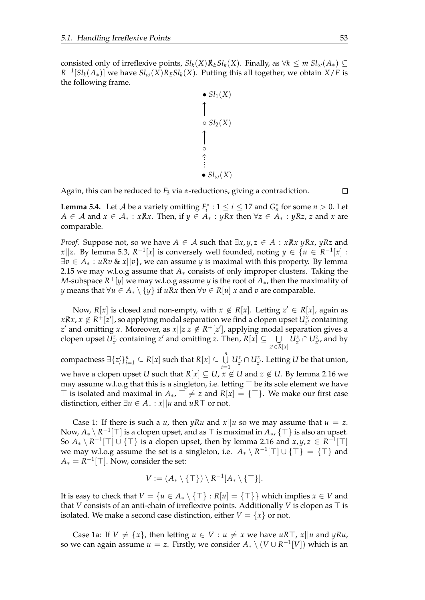consisted only of irreflexive points,  $Sl_k(X)R_ESl_k(X)$ . Finally, as  $\forall k \leq m \; Sl_{\omega}(A_*) \subseteq$  $R^{-1}[Sl_k(A_*)]$  we have  $Sl_{\omega}(X)R_ESl_k(X)$ . Putting this all together, we obtain  $X/E$  is the following frame.

\n- $$
Sl_1(X)
$$
\n- $\bigcap$
\n- $Sl_2(X)$
\n- $\bigcap$
\n- $\bigcap$
\n- $Sl_{\omega}(X)$
\n

Again, this can be reduced to *F*<sup>3</sup> via *α*-reductions, giving a contradiction.

 $\Box$ 

<span id="page-56-0"></span>**Lemma 5.4.** Let *A* be a variety omitting  $F_i^*$  :  $1 \le i \le 17$  and  $G_n^*$  for some  $n > 0$ . Let *A* ∈ *A* and *x* ∈ *A*<sub>\*</sub> : *xRx*. Then, if *y* ∈ *A*<sub>\*</sub> : *yRx* then  $\forall z$  ∈ *A*<sub>\*</sub> : *yRz*, *z* and *x* are comparable.

*Proof.* Suppose not, so we have  $A \in \mathcal{A}$  such that  $\exists x, y, z \in A : xRx yRx, yRz$  and *x*||*z*. By lemma [5.3,](#page-53-0)  $R^{-1}[x]$  is conversely well founded, noting  $y \in \{u \in R^{-1}[x]$ : ∃*v* ∈ *A*<sup>∗</sup> : *uRv* & *x*||*v*}, we can assume *y* is maximal with this property. By lemma [2.15](#page-19-0) we may w.l.o.g assume that *A*∗ consists of only improper clusters. Taking the *M*-subspace *R* <sup>+</sup>[*y*] we may w.l.o.g assume *y* is the root of *A*∗, then the maximality of *y* means that ∀*u* ∈  $A_* \setminus \{y\}$  if *uRx* then ∀*v* ∈  $R[u]$  *x* and *v* are comparable.

Now,  $R[x]$  is closed and non-empty, with  $x \notin R[x]$ . Letting  $z' \in R[x]$ , again as  $xRx, x \notin R^+[z'],$  so applying modal separation we find a clopen upset  $U_{z'}^x$  containing *z*' and omitting *x*. Moreover, as  $x||z z \notin R$ <sup>+</sup>[*z*'], applying modal separation gives a clopen upset  $U_z^z$  containing *z*' and omitting *z*. Then,  $R[x] \subseteq \bigcup$ *z* ′∈*R*[*x*]  $U_z^x \cap U_z^z$ , and by

 $\bigcup_{i=1}^n \text{Supers } \exists \{z_i'\}_{i=1}^n \subseteq R[x] \text{ such that } R[x] \subseteq \bigcup_{i=1}^n R[x]$ *i*=1  $U_{z'}^x \cap U_{z'}^z$ . Letting *U* be that union, we have a clopen upset *U* such that  $R[x] \subseteq U$ ,  $x \notin U$  and  $z \notin U$ . By lemma [2.16](#page-20-0) we may assume w.l.o.g that this is a singleton, i.e. letting ⊤ be its sole element we have ⊤ is isolated and maximal in  $A_{*}$ , ⊤  $\neq$  *z* and  $R[x] = \{T\}$ . We make our first case distinction, either  $\exists u \in A_* : x \mid u$  and  $uR \top$  or not.

Case 1: If there is such a *u*, then *yRu* and  $x||u$  so we may assume that  $u = z$ . Now, *A*<sup>∗</sup> \ *R* −1 [⊤] is a clopen upset, and as ⊤ is maximal in *A*∗, {⊤} is also an upset. So  $A_* \setminus R^{-1}[\top] \cup \{\top\}$  is a clopen upset, then by lemma [2.16](#page-20-0) and  $x, y, z \in R^{-1}[\top]$ we may w.l.o.g assume the set is a singleton, i.e.  $A_* \setminus R^{-1}[\top] \cup \{\top\} = {\top}$  and  $A_* = R^{-1}[\top]$ . Now, consider the set:

$$
V := (A_* \setminus \{\top\}) \setminus R^{-1}[A_* \setminus \{\top\}].
$$

It is easy to check that  $V = \{u \in A_* \setminus \{\top\} : R[u] = \{\top\}\}\$  which implies  $x \in V$  and that *V* consists of an anti-chain of irreflexive points. Additionally *V* is clopen as  $\top$  is isolated. We make a second case distinction, either  $V = \{x\}$  or not.

Case 1a: If  $V \neq \{x\}$ , then letting  $u \in V : u \neq x$  we have  $uRT$ ,  $x||u$  and  $yRu$ , so we can again assume  $u = z$ . Firstly, we consider  $A_* \setminus (V \cup R^{-1}[V])$  which is an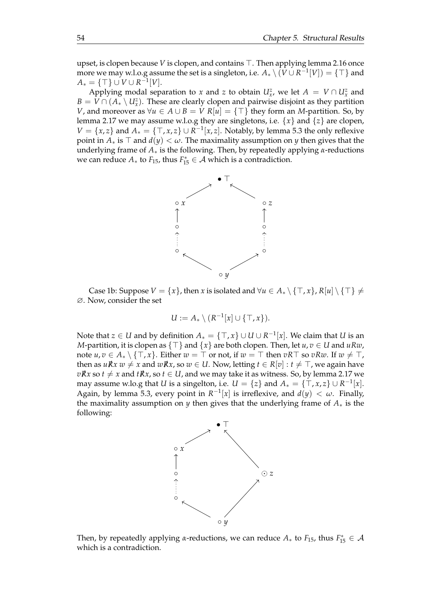upset, is clopen because *V* is clopen, and contains ⊤. Then applying lemma [2.16](#page-20-0) once more we may w.l.o.g assume the set is a singleton, i.e.  $A_* \setminus \overline{(V \cup R^{-1}[V])} = {\top}$  and  $A_* = \{\top\} \cup V \cup R^{-1}[V].$ 

Applying modal separation to *x* and *z* to obtain  $U_x^z$ , we let  $A = V \cap U_x^z$  and  $B = V \cap (A_* \setminus U^z_x)$ . These are clearly clopen and pairwise disjoint as they partition *V*, and moreover as  $\forall u \in A \cup B = V$  *R*[*u*] = {⊤} they form an *M*-partition. So, by lemma [2.17](#page-20-1) we may assume w.l.o.g they are singletons, i.e. {*x*} and {*z*} are clopen, *V* = {*x*, *z*} and  $A_* = \{T, x, z\}$  ∪  $R^{-1}[x, z]$ . Notably, by lemma [5.3](#page-53-0) the only reflexive point in  $A_*$  is  $\top$  and  $d(y) < \omega$ . The maximality assumption on *y* then gives that the underlying frame of *A*<sup>∗</sup> is the following. Then, by repeatedly applying *α*-reductions we can reduce  $A_*$  to  $F_{15}$ , thus  $F_{15}^* \in A$  which is a contradiction.



Case 1b: Suppose  $V = \{x\}$ , then *x* is isolated and  $\forall u \in A_* \setminus \{\top, x\}$ ,  $R[u] \setminus \{\top\} \neq$ ∅. Now, consider the set

$$
U := A_* \setminus (R^{-1}[x] \cup \{\top, x\}).
$$

Note that  $z \in U$  and by definition  $A_* = \{\top, x\} \cup U \cup R^{-1}[x].$  We claim that  $U$  is an *M*-partition, it is clopen as {⊤} and {*x*} are both clopen. Then, let *u*, *v* ∈ *U* and *uRw*, note  $u, v \in A_* \setminus \{\top, x\}$ . Either  $w = \top$  or not, if  $w = \top$  then  $vR\top$  so  $vRw$ . If  $w \neq \top$ , then as  $uRx \, w \neq x$  and  $wRx$ , so  $w \in U$ . Now, letting  $t \in R[v]$  :  $t \neq \top$ , we again have  $vRx$  so  $t \neq x$  and  $tRx$ , so  $t \in U$ , and we may take it as witness. So, by lemma [2.17](#page-20-1) we may assume w.lo.g that *U* is a singelton, i.e.  $U = \{z\}$  and  $A_* = \{\top, x, z\} \cup R^{-1}[x]$ . Again, by lemma [5.3,](#page-53-0) every point in  $R^{-1}[x]$  is irreflexive, and  $d(y) < \omega$ . Finally, the maximality assumption on *y* then gives that the underlying frame of *A*∗ is the following:



Then, by repeatedly applying *α*-reductions, we can reduce  $A_*$  to  $F_{15}$ , thus  $F_{15}^* \in \mathcal{A}$ which is a contradiction.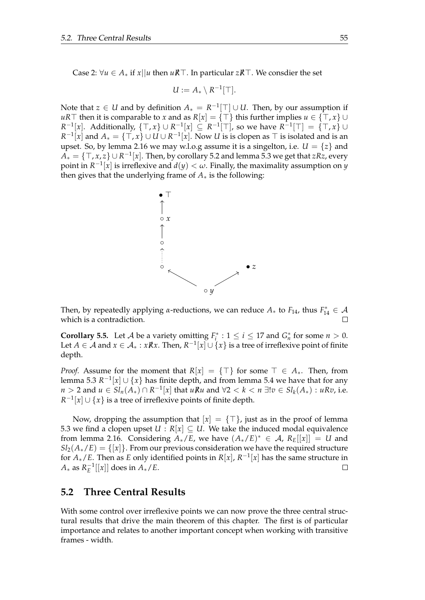Case 2: ∀*u* ∈ *A*<sup>∗</sup> if *x*||*u* then *uR*/⊤. In particular *zR*/⊤. We consdier the set

$$
U:=A_*\setminus R^{-1}[\top].
$$

Note that  $z \in U$  and by definition  $A_* = R^{-1}[\top] \cup U$ . Then, by our assumption if *uR*⊤ then it is comparable to *x* and as  $R[x] = \{T\}$  this further implies  $u \in \{T, x\}$ *R*<sup>-1</sup>[*x*]. Additionally, {⊤, *x*} ∪ *R*<sup>-1</sup>[*x*] ⊆ *R*<sup>-1</sup>[<sup>T</sup>], so we have *R*<sup>-1</sup>[<sup>T</sup>] = {⊤, *x*} ∪ *R*<sup>-1</sup>[*x*] and  $A_* = \{T, x\}$  ∪ *U* ∪ *R*<sup>-1</sup>[*x*]. Now *U* is is clopen as ⊤ is isolated and is an upset. So, by lemma [2.16](#page-20-0) we may w.l.o.g assume it is a singelton, i.e.  $U = \{z\}$  and *A*<sup>∗</sup> = {⊤, *x*, *z*} ∪ *R* −1 [*x*]. Then, by corollary [5.2](#page-53-1) and lemma [5.3](#page-53-0) we get that *zRz*, every point in  $R^{-1}[x]$  is irreflexive and  $d(y) < \omega$ . Finally, the maximality assumption on *y* then gives that the underlying frame of *A*∗ is the following:



Then, by repeatedly applying *α*-reductions, we can reduce  $A_*$  to  $F_{14}$ , thus  $F_{14}^* \in \mathcal{A}$ which is a contradiction.

**Corollary 5.5.** Let *A* be a variety omitting  $F_i^*$  :  $1 \le i \le 17$  and  $G_n^*$  for some  $n > 0$ . Let  $A \in \mathcal{A}$  and  $x \in \mathcal{A}_* : x \mathbb{R}x$ . Then,  $R^{-1}[x] \cup \{x\}$  is a tree of irreflexive point of finite depth.

*Proof.* Assume for the moment that  $R[x] = \{\top\}$  for some  $\top \in A_*$ . Then, from lemma [5.3](#page-53-0)  $R^{-1}[x] \cup \{x\}$  has finite depth, and from lemma [5.4](#page-56-0) we have that for any *n* > 2 and *u* ∈  $Sl_n(A_*) \cap R^{-1}[x]$  that *uRu* and  $\forall 2 < k < n$  ∃! $v \in Sl_k(A_*) : uRv$ , i.e.  $R^{-1}[x] \cup \{x\}$  is a tree of irreflexive points of finite depth.

Now, dropping the assumption that  $[x] = \{\top\}$ , just as in the proof of lemma [5.3](#page-53-0) we find a clopen upset  $U : R[x] \subseteq U$ . We take the induced modal equivalence from lemma [2.16.](#page-20-0) Considering  $A_*/E$ , we have  $(A_*/E)^* \in A$ ,  $R_E[[x]] = U$  and  $Sl_2(A_*/E) = \{x\}$ . From our previous consideration we have the required structure for *A*∗/*E*. Then as *E* only identified points in *R*[*x*], *R* −1 [*x*] has the same structure in  $A_*$  as  $R_E^{-1}[[x]]$  does in  $A_*/E$ .  $\Box$ 

#### **5.2 Three Central Results**

With some control over irreflexive points we can now prove the three central structural results that drive the main theorem of this chapter. The first is of particular importance and relates to another important concept when working with transitive frames - width.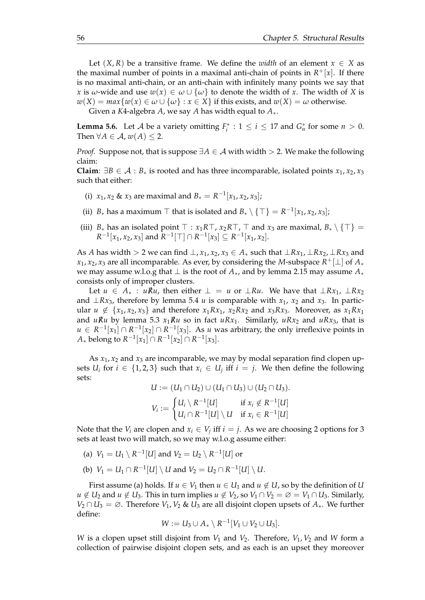Let  $(X, R)$  be a transitive frame. We define the *width* of an element  $x \in X$  as the maximal number of points in a maximal anti-chain of points in  $R^+[x]$ . If there is no maximal anti-chain, or an anti-chain with infinitely many points we say that *x* is *ω*-wide and use  $w(x) \in \omega \cup \{w\}$  to denote the width of *x*. The width of *X* is  $w(X) = max\{w(x) \in \omega \cup \{\omega\} : x \in X\}$  if this exists, and  $w(X) = \omega$  otherwise.

Given a *K*4-algebra *A*, we say *A* has width equal to *A*∗.

<span id="page-59-0"></span>**Lemma 5.6.** Let *A* be a variety omitting  $F_i^* : 1 \le i \le 17$  and  $G_n^*$  for some  $n > 0$ . Then  $\forall A \in \mathcal{A}$ ,  $w(A) \leq 2$ .

*Proof.* Suppose not, that is suppose  $\exists A \in \mathcal{A}$  with width > 2. We make the following claim:

**Claim**:  $∃B ∈ A : B<sub>∗</sub>$  is rooted and has three incomparable, isolated points  $x_1, x_2, x_3$ such that either:

- (i) *x*<sub>1</sub>, *x*<sub>2</sub> & *x*<sub>3</sub> are maximal and  $B_* = R^{-1}[x_1, x_2, x_3]$ ;
- (ii) *B*<sup>∗</sup> has a maximum ⊤ that is isolated and  $B_* \setminus \{\top\} = R^{-1}[x_1, x_2, x_3]$ ;
- (iii) *B*<sup>∗</sup> has an isolated point  $\top : x_1R\top, x_2R\top, \top$  and  $x_3$  are maximal,  $B_* \setminus {\top}$  =  $R^{-1}[x_1, x_2, x_3]$  and  $R^{-1}[\top] \cap R^{-1}[x_3] \subseteq R^{-1}[x_1, x_2]$ .

As *A* has width > 2 we can find  $\perp$ ,  $x_1$ ,  $x_2$ ,  $x_3 \in A_*$  such that  $\perp Rx_1$ ,  $\perp Rx_2$ ,  $\perp Rx_3$  and *x*1, *x*2, *x*<sup>3</sup> are all incomparable. As ever, by considering the *M*-subspace *R* <sup>+</sup>[⊥] of *A*<sup>∗</sup> we may assume w.l.o.g that ⊥ is the root of *A*∗, and by lemma [2.15](#page-19-0) may assume *A*<sup>∗</sup> consists only of improper clusters.

Let *u* ∈ *A*<sup>∗</sup> : *uRu*, then either  $\bot = u$  or  $\bot Ru$ . We have that  $\bot Rx_1$ ,  $\bot Rx_2$ and  $\perp Rx_3$ , therefore by lemma [5.4](#page-56-0) *u* is comparable with  $x_1$ ,  $x_2$  and  $x_3$ . In particular *u* ∉ {*x*<sub>1</sub>, *x*<sub>2</sub>, *x*<sub>3</sub>} and therefore *x*<sub>1</sub>*Rx*<sub>1</sub>, *x*<sub>2</sub>*Rx*<sub>2</sub> and *x*<sub>3</sub>*Rx*<sub>3</sub>. Moreover, as *x*<sub>1</sub>*Rx*<sub>1</sub> and *uRu* by lemma [5.3](#page-53-0)  $x_1Ru$  so in fact  $uRx_1$ . Similarly,  $uRx_2$  and  $uRx_3$ , that is *u* ∈  $R^{-1}[x_1]$  ∩  $R^{-1}[x_2]$  ∩  $R^{-1}[x_3]$ . As *u* was arbitrary, the only irreflexive points in *A*∗ belong to  $R^{-1}[x_1] ∩ R^{-1}[x_2] ∩ R^{-1}[x_3]$ .

As  $x_1$ ,  $x_2$  and  $x_3$  are incomparable, we may by modal separation find clopen upsets  $U_i$  for  $i \in \{1,2,3\}$  such that  $x_i \in U_j$  iff  $i = j$ . We then define the following sets:

$$
U := (U_1 \cap U_2) \cup (U_1 \cap U_3) \cup (U_2 \cap U_3).
$$
  

$$
V_i := \begin{cases} U_i \setminus R^{-1}[U] & \text{if } x_i \notin R^{-1}[U] \\ U_i \cap R^{-1}[U] \setminus U & \text{if } x_i \in R^{-1}[U] \end{cases}
$$

Note that the  $V_i$  are clopen and  $x_i \in V_j$  iff  $i = j$ . As we are choosing 2 options for 3 sets at least two will match, so we may w.l.o.g assume either:

- (a)  $V_1 = U_1 \setminus R^{-1}[U]$  and  $V_2 = U_2 \setminus R^{-1}[U]$  or
- (b)  $V_1 = U_1 \cap R^{-1}[U] \setminus U$  and  $V_2 = U_2 \cap R^{-1}[U] \setminus U$ .

First assume (a) holds. If  $u \in V_1$  then  $u \in U_1$  and  $u \notin U$ , so by the definition of *U u* ∉ *U*<sub>2</sub> and *u* ∉ *U*<sub>3</sub>. This in turn implies *u* ∉ *V*<sub>2</sub>, so *V*<sub>1</sub> ∩ *V*<sub>2</sub> = ∅ = *V*<sub>1</sub> ∩ *U*<sub>3</sub>. Similarly, *V*<sub>2</sub> ∩ *U*<sub>3</sub> = ∅. Therefore *V*<sub>1</sub>, *V*<sub>2</sub> & *U*<sub>3</sub> are all disjoint clopen upsets of  $A_∗$ . We further define:

$$
W:=U_3\cup A_*\setminus R^{-1}[V_1\cup V_2\cup U_3].
$$

*W* is a clopen upset still disjoint from  $V_1$  and  $V_2$ . Therefore,  $V_1$ ,  $V_2$  and *W* form a collection of pairwise disjoint clopen sets, and as each is an upset they moreover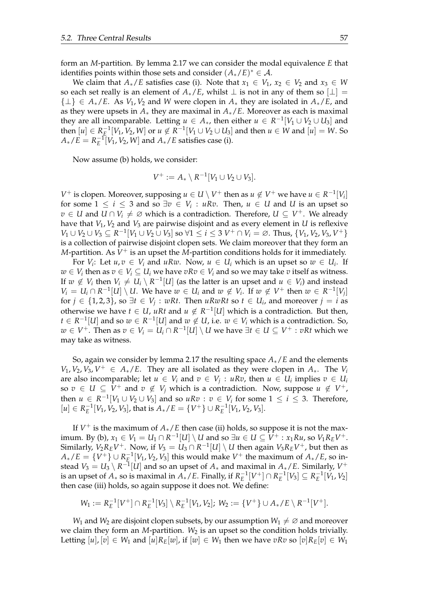form an *M*-partition. By lemma [2.17](#page-20-1) we can consider the modal equivalence *E* that identifies points within those sets and consider  $(A_*/E)^* \in \mathcal{A}$ .

We claim that  $A_*/E$  satisfies case (i). Note that  $x_1 \in V_1$ ,  $x_2 \in V_2$  and  $x_3 \in W$ so each set really is an element of  $A_*/E$ , whilst  $\perp$  is not in any of them so  $[\perp]$  =  $\{\perp\} \in A_*/E$ . As  $V_1, V_2$  and *W* were clopen in  $A_*$  they are isolated in  $A_*/E$ , and as they were upsets in  $A_*$  they are maximal in  $A_*/E$ . Moreover as each is maximal they are all incomparable. Letting  $u \in A_*$ , then either  $u \in R^{-1}[V_1 \cup V_2 \cup U_3]$  and then  $[u]$  ∈  $R^{-1}_E[V_1, V_2, W]$  or  $u \notin R^{-1}[V_1 \cup V_2 \cup U_3]$  and then  $u \in W$  and  $[u] = W$ . So  $A_*/E = R_E^{-1}[V_1, V_2, W]$  and  $A_*/E$  satisfies case (i).

Now assume (b) holds, we consider:

$$
V^+ := A_* \setminus R^{-1}[V_1 \cup V_2 \cup V_3].
$$

*V*<sup>+</sup> is clopen. Moreover, supposing *u* ∈ *U* \ *V*<sup>+</sup> then as *u* ∉ *V*<sup>+</sup> we have *u* ∈ *R*<sup>-1</sup>[*V*<sub>*i*</sub>] for some  $1 \leq i \leq 3$  and so  $\exists v \in V_i : uRv$ . Then,  $u \in U$  and U is an upset so *v* ∈ *U* and *U* ∩ *V*<sub>*i*</sub>  $\neq$  ∅ which is a contradiction. Therefore, *U* ⊆ *V*<sup>+</sup>. We already have that  $V_1$ ,  $V_2$  and  $V_3$  are pairwise disjoint and as every element in *U* is reflexive *V*<sub>1</sub> ∪ *V*<sub>2</sub> ∪ *V*<sub>3</sub> ⊆ *R*<sup>-1</sup> $[V_1 \cup V_2 \cup V_3]$  so ∀1 ≤ *i* ≤ 3 *V*<sup>+</sup> ∩ *V<sub>i</sub>* = ∅. Thus, {*V*<sub>1</sub>, *V*<sub>2</sub>, *V*<sub>3</sub>, *V*<sup>+</sup>} is a collection of pairwise disjoint clopen sets. We claim moreover that they form an  $M$ -partition. As  $V^+$  is an upset the  $M$ -partition conditions holds for it immediately.

For  $V_i$ : Let  $u, v \in V_i$  and  $uRw$ . Now,  $u \in U_i$  which is an upset so  $w \in U_i$ . If  $w \in V_i$  then as  $v \in V_i \subseteq U_i$  we have  $vRv \in V_i$  and so we may take  $v$  itself as witness. If  $w \notin V_i$  then  $V_i \neq U_i \setminus R^{-1}[U]$  (as the latter is an upset and  $u \in V_i$ ) and instead *V*<sup>*i*</sup> = *U*<sub>*i*</sub> ∩ *R*<sup>-1</sup></sub>[*U*]  $\setminus$  *U.* We have *w* ∈ *U*<sub>*i*</sub> and *w* ∉ *V*<sub>*i*</sub>. If *w* ∉ *V*<sup>+</sup> then *w* ∈ *R*<sup>-1</sup>[*V*<sub>*j*</sub>] for  $j$  ∈ {1, 2, 3}, so  $\exists t \in V_j : wRt$ . Then  $uRwRt$  so  $t \in U_i$ , and moreover  $j = i$  as otherwise we have  $t \in U$ ,  $uRt$  and  $u \notin R^{-1}[U]$  which is a contradiction. But then, *t* ∈  $R^{-1}[U]$  and so  $w ∈ R^{-1}[U]$  and  $w ∉ U$ , i.e.  $w ∈ V_i$  which is a contradiction. So,  $w \in V^+$ . Then as  $v \in V_i = U_i \cap R^{-1}[U] \setminus U$  we have  $\exists t \in U \subseteq V^+ : vRt$  which we may take as witness.

So, again we consider by lemma [2.17](#page-20-1) the resulting space *A*∗/*E* and the elements  $V_1$ ,  $V_2$ ,  $V_3$ ,  $V^+ \in A_*/E$ . They are all isolated as they were clopen in  $A_*$ . The  $V_i$ are also incomparable; let  $u \in V_i$  and  $v \in V_j : uRv$ , then  $u \in U_i$  implies  $v \in U_i$ so  $v \in U \subseteq V^+$  and  $v \notin V_j$  which is a contradiction. Now, suppose  $u \notin V^+$ , then  $u \in R^{-1}[V_1 \cup V_2 \cup V_3]$  and so  $uRv : v \in V_i$  for some  $1 \le i \le 3$ . Therefore,  $[u] \in R_E^{-1}[V_1, V_2, V_3]$ , that is  $A_*/E = \{V^+\} \cup R_E^{-1}[V_1, V_2, V_3]$ .

If  $V^+$  is the maximum of  $A_*/E$  then case (ii) holds, so suppose it is not the maximum. By (b),  $x_1 \in V_1 = U_1 \cap R^{-1}[U] \setminus U$  and so  $\exists u \in U \subseteq V^+ : x_1Ru$ , so  $V_1R_EV^+$ . Similarly,  $V_2R_EV^+$ . Now, if  $V_3 = U_3 \cap R^{-1}[U] \setminus U$  then again  $V_3R_EV^+$ , but then as  $A_*/E = \{V^+\}\cup R^{-1}_{E}[V_1, V_2, V_3]$  this would make  $V^+$  the maximum of  $A_*/E$ , so instead  $V_3 = U_3 \setminus R^{-1}[U]$  and so an upset of  $A_*$  and maximal in  $A_*/E$ . Similarly,  $V^+$ is an upset of  $A_*$  so is maximal in  $A_*/E$ . Finally, if  $R_E^{-1}[V^+] \cap R_E^{-1}[V_3] \subseteq R_E^{-1}[V_1, V_2]$ then case (iii) holds, so again suppose it does not. We define:

$$
W_1 := R_E^{-1}[V^+] \cap R_E^{-1}[V_3] \setminus R_E^{-1}[V_1, V_2]; W_2 := \{V^+\} \cup A_*/E \setminus R^{-1}[V^+].
$$

*W*<sub>1</sub> and *W*<sub>2</sub> are disjoint clopen subsets, by our assumption  $W_1 \neq \emptyset$  and moreover we claim they form an *M*-partition. W<sub>2</sub> is an upset so the condition holds trivially. Letting  $[u], [v] \in W_1$  and  $[u]R_E[w]$ , if  $[w] \in W_1$  then we have  $vRv$  so  $[v]R_E[v] \in W_1$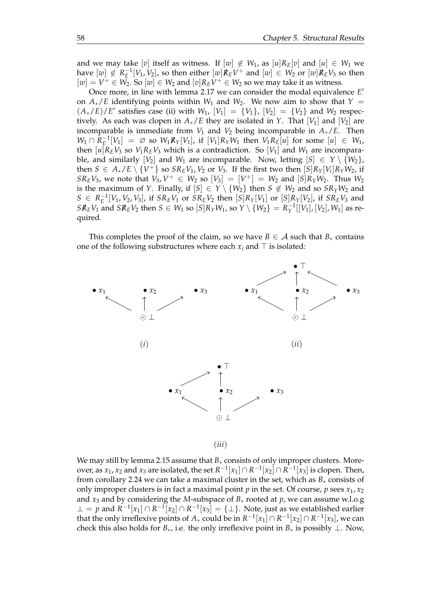and we may take [*v*] itself as witness. If  $[w] \notin W_1$ , as  $[u]R_E[v]$  and  $[u] \in W_1$  we have  $[w] \notin R_E^{-1}[V_1, V_2]$ , so then either  $[w]R_EV^+$  and  $[w] \in W_2$  or  $[w]R_EV_3$  so then  $[w] = V^+ \in W_2$ . So  $[w] \in W_2$  and  $[v]R_EV^+ \in W_2$  so we may take it as witness.

Once more, in line with lemma [2.17](#page-20-1) we can consider the modal equivalence *E* ′ on  $A_*/E$  identifying points within  $W_1$  and  $W_2$ . We now aim to show that  $Y =$  $(A_*/E)/E'$  satisfies case (ii) with *W*<sub>1</sub>, [*V*<sub>1</sub>] = {*V*<sub>1</sub>}, [*V*<sub>2</sub>] = {*V*<sub>2</sub>} and *W*<sub>2</sub> respectively. As each was clopen in  $A_*/E$  they are isolated in *Y*. That [*V*<sub>1</sub>] and [*V*<sub>2</sub>] are incomparable is immediate from  $V_1$  and  $V_2$  being incomparable in  $A_*/E$ . Then *W*<sub>1</sub> ∩  $R_E^{-1}[V_1] = ∅$  so  $W_1R_Y[V_1]$ , if  $[V_1]R_YW_1$  then  $V_1R_E[u]$  for some  $[u] ∈ W_1$ , then  $[u]R_EV_3$  so  $V_1R_EV_3$  which is a contradiction. So  $[V_1]$  and  $W_1$  are incomparable, and similarly  $[V_2]$  and  $W_1$  are incomparable. Now, letting  $[S] \in Y \setminus \{W_2\}$ , then  $S \in A_*/E \setminus \{V^+\}$  so  $SR_EV_1$ ,  $V_2$  or  $V_3$ . If the first two then  $[S]R_Y[V_i]R_YW_2$ , if *SR*<sub>*E*</sub>*V*<sub>3</sub>, we note that *V*<sub>3</sub>,  $V^+ \in W_2$  so  $[V_3] = [V^+] = W_2$  and  $[S]R_YW_2$ . Thus  $W_2$ is the maximum of *Y*. Finally, if  $[S] \in Y \setminus \{W_2\}$  then  $S \notin W_2$  and so  $SR_YW_2$  and  $S \in R_E^{-1}[V_1, V_2, V_3]$ , if  $SR_EV_1$  or  $SR_EV_2$  then  $[S]R_Y[V_1]$  or  $[S]R_Y[V_2]$ , if  $SR_EV_3$  and *SR*<sub>*E*</sub>*V*<sub>1</sub> and *SR*<sub>*E*</sub>*V*<sub>2</sub> then *S* ∈ *W*<sub>1</sub> so [*S*]*R*<sub>Y</sub>*W*<sub>1</sub>, so *Y* \ {*W*<sub>2</sub>} =  $R_Y^{-1}[[V_1]$ , [*V*<sub>2</sub>], *W*<sub>1</sub>] as required.

This completes the proof of the claim, so we have  $B \in A$  such that  $B_*$  contains one of the following substructures where each  $x_i$  and  $\top$  is isolated:



We may still by lemma [2.15](#page-19-0) assume that *B*<sup>∗</sup> consists of only improper clusters. Moreover, as  $x_1$ ,  $x_2$  and  $x_3$  are isolated, the set  $R^{-1}[x_1]\cap R^{-1}[x_2]\cap R^{-1}[x_3]$  is clopen. Then, from corollary [2.24](#page-25-0) we can take a maximal cluster in the set, which as  $B_*$  consists of only improper clusters is in fact a maximal point *p* in the set. Of course, *p* sees  $x_1$ ,  $x_2$ and *x*<sup>3</sup> and by considering the *M*-subspace of *B*<sup>∗</sup> rooted at *p*, we can assume w.l.o.g ⊥ = *p* and  $R^{-1}[x_1] \cap R^{-1}[x_2] \cap R^{-1}[x_3] = \{\perp\}$ . Note, just as we established earlier that the only irreflexive points of  $A_*$  could be in  $R^{-1}[x_1] \cap R^{-1}[x_2] \cap R^{-1}[x_3]$ , we can check this also holds for  $B_*$ , i.e. the only irreflexive point in  $B_*$  is possibly  $\perp$ . Now,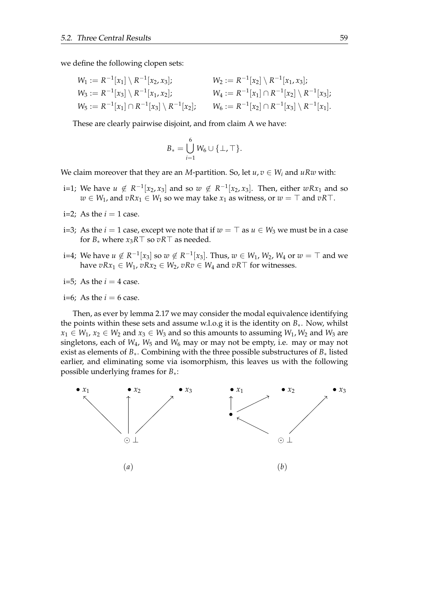we define the following clopen sets:

$$
W_1 := R^{-1}[x_1] \setminus R^{-1}[x_2, x_3]; \qquad W_2 := R^{-1}[x_2] \setminus R^{-1}[x_1, x_3];
$$
  
\n
$$
W_3 := R^{-1}[x_3] \setminus R^{-1}[x_1, x_2]; \qquad W_4 := R^{-1}[x_1] \cap R^{-1}[x_2] \setminus R^{-1}[x_3];
$$
  
\n
$$
W_5 := R^{-1}[x_1] \cap R^{-1}[x_3] \setminus R^{-1}[x_2]; \qquad W_6 := R^{-1}[x_2] \cap R^{-1}[x_3] \setminus R^{-1}[x_1].
$$

These are clearly pairwise disjoint, and from claim A we have:

$$
B_* = \bigcup_{i=1}^6 W_6 \cup \{\bot, \top\}.
$$

We claim moreover that they are an *M*-partition. So, let  $u, v \in W_i$  and  $uRw$  with:

- i=1; We have  $u \notin R^{-1}[x_2, x_3]$  and so  $w \notin R^{-1}[x_2, x_3]$ . Then, either  $wRx_1$  and so *w* ∈ *W*<sub>1</sub>, and *vRx*<sub>1</sub> ∈ *W*<sub>1</sub> so we may take *x*<sub>1</sub> as witness, or *w* = ⊤ and *vR*⊤.
- i=2: As the  $i = 1$  case.
- i=3; As the *i* = 1 case, except we note that if  $w = T$  as  $u \in W_3$  we must be in a case for *B*<sup>∗</sup> where *x*3*R*⊤ so *vR*⊤ as needed.
- i=4; We have  $u \notin R^{-1}[x_3]$  so  $w \notin R^{-1}[x_3]$ . Thus,  $w \in W_1$ ,  $W_2$ ,  $W_4$  or  $w = \top$  and we have  $vRx_1 \in W_1$ ,  $vRx_2 \in W_2$ ,  $vRv \in W_4$  and  $vR\top$  for witnesses.
- $i=5$ ; As the  $i=4$  case.
- $i=6$ ; As the  $i=6$  case.

Then, as ever by lemma [2.17](#page-20-1) we may consider the modal equivalence identifying the points within these sets and assume w.l.o.g it is the identity on  $B_*$ . Now, whilst  $x_1 \in W_1$ ,  $x_2 \in W_2$  and  $x_3 \in W_3$  and so this amounts to assuming  $W_1$ ,  $W_2$  and  $W_3$  are singletons, each of *W*4, *W*<sup>5</sup> and *W*<sup>6</sup> may or may not be empty, i.e. may or may not exist as elements of *B*∗. Combining with the three possible substructures of *B*∗ listed earlier, and eliminating some via isomorphism, this leaves us with the following possible underlying frames for *B*∗:

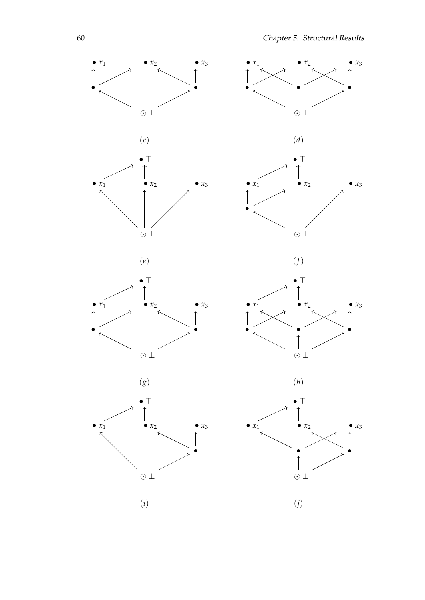

















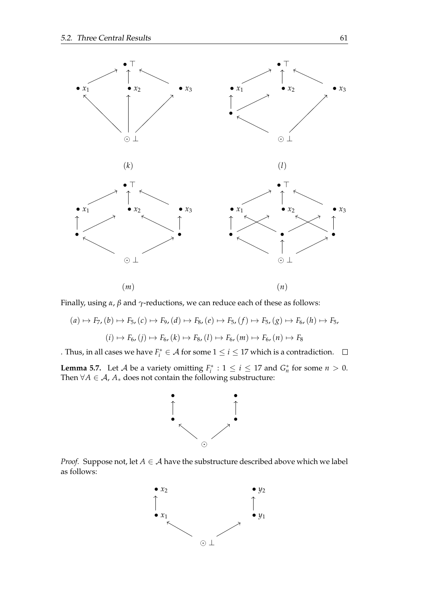

Finally, using *α*, *β* and *γ*-reductions, we can reduce each of these as follows:

$$
(a) \mapsto F_7, (b) \mapsto F_5, (c) \mapsto F_9, (d) \mapsto F_8, (e) \mapsto F_5, (f) \mapsto F_5, (g) \mapsto F_6, (h) \mapsto F_5,
$$
  

$$
(i) \mapsto F_6, (j) \mapsto F_6, (k) \mapsto F_8, (l) \mapsto F_6, (m) \mapsto F_6, (n) \mapsto F_8
$$

. Thus, in all cases we have  $F_i^* \in \mathcal{A}$  for some  $1 \leq i \leq 17$  which is a contradiction.

<span id="page-64-0"></span>**Lemma 5.7.** Let *A* be a variety omitting  $F_i^*$  :  $1 \le i \le 17$  and  $G_n^*$  for some  $n > 0$ . Then  $\forall A \in \mathcal{A}$ ,  $A_*$  does not contain the following substructure:



*Proof.* Suppose not, let  $A \in \mathcal{A}$  have the substructure described above which we label as follows:

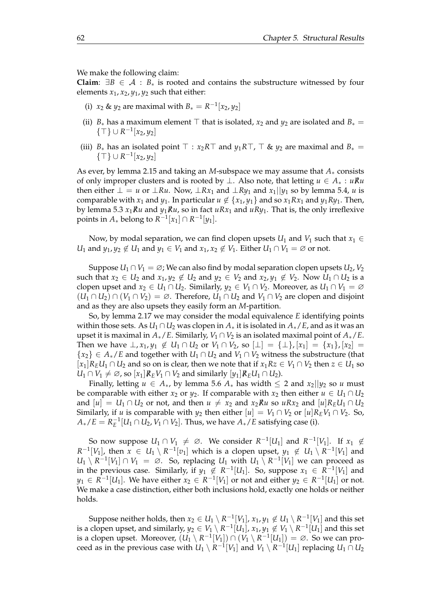We make the following claim:

**Claim:**  $\exists B \in \mathcal{A}$  :  $B_*$  is rooted and contains the substructure witnessed by four elements  $x_1$ ,  $x_2$ ,  $y_1$ ,  $y_2$  such that either:

- (i) *x*<sub>2</sub> & *y*<sub>2</sub> are maximal with  $B_* = R^{-1}[x_2, y_2]$
- (ii)  $B_*$  has a maximum element  $\top$  that is isolated,  $x_2$  and  $y_2$  are isolated and  $B_* =$ {⊤} ∪ *R* −1 [*x*2, *y*2]
- (iii)  $B_*$  has an isolated point  $\top$  : *x*<sub>2</sub>*R* $\top$  and *y*<sub>1</sub>*R* $\top$ *,*  $\top$  & *y*<sub>2</sub> are maximal and  $B_*$  = {⊤} ∪ *R* −1 [*x*2, *y*2]

As ever, by lemma [2.15](#page-19-0) and taking an *M*-subspace we may assume that *A*∗ consists of only improper clusters and is rooted by ⊥. Also note, that letting *u* ∈ *A*<sup>∗</sup> : *uRu*/ then either  $\bot = u$  or  $\bot Ru$ . Now,  $\bot Rx_1$  and  $\bot Ry_1$  and  $x_1||y_1$  so by lemma [5.4,](#page-56-0) *u* is comparable with *x*<sub>1</sub> and *y*<sub>1</sub>. In particular  $u \notin \{x_1, y_1\}$  and so  $x_1 R x_1$  and  $y_1 R y_1$ . Then, by lemma [5.3](#page-53-0)  $x_1Ru$  and  $y_1Ru$ , so in fact  $uRx_1$  and  $uRy_1$ . That is, the only irreflexive points in  $A_*$  belong to  $R^{-1}[x_1] \cap R^{-1}[y_1]$ .

Now, by modal separation, we can find clopen upsets  $U_1$  and  $V_1$  such that  $x_1 \in$ *U*<sub>1</sub> and *y*<sub>1</sub>, *y*<sub>2</sub>  $\notin U$ <sub>1</sub> and *y*<sub>1</sub>  $\in V$ <sub>1</sub> and *x*<sub>1</sub>, *x*<sub>2</sub>  $\notin V$ <sub>1</sub>. Either *U*<sub>1</sub>  $\cap V$ <sub>1</sub>  $= \emptyset$  or not.

Suppose  $U_1 \cap V_1 = \emptyset$ ; We can also find by modal separation clopen upsets  $U_2$ ,  $V_2$ such that  $x_2 \in U_2$  and  $x_1, y_2 \notin U_2$  and  $y_2 \in V_2$  and  $x_2, y_1 \notin V_2$ . Now  $U_1 \cap U_2$  is a clopen upset and  $x_2 \in U_1 \cap U_2$ . Similarly,  $y_2 \in V_1 \cap V_2$ . Moreover, as  $U_1 \cap V_1 = \emptyset$  $(U_1 \cap U_2) \cap (V_1 \cap V_2) = \emptyset$ . Therefore,  $U_1 \cap U_2$  and  $V_1 \cap V_2$  are clopen and disjoint and as they are also upsets they easily form an *M*-partition.

So, by lemma [2.17](#page-20-1) we may consider the modal equivalence *E* identifying points within those sets. As  $U_1 \cap U_2$  was clopen in  $A_*$  it is isolated in  $A_*/E$ , and as it was an upset it is maximal in  $A_*/E$ . Similarly,  $V_1 \cap V_2$  is an isolated maximal point of  $A_*/E$ . Then we have  $\perp$ ,  $x_1, y_1 \notin U_1 \cap U_2$  or  $V_1 \cap V_2$ , so  $[\perp] = {\perp}$ ,  $[x_1] = {x_1}$ ,  $[x_2] =$  ${x_2} \in A_*/E$  and together with  $U_1 \cap U_2$  and  $V_1 \cap V_2$  witness the substructure (that  $[x_1]R_EU_1 \cap U_2$  and so on is clear, then we note that if  $x_1Rz \in V_1 \cap V_2$  then  $z \in U_1$  so *U*<sub>1</sub> ∩ *V*<sub>1</sub> ≠ ∅, so  $[x_1]\mathcal{R}_E V_1 \cap V_2$  and similarly  $[y_1]\mathcal{R}_E U_1 \cap U_2$ .

Finally, letting  $u \in A_*$ , by lemma [5.6](#page-59-0)  $A_*$  has width  $\leq 2$  and  $x_2 \mid y_2$  so  $u$  must be comparable with either *x*<sub>2</sub> or *y*<sub>2</sub>. If comparable with *x*<sub>2</sub> then either  $u \in U_1 \cap U_2$ and  $[u] = U_1 \cap U_2$  or not, and then  $u \neq x_2$  and  $x_2 \nparallel u$  so  $u R x_2$  and  $[u] R_E U_1 \cap U_2$ Similarly, if *u* is comparable with  $y_2$  then either  $|u| = V_1 \cap V_2$  or  $|u| R_E V_1 \cap V_2$ . So,  $A_*/E = R_E^{-1}[U_1 \cap U_2, V_1 \cap V_2]$ . Thus, we have  $A_*/E$  satisfying case (i).

So now suppose  $U_1 \cap V_1 \neq \emptyset$ . We consider  $R^{-1}[U_1]$  and  $R^{-1}[V_1]$ . If  $x_1 \notin$  $R^{-1}[V_1]$ , then  $x \in U_1 \setminus R^{-1}[v_1]$  which is a clopen upset,  $y_1 \notin U_1 \setminus R^{-1}[V_1]$  and  $U_1 \setminus R^{-1}[V_1] \cap V_1 = \emptyset$ . So, replacing  $U_1$  with  $U_1 \setminus R^{-1}[V_1]$  we can proceed as in the previous case. Similarly, if  $y_1 \notin R^{-1}[U_1]$ . So, suppose  $x_1 \in R^{-1}[V_1]$  and *y*<sub>1</sub> ∈ *R*<sup>-1</sup>[*U*<sub>1</sub>]. We have either  $x_2$  ∈ *R*<sup>-1</sup>[*V*<sub>1</sub>] or not and either  $y_2$  ∈ *R*<sup>-1</sup>[*U*<sub>1</sub>] or not. We make a case distinction, either both inclusions hold, exactly one holds or neither holds.

Suppose neither holds, then  $x_2\in U_1\setminus R^{-1}[V_1]$ ,  $x_1,y_1\not\in U_1\setminus R^{-1}[V_1]$  and this set is a clopen upset, and similarly,  $y_2\in V_1\setminus R^{-1}[U_1]$ ,  $x_1,y_1\not\in V_1\setminus R^{-1}[U_1]$  and this set is a clopen upset. Moreover,  $(U_1 \setminus R^{-1}[V_1]) \cap (V_1 \setminus R^{-1}[U_1]) = \varnothing$ . So we can proceed as in the previous case with  $U_1 \setminus R^{-1}[V_1]$  and  $V_1 \setminus R^{-1}[U_1]$  replacing  $U_1 \cap U_2$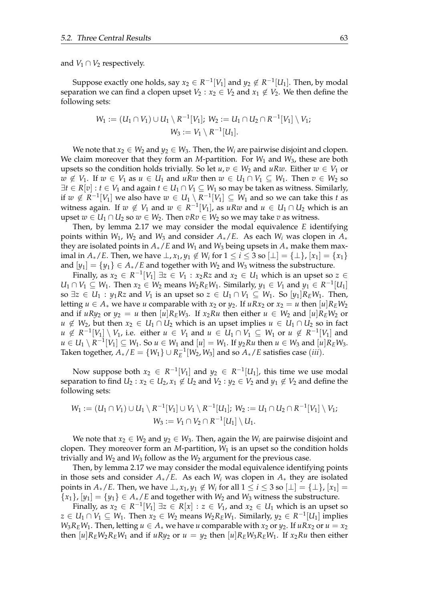and  $V_1 \cap V_2$  respectively.

Suppose exactly one holds, say  $x_2 \in R^{-1}[V_1]$  and  $y_2 \notin R^{-1}[U_1]$ . Then, by modal separation we can find a clopen upset  $V_2 : x_2 \in V_2$  and  $x_1 \notin V_2$ . We then define the following sets:

$$
W_1 := (U_1 \cap V_1) \cup U_1 \setminus R^{-1}[V_1]; W_2 := U_1 \cap U_2 \cap R^{-1}[V_1] \setminus V_1;
$$
  

$$
W_3 := V_1 \setminus R^{-1}[U_1].
$$

We note that  $x_2 \in W_2$  and  $y_2 \in W_3$ . Then, the  $W_i$  are pairwise disjoint and clopen. We claim moreover that they form an *M*-partition. For  $W_1$  and  $W_3$ , these are both upsets so the condition holds trivially. So let  $u, v \in W_2$  and  $uRw$ . Either  $w \in V_1$  or *w* ∉ *V*<sub>1</sub>. If *w* ∈ *V*<sub>1</sub> as *u* ∈ *U*<sub>1</sub> and *uRw* then *w* ∈ *U*<sub>1</sub> ∩ *V*<sub>1</sub> ⊆ *W*<sub>1</sub>. Then *v* ∈ *W*<sub>2</sub> so  $\exists t \in R[v] : t \in V_1$  and again  $t \in U_1 \cap V_1 \subseteq W_1$  so may be taken as witness. Similarly, if  $w \notin R^{-1}[V_1]$  we also have  $w \in U_1 \setminus R^{-1}[V_1] \subseteq W_1$  and so we can take this *t* as witness again. If  $w \notin V_1$  and  $w \in R^{-1}[V_1]$ , as  $uRw$  and  $u \in U_1 \cap U_2$  which is an upset *w* ∈ *U*<sub>1</sub> ∩ *U*<sub>2</sub> so *w* ∈ *W*<sub>2</sub>. Then *vRv* ∈ *W*<sub>2</sub> so we may take *v* as witness.

Then, by lemma [2.17](#page-20-1) we may consider the modal equivalence *E* identifying points within  $W_1$ ,  $W_2$  and  $W_3$  and consider  $A_*/E$ . As each  $W_i$  was clopen in  $A_*$ they are isolated points in  $A_*/E$  and  $W_1$  and  $W_3$  being upsets in  $A_*$  make them maximal in  $A_*/E$ . Then, we have  $\perp$ ,  $x_1$ ,  $y_1 \notin W_i$  for  $1 \leq i \leq 3$  so  $[\perp] = {\perp}$ ,  $[x_1] = \{x_1\}$ and  $[y_1] = \{y_1\} \in A_*/E$  and together with  $W_2$  and  $W_3$  witness the substructure.

Finally, as  $x_2 \in R^{-1}[V_1] \exists z \in V_1 : x_2Rz$  and  $x_2 \in U_1$  which is an upset so  $z \in$ *U*<sub>1</sub> ∩ *V*<sub>1</sub> ⊆ *W*<sub>1</sub>. Then  $x_2 \in W_2$  means  $W_2R_EW_1$ . Similarly,  $y_1 \in V_1$  and  $y_1 \in R^{-1}[U_1]$ so  $\exists z \in U_1 : y_1Rz$  and  $V_1$  is an upset so  $z \in U_1 \cap V_1 \subseteq W_1$ . So  $[y_1]R_EW_1$ . Then, letting  $u \in A_*$  we have *u* comparable with  $x_2$  or  $y_2$ . If  $uRx_2$  or  $x_2 = u$  then  $[u]R_EW_2$ and if  $uRy_2$  or  $y_2 = u$  then  $[u]R_EW_3$ . If  $x_2Ru$  then either  $u \in W_2$  and  $[u]R_EW_2$  or *u* ∉ *W*<sub>2</sub>, but then  $x_2$  ∈ *U*<sub>1</sub> ∩ *U*<sub>2</sub> which is an upset implies  $u$  ∈ *U*<sub>1</sub> ∩ *U*<sub>2</sub> so in fact *u* ∉  $R^{-1}[V_1] \setminus V_1$ , i.e. either  $u \in V_1$  and  $u \in U_1 \cap V_1 \subseteq W_1$  or  $u \notin R^{-1}[V_1]$  and  $u \in U_1 \setminus R^{-1}[V_1] \subseteq W_1$ . So  $u \in W_1$  and  $[u] = W_1$ . If  $y_2Ru$  then  $u \in W_3$  and  $[u]R_EW_3$ . Taken together,  $A_*/E = \{W_1\} \cup R_E^{-1}[W_2, W_3]$  and so  $A_*/E$  satisfies case (*iii*).

Now suppose both  $x_2 \in R^{-1}[V_1]$  and  $y_2 \in R^{-1}[U_1]$ , this time we use modal separation to find  $U_2: x_2 \in U_2, x_1 \notin U_2$  and  $V_2: y_2 \in V_2$  and  $y_1 \notin V_2$  and define the following sets:

$$
W_1 := (U_1 \cap V_1) \cup U_1 \setminus R^{-1}[V_1] \cup V_1 \setminus R^{-1}[U_1]; W_2 := U_1 \cap U_2 \cap R^{-1}[V_1] \setminus V_1;
$$
  

$$
W_3 := V_1 \cap V_2 \cap R^{-1}[U_1] \setminus U_1.
$$

We note that  $x_2 \in W_2$  and  $y_2 \in W_3$ . Then, again the  $W_i$  are pairwise disjoint and clopen. They moreover form an *M*-partition, *W*<sup>1</sup> is an upset so the condition holds trivially and  $W_2$  and  $W_3$  follow as the  $W_2$  argument for the previous case.

Then, by lemma [2.17](#page-20-1) we may consider the modal equivalence identifying points in those sets and consider  $A_*/E$ . As each  $W_i$  was clopen in  $A_*$  they are isolated points in  $A_*/E$ . Then, we have  $\perp$ ,  $x_1$ ,  $y_1 \notin W_i$  for all  $1 \le i \le 3$  so  $[\perp] = {\perp}$ ,  $[x_1] =$  ${x_1}$ ,  ${y_1} = {y_1} \in A_*/E$  and together with  $W_2$  and  $W_3$  witness the substructure.

Finally, as  $x_2 \in R^{-1}[V_1] \exists z \in R[x] : z \in V_1$ , and  $x_2 \in U_1$  which is an upset so *z* ∈ *U*<sub>1</sub> ∩ *V*<sub>1</sub> ⊆ *W*<sub>1</sub>. Then *x*<sub>2</sub> ∈ *W*<sub>2</sub> means *W*<sub>2</sub>*R*<sub>*E*</sub>*W*<sub>1</sub>. Similarly, *y*<sub>2</sub> ∈ *R*<sup>-1</sup>[*U*<sub>1</sub>] implies  $W_3R_EW_1$ . Then, letting  $u \in A_*$  we have *u* comparable with  $x_2$  or  $y_2$ . If  $uRx_2$  or  $u = x_2$ then  $[u]R_EW_2R_EW_1$  and if  $uRy_2$  or  $u = y_2$  then  $[u]R_EW_3R_EW_1$ . If  $x_2Ru$  then either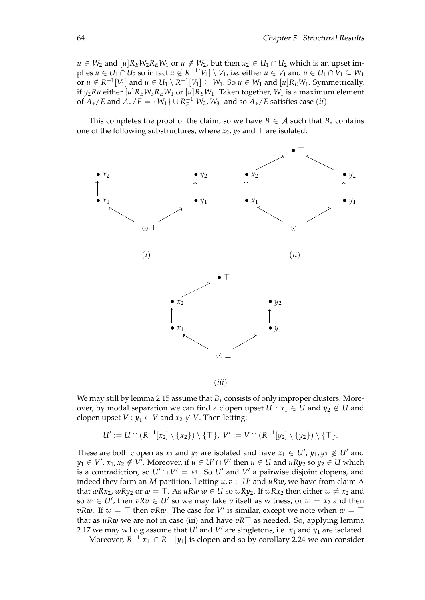*u* ∈ *W*<sub>2</sub> and  $[u]R_EW_2R_EW_1$  or  $u \notin W_2$ , but then  $x_2 \in U_1 \cap U_2$  which is an upset im $p$ lies  $u \in U_1 \cap U_2$  so in fact  $u \notin R^{-1}[V_1] \setminus V_1$ , i.e. either  $u \in V_1$  and  $u \in U_1 \cap V_1 \subseteq W_1$  $\overline{\mathrm{d}}$  or  $u \not\in R^{-1}[V_1]$  and  $u \in U_1 \setminus R^{-1}[V_1] \subseteq W_1.$  So  $u \in W_1$  and  $[u]R_EW_1.$  Symmetrically, if  $y_2Ru$  either  $[u]R_EW_3R_EW_1$  or  $[u]R_EW_1$ . Taken together,  $W_1$  is a maximum element of  $A_*/E$  and  $A_*/E = \{W_1\} \cup R_E^{-1}[W_2, W_3]$  and so  $A_*/E$  satisfies case (*ii*).

This completes the proof of the claim, so we have  $B \in \mathcal{A}$  such that  $B_*$  contains one of the following substructures, where *x*2, *y*<sup>2</sup> and ⊤ are isolated:



(*iii*)

We may still by lemma [2.15](#page-19-0) assume that *B*<sup>∗</sup> consists of only improper clusters. Moreover, by modal separation we can find a clopen upset  $U : x_1 \in U$  and  $y_2 \notin U$  and clopen upset *V* :  $y_1 \in V$  and  $x_2 \notin V$ . Then letting:

$$
U' := U \cap (R^{-1}[x_2] \setminus \{x_2\}) \setminus \{\top\}, V' := V \cap (R^{-1}[y_2] \setminus \{y_2\}) \setminus \{\top\}.
$$

These are both clopen as  $x_2$  and  $y_2$  are isolated and have  $x_1 \in U'$ ,  $y_1, y_2 \notin U'$  and  $y_1 \in V'$ ,  $x_1, x_2 \notin V'$ . Moreover, if  $u \in U' \cap V'$  then  $u \in U$  and  $uRy_2$  so  $y_2 \in U$  which is a contradiction, so  $U' \cap V' = \emptyset$ . So  $U'$  and  $V'$  a pairwise disjoint clopens, and indeed they form an *M*-partition. Letting  $u, v \in U'$  and  $u R w$ , we have from claim A that *wRx*<sub>2</sub>, *wRy*<sub>2</sub> or *w* = ⊤. As *uRw w* ∈ *U* so *wRy*<sub>2</sub>. If *wRx*<sub>2</sub> then either *w*  $\neq$  *x*<sub>2</sub> and so  $w \in U'$ , then  $vRv \in U'$  so we may take  $v$  itself as witness, or  $w = x_2$  and then *vRw*. If  $w = ⊤$  then *vRw*. The case for  $V'$  is similar, except we note when  $w = ⊤$ that as *uRw* we are not in case (iii) and have *vR*⊤ as needed. So, applying lemma [2.17](#page-20-1) we may w.l.o.g assume that  $U'$  and  $V'$  are singletons, i.e.  $x_1$  and  $y_1$  are isolated.

Moreover,  $R^{-1}[x_1] \cap R^{-1}[y_1]$  is clopen and so by corollary [2.24](#page-25-0) we can consider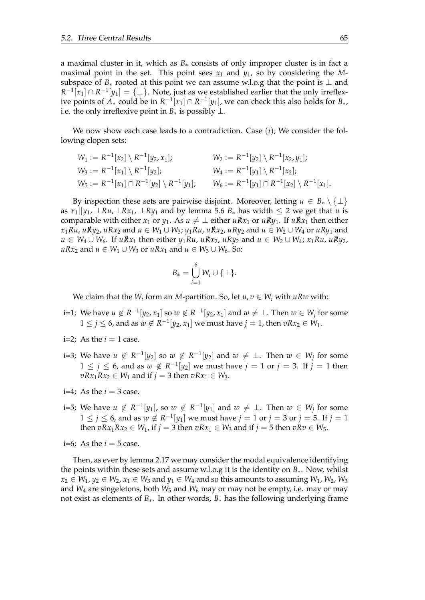a maximal cluster in it, which as *B*∗ consists of only improper cluster is in fact a maximal point in the set. This point sees  $x_1$  and  $y_1$ , so by considering the Msubspace of  $B_*$  rooted at this point we can assume w.l.o.g that the point is  $\perp$  and  $R^{-1}[x_1] \cap R^{-1}[y_1] = \{\perp\}$ . Note, just as we established earlier that the only irreflexive points of  $A_*$  could be in  $R^{-1}[x_1] \cap R^{-1}[y_1]$ , we can check this also holds for  $B_*$ , i.e. the only irreflexive point in  $B_*$  is possibly  $\perp$ .

We now show each case leads to a contradiction. Case (*i*); We consider the following clopen sets:

$$
W_1 := R^{-1}[x_2] \setminus R^{-1}[y_2, x_1]; \qquad W_2 := R^{-1}[y_2] \setminus R^{-1}[x_2, y_1];
$$
  
\n
$$
W_3 := R^{-1}[x_1] \setminus R^{-1}[y_2]; \qquad W_4 := R^{-1}[y_1] \setminus R^{-1}[x_2];
$$
  
\n
$$
W_5 := R^{-1}[x_1] \cap R^{-1}[y_2] \setminus R^{-1}[y_1]; \qquad W_6 := R^{-1}[y_1] \cap R^{-1}[x_2] \setminus R^{-1}[x_1].
$$

By inspection these sets are pairwise disjoint. Moreover, letting  $u \in B_* \setminus \{\perp\}$ as  $x_1||y_1$ ,  $\perp Ru$ ,  $\perp Rx_1$ ,  $\perp Ry_1$  and by lemma [5.6](#page-59-0)  $B_*$  has width  $\leq 2$  we get that *u* is comparable with either *x*<sub>1</sub> or *y*<sub>1</sub>. As  $u \neq \bot$  either  $u\nRx_1$  or  $uRy_1$ . If  $uRx_1$  then either  $x_1Ru$ ,  $uRy_2$ ,  $uRx_2$  and  $u \in W_1 \cup W_3$ ;  $y_1Ru$ ,  $uRx_2$ ,  $uRy_2$  and  $u \in W_2 \cup W_4$  or  $uRy_1$  and *u* ∈ *W*<sub>4</sub> ∪ *W*<sub>6</sub>. If *uRx*<sub>1</sub> then either *y*<sub>1</sub>*Ru*, *uRx*<sub>2</sub>, *uRy*<sub>2</sub> and *u* ∈ *W*<sub>2</sub> ∪ *W*<sub>4</sub>; *x*<sub>1</sub>*Ru*, *uRv*<sub>2</sub>, *uRx*<sub>2</sub> and *u* ∈ *W*<sub>1</sub> ∪ *W*<sub>3</sub> or *uRx*<sub>1</sub> and *u* ∈ *W*<sub>3</sub> ∪ *W*<sub>6</sub>. So:

$$
B_*=\bigcup_{i=1}^6 W_i\cup\{\perp\}.
$$

We claim that the  $W_i$  form an *M*-partition. So, let  $u, v \in W_i$  with  $uRw$  with:

- i=1; We have  $u \notin R^{-1}[y_2, x_1]$  so  $w \notin R^{-1}[y_2, x_1]$  and  $w \neq \bot$ . Then  $w \in W_j$  for some  $1 \leq j \leq 6$ , and as  $w \notin R^{-1}[y_2, x_1]$  we must have  $j = 1$ , then  $vRx_2 \in W_1$ .
- i=2; As the  $i = 1$  case.
- i=3; We have  $u \notin R^{-1}[y_2]$  so  $w \notin R^{-1}[y_2]$  and  $w \neq \bot$ . Then  $w \in W_j$  for some  $1 ≤ j ≤ 6$ , and as  $w ∉ R^{-1}[y_2]$  we must have  $j = 1$  or  $j = 3$ . If  $j = 1$  then  $vRx_1Rx_2 \in W_1$  and if  $j = 3$  then  $vRx_1 \in W_3$ .
- i=4; As the  $i = 3$  case.
- i=5; We have  $u \notin R^{-1}[y_1]$ , so  $w \notin R^{-1}[y_1]$  and  $w \neq \bot$ . Then  $w \in W_j$  for some  $1 \leq j \leq 6$ , and as  $w \notin R^{-1}[y_1]$  we must have  $j = 1$  or  $j = 3$  or  $j = 5$ . If  $j = 1$ then  $vRx_1Rx_2 \in W_1$ , if  $j = 3$  then  $vRx_1 \in W_3$  and if  $j = 5$  then  $vRv \in W_5$ .
- i=6: As the  $i = 5$  case.

Then, as ever by lemma [2.17](#page-20-1) we may consider the modal equivalence identifying the points within these sets and assume w.l.o.g it is the identity on *B*∗. Now, whilst  $x_2 \in W_1$ ,  $y_2 \in W_2$ ,  $x_1 \in W_3$  and  $y_1 \in W_4$  and so this amounts to assuming  $W_1$ ,  $W_2$ ,  $W_3$ and  $W_4$  are singeletons, both  $W_5$  and  $W_6$  may or may not be empty, i.e. may or may not exist as elements of *B*∗. In other words, *B*∗ has the following underlying frame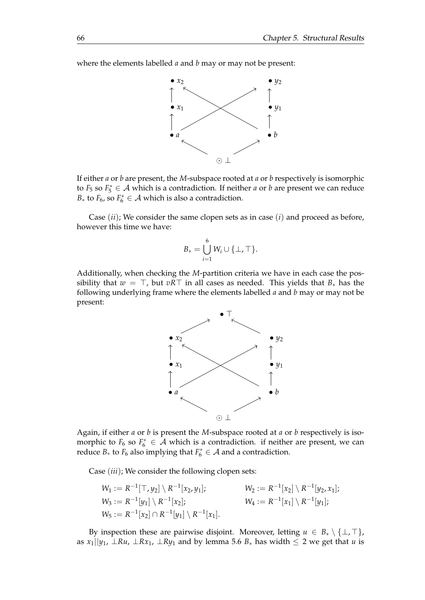where the elements labelled *a* and *b* may or may not be present:



If either *a* or *b* are present, the *M*-subspace rooted at *a* or *b* respectively is isomorphic to  $F_5$  so  $F_5^* \in \mathcal{A}$  which is a contradiction. If neither *a* or *b* are present we can reduce *B*<sup>∗</sup> to *F*<sup>6</sup>, so *F*<sup> $*$ </sup>  $\in$  *A* which is also a contradiction.

Case (*ii*); We consider the same clopen sets as in case (*i*) and proceed as before, however this time we have:

$$
B_* = \bigcup_{i=1}^6 W_i \cup \{\perp, \top\}.
$$

Additionally, when checking the *M*-partition criteria we have in each case the possibility that  $w = \top$ , but  $vR\top$  in all cases as needed. This yields that  $B_*$  has the following underlying frame where the elements labelled *a* and *b* may or may not be present:



Again, if either *a* or *b* is present the *M*-subspace rooted at *a* or *b* respectively is isomorphic to  $F_6$  so  $F_6^* \in \mathcal{A}$  which is a contradiction. if neither are present, we can reduce  $B_*$  to  $F_6$  also implying that  $F_6^* \in A$  and a contradiction.

Case (*iii*); We consider the following clopen sets:

$$
W_1 := R^{-1}[\top, y_2] \setminus R^{-1}[x_2, y_1]; \qquad W_2 := R^{-1}[x_2] \setminus R^{-1}[y_2, x_1];
$$
  
\n
$$
W_3 := R^{-1}[y_1] \setminus R^{-1}[x_2]; \qquad W_4 := R^{-1}[x_1] \setminus R^{-1}[y_1];
$$
  
\n
$$
W_5 := R^{-1}[x_2] \cap R^{-1}[y_1] \setminus R^{-1}[x_1].
$$

By inspection these are pairwise disjoint. Moreover, letting  $u \in B_* \setminus \{\perp, \top\}$ , as  $x_1||y_1$ ,  $\perp Ru$ ,  $\perp Rx_1$ ,  $\perp Ry_1$  and by lemma [5.6](#page-59-0)  $B_*$  has width  $\leq 2$  we get that *u* is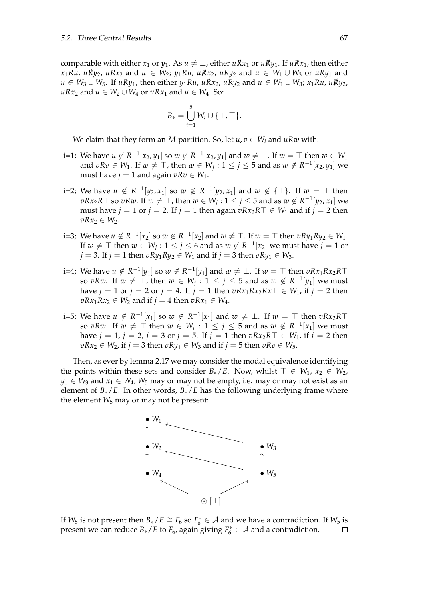comparable with either  $x_1$  or  $y_1$ . As  $u \neq \perp$ , either  $uRx_1$  or  $uRx_1$ , If  $uRx_1$ , then either  $x_1Ru$ ,  $uRy_2$ ,  $uRx_2$  and  $u \in W_2$ ;  $y_1Ru$ ,  $uRx_2$ ,  $uRy_2$  and  $u \in W_1 \cup W_3$  or  $uRy_1$  and *u* ∈ *W*<sub>3</sub> ∪ *W*<sub>5</sub>. If *uRy*<sub>1</sub>, then either *y*<sub>1</sub>*Ru*, *uRx*<sub>2</sub>, *uRy*<sub>2</sub> and *u* ∈ *W*<sub>1</sub> ∪ *W*<sub>3</sub>; *x*<sub>1</sub>*Ru*, *uRv*<sub>2</sub>, *uRx*<sub>2</sub> and *u* ∈ *W*<sub>2</sub> ∪ *W*<sub>4</sub> or *uRx*<sub>1</sub> and *u* ∈ *W*<sub>4</sub>. So:

$$
B_* = \bigcup_{i=1}^5 W_i \cup \{\perp, \top\}.
$$

We claim that they form an *M*-partition. So, let  $u, v \in W_i$  and  $uRw$  with:

- i=1; We have  $u \notin R^{-1}[x_2, y_1]$  so  $w \notin R^{-1}[x_2, y_1]$  and  $w \neq \bot$ . If  $w = \top$  then  $w \in W_1$ and  $vRv \in W_1$ . If  $w \neq \top$ , then  $w \in W_j: 1 \leq j \leq 5$  and as  $w \notin R^{-1}[x_2, y_1]$  we must have  $j = 1$  and again  $vRv \in W_1$ .
- i=2; We have  $u \notin R^{-1}[y_2, x_1]$  so  $w \notin R^{-1}[y_2, x_1]$  and  $w \notin {\{\perp\}}$ . If  $w = \top$  then *vRx*<sub>2</sub>*R*⊤ so *vRw*. If  $w \neq \top$ , then  $w \in W_j$  : 1 ≤ *j* ≤ 5 and as  $w \notin R^{-1}[y_2, x_1]$  we must have *j* = 1 or *j* = 2. If *j* = 1 then again  $vRx_2R\top \in W_1$  and if *j* = 2 then *vRx*<sub>2</sub> ∈ *W*<sub>2</sub>.
- i=3; We have  $u \notin R^{-1}[x_2]$  so  $w \notin R^{-1}[x_2]$  and  $w \neq \top$ . If  $w=\top$  then  $vRy_1Ry_2 \in W_1$ . If  $w \neq \top$  then  $w \in W_j : 1 \leq j \leq 6$  and as  $w \notin R^{-1}[x_2]$  we must have  $j = 1$  or *j* = 3. If *j* = 1 then *vRy*<sub>1</sub>*Ry*<sub>2</sub> ∈ *W*<sub>1</sub> and if *j* = 3 then *vRy*<sub>1</sub> ∈ *W*<sub>3</sub>.
- i=4; We have  $u \notin R^{-1}[y_1]$  so  $w \notin R^{-1}[y_1]$  and  $w \neq \bot$ . If  $w = \top$  then  $vRx_1Rx_2R\top$ so  $vRw$ . If  $w \neq \top$ , then  $w \in W_j : 1 \leq j \leq 5$  and as  $w \notin R^{-1}[y_1]$  we must have  $j = 1$  or  $j = 2$  or  $j = 4$ . If  $j = 1$  then  $vRx_1Rx_2Rx \top \in W_1$ , if  $j = 2$  then *vRx*<sub>1</sub>*Rx*<sub>2</sub> ∈ *W*<sub>2</sub> and if *j* = 4 then *vRx*<sub>1</sub> ∈ *W*<sub>4</sub>.
- i=5; We have  $u \notin R^{-1}[x_1]$  so  $w \notin R^{-1}[x_1]$  and  $w \neq \bot$ . If  $w = \top$  then  $vRx_2R\top$ so  $vRw$ . If  $w \neq \top$  then  $w \in W_j : 1 \leq j \leq 5$  and as  $w \notin R^{-1}[x_1]$  we must have *j* = 1, *j* = 2, *j* = 3 or *j* = 5. If *j* = 1 then *vRx*<sub>2</sub>*R*<sup>T</sup> ∈ *W*<sub>1</sub>, if *j* = 2 then  $vRx_2 \in W_2$ , if  $j = 3$  then  $vRy_1 \in W_3$  and if  $j = 5$  then  $vRv \in W_5$ .

Then, as ever by lemma [2.17](#page-20-1) we may consider the modal equivalence identifying the points within these sets and consider *B*<sup>∗</sup>/*E*. Now, whilst  $\top \in W_1$ ,  $x_2 \in W_2$ ,  $y_1 \in W_3$  and  $x_1 \in W_4$ ,  $W_5$  may or may not be empty, i.e. may or may not exist as an element of *B*∗/*E*. In other words, *B*∗/*E* has the following underlying frame where the element  $W_5$  may or may not be present:



If  $W_5$  is not present then  $B_*/E \cong F_6$  so  $F_6^* \in \mathcal{A}$  and we have a contradiction. If  $W_5$  is present we can reduce  $B_*/E$  to  $F_6$ , again giving  $F_6^* \in A$  and a contradiction.  $\Box$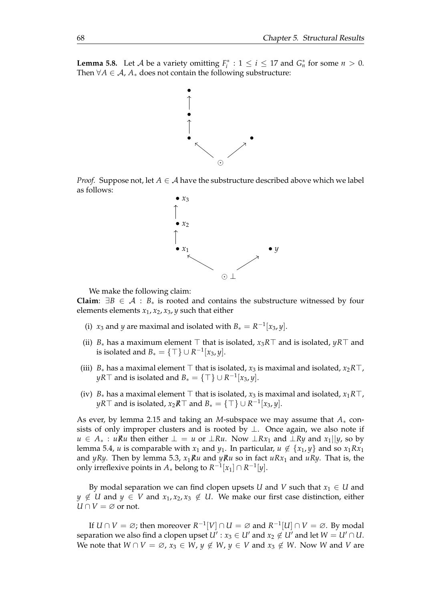<span id="page-71-0"></span>**Lemma 5.8.** Let *A* be a variety omitting  $F_i^* : 1 \le i \le 17$  and  $G_n^*$  for some  $n > 0$ . Then  $\forall A \in \mathcal{A}$ ,  $A_*$  does not contain the following substructure:







We make the following claim:

**Claim**:  $\exists B \in \mathcal{A} : B_*$  is rooted and contains the substructure witnessed by four elements elements *x*1, *x*2, *x*3, *y* such that either

- (i) *x*<sub>3</sub> and *y* are maximal and isolated with  $B_* = R^{-1}[x_3, y]$ .
- (ii) *B*<sup>∗</sup> has a maximum element ⊤ that is isolated, *x*3*R*⊤ and is isolated, *yR*⊤ and is isolated and  $B_* = \{ \top \} \cup R^{-1}[x_3, y].$
- (iii)  $B_*$  has a maximal element  $\top$  that is isolated,  $x_3$  is maximal and isolated,  $x_2R\top$ , *yR*⊤ and is isolated and  $B_* = \{ \top \} \cup R^{-1}[x_3, y].$
- (iv)  $B_*$  has a maximal element  $\top$  that is isolated,  $x_3$  is maximal and isolated,  $x_1R\top$ , *yR*⊤ and is isolated*, x*<sub>2</sub> $R$ <sup>T</sup> and  $B_* = \{T\} \cup R^{-1}[x_3, y].$

As ever, by lemma [2.15](#page-19-0) and taking an *M*-subspace we may assume that *A*∗ consists of only improper clusters and is rooted by  $\perp$ . Once again, we also note if *u* ∈  $A_*$ : *uRu* then either  $\bot = u$  or  $\bot Ru$ . Now  $\bot Rx_1$  and  $\bot Ry$  and  $x_1||y$ , so by lemma [5.4,](#page-56-0) *u* is comparable with  $x_1$  and  $y_1$ . In particular,  $u \notin \{x_1, y\}$  and so  $x_1 R x_1$ and *yRy*. Then by lemma [5.3,](#page-53-0)  $x_1Ru$  and  $yRu$  so in fact  $uRx_1$  and  $uRy$ . That is, the only irreflexive points in  $A_*$  belong to  $R^{-1}[x_1] \cap R^{-1}[y]$ .

By modal separation we can find clopen upsets *U* and *V* such that  $x_1 \in U$  and *y* ∉ *U* and *y* ∈ *V* and  $x_1, x_2, x_3$  ∉ *U*. We make our first case distinction, either  $U \cap V = \emptyset$  or not.

If  $U \cap V = \varnothing$ ; then moreover  $R^{-1}[V] \cap U = \varnothing$  and  $R^{-1}[U] \cap V = \varnothing$ . By modal separation we also find a clopen upset  $U': x_3 \in U'$  and  $x_2 \not\in U'$  and let  $W = U' \cap U.$ *We note that*  $W \cap V = \emptyset$ ,  $x_3 \in W$ ,  $y \notin W$ ,  $y \in V$  and  $x_3 \notin W$ . Now W and V are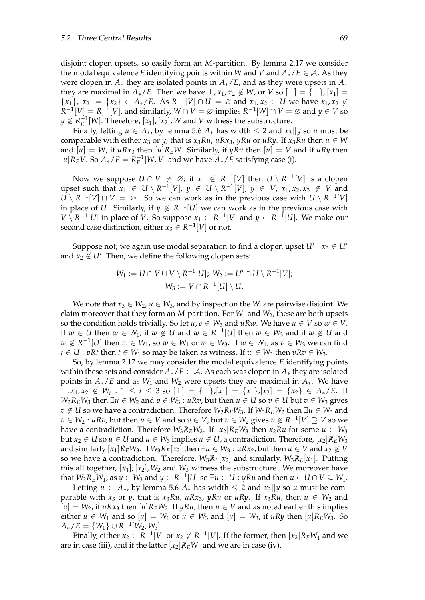disjoint clopen upsets, so easily form an *M*-partition. By lemma [2.17](#page-20-0) we consider the modal equivalence *E* identifying points within *W* and *V* and  $A_*/E \in A$ . As they were clopen in *A*∗ they are isolated points in *A*∗/*E*, and as they were upsets in *A*∗ they are maximal in  $A_*/E$ . Then we have  $\perp$ ,  $x_1$ ,  $x_2 \notin W$ , or  $V$  so  $\lfloor \perp \rfloor = {\lfloor \perp \rfloor}$ ,  $\lfloor x_1 \rfloor =$  ${x_1}, [x_2] = {x_2} ∈ A_*/E$ . As  $R^{-1}[V] ∩ U = ∅$  and  $x_1, x_2 ∈ U$  we have  $x_1, x_2 ∉$  $R^{-1}[V] = R_E^{-1}[V]$ , and similarly,  $W \cap V = \varnothing$  implies  $R^{-1}[W] \cap V = \varnothing$  and  $y \in V$  so  $y \notin R_E^{-1}[W]$ . Therefore,  $[x_1]$ ,  $[x_2]$ , *W* and *V* witness the substructure.

Finally, letting  $u \in A_*$ , by lemma [5.6](#page-59-0)  $A_*$  has width  $\leq 2$  and  $x_3 \mid |y|$  so  $u$  must be comparable with either *x*<sub>3</sub> or *y*, that is *x*<sub>3</sub>*Ru*, *uRx*<sub>3</sub>, *yRu* or *uRy*. If *x*<sub>3</sub>*Ru* then  $u \in W$ and  $[u] = W$ , if  $uRx_3$  then  $[u]R_EW$ . Similarly, if  $yRu$  then  $[u] = V$  and if  $uRy$  then  $[u]R_EV$ . So  $A_*/E = R_E^{-1}[W, V]$  and we have  $A_*/E$  satisfying case (i).

Now we suppose  $U \cap V \neq \varnothing$ ; if  $x_1 \notin R^{-1}[V]$  then  $U \setminus R^{-1}[V]$  is a clopen upset such that  $x_1 \in U \setminus R^{-1}[V]$ ,  $y \notin U \setminus R^{-1}[V]$ ,  $y \in V$ ,  $x_1, x_2, x_3 \notin V$  and  $U \setminus R^{-1}[V] \cap V = \emptyset$ . So we can work as in the previous case with  $U \setminus R^{-1}[V]$ in place of *U*. Similarly, if  $y \notin R^{-1}[U]$  we can work as in the previous case with *V*  $\overline{X}$  *R*<sup>-1</sup>[*U*] in place of *V*. So suppose *x*<sub>1</sub> ∈ *R*<sup>-1</sup>[*V*] and *y* ∈ *R*<sup>-1</sup>[*U*]. We make our second case distinction, either  $x_3 \in R^{-1}[V]$  or not.

Suppose not; we again use modal separation to find a clopen upset  $U' : x_3 \in U'$ and  $x_2 \notin U'$ . Then, we define the following clopen sets:

$$
W_1 := U \cap V \cup V \setminus R^{-1}[U]; W_2 := U' \cap U \setminus R^{-1}[V];
$$
  

$$
W_3 := V \cap R^{-1}[U] \setminus U.
$$

We note that  $x_3 \in W_2$ ,  $y \in W_3$ , and by inspection the  $W_i$  are pairwise disjoint. We claim moreover that they form an *M*-partition. For *W*<sup>1</sup> and *W*2, these are both upsets so the condition holds trivially. So let  $u, v \in W_3$  and  $uRw$ . We have  $u \in V$  so  $w \in V$ . If  $w \in U$  then  $w \in W_1$ , if  $w \notin U$  and  $w \in R^{-1}[U]$  then  $w \in W_3$  and if  $w \notin U$  and *w* ∉  $R^{-1}[U]$  then  $w \in W_1$ , so  $w \in W_1$  or  $w \in W_3$ . If  $w \in W_1$ , as  $v \in W_3$  we can find *t* ∈ *U* : *vRt* then *t* ∈ *W*<sub>1</sub> so may be taken as witness. If  $w \in W_3$  then  $vRv \in W_3$ .

So, by lemma [2.17](#page-20-0) we may consider the modal equivalence *E* identifying points within these sets and consider  $A_*/E \in \mathcal{A}$ . As each was clopen in  $A_*$  they are isolated points in *A*∗/*E* and as *W*<sup>1</sup> and *W*<sup>2</sup> were upsets they are maximal in *A*∗. We have ⊥,  $x_1, x_2 \notin W_i$ : 1 ≤ *i* ≤ 3 so [⊥] = {⊥},[ $x_1$ ] = { $x_1$ },[ $x_2$ ] = { $x_2$ } ∈  $A_*/E$ . If *W*<sub>2</sub>*R*<sup>*E*</sup>*W*<sub>3</sub> then ∃*u* ∈ *W*<sub>2</sub> and *v* ∈ *W*<sub>3</sub> : *uRv*, but then *u* ∈ *U* so *v* ∈ *U* but *v* ∈ *W*<sub>3</sub> gives *v* ∉ *U* so we have a contradiction. Therefore  $W_2R$ <sup>*E*</sup>*FW*<sub>3</sub>. If  $W_3R$ <sup>*E*</sup>*W*<sub>2</sub> then ∃*u* ∈ *W*<sub>3</sub> and  $v \in W_2 : uRv$ , but then  $u \in V$  and so  $v \in V$ , but  $v \in W_2$  gives  $v \notin R^{-1}[V] \supseteq V$  so we have a contradiction. Therefore  $W_3R_EW_2$ . If  $[x_2]R_EW_3$  then  $x_2Ru$  for some  $u \in W_3$  $but x_2 ∈ U$  so  $u ∈ U$  and  $u ∈ W_3$  implies  $u ∉ U$ , a contradiction. Therefore,  $[x_2]R_EW_3$ and similarly  $[x_1]$   $\mathbb{R}_E W_3$ . If  $W_3 R_E[x_2]$  then  $\exists u \in W_3 : u R x_2$ , but then  $u \in V$  and  $x_2 \notin V$ so we have a contradiction. Therefore,  $W_3R_E[x_2]$  and similarly,  $W_3R_E[x_1]$ . Putting this all together,  $[x_1]$ ,  $[x_2]$ ,  $W_2$  and  $W_3$  witness the substructure. We moreover have that  $W_3R_EW_1$ , as  $y \in W_3$  and  $y \in R^{-1}[U]$  so  $\exists u \in U: yRu$  and then  $u \in U \cap V \subseteq W_1$ .

Letting  $u \in A_*$ , by lemma [5.6](#page-59-0)  $A_*$  has width  $\leq 2$  and  $x_3||y$  so  $u$  must be comparable with *x*<sub>3</sub> or *y*, that is *x*<sub>3</sub>*Ru*, *uRx*<sub>3</sub>, *yRu* or *uRy*. If *x*<sub>3</sub>*Ru*, then  $u \in W_2$  and  $[u] = W_2$ , if  $uRx_3$  then  $[u]R_EW_2$ . If  $yRu$ , then  $u \in V$  and as noted earlier this implies either  $u \in W_1$  and so  $[u] = W_1$  or  $u \in W_3$  and  $[u] = W_3$ , if  $uRy$  then  $[u]R_EW_3$ . So  $A_*/E = \{W_1\} \cup R^{-1}[W_2, W_3].$ 

Finally, either  $x_2 \in R^{-1}[V]$  or  $x_2 \notin R^{-1}[V]$ . If the former, then  $[x_2]R_EW_1$  and we are in case (iii), and if the latter  $[x_2]$   $\mathbb{R}_E W_1$  and we are in case (iv).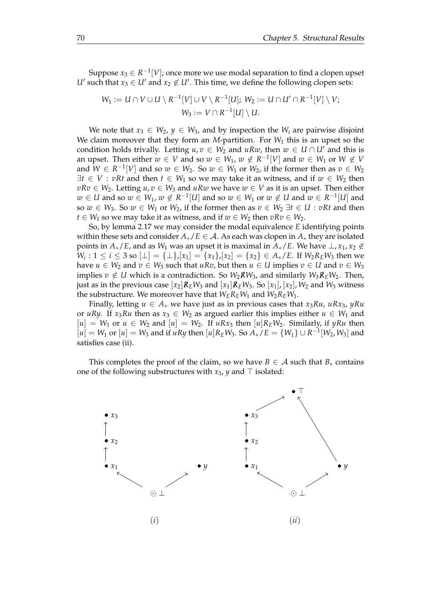Suppose  $x_3\in R^{-1}[V]$ ; once more we use modal separation to find a clopen upset *U*<sup> $\prime$ </sup> such that  $x_3 \in U'$  and  $x_2 \notin U'$ . This time, we define the following clopen sets:

$$
W_1 := U \cap V \cup U \setminus R^{-1}[V] \cup V \setminus R^{-1}[U]; W_2 := U \cap U' \cap R^{-1}[V] \setminus V;
$$
  

$$
W_3 := V \cap R^{-1}[U] \setminus U.
$$

We note that  $x_3 \in W_2$ ,  $y \in W_3$ , and by inspection the  $W_i$  are pairwise disjoint We claim moreover that they form an *M*-partition. For *W*<sup>1</sup> this is an upset so the condition holds trivally. Letting  $u, v \in W_2$  and  $uRw$ , then  $w \in U \cap U'$  and this is an upset. Then either  $w \in V$  and so  $w \in W_1$ ,  $w \notin R^{-1}[V]$  and  $w \in W_1$  or  $W \notin V$ and  $W \in R^{-1}[V]$  and so  $w \in W_2$ . So  $w \in W_1$  or  $W_2$ , if the former then as  $v \in W_2$  $\exists t \in V : vRt$  and then  $t \in W_1$  so we may take it as witness, and if  $w \in W_2$  then  $vRv \in W_2$ . Letting  $u, v \in W_3$  and  $uRw$  we have  $w \in V$  as it is an upset. Then either  $w \in U$  and so  $w \in W_1$ ,  $w \notin R^{-1}[U]$  and so  $w \in W_1$  or  $w \notin U$  and  $w \in R^{-1}[U]$  and so  $w \in W_3$ . So  $w \in W_1$  or  $W_2$ , if the former then as  $v \in W_2 \exists t \in U : vRt$  and then *t* ∈ *W*<sub>1</sub> so we may take it as witness, and if  $w \text{ } \in W_2$  then  $vRv \in W_2$ .

So, by lemma [2.17](#page-20-0) we may consider the modal equivalence *E* identifying points within these sets and consider *A*∗/*E* ∈ A. As each was clopen in *A*<sup>∗</sup> they are isolated points in  $A_*/E$ , and as  $W_1$  was an upset it is maximal in  $A_*/E$ . We have  $\perp$ ,  $x_1, x_2 \notin$ *W*<sub>*i*</sub> : 1 ≤ *i* ≤ 3 so [⊥] = {⊥},[*x*<sub>1</sub>] = {*x*<sub>1</sub>},[*x*<sub>2</sub>] = {*x*<sub>2</sub>} ∈ *A*∗/*E*. If *W*<sub>2</sub>*R*<sub>*E*</sub>*W*<sub>3</sub> then we have  $u \in W_2$  and  $v \in W_3$  such that  $uRv$ , but then  $u \in U$  implies  $v \in U$  and  $v \in W_3$ implies *v* ∉ *U* which is a contradiction. So  $W_2 \cancel{R} W_3$ , and similarly  $W_3 \cancel{R}_E W_2$ . Then, just as in the previous case  $[x_2]R$ <sup>*E*</sup>*E*<sup>*W*<sub>3</sub></sub> and  $[x_1]R$ <sup>*E*</sup>*W*<sub>3</sub>. So  $[x_1]$ *,*  $[x_2]$ *, W*<sub>2</sub> and *W*<sub>3</sub> witness</sup> the substructure. We moreover have that  $W_E R_E W_1$  and  $W_2 R_E W_1$ .

Finally, letting  $u \in A_*$  we have just as in previous cases that  $x_3Ru$ ,  $uRx_3$ ,  $yRu$ or *uRy*. If *x*<sub>3</sub>*Ru* then as  $x_3 \in W_2$  as argued earlier this implies either  $u \in W_1$  and  $[u] = W_1$  or  $u \in W_2$  and  $[u] = W_2$ . If  $uRx_3$  then  $[u]R_EW_2$ . Similarly, if  $yRu$  then  $[u] = W_1$  or  $[u] = W_3$  and if *uRy* then  $[u]R_EW_3$ . So  $A_*/E = \{W_1\} \cup R^{-1}[W_2, W_3]$  and satisfies case (ii).

This completes the proof of the claim, so we have  $B \in A$  such that  $B_*$  contains one of the following substructures with *x*3, *y* and ⊤ isolated:

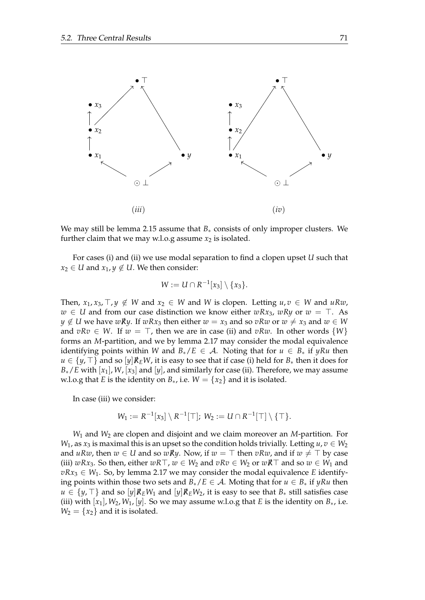

We may still be lemma [2.15](#page-19-0) assume that  $B_*$  consists of only improper clusters. We further claim that we may w.l.o.g assume  $x_2$  is isolated.

For cases (i) and (ii) we use modal separation to find a clopen upset *U* such that *x*<sub>2</sub> ∈ *U* and *x*<sub>1</sub>, *y* ∉ *U*. We then consider:

$$
W:=U\cap R^{-1}[x_3]\setminus\{x_3\}.
$$

Then,  $x_1, x_3, \top, y \notin W$  and  $x_2 \in W$  and *W* is clopen. Letting  $u, v \in W$  and  $uRw$ , *w* ∈ *U* and from our case distinction we know either *wRx*3, *wRy* or *w* = ⊤. As *y* ∉ *U* we have *wRy*. If *wRx*<sub>3</sub> then either *w* = *x*<sub>3</sub> and so *vRw* or *w* ≠ *x*<sub>3</sub> and *w* ∈ *W* and  $vRv \in W$ . If  $w = \top$ , then we are in case (ii) and  $vRw$ . In other words  $\{W\}$ forms an *M*-partition, and we by lemma [2.17](#page-20-0) may consider the modal equivalence identifying points within *W* and  $B_*/E \in A$ . Noting that for  $u \in B_*$  if *yRu* then *u* ∈  $\{y, \top\}$  and so  $[y]$ *R*<sub>*E</sub>W*, it is easy to see that if case (i) held for *B*<sup>∗</sup> then it does for</sub>  $B_*/E$  with  $[x_1]$ , *W*,  $[x_3]$  and  $[y]$ , and similarly for case (ii). Therefore, we may assume w.l.o.g that *E* is the identity on  $B_*$ , i.e.  $W = \{x_2\}$  and it is isolated.

In case (iii) we consider:

$$
W_1:=R^{-1}[x_3]\setminus R^{-1}[\top];\ W_2:=U\cap R^{-1}[\top]\setminus\{\top\}.
$$

*W*<sup>1</sup> and *W*<sup>2</sup> are clopen and disjoint and we claim moreover an *M*-partition. For *W*<sub>1</sub>, as *x*<sub>3</sub> is maximal this is an upset so the condition holds trivially. Letting  $u, v \in W_2$ and *uRw*, then  $w \in U$  and so  $wRy$ . Now, if  $w = \top$  then  $vRw$ , and if  $w \neq \top$  by case (iii)  $wRx_3$ . So then, either  $wRT$ ,  $w \in W_2$  and  $vRv \in W_2$  or  $wRT$  and so  $w \in W_1$  and  $vRx_3 \in W_1$ . So, by lemma [2.17](#page-20-0) we may consider the modal equivalence *E* identifying points within those two sets and  $B_*/E \in A$ . Moting that for  $u \in B_*$  if  $yRu$  then *u* ∈ {*y*,  $\top$ } and so [*y*] $\mathcal{R}_E W_1$  and [*y*] $\mathcal{R}_E W_2$ , it is easy to see that  $B_*$  still satisfies case (iii) with  $[x_1]$ ,  $W_2$ ,  $W_1$ ,  $[y]$ . So we may assume w.l.o.g that *E* is the identity on  $B_*$ , i.e.  $W_2 = \{x_2\}$  and it is isolated.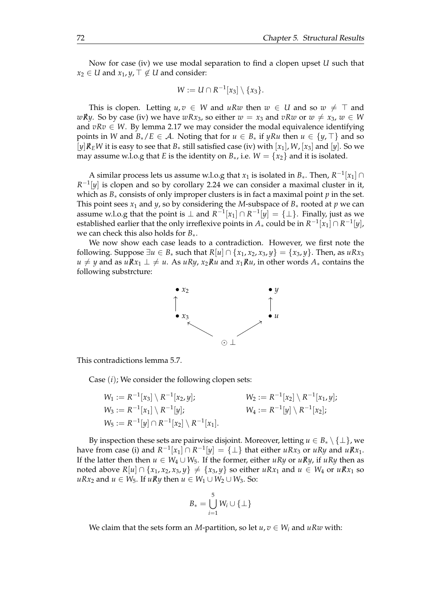Now for case (iv) we use modal separation to find a clopen upset *U* such that *x*<sub>2</sub> ∈ *U* and *x*<sub>1</sub>, *y*,  $\top \notin U$  and consider:

$$
W:=U\cap R^{-1}[x_3]\setminus\{x_3\}.
$$

This is clopen. Letting  $u, v \in W$  and  $u R w$  then  $w \in U$  and so  $w \neq \top$  and *wRy*. So by case (iv) we have *wRx*<sub>3</sub>, so either  $w = x_3$  and *vRw* or  $w \neq x_3$ ,  $w \in W$ and  $vRv \in W$ . By lemma [2.17](#page-20-0) we may consider the modal equivalence identifying points in *W* and  $B_*/E \in A$ . Noting that for  $u \in B_*$  if  $yRu$  then  $u \in \{y, \top\}$  and so  $[y]$ *R<sub>E</sub>W* it is easy to see that *B*<sup>\*</sup> still satisfied case (iv) with  $[x_1]$ , *W*,  $[x_3]$  and  $[y]$ . So we may assume w.l.o.g that *E* is the identity on  $B_*$ , i.e.  $W = \{x_2\}$  and it is isolated.

A similar process lets us assume w.l.o.g that  $x_1$  is isolated in  $B_*$ . Then,  $R^{-1}[x_1] \cap$  $R^{-1}[y]$  is clopen and so by corollary [2.24](#page-25-0) we can consider a maximal cluster in it, which as  $B_*$  consists of only improper clusters is in fact a maximal point  $p$  in the set. This point sees  $x_1$  and  $y$ , so by considering the *M*-subspace of  $B_*$  rooted at  $p$  we can assume w.l.o.g that the point is ⊥ and  $R^{-1}[x_1] \cap R^{-1}[y] = \{\perp\}$ . Finally, just as we established earlier that the only irreflexive points in  $A_*$  could be in  $R^{-1}[x_1]\cap R^{-1}[y]$ , we can check this also holds for *B*∗.

We now show each case leads to a contradiction. However, we first note the following. Suppose  $\exists u \in B_*$  such that  $R[u] \cap \{x_1, x_2, x_3, y\} = \{x_3, y\}$ . Then, as  $uRx_3$ *u*  $\neq$  *y* and as *uRx*<sub>1</sub> ⊥  $\neq$  *u*. As *uRy*, *x*<sub>2</sub>*Ru* and *x*<sub>1</sub>*Ru*, in other words *A*<sup>∗</sup> contains the following substrcture:



This contradictions lemma [5.7.](#page-64-0)

Case (*i*); We consider the following clopen sets:

$$
W_1 := R^{-1}[x_3] \setminus R^{-1}[x_2, y]; \qquad W_2 := R^{-1}[x_2] \setminus R^{-1}[x_1, y];
$$
  
\n
$$
W_3 := R^{-1}[x_1] \setminus R^{-1}[y]; \qquad W_4 := R^{-1}[y] \setminus R^{-1}[x_2];
$$
  
\n
$$
W_5 := R^{-1}[y] \cap R^{-1}[x_2] \setminus R^{-1}[x_1].
$$

By inspection these sets are pairwise disjoint. Moreover, letting  $u \in B_* \setminus \{\perp\}$ , we have from case (i) and  $R^{-1}[x_1] \cap R^{-1}[y] = \{\perp\}$  that either  $uRx_3$  or  $uRy$  and  $uRx_1$ . If the latter then then *u* ∈  $W_4$  ∪  $W_5$ . If the former, either *uRy* or *uRy*, if *uRy* then as noted above  $R[u] \cap \{x_1, x_2, x_3, y\} \neq \{x_3, y\}$  so either  $uRx_1$  and  $u \in W_4$  or  $uRx_1$  so *uRx*<sub>2</sub> and *u* ∈ *W*<sub>5</sub>. If *uR*<sup>*y*</sup> then *u* ∈ *W*<sub>1</sub> ∪ *W*<sub>2</sub> ∪ *W*<sub>3</sub>. So:

$$
B_* = \bigcup_{i=1}^5 W_i \cup \{\perp\}
$$

We claim that the sets form an *M*-partition, so let  $u, v \in W_i$  and  $uRw$  with: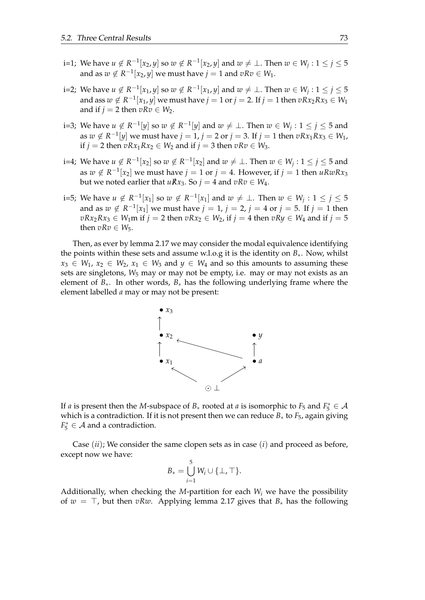- i=1; We have  $u \notin R^{-1}[x_2, y]$  so  $w \notin R^{-1}[x_2, y]$  and  $w \neq \bot$ . Then  $w \in W_j: 1 \leq j \leq 5$ and as  $w \notin R^{-1}[x_2, y]$  we must have  $j = 1$  and  $vRv \in W_1$ .
- i=2; We have  $u \notin R^{-1}[x_1, y]$  so  $w \notin R^{-1}[x_1, y]$  and  $w \neq \bot$ . Then  $w \in W_j: 1 \leq j \leq 5$ and ass  $w \notin R^{-1}[x_1, y]$  we must have  $j = 1$  or  $j = 2$ . If  $j = 1$  then  $vRx_2Rx_3 \in W_1$ and if  $j = 2$  then  $vRv \in W_2$ .
- i=3; We have  $u \notin R^{-1}[y]$  so  $w \notin R^{-1}[y]$  and  $w \neq \bot$ . Then  $w \in W_j: 1 \leq j \leq 5$  and as  $w \notin R^{-1}[y]$  we must have  $j = 1$ ,  $j = 2$  or  $j = 3$ . If  $j = 1$  then  $vRx_1Rx_3 \in W_1$ , if *j* = 2 then  $vRx_1Rx_2 \in W_2$  and if *j* = 3 then  $vRv \in W_3$ .
- i=4; We have  $u \notin R^{-1}[x_2]$  so  $w \notin R^{-1}[x_2]$  and  $w \neq \bot$ . Then  $w \in W_j: 1 \leq j \leq 5$  and as  $w \notin R^{-1}[x_2]$  we must have  $j = 1$  or  $j = 4$ . However, if  $j = 1$  then  $uRwRx_3$ but we noted earlier that  $uRx_3$ . So  $j = 4$  and  $vRv \in W_4$ .
- i=5; We have  $u \notin R^{-1}[x_1]$  so  $w \notin R^{-1}[x_1]$  and  $w \neq \bot$ . Then  $w \in W_j : 1 \leq j \leq 5$ and as  $w \notin R^{-1}[x_1]$  we must have  $j = 1$ ,  $j = 2$ ,  $j = 4$  or  $j = 5$ . If  $j = 1$  then  $vRx_2Rx_3 \in W_1$ m if  $j = 2$  then  $vRx_2 \in W_2$ , if  $j = 4$  then  $vRy \in W_4$  and if  $j = 5$ then  $vRv \in W_5$ .

Then, as ever by lemma [2.17](#page-20-0) we may consider the modal equivalence identifying the points within these sets and assume w.l.o.g it is the identity on *B*∗. Now, whilst  $x_3 \in W_1$ ,  $x_2 \in W_2$ ,  $x_1 \in W_3$  and  $y \in W_4$  and so this amounts to assuming these sets are singletons,  $W_5$  may or may not be empty, i.e. may or may not exists as an element of *B*∗. In other words, *B*∗ has the following underlying frame where the element labelled *a* may or may not be present:



If *a* is present then the *M*-subspace of  $B_*$  rooted at *a* is isomorphic to  $F_5$  and  $F_5^* \in \mathcal{A}$ which is a contradiction. If it is not present then we can reduce *B*<sup>∗</sup> to *F*5, again giving  $F_5^* \in \mathcal{A}$  and a contradiction.

Case (*ii*); We consider the same clopen sets as in case (*i*) and proceed as before, except now we have:

$$
B_* = \bigcup_{i=1}^5 W_i \cup \{\perp, \top\}.
$$

Additionally, when checking the *M*-partition for each  $W_i$  we have the possibility of *w* = ⊤, but then *vRw*. Applying lemma [2.17](#page-20-0) gives that *B*<sup>∗</sup> has the following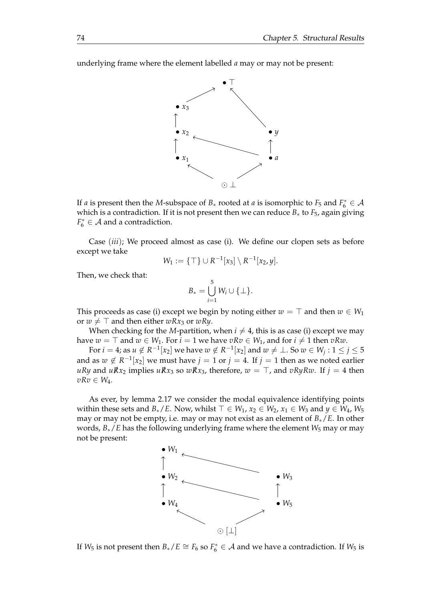underlying frame where the element labelled *a* may or may not be present:



If *a* is present then the *M*-subspace of  $B_*$  rooted at *a* is isomorphic to  $F_5$  and  $F_6^* \in \mathcal{A}$ which is a contradiction. If it is not present then we can reduce *B*<sup>∗</sup> to *F*5, again giving  $F_6^* \in \mathcal{A}$  and a contradiction.

Case (*iii*); We proceed almost as case (i). We define our clopen sets as before except we take

$$
W_1 := \{ \top \} \cup R^{-1}[x_3] \setminus R^{-1}[x_2, y].
$$

Then, we check that:

$$
B_*=\bigcup_{i=1}^5 W_i\cup\{\perp\}.
$$

This proceeds as case (i) except we begin by noting either  $w = \top$  and then  $w \in W_1$ or  $w \neq \top$  and then either  $wRx_3$  or  $wRy$ .

When checking for the *M*-partition, when  $i \neq 4$ , this is as case (i) except we may have  $w = \top$  and  $w \in W_1$ . For  $i = 1$  we have  $vRv \in W_1$ , and for  $i \neq 1$  then  $vRw$ .

For  $i = 4$ ; as  $u \notin R^{-1}[x_2]$  we have  $w \notin R^{-1}[x_2]$  and  $w \neq \bot$ . So  $w \in W_j$  :  $1 \leq j \leq 5$ and as  $w \notin R^{-1}[x_2]$  we must have  $j = 1$  or  $j = 4$ . If  $j = 1$  then as we noted earlier *uRy* and *uRx*<sub>2</sub> implies *uRx*<sub>3</sub> so *wRx*<sub>3</sub>, therefore, *w* = ⊤, and *vRyRw*. If *j* = 4 then *vRv* ∈ *W*4.

As ever, by lemma [2.17](#page-20-0) we consider the modal equivalence identifying points within these sets and *B*<sup>∗</sup>/*E*. Now, whilst  $\top \in W_1$ ,  $x_2 \in W_2$ ,  $x_1 \in W_3$  and  $y \in W_4$ ,  $W_5$ may or may not be empty, i.e. may or may not exist as an element of *B*∗/*E*. In other words, *B*∗/*E* has the following underlying frame where the element *W*<sup>5</sup> may or may not be present:



If  $W_5$  is not present then  $B_*/E \cong F_6$  so  $F_6^* \in \mathcal{A}$  and we have a contradiction. If  $W_5$  is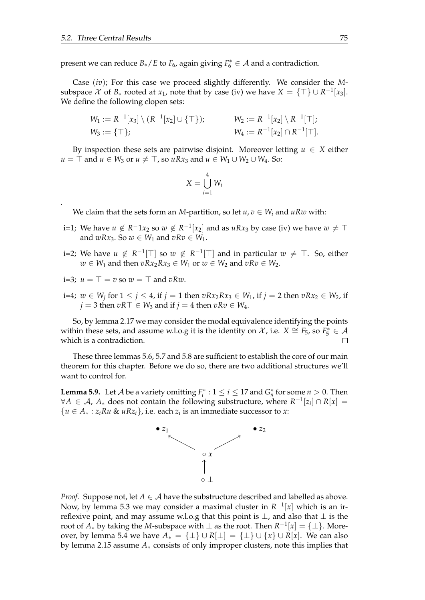.

present we can reduce  $B_*/E$  to  $F_6$ , again giving  $F_6^* \in A$  and a contradiction.

Case (*iv*); For this case we proceed slightly differently. We consider the *M*subspace  $\mathcal X$  of  $B_*$  rooted at  $x_1$ , note that by case (iv) we have  $X = \{\top\} \cup R^{-1}[x_3]$ . We define the following clopen sets:

$$
W_1 := R^{-1}[x_3] \setminus (R^{-1}[x_2] \cup \{\top\}); \qquad W_2 := R^{-1}[x_2] \setminus R^{-1}[\top];
$$
  
\n
$$
W_3 := \{\top\}; \qquad W_4 := R^{-1}[x_2] \cap R^{-1}[\top].
$$

By inspection these sets are pairwise disjoint. Moreover letting  $u \in X$  either *u* = ⊤ and *u* ∈ *W*<sub>3</sub> or *u*  $\neq$  ⊤, so *uRx*<sub>3</sub> and *u* ∈ *W*<sub>1</sub> ∪ *W*<sub>2</sub> ∪ *W*<sub>4</sub>. So:

$$
X = \bigcup_{i=1}^4 W_i
$$

We claim that the sets form an *M*-partition, so let  $u, v \in W_i$  and  $uRw$  with:

- i=1; We have  $u \notin R^{-1}x_2$  so  $w \notin R^{-1}[x_2]$  and as  $uRx_3$  by case (iv) we have  $w \neq \top$ and  $wRx_3$ . So  $w \in W_1$  and  $vRv \in W_1$ .
- i=2; We have  $u \notin R^{-1}[\top]$  so  $w \notin R^{-1}[\top]$  and in particular  $w \neq \top$ . So, either *w* ∈ *W*<sub>1</sub> and then *vRx*<sub>2</sub>*Rx*<sub>3</sub> ∈ *W*<sub>1</sub> or *w* ∈ *W*<sub>2</sub> and *vRv* ∈ *W*<sub>2</sub>.
- i=3;  $u = T = v$  so  $w = T$  and  $vRw$ .
- i=4;  $w ∈ W_j$  for 1 ≤ *j* ≤ 4, if *j* = 1 then  $vRx_2Rx_3 ∈ W_1$ , if *j* = 2 then  $vRx_2 ∈ W_2$ , if *j* = 3 then *vR*⊤ ∈ *W*<sub>3</sub> and if *j* = 4 then *vRv* ∈ *W*<sub>4</sub>.

So, by lemma [2.17](#page-20-0) we may consider the modal equivalence identifying the points within these sets, and assume w.l.o.g it is the identity on  $\mathcal{X}$ , i.e.  $X \cong F_5$ , so  $F_5^* \in \mathcal{A}$ which is a contradiction.

These three lemmas [5.6,](#page-59-0) [5.7](#page-64-0) and [5.8](#page-71-0) are sufficient to establish the core of our main theorem for this chapter. Before we do so, there are two additional structures we'll want to control for.

<span id="page-78-0"></span>**Lemma 5.9.** Let A be a variety omitting  $F_i^*$  :  $1 \le i \le 17$  and  $G_n^*$  for some  $n > 0$ . Then  $∀A \in \mathcal{A}$ ,  $A_*$  does not contain the following substructure, where  $R^{-1}[z_i] \cap R[x] =$  ${u \in A_* : z_iRu \& uRz_i},$  i.e. each  $z_i$  is an immediate successor to *x*:



*Proof.* Suppose not, let  $A \in \mathcal{A}$  have the substructure described and labelled as above. Now, by lemma [5.3](#page-53-0) we may consider a maximal cluster in  $R^{-1}[x]$  which is an irreflexive point, and may assume w.l.o.g that this point is  $\perp$ , and also that  $\perp$  is the root of  $A_*$  by taking the *M*-subspace with  $\perp$  as the root. Then  $R^{-1}[x] = {\perp}$ . More-over, by lemma [5.4](#page-56-0) we have  $A_* = {\perp} \cup R[\perp] = {\perp} \cup {\{x\}} \cup R[x]$ . We can also by lemma [2.15](#page-19-0) assume *A*∗ consists of only improper clusters, note this implies that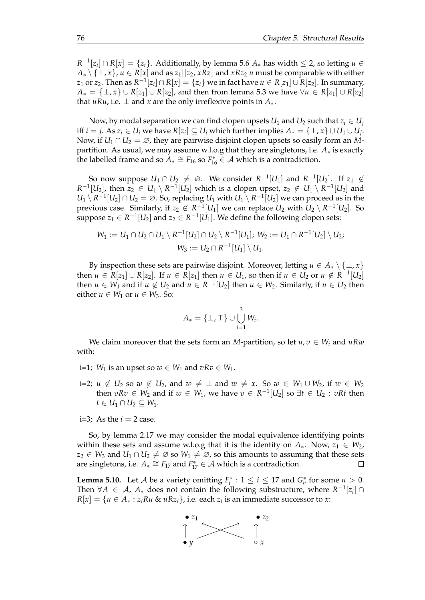*R*<sup>-1</sup>[ $z$ <sub>*i*</sub>] ∩ *R*[ $x$ ] = { $z$ <sup>*i*</sup>}. Additionally, by lemma [5.6](#page-59-0)  $A_*$  has width ≤ 2, so letting  $u \in$  $A_* \setminus \{\perp, x\}$ ,  $u \in R[x]$  and as  $z_1||z_2$ ,  $xRz_1$  and  $xRz_2$  *u* must be comparable with either  $z_1$  or  $z_2$ . Then as  $R^{-1}[z_i]\cap R[x]=\{z_i\}$  we in fact have  $u\in R[z_1]\cup R[z_2]$ . In summary, *A*<sup>∗</sup> = {⊥, *x*} ∪ *R*[*z*<sub>1</sub>] ∪ *R*[*z*<sub>2</sub>], and then from lemma [5.3](#page-53-0) we have  $\forall u \in R$ [*z*<sub>1</sub>] ∪ *R*[*z*<sub>2</sub>] that *uRu*, i.e.  $\perp$  and *x* are the only irreflexive points in  $A_*$ .

Now, by modal separation we can find clopen upsets  $U_1$  and  $U_2$  such that  $z_i \in U_i$ iff  $i = j$ . As  $z_i \in U_i$  we have  $R[z_i] \subseteq U_i$  which further implies  $A_* = \{\bot, x\} \cup U_1 \cup U_j.$ Now, if  $U_1 \cap U_2 = \emptyset$ , they are pairwise disjoint clopen upsets so easily form an *M*partition. As usual, we may assume w.l.o.g that they are singletons, i.e. *A*∗ is exactly the labelled frame and so  $A_* \cong F_{16}$  so  $F_{16}^* \in A$  which is a contradiction.

So now suppose  $U_1 \cap U_2 \neq \emptyset$ . We consider  $R^{-1}[U_1]$  and  $R^{-1}[U_2]$ . If  $z_1 \notin$  $R^{-1}[U_2]$ , then  $z_2 \in U_1 \setminus R^{-1}[U_2]$  which is a clopen upset,  $z_2 \notin U_1 \setminus R^{-1}[U_2]$  and  $U_1 \setminus R^{-1}[U_2] \cap U_2 = \emptyset$ . So, replacing  $U_1$  with  $U_1 \setminus R^{-1}[U_2]$  we can proceed as in the previous case. Similarly, if  $z_2 \notin R^{-1}[U_1]$  we can replace  $U_2$  with  $U_2 \setminus R^{-1}[U_2]$ . So  $\sup$  suppose  $z_1 \in R^{-1}[U_2]$  and  $z_2 \in R^{-1}[U_1]$ . We define the following clopen sets:

$$
W_1:=U_1\cap U_2\cap U_1\setminus R^{-1}[U_2]\cap U_2\setminus R^{-1}[U_1];\ W_2:=U_1\cap R^{-1}[U_2]\setminus U_2;\\ W_3:=U_2\cap R^{-1}[U_1]\setminus U_1.
$$

By inspection these sets are pairwise disjoint. Moreover, letting  $u \in A_* \setminus \{\perp, x\}$ then  $u \in R[z_1] \cup R[z_2]$ . If  $u \in R[z_1]$  then  $u \in U_1$ , so then if  $u \in U_2$  or  $u \notin R^{-1}[U_2]$ then  $u \in W_1$  and if  $u \notin U_2$  and  $u \in R^{-1}[U_2]$  then  $u \in W_2$ . Similarly, if  $u \in U_2$  then either  $u \in W_1$  or  $u \in W_3$ . So:

$$
A_* = \{\perp, \top\} \cup \bigcup_{i=1}^3 W_i.
$$

We claim moreover that the sets form an *M*-partition, so let  $u, v \in W_i$  and  $uRw$ with:

- i=1; *W*<sub>1</sub> is an upset so *w* ∈ *W*<sub>1</sub> and *vRv* ∈ *W*<sub>1</sub>.
- i=2; *u* ∉ *U*<sub>2</sub> so *w* ∉ *U*<sub>2</sub>, and *w* ≠ ⊥ and *w* ≠ *x*. So *w* ∈ *W*<sub>1</sub> ∪ *W*<sub>2</sub>, if *w* ∈ *W*<sub>2</sub> then  $vRv \in W_2$  and if  $w \in W_1$ , we have  $v \in R^{-1}[U_2]$  so  $\exists t \in U_2 : vRt$  then *t* ∈ *U*<sub>1</sub> ∩ *U*<sub>2</sub> ⊆ *W*<sub>1</sub>.
- i=3; As the  $i = 2$  case.

So, by lemma [2.17](#page-20-0) we may consider the modal equivalence identifying points within these sets and assume w.l.o.g that it is the identity on  $A_*$ . Now,  $z_1 \in W_2$ , *z*<sub>2</sub> ∈ *W*<sub>3</sub> and *U*<sub>1</sub> ∩ *U*<sub>2</sub>  $\neq$  ∅ so *W*<sub>1</sub>  $\neq$  ∅, so this amounts to assuming that these sets are singletons, i.e.  $A_* \cong F_{17}$  and  $F_{17}^* \in A$  which is a contradiction.  $\Box$ 

<span id="page-79-0"></span>**Lemma 5.10.** Let *A* be a variety omitting  $F_i^*$  :  $1 \le i \le 17$  and  $G_n^*$  for some  $n > 0$ . Then  $\forall A \in \mathcal{A}$ ,  $A_*$  does not contain the following substructure, where  $R^{-1}[z_i] \cap$  $R[x] = \{u \in A_* : z_iRu \ \& \ uRz_i\}$ , i.e. each  $z_i$  is an immediate successor to  $x$ :

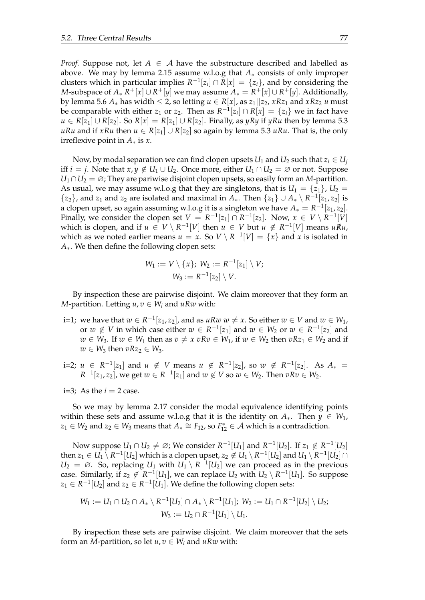*Proof.* Suppose not, let  $A \in \mathcal{A}$  have the substructure described and labelled as above. We may by lemma [2.15](#page-19-0) assume w.l.o.g that *A*∗ consists of only improper clusters which in particular implies  $R^{-1}[z_i] \cap R[x] = \{z_i\}$ , and by considering the  $M$ -subspace of  $A_*^{\phantom *}R^+[x]\cup R^+[y]$  we may assume  $A_*=R^+[x]\cup R^+[y]$ . Additionally, by lemma [5.6](#page-59-0)  $A_*$  has width  $\leq 2$ , so letting  $u \in R[x]$ , as  $z_1||z_2$ ,  $xRz_1$  and  $xRz_2$  *u* must be comparable with either  $z_1$  or  $z_2$ . Then as  $R^{-1}[z_i] \cap R[x] = \{z_i\}$  we in fact have *u* ∈ *R*[*z*<sub>1</sub>] ∪ *R*[*z*<sub>2</sub>]. So *R*[*x*] = *R*[*z*<sub>1</sub>] ∪ *R*[*z*<sub>2</sub>]. Finally, as *yRy* if *yRu* then by lemma [5.3](#page-53-0) *uRu* and if *xRu* then *u* ∈ *R*[*z*<sub>1</sub>] ∪ *R*[*z*<sub>2</sub>] so again by lemma [5.3](#page-53-0) *uRu*. That is, the only irreflexive point in *A*∗ is *x*.

Now, by modal separation we can find clopen upsets  $U_1$  and  $U_2$  such that  $z_i \in U_i$ iff *i* = *j*. Note that  $x, y \notin U_1 \cup U_2$ . Once more, either  $U_1 \cap U_2 = \emptyset$  or not. Suppose  $U_1 \cap U_2 = \varnothing$ ; They are pariwise disjoint clopen upsets, so easily form an *M*-partition. As usual, we may assume w.l.o.g that they are singletons, that is  $U_1 = \{z_1\}$ ,  $U_2 =$  $\{z_2\}$ , and  $z_1$  and  $z_2$  are isolated and maximal in  $A_*$ . Then  $\{z_1\} \cup A_* \setminus R^{-1}[z_1, z_2]$  is a clopen upset, so again assuming w.l.o.g it is a singleton we have  $A_* = R^{-1}[z_1, z_2]$ . Finally, we consider the clopen set  $V = R^{-1}[z_1] \cap R^{-1}[z_2]$ . Now,  $x \in V \setminus R^{-1}[V]$ which is clopen, and if  $u \in V \setminus R^{-1}[V]$  then  $u \in V$  but  $u \notin R^{-1}[V]$  means  $uRu$ , which as we noted earlier means  $u = x$ . So  $V \setminus R^{-1}[V] = \{x\}$  and  $x$  is isolated in *A*∗. We then define the following clopen sets:

$$
W_1 := V \setminus \{x\}; W_2 := R^{-1}[z_1] \setminus V;
$$
  

$$
W_3 := R^{-1}[z_2] \setminus V.
$$

By inspection these are pairwise disjoint. We claim moreover that they form an *M*-partition. Letting  $u, v \in W_i$  and  $uRw$  with:

- i=1; we have that  $w \in R^{-1}[z_1, z_2]$ , and as  $uRw \, w \neq x$ . So either  $w \in V$  and  $w \in W_1$ , or  $w \notin V$  in which case either  $w \in R^{-1}[z_1]$  and  $w \in W_2$  or  $w \in R^{-1}[z_2]$  and *w* ∈ *W*<sub>3</sub>. If *w* ∈ *W*<sub>1</sub> then as *v*  $\neq$  *x vRv* ∈ *W*<sub>1</sub>, if *w* ∈ *W*<sub>2</sub> then *vRz*<sub>1</sub> ∈ *W*<sub>2</sub> and if  $w \in W_3$  then  $vRz_2 \in W_3$ .
- $i=2; u ∈ R^{-1}[z_1]$  and  $u ∉ V$  means  $u ∉ R^{-1}[z_2]$ , so  $w ∉ R^{-1}[z_2]$ . As  $A_* =$  $R^{-1}[z_1, z_2]$ , we get  $w \in R^{-1}[z_1]$  and  $w \notin V$  so  $w \in W_2$ . Then  $vRv \in W_2$ .
- i=3; As the  $i = 2$  case.

So we may by lemma [2.17](#page-20-0) consider the modal equivalence identifying points within these sets and assume w.l.o.g that it is the identity on  $A_*$ . Then  $y \in W_1$ , *z*<sub>1</sub> ∈ *W*<sub>2</sub> and *z*<sub>2</sub> ∈ *W*<sub>3</sub> means that  $A_* \cong F_{12}$ , so  $F_{12}^*$  ∈ *A* which is a contradiction.

Now suppose  $U_1 \cap U_2 \neq \varnothing$ ; We consider  $R^{-1}[U_1]$  and  $R^{-1}[U_2]$ . If  $z_1 \notin R^{-1}[U_2]$ then  $z_1\in U_1\setminus R^{-1}[U_2]$  which is a clopen upset,  $z_2\not\in U_1\setminus R^{-1}[U_2]$  and  $U_1\setminus R^{-1}[U_2]\cap$  $U_2 = \emptyset$ . So, replacing  $U_1$  with  $U_1 \setminus R^{-1}[U_2]$  we can proceed as in the previous case. Similarly, if  $z_2 \notin R^{-1}[U_1]$ , we can replace  $U_2$  with  $U_2 \setminus R^{-1}[U_1]$ . So suppose  $z_1 \in R^{-1}[U_2]$  and  $z_2 \in R^{-1}[U_1]$ . We define the following clopen sets:

$$
W_1 := U_1 \cap U_2 \cap A_* \setminus R^{-1}[U_2] \cap A_* \setminus R^{-1}[U_1]; W_2 := U_1 \cap R^{-1}[U_2] \setminus U_2;
$$
  

$$
W_3 := U_2 \cap R^{-1}[U_1] \setminus U_1.
$$

By inspection these sets are pairwise disjoint. We claim moreover that the sets form an *M*-partition, so let  $u, v \in W_i$  and  $uRw$  with: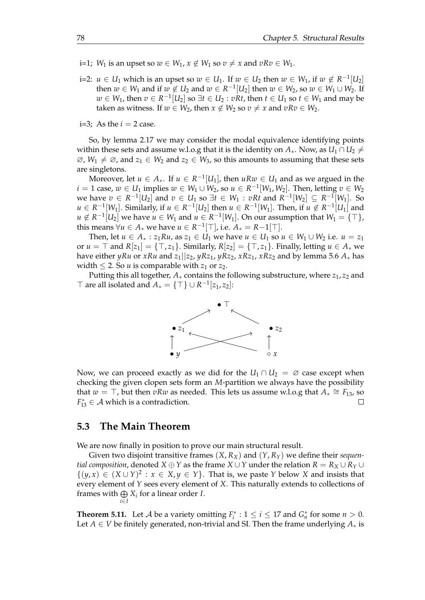- i=1; *W*<sub>1</sub> is an upset so  $w \in W_1$ ,  $x \notin W_1$  so  $v \neq x$  and  $vRv \in W_1$ .
- i=2: *u* ∈ *U*<sub>1</sub> which is an upset so  $w ∈ U_1$ . If  $w ∈ U_2$  then  $w ∈ W_1$ , if  $w ∉ R^{-1}[U_2]$ then  $w \in W_1$  and if  $w \notin U_2$  and  $w \in R^{-1}[U_2]$  then  $w \in W_2$ , so  $w \in W_1 \cup W_2$ . If *w* ∈ *W*<sub>1</sub>, then  $v \in R^{-1}[U_2]$  so ∃*t* ∈ *U*<sub>2</sub> : *vRt*, then *t* ∈ *U*<sub>1</sub> so *t* ∈ *W*<sub>1</sub> and may be taken as witness. If  $w \in W_2$ , then  $x \notin W_2$  so  $v \neq x$  and  $vRv \in W_2$ .

i=3; As the  $i = 2$  case.

So, by lemma [2.17](#page-20-0) we may consider the modal equivalence identifying points within these sets and assume w.l.o.g that it is the identity on  $A_*$ . Now, as  $U_1 \cap U_2 \neq$  $\emptyset$ ,  $W_1 \neq \emptyset$ , and  $z_1 \in W_2$  and  $z_2 \in W_3$ , so this amounts to assuming that these sets are singletons.

Moreover, let  $u \in A_*$ . If  $u \in R^{-1}[U_1]$ , then  $uRw \in U_1$  and as we argued in the *i* = 1 case,  $w ∈ U_1$  implies  $w ∈ W_1 ∪ W_2$ , so  $u ∈ R^{-1}[W_1, W_2]$ . Then, letting  $v ∈ W_2$ we have  $v \in R^{-1}[U_2]$  and  $v \in U_1$  so  $\exists t \in W_1 : vRt$  and  $R^{-1}[W_2] \subseteq R^{-1}[W_1]$ . So *u* ∈ *R*<sup>-1</sup>[*W*<sub>1</sub>]. Similarly, if *u* ∈ *R*<sup>-1</sup>[*U*<sub>2</sub>] then *u* ∈ *R*<sup>-1</sup>[*W*<sub>1</sub>]. Then, if *u* ∉ *R*<sup>-1</sup>[*U*<sub>1</sub>] and  $u \notin R^{-1}[U_2]$  we have  $u \in W_1$  and  $u \in R^{-1}[W_1]$ . On our assumption that  $W_1 = \{\top\}$ , this means  $\forall u \in A_*$  we have  $u \in R^{-1}[\top]$ , i.e.  $A_* = R - 1[\top]$ .

Then, let *u* ∈ *A*<sub>∗</sub> : *z*<sub>1</sub>*Ru*, as *z*<sub>1</sub> ∈ *U*<sub>1</sub> we have *u* ∈ *U*<sub>1</sub> so *u* ∈ *W*<sub>1</sub> ∪ *W*<sub>2</sub> i.e. *u* = *z*<sub>1</sub> or  $u = \top$  and  $R[z_1] = \{\top, z_1\}$ . Similarly,  $R[z_2] = \{\top, z_1\}$ . Finally, letting  $u \in A_*$  we have either *yRu* or *xRu* and  $z_1||z_2$ , *yRz*<sub>1</sub>, *yRz*<sub>2</sub>, *xRz*<sub>1</sub>, *xRz*<sub>2</sub> and by lemma [5.6](#page-59-0)  $A_*$  has width  $\leq$  2. So *u* is comparable with *z*<sub>1</sub> or *z*<sub>2</sub>.

Putting this all together,  $A_*$  contains the following substructure, where  $z_1$ ,  $z_2$  and  $\top$  are all isolated and  $A_* = \{\top\} \cup R^{-1}[z_1, z_2]$ :



Now, we can proceed exactly as we did for the  $U_1 \cap U_2 = \emptyset$  case except when checking the given clopen sets form an *M*-partition we always have the possibility that  $w = \top$ , but then  $vRw$  as needed. This lets us assume w.l.o.g that  $A_* \cong F_{13}$ , so  $F_{13}^* \in \mathcal{A}$  which is a contradiction.

#### **5.3 The Main Theorem**

We are now finally in position to prove our main structural result.

Given two disjoint transitive frames  $(X, R_X)$  and  $(Y, R_Y)$  we define their *sequential composition,* denoted *X* ⊕ *Y* as the frame *X* ∪ *Y* under the relation *R* =  $R_X \cup R_Y \cup$  $\{(y, x) \in (X \cup Y)^2 : x \in X, y \in Y\}$ . That is, we paste *Y* below *X* and insists that every element of *Y* sees every element of *X*. This naturally extends to collections of frames with  $\bigoplus X_i$  for a linear order *I*. *i*∈*I*

<span id="page-81-0"></span>**Theorem 5.11.** Let *A* be a variety omitting  $F_i^*$  :  $1 \le i \le 17$  and  $G_n^*$  for some  $n > 0$ . Let *A* ∈ *V* be finitely generated, non-trivial and SI. Then the frame underlying *A*<sup>∗</sup> is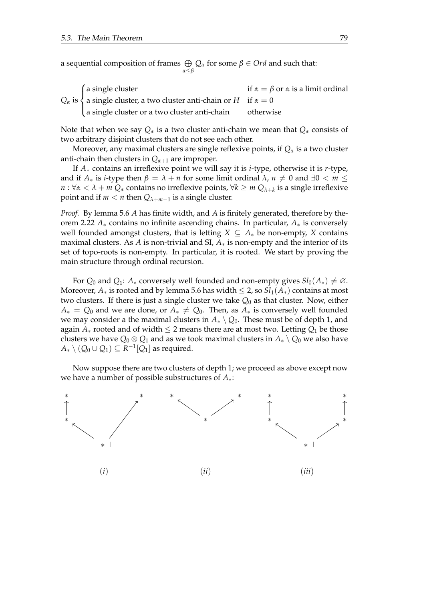a sequential composition of frames  $\bigoplus Q_\alpha$  for some  $\beta \in Ord$  and such that: *α*≤*β*

| $\int$ a single cluster                                                                               | if $\alpha = \beta$ or $\alpha$ is a limit ordinal |
|-------------------------------------------------------------------------------------------------------|----------------------------------------------------|
| $Q_{\alpha}$ is $\{a \text{ single cluster, a two cluster anti-chain or } H \text{ if } \alpha = 0\}$ |                                                    |
| a single cluster or a two cluster anti-chain                                                          | otherwise                                          |

Note that when we say  $Q_{\alpha}$  is a two cluster anti-chain we mean that  $Q_{\alpha}$  consists of two arbitrary disjoint clusters that do not see each other.

Moreover, any maximal clusters are single reflexive points, if *Q<sup>α</sup>* is a two cluster anti-chain then clusters in  $Q_{\alpha+1}$  are improper.

If *A*∗ contains an irreflexive point we will say it is *i*-type, otherwise it is *r*-type, and if  $A_*$  is *i*-type then  $\beta = \lambda + n$  for some limit ordinal  $\lambda$ ,  $n \neq 0$  and  $\exists 0 < m \leq$ *n* : ∀*α* < *λ* + *m Q<sup>α</sup>* contains no irreflexive points, ∀*k* ≥ *m Qλ*+*<sup>k</sup>* is a single irreflexive point and if *m* < *n* then  $Q_{\lambda+m-1}$  is a single cluster.

*Proof.* By lemma [5.6](#page-59-0) *A* has finite width, and *A* is finitely generated, therefore by theorem [2.22](#page-23-0) *A*∗ contains no infinite ascending chains. In particular, *A*∗ is conversely well founded amongst clusters, that is letting  $X \subseteq A_*$  be non-empty, *X* contains maximal clusters. As *A* is non-trivial and SI, *A*∗ is non-empty and the interior of its set of topo-roots is non-empty. In particular, it is rooted. We start by proving the main structure through ordinal recursion.

For  $Q_0$  and  $Q_1$ :  $A_*$  conversely well founded and non-empty gives  $Sl_0(A_*)\neq\emptyset$ . Moreover,  $A_*$  is rooted and by lemma [5.6](#page-59-0) has width  $\leq 2$ , so  $Sl_1(A_*)$  contains at most two clusters. If there is just a single cluster we take *Q*<sup>0</sup> as that cluster. Now, either  $A_* = Q_0$  and we are done, or  $A_* \neq Q_0$ . Then, as  $A_*$  is conversely well founded we may consider a the maximal clusters in  $A_* \setminus Q_0$ . These must be of depth 1, and again  $A_*$  rooted and of width  $\leq 2$  means there are at most two. Letting  $Q_1$  be those clusters we have  $Q_0 \otimes Q_1$  and as we took maximal clusters in  $A_* \setminus Q_0$  we also have  $A_*\setminus (Q_0\cup Q_1)\subseteq R^{-1}[Q_1]$  as required.

Now suppose there are two clusters of depth 1; we proceed as above except now we have a number of possible substructures of *A*∗:

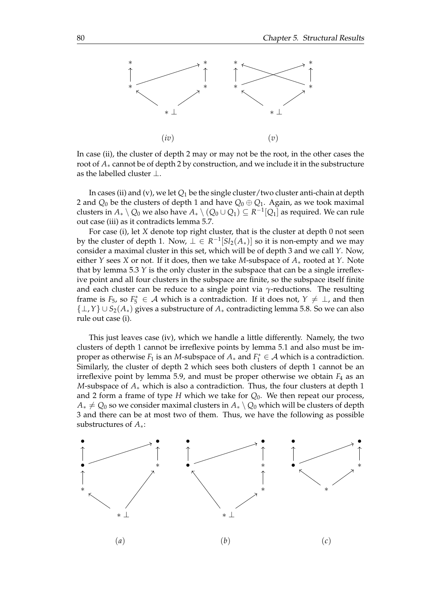

In case (ii), the cluster of depth 2 may or may not be the root, in the other cases the root of *A*∗ cannot be of depth 2 by construction, and we include it in the substructure as the labelled cluster  $\perp$ .

In cases (ii) and (v), we let *Q*<sup>1</sup> be the single cluster/two cluster anti-chain at depth 2 and  $Q_0$  be the clusters of depth 1 and have  $Q_0 \oplus Q_1$ . Again, as we took maximal clusters in  $A_*\setminus Q_0$  we also have  $A_*\setminus (Q_0\cup Q_1)\subseteq R^{-1}[Q_1]$  as required. We can rule out case (iii) as it contradicts lemma [5.7.](#page-64-0)

For case (i), let *X* denote top right cluster, that is the cluster at depth 0 not seen by the cluster of depth 1. Now,  $\bot \in R^{-1}[Sl_2(A_*)]$  so it is non-empty and we may consider a maximal cluster in this set, which will be of depth 3 and we call *Y*. Now, either *Y* sees *X* or not. If it does, then we take *M*-subspace of *A*∗ rooted at *Y*. Note that by lemma [5.3](#page-53-0)  $Y$  is the only cluster in the subspace that can be a single irreflexive point and all four clusters in the subspace are finite, so the subspace itself finite and each cluster can be reduce to a single point via  $\gamma$ -reductions. The resulting frame is  $F_5$ , so  $F_5^* \in \mathcal{A}$  which is a contradiction. If it does not,  $Y \neq \bot$ , and then {⊥,*Y*} ∪ *S*2(*A*∗) gives a substructure of *A*<sup>∗</sup> contradicting lemma [5.8.](#page-71-0) So we can also rule out case (i).

This just leaves case (iv), which we handle a little differently. Namely, the two clusters of depth 1 cannot be irreflexive points by lemma [5.1](#page-52-0) and also must be improper as otherwise  $F_1$  is an *M*-subspace of  $A_*$  and  $F_1^* \in \mathcal{A}$  which is a contradiction. Similarly, the cluster of depth 2 which sees both clusters of depth 1 cannot be an irreflexive point by lemma [5.9,](#page-78-0) and must be proper otherwise we obtain  $F_4$  as an *M*-subspace of *A*<sup>∗</sup> which is also a contradiction. Thus, the four clusters at depth 1 and 2 form a frame of type *H* which we take for *Q*0. We then repeat our process, *A*<sup>∗</sup> ≠ *Q*<sub>0</sub> so we consider maximal clusters in *A*<sup>∗</sup> *\ Q*<sub>0</sub> which will be clusters of depth 3 and there can be at most two of them. Thus, we have the following as possible substructures of *A*∗:

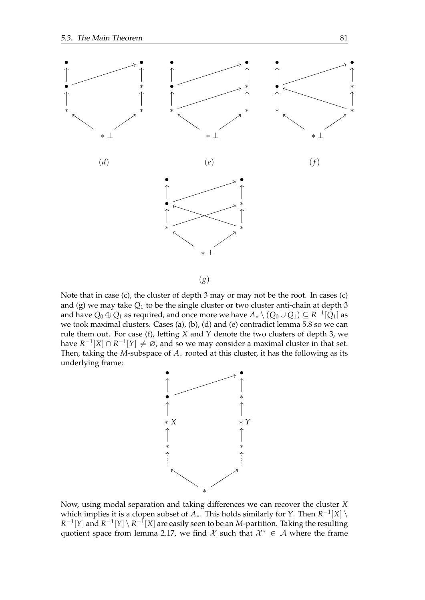

(*g*)

Note that in case (c), the cluster of depth 3 may or may not be the root. In cases (c) and (g) we may take  $Q_1$  to be the single cluster or two cluster anti-chain at depth 3 and have  $Q_0\oplus Q_1$  as required, and once more we have  $A_*\setminus (Q_0\cup Q_1)\subseteq R^{-1}[Q_1]$  as we took maximal clusters. Cases (a), (b), (d) and (e) contradict lemma [5.8](#page-71-0) so we can rule them out. For case (f), letting *X* and *Y* denote the two clusters of depth 3, we have  $R^{-1}[X] \cap R^{-1}[Y] \neq \emptyset$ , and so we may consider a maximal cluster in that set. Then, taking the *M*-subspace of *A*∗ rooted at this cluster, it has the following as its underlying frame:



Now, using modal separation and taking differences we can recover the cluster *X* which implies it is a clopen subset of  $A_*$ . This holds similarly for *Y*. Then  $R^{-1}[X] \setminus$  $R^{-1}[Y]$  and  $R^{-1}[Y] \setminus R^{-1}[X]$  are easily seen to be an *M*-partition. Taking the resulting quotient space from lemma [2.17,](#page-20-0) we find X such that  $\mathcal{X}^* \in \mathcal{A}$  where the frame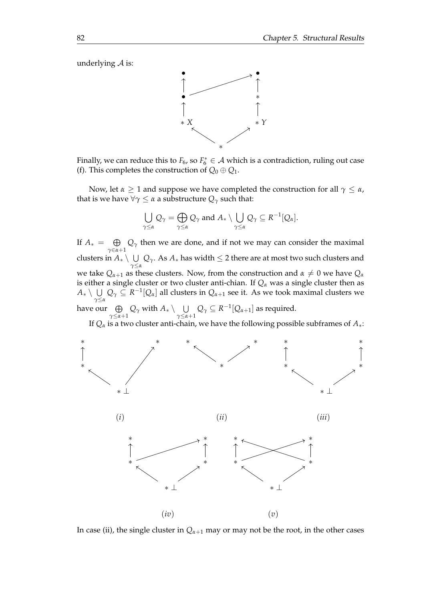underlying  $A$  is:



Finally, we can reduce this to  $F_6$ , so  $F_6^* \in A$  which is a contradiction, ruling out case (f). This completes the construction of  $Q_0 \oplus Q_1$ .

Now, let  $\alpha \geq 1$  and suppose we have completed the construction for all  $\gamma \leq \alpha$ , that is we have  $\forall \gamma \leq \alpha$  a substructure  $Q_{\gamma}$  such that:

$$
\bigcup_{\gamma\leq\alpha}Q_\gamma=\bigoplus_{\gamma\leq\alpha}Q_\gamma\text{ and }A_*\setminus\bigcup_{\gamma\leq\alpha}Q_\gamma\subseteq R^{-1}[Q_\alpha].
$$

If  $A_* = \oplus$  $\bigoplus_{\gamma \in \alpha+1} Q_{\gamma}$  then we are done, and if not we may can consider the maximal clusters in  $A_* \setminus \cup$  $∪$  *Q*<sup>*γ*</sup>. As *A*<sup>∗</sup> has width ≤ 2 there are at most two such clusters and we take  $Q_{\alpha+1}$  as these clusters. Now, from the construction and  $\alpha \neq 0$  we have  $Q_{\alpha}$ is either a single cluster or two cluster anti-chian. If *Q<sup>α</sup>* was a single cluster then as  $A_*\setminus\ \cup\ Q_\gamma\subseteq R^{-1}[Q_\alpha]$  all clusters in  $Q_{\alpha+1}$  see it. As we took maximal clusters we *γ*≤*α* have our  $\;\oplus\;$  $\bigoplus_{\gamma\leq\alpha+1}Q_\gamma$  with  $A_*\setminus\bigcup_{\gamma\leq\alpha+1}$  $\bigcup_{γ ≤ α + 1} Q_γ ⊆ R^{-1}[Q_α_{+1}]$  as required.

If  $Q_{\alpha}$  is a two cluster anti-chain, we have the following possible subframes of  $A_{*}$ :



In case (ii), the single cluster in  $Q_{\alpha+1}$  may or may not be the root, in the other cases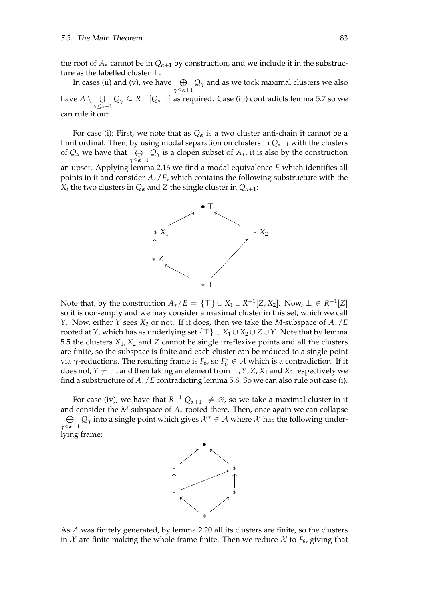the root of  $A_*$  cannot be in  $Q_{\alpha+1}$  by construction, and we include it in the substructure as the labelled cluster  $\perp$ .

In cases (ii) and (v), we have  $\quad \oplus$  $\bigoplus\limits_{\gamma\leq\alpha+1}Q_\gamma$  and as we took maximal clusters we also have  $A \setminus \;\; \cup$  $\bigcup_{\gamma \leq α+1} Q_{\gamma} \subseteq R^{-1}[Q_{α+1}]$  as required. Case (iii) contradicts lemma [5.7](#page-64-0) so we can rule it out.

For case (i); First, we note that as  $Q_\alpha$  is a two cluster anti-chain it cannot be a limit ordinal. Then, by using modal separation on clusters in *Qα*−<sup>1</sup> with the clusters of  $Q_{\alpha}$  we have that  $\qquadoplus_{\alpha} Q_{\gamma}$  is a clopen subset of  $A_{*}$ , it is also by the construction *γ*≤*α*−1 an upset. Applying lemma [2.16](#page-20-1) we find a modal equivalence *E* which identifies all points in it and consider *A*∗/*E*, which contains the following substructure with the  $X_i$  the two clusters in  $Q_{\alpha}$  and  $Z$  the single cluster in  $Q_{\alpha+1}$ :



Note that, by the construction  $A_*/E = \{\top\} \cup X_1 \cup R^{-1}[Z, X_2]$ . Now,  $\bot \in R^{-1}[Z]$ so it is non-empty and we may consider a maximal cluster in this set, which we call *Y*. Now, either *Y* sees *X*<sub>2</sub> or not. If it does, then we take the *M*-subspace of *A*∗/*E* rooted at *Y*, which has as underlying set  $\{\top\} \cup X_1 \cup X_2 \cup Z \cup Y$ . Note that by lemma [5.5](#page-58-0) the clusters  $X_1$ ,  $X_2$  and  $Z$  cannot be single irreflexive points and all the clusters are finite, so the subspace is finite and each cluster can be reduced to a single point via *γ*-reductions. The resulting frame is  $F_6$ , so  $F_6^* \in A$  which is a contradiction. If it does not,  $Y \neq \perp$ , and then taking an element from  $\perp$ , *Y*, *Z*, *X*<sub>1</sub> and *X*<sub>2</sub> respectively we find a substructure of *A*∗/*E* contradicting lemma [5.8.](#page-71-0) So we can also rule out case (i).

For case (iv), we have that  $R^{-1}[Q_{\alpha+1}] \neq \emptyset$ , so we take a maximal cluster in it and consider the *M*-subspace of *A*∗ rooted there. Then, once again we can collapse  $\oplus$  $\bigoplus_{\gamma\leq\alpha-1}Q_\gamma$  into a single point which gives  $\mathcal{X}^*\in\mathcal{A}$  where  $\mathcal X$  has the following underlying frame:



As *A* was finitely generated, by lemma [2.20](#page-22-0) all its clusters are finite, so the clusters in  $\mathcal X$  are finite making the whole frame finite. Then we reduce  $\mathcal X$  to  $F_6$ , giving that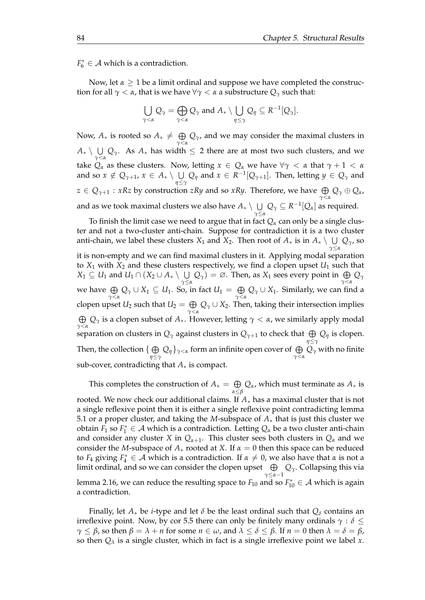$F_6^* \in \mathcal{A}$  which is a contradiction.

Now, let *α* ≥ 1 be a limit ordinal and suppose we have completed the construction for all  $\gamma < \alpha$ , that is we have  $\forall \gamma < \alpha$  a substructure  $Q_{\gamma}$  such that:

$$
\bigcup_{\gamma<\alpha}Q_{\gamma}=\bigoplus_{\gamma<\alpha}Q_{\gamma} \text{ and } A_{*}\setminus \bigcup_{\eta\leq\gamma}Q_{\eta}\subseteq R^{-1}[Q_{\gamma}].
$$

Now,  $A_*$  is rooted so  $A_* \neq \Theta$ *γ*<*α Qγ*, and we may consider the maximal clusters in *A*∗∖∪  $\bigcup_{γ < α} Q_γ$ . As *A*<sub>∗</sub> has width ≤ 2 there are at most two such clusters, and we take  $Q_\alpha$  as these clusters. Now, letting  $x \in Q_\alpha$  we have  $\forall \gamma < \alpha$  that  $\gamma + 1 < \alpha$ and so  $x \notin Q_{\gamma+1}$ ,  $x \in A_* \setminus \bigcup Q_{\eta}$  and  $x \in R^{-1}[Q_{\gamma+1}]$ . Then, letting  $y \in Q_{\gamma}$  and *η*≤*γ*  $z \in Q_{\gamma + 1}: xRz$  by construction  $zRy$  and so  $xRy$ . Therefore, we have  $\bigoplus\limits_{\gamma < \alpha} Q_\gamma \oplus Q_\alpha$ , and as we took maximal clusters we also have  $A_* \setminus \ \bigcup$  $\bigcup\limits_{\gamma\leq\alpha}Q_\gamma\subseteq R^{-1}[Q_\alpha]$  as required.

To finish the limit case we need to argue that in fact  $Q_\alpha$  can only be a single cluster and not a two-cluster anti-chain. Suppose for contradiction it is a two cluster anti-chain, we label these clusters  $X_1$  and  $X_2$ . Then root of  $A_*$  is in  $A_* \setminus \ \bigcup$ *γ*≤*α Qγ*, so it is non-empty and we can find maximal clusters in it. Applying modal separation to  $X_1$  with  $X_2$  and these clusters respectively, we find a clopen upset  $U_1$  such that  $X_1 \subseteq U_1$  and  $U_1 \cap (X_2 \cup A_{*} \setminus \cup)$  $\bigcup_{\gamma \leq \alpha} Q_{\gamma}$  = ∅. Then, as *X*<sub>1</sub> sees every point in  $\bigoplus_{\gamma < \alpha} Q_{\gamma}$ we have  $\,\oplus\,$  $\bigoplus_{\gamma<\alpha}Q_\gamma\cup X_1\subseteq U_1.$  So, in fact  $U_1=\bigoplus_{\gamma<\alpha}$  $\bigoplus_{\gamma<\alpha}Q_{\gamma}\cup X_1$ . Similarly, we can find a clopen upset  $U_2$  such that  $U_2 = \bigoplus$ *γ*<*α Q<sup>γ</sup>* ∪ *X*2. Then, taking their intersection implies  $\oplus$  $\bigoplus_{\gamma<\alpha}Q_\gamma$  is a clopen subset of  $A_*$ . However, letting  $\gamma<\alpha$ , we similarly apply modal separation on clusters in  $Q_\gamma$  against clusters in  $Q_{\gamma+1}$  to check that  $\bigoplus Q_\eta$  is clopen. *η*≤*γ* Then, the collection  $\set{\oplus}$  $\bigoplus_{\eta \leq \gamma} Q_{\eta} \}_{\gamma < \alpha}$  form an infinite open cover of  $\bigoplus_{\gamma < \alpha} Q_{\gamma}$  with no finite sub-cover, contradicting that *A*∗ is compact.

This completes the construction of  $A_* = \bigoplus$ *α*≤*β Qα*, which must terminate as *A*<sup>∗</sup> is rooted. We now check our additional claims. If *A*∗ has a maximal cluster that is not a single reflexive point then it is either a single reflexive point contradicting lemma [5.1](#page-52-0) or a proper cluster, and taking the *M*-subspace of *A*∗ that is just this cluster we obtain  $F_1$  so  $F_1^* \in \mathcal{A}$  which is a contradiction. Letting  $Q_\alpha$  be a two cluster anti-chain and consider any cluster *X* in  $Q_{\alpha+1}$ . This cluster sees both clusters in  $Q_{\alpha}$  and we consider the *M*-subspace of  $A_*$  rooted at *X*. If  $\alpha = 0$  then this space can be reduced to  $F_4$  giving  $F_4^* \in \mathcal{A}$  which is a contradiction. If  $\alpha \neq 0$ , we also have that  $\alpha$  is not a limit ordinal, and so we can consider the clopen upset  $\;\;\oplus\;$ *γ*≤*α*−1 *Qγ*. Collapsing this via lemma [2.16,](#page-20-1) we can reduce the resulting space to  $F_{10}$  and so  $F_{10}^* \in \mathcal{A}$  which is again a contradiction.

Finally, let  $A_*$  be *i*-type and let  $\delta$  be the least ordinal such that  $Q_{\delta}$  contains an irreflexive point. Now, by cor [5.5](#page-58-0) there can only be finitely many ordinals  $\gamma : \delta \leq$ *γ* ≤ *β*, so then *β* = *λ* + *n* for some *n* ∈ *ω*, and  $λ ≤ δ ≤ β$ . If *n* = 0 then  $λ = δ = β$ , so then *Q<sup>λ</sup>* is a single cluster, which in fact is a single irreflexive point we label *x*.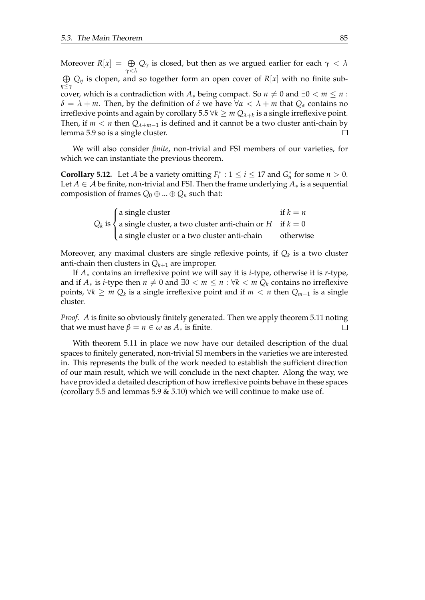Moreover  $R[x] = \bigoplus$  $Q_\gamma$  is closed, but then as we argued earlier for each  $\gamma < \lambda$ *γ*<*λ* L *Q<sup>η</sup>* is clopen, and so together form an open cover of *R*[*x*] with no finite sub*η*≤*γ* cover, which is a contradiction with  $A_*$  being compact. So  $n \neq 0$  and  $\exists 0 \lt m \leq n$ : *δ* = *λ* + *m*. Then, by the definition of *δ* we have  $∀α < λ + m$  that  $Q_α$  contains no irreflexive points and again by corollary  $5.5 \forall k \geq m Q_{\lambda+k}$  is a single irreflexive point. Then, if  $m < n$  then  $Q_{\lambda+m-1}$  is defined and it cannot be a two cluster anti-chain by lemma [5.9](#page-78-0) so is a single cluster.  $\Box$ 

We will also consider *finite*, non-trivial and FSI members of our varieties, for which we can instantiate the previous theorem.

<span id="page-88-0"></span>**Corollary 5.12.** Let *A* be a variety omitting  $F_i^*$  :  $1 \le i \le 17$  and  $G_n^*$  for some  $n > 0$ . Let  $A \in \mathcal{A}$  be finite, non-trivial and FSI. Then the frame underlying  $A_*$  is a sequential composistion of frames  $Q_0 \oplus ... \oplus Q_n$  such that:

| $\int$ a single cluster                                                        | if $k = n$ |
|--------------------------------------------------------------------------------|------------|
| $Q_k$ is $\Big\{$ a single cluster, a two cluster anti-chain or $H$ if $k = 0$ |            |
| a single cluster or a two cluster anti-chain                                   | otherwise  |

Moreover, any maximal clusters are single reflexive points, if *Q<sup>k</sup>* is a two cluster anti-chain then clusters in  $Q_{k+1}$  are improper.

If *A*∗ contains an irreflexive point we will say it is *i*-type, otherwise it is *r*-type, and if  $A_*$  is *i*-type then  $n \neq 0$  and  $\exists 0 \lt m \leq n : \forall k \lt m Q_k$  contains no irreflexive points,  $\forall k \geq m Q_k$  is a single irreflexive point and if  $m < n$  then  $Q_{m-1}$  is a single cluster.

*Proof. A* is finite so obviously finitely generated. Then we apply theorem [5.11](#page-81-0) noting that we must have  $\beta = n \in \omega$  as  $A_*$  is finite.  $\Box$ 

With theorem [5.11](#page-81-0) in place we now have our detailed description of the dual spaces to finitely generated, non-trivial SI members in the varieties we are interested in. This represents the bulk of the work needed to establish the sufficient direction of our main result, which we will conclude in the next chapter. Along the way, we have provided a detailed description of how irreflexive points behave in these spaces (corollary [5.5](#page-58-0) and lemmas [5.9](#page-78-0)  $\&$  [5.10\)](#page-79-0) which we will continue to make use of.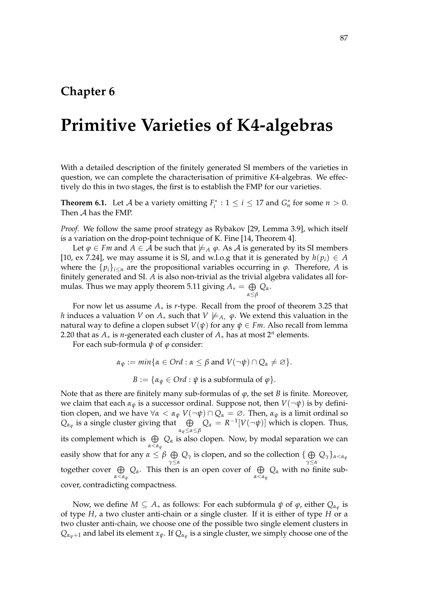#### **Chapter 6**

### **Primitive Varieties of K4-algebras**

With a detailed description of the finitely generated SI members of the varieties in question, we can complete the characterisation of primitive *K*4-algebras. We effectively do this in two stages, the first is to establish the FMP for our varieties.

<span id="page-90-0"></span>**Theorem 6.1.** Let *A* be a variety omitting  $F_i^*$  :  $1 \le i \le 17$  and  $G_n^*$  for some  $n > 0$ . Then A has the FMP.

*Proof.* We follow the same proof strategy as Rybakov [\[29,](#page-103-0) Lemma 3.9], which itself is a variation on the drop-point technique of K. Fine [\[14,](#page-102-0) Theorem 4].

Let  $\varphi \in Fm$  and  $A \in \mathcal{A}$  be such that  $\nvdash_A \varphi$ . As  $\mathcal{A}$  is generated by its SI members [\[10,](#page-102-1) ex 7.24], we may assume it is SI, and w.l.o.g that it is generated by  $h(p_i) \in A$ where the  $\{p_i\}_{i\leq n}$  are the propositional variables occurring in  $\varphi$ . Therefore, *A* is finitely generated and SI. *A* is also non-trivial as the trivial algebra validates all for-mulas. Thus we may apply theorem [5.11](#page-81-0) giving  $A_* = \bigoplus$ *α*≤*β Qα*.

For now let us assume *A*∗ is *r*-type. Recall from the proof of theorem [3.25](#page-37-0) that *h* induces a valuation *V* on  $A_*$  such that  $V \not\models A_* \varphi$ . We extend this valuation in the natural way to define a clopen subset  $V(\psi)$  for any  $\psi \in Fm$ . Also recall from lemma [2.20](#page-22-0) that as  $A_*$  is *n*-generated each cluster of  $A_*$  has at most 2<sup>n</sup> elements.

For each sub-formula *ψ* of *φ* consider:

 $\alpha_{\psi} := \min\{\alpha \in Ord : \alpha \leq \beta \text{ and } V(\neg \psi) \cap Q_{\alpha} \neq \emptyset\}.$  $B := \{ \alpha_{\psi} \in Ord : \psi \text{ is a subformula of } \varphi \}.$ 

Note that as there are finitely many sub-formulas of *φ*, the set *B* is finite. Moreover, we claim that each  $\alpha_{\psi}$  is a successor ordinal. Suppose not, then  $V(\neg \psi)$  is by definition clopen, and we have  $\forall \alpha < \alpha_{\psi}$   $V(\neg \psi) \cap Q_{\alpha} = \emptyset$ . Then,  $\alpha_{\psi}$  is a limit ordinal so  $Q_{\alpha_{\psi}}$  is a single cluster giving that  $\quad \bigoplus$ *αψ*≤*α*≤*β*  $Q_{\alpha} = R^{-1}[V(\neg \psi)]$  which is clopen. Thus, its complement which is  $\,\,\oplus\,\,$ *α*<*α<sup>ψ</sup> Q<sup>α</sup>* is also clopen. Now, by modal separation we can easily show that for any  $\alpha \leq \beta \oplus$  $\bigoplus_{\gamma\leq\alpha}Q_\gamma$  is clopen, and so the collection  $\{\bigoplus_{\gamma\leq\alpha}Q_\gamma\}$ *γ*≤*α Qγ*}*α*<*α<sup>ψ</sup>* together cover  $\,\oplus\,$ *α*⊂*αψ*</sub> *Q<sub>α</sub>*. This then is an open cover of  $\bigoplus\limits_{\alpha < \alpha$ *ψ Q*<sub>α</sub> with no finite subcover, contradicting compactness.

Now, we define  $M \subseteq A_*$  as follows: For each subformula  $\psi$  of  $\varphi$ , either  $Q_{\alpha_{\psi}}$  is of type *H*, a two cluster anti-chain or a single cluster. If it is either of type *H* or a two cluster anti-chain, we choose one of the possible two single element clusters in  $Q_{\alpha_\psi+1}$  and label its element  $x_\psi.$  If  $Q_{\alpha_\psi}$  is a single cluster, we simply choose one of the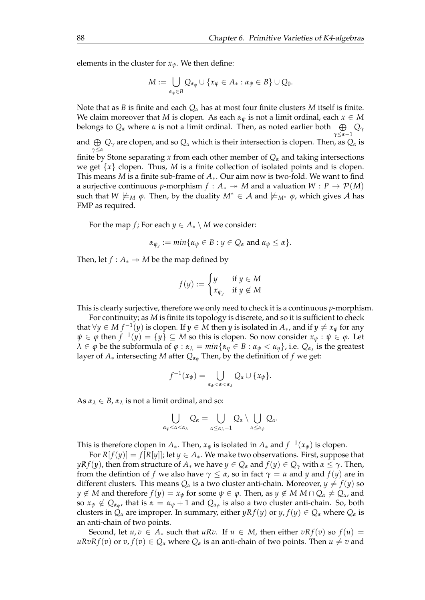elements in the cluster for  $x_{\psi}$ . We then define:

$$
M:=\bigcup_{\alpha_{\psi}\in B}Q_{\alpha_{\psi}}\cup\{x_{\psi}\in A_{*}: \alpha_{\psi}\in B\}\cup Q_{0}.
$$

Note that as *B* is finite and each *Q<sup>α</sup>* has at most four finite clusters *M* itself is finite. We claim moreover that *M* is clopen. As each  $\alpha_{\psi}$  is not a limit ordinal, each  $x \in M$ belongs to *Q<sup>α</sup>* where *α* is not a limit ordinal. Then, as noted earlier both L *Q<sup>γ</sup> γ*≤*α*−1 and  $\oplus$ *γ*≤*α Q<sup>γ</sup>* are clopen, and so *Q<sup>α</sup>* which is their intersection is clopen. Then, as *Q<sup>α</sup>* is finite by Stone separating *x* from each other member of  $Q_{\alpha}$  and taking intersections we get  $\{x\}$  clopen. Thus, *M* is a finite collection of isolated points and is clopen. This means *M* is a finite sub-frame of *A*∗. Our aim now is two-fold. We want to find a surjective continuous *p*-morphism  $f : A_* \rightarrow M$  and a valuation  $W : P \rightarrow P(M)$ such that *W*  $\models_M \varphi$ . Then, by the duality  $M^* \in \mathcal{A}$  and  $\models_{M^*} \varphi$ , which gives  $\mathcal{A}$  has FMP as required.

For the map *f*; For each  $y \in A_* \setminus M$  we consider:

$$
\alpha_{\psi_y} := \min \{ \alpha_{\psi} \in B : y \in Q_{\alpha} \text{ and } \alpha_{\psi} \leq \alpha \}.
$$

Then, let  $f : A_* \rightarrow M$  be the map defined by

$$
f(y) := \begin{cases} y & \text{if } y \in M \\ x_{\psi_y} & \text{if } y \notin M \end{cases}
$$

This is clearly surjective, therefore we only need to check it is a continuous *p*-morphism.

For continuity; as *M* is finite its topology is discrete, and so it is sufficient to check that  $\forall y \in M$   $f^{-1}(y)$  is clopen. If  $y \in M$  then  $y$  is isolated in  $A_*$ , and if  $y \neq x_{\psi}$  for any  $\psi \in \varphi$  then  $f^{-1}(y) = \{y\} \subseteq M$  so this is clopen. So now consider  $x_{\psi} : \psi \in \varphi$ . Let  $\lambda \in \varphi$  be the subformula of  $\varphi : \alpha_{\lambda} = min\{\alpha_{\eta} \in B : \alpha_{\psi} < \alpha_{\eta}\}\)$ , i.e.  $Q_{\alpha_{\lambda}}$  is the greatest layer of  $A_*$  intersecting  $M$  after  $Q_{\alpha}$  Then, by the definition of  $f$  we get:

$$
f^{-1}(x_{\psi})=\bigcup_{\alpha_{\psi}<\alpha<\alpha_{\lambda}}Q_{\alpha}\cup\{x_{\psi}\}.
$$

As  $\alpha_{\lambda} \in B$ ,  $\alpha_{\lambda}$  is not a limit ordinal, and so:

$$
\bigcup_{\alpha_{\psi}<\alpha<\alpha_{\lambda}}Q_{\alpha}=\bigcup_{\alpha\leq\alpha_{\lambda}-1}Q_{\alpha}\setminus\bigcup_{\alpha\leq\alpha_{\psi}}Q_{\alpha}.
$$

This is therefore clopen in  $A_*$ . Then,  $x_{\psi}$  is isolated in  $A_*$  and  $f^{-1}(x_{\psi})$  is clopen.

For  $R[f(y)] = f[R[y]]$ ; let  $y \in A_*$ . We make two observations. First, suppose that *yRf*(*y*), then from structure of  $A_*$  we have  $y \in Q_\alpha$  and  $f(y) \in Q_\gamma$  with  $\alpha \leq \gamma$ . Then, from the defintion of *f* we also have  $\gamma \leq \alpha$ , so in fact  $\gamma = \alpha$  and *y* and *f*(*y*) are in different clusters. This means  $Q_\alpha$  is a two cluster anti-chain. Moreover,  $y \neq f(y)$  so *y* ∉ *M* and therefore  $f(y) = x_{\psi}$  for some  $\psi \in \varphi$ . Then, as  $y \notin M$  *M* ∩  $Q_{\alpha} \neq Q_{\alpha}$ , and so  $x_{\psi} \notin Q_{\alpha_{\psi}}$ , that is  $\alpha = \alpha_{\psi} + 1$  and  $Q_{\alpha_{\psi}}$  is also a two cluster anti-chain. So, both clusters in  $Q_\alpha$  are improper. In summary, either  $yRf(y)$  or  $y, f(y) \in Q_\alpha$  where  $Q_\alpha$  is an anti-chain of two points.

Second, let  $u, v \in A_*$  such that  $uRv$ . If  $u \in M$ , then either  $vRf(v)$  so  $f(u) =$  $uRvRf(v)$  or  $v, f(v) \in Q_\alpha$  where  $Q_\alpha$  is an anti-chain of two points. Then  $u \neq v$  and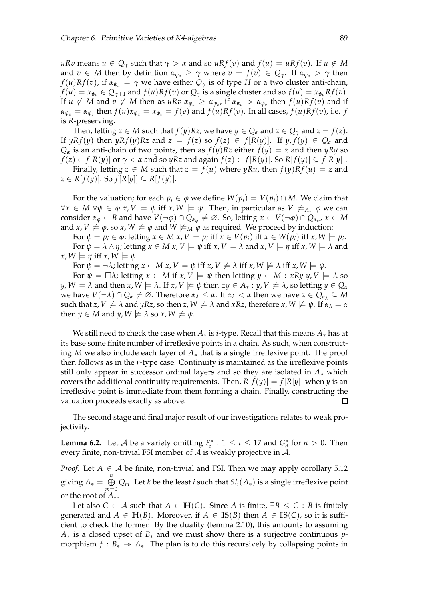*uRv* means  $u \in Q_\gamma$  such that  $\gamma > \alpha$  and so  $uRf(v)$  and  $f(u) = uRf(v)$ . If  $u \notin M$ and  $v \in M$  then by definition  $\alpha_{\psi_u} \geq \gamma$  where  $v = f(v) \in Q_\gamma$ . If  $\alpha_{\psi_u} > \gamma$  then *f*(*u*)*Rf*(*v*), if  $\alpha_{\psi_u} = \gamma$  we have either  $Q_\gamma$  is of type *H* or a two cluster anti-chain,  $f(u) = x_{\psi_u} \in Q_{\gamma+1}$  and  $f(u)Rf(v)$  or  $Q_{\gamma}$  is a single cluster and so  $f(u) = x_{\psi_u}Rf(v)$ . If  $u \notin M$  and  $v \notin M$  then as  $uRv \alpha_{\psi_u} \ge \alpha_{\psi_v}$ , if  $\alpha_{\psi_u} > \alpha_{\psi_v}$  then  $f(u)Rf(v)$  and if  $\alpha_{\psi_u} = \alpha_{\psi_v}$  then  $f(u)x_{\psi_u} = x_{\psi_v} = f(v)$  and  $f(u)Rf(v)$ . In all cases,  $f(u)Rf(v)$ , i.e.  $f$ is *R*-preserving.

Then, letting  $z \in M$  such that  $f(y)Rz$ , we have  $y \in Q_\alpha$  and  $z \in Q_\gamma$  and  $z = f(z)$ . If  $yRf(y)$  then  $yRf(y)Rz$  and  $z = f(z)$  so  $f(z) \in f[R(y)]$ . If  $y, f(y) \in Q_\alpha$  and  $Q_{\alpha}$  is an anti-chain of two points, then as  $f(y)Rz$  either  $f(y) = z$  and then *yRy* so  $f(z) \in f[R(y)]$  or  $\gamma < \alpha$  and so *yRz* and again  $f(z) \in f[R(y)]$ . So  $R[f(y)] \subseteq f[R[y]]$ . Finally, letting  $z \in M$  such that  $z = f(u)$  where  $yRu$ , then  $f(y)Rf(u) = z$  and

 $z \in R[f(y)]$ . So  $f[R[y]] \subseteq R[f(y)]$ .

For the valuation; for each  $p_i \in \varphi$  we define  $W(p_i) = V(p_i) \cap M$ . We claim that  $\forall x \in M \ \forall \psi \in \varphi \ x, V \models \psi \text{ iff } x, W \models \psi. \text{ Then, in particular as } V \not\models_{A^*} \varphi \text{ we can}$ consider  $\alpha_{\varphi} \in B$  and have  $V(\neg \varphi) \cap Q_{\alpha_{\varphi}} \neq \emptyset$ . So, letting  $x \in V(\neg \varphi) \cap Q_{\alpha_{\varphi}}, x \in M$ and *x*, *V*  $\models \varphi$ , so *x*, *W*  $\models \varphi$  and *W*  $\models_M \varphi$  as required. We proceed by induction:

For  $\psi = p_i \in \varphi$ ; letting  $x \in M$   $x, V \models p_i$  iff  $x \in V(p_i)$  iff  $x \in W(p_i)$  iff  $x, W \models p_i$ . For  $\psi = \lambda \wedge \eta$ ; letting  $x \in M$   $x, V \models \psi$  iff  $x, V \models \lambda$  and  $x, V \models \eta$  iff  $x, W \models \lambda$  and  $x, W \models \eta$  iff  $x, W \models \psi$ 

For  $\psi = \neg \lambda$ ; letting  $x \in M$   $x, V \models \psi$  iff  $x, V \not\models \lambda$  iff  $x, W \not\models \lambda$  iff  $x, W \models \psi$ .

For  $\psi = \Box \lambda$ ; letting  $x \in M$  if  $x, V \models \psi$  then letting  $y \in M : xRy, y, V \models \lambda$  so  $y, W \models \lambda$  and then  $x, W \models \lambda$ . If  $x, V \not\models \psi$  then  $\exists y \in A_* : y, V \not\models \lambda$ , so letting  $y \in Q_\alpha$  $\alpha$  we have *V*(¬*λ*) ∩  $Q_α ≠ ∅$ . Therefore  $α_λ ≤ α$ . If  $α_λ < α$  then we have  $z ∈ Q_α_λ ⊆ M$ such that *z*,  $V \not\models \lambda$  and  $yRz$ , so then *z*,  $W \not\models \lambda$  and  $xRz$ , therefore  $x, W \not\models \psi$ . If  $\alpha_{\lambda} = \alpha$ then  $y \in M$  and  $y, W \not\models \lambda$  so  $x, W \not\models \psi$ .

We still need to check the case when *A*∗ is *i*-type. Recall that this means *A*∗ has at its base some finite number of irreflexive points in a chain. As such, when constructing *M* we also include each layer of *A*∗ that is a single irreflexive point. The proof then follows as in the *r*-type case. Continuity is maintained as the irreflexive points still only appear in successor ordinal layers and so they are isolated in *A*∗ which covers the additional continuity requirements. Then,  $R[f(y)] = f[R[y]]$  when *y* is an irreflexive point is immediate from them forming a chain. Finally, constructing the valuation proceeds exactly as above.  $\Box$ 

The second stage and final major result of our investigations relates to weak projectivity.

<span id="page-92-0"></span>**Lemma 6.2.** Let *A* be a variety omitting  $F_i^*$  :  $1 \le i \le 17$  and  $G_n^*$  for  $n > 0$ . Then every finite, non-trivial FSI member of  $A$  is weakly projective in  $A$ .

*Proof.* Let  $A \in \mathcal{A}$  be finite, non-trivial and FSI. Then we may apply corollary [5.12](#page-88-0) giving  $A_* = \bigoplus^n$ *m*=0 *Qm*. Let *k* be the least *i* such that *Sli*(*A*∗) is a single irreflexive point or the root of *A*∗.

Let also  $C \in \mathcal{A}$  such that  $A \in \mathbb{H}(C)$ . Since A is finite,  $\exists B \leq C : B$  is finitely generated and  $A \in \mathbb{H}(B)$ . Moreover, if  $A \in \mathbb{IS}(B)$  then  $A \in \mathbb{IS}(C)$ , so it is sufficient to check the former. By the duality (lemma [2.10\)](#page-13-0), this amounts to assuming *A*∗ is a closed upset of *B*∗ and we must show there is a surjective continuous *p*morphism  $f : B_* \to A_*$ . The plan is to do this recursively by collapsing points in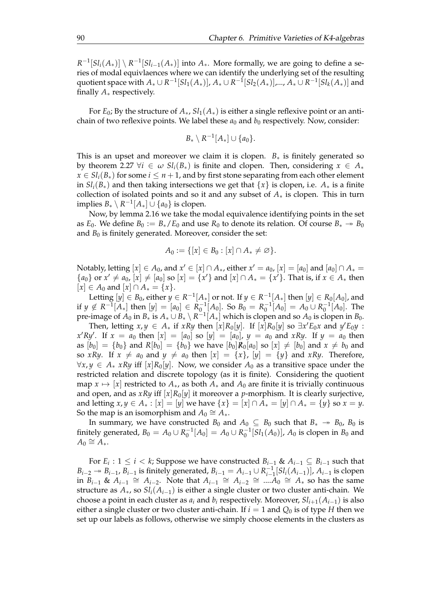$R^{-1}[Sl_i(A_*)] \setminus R^{-1}[Sl_{i-1}(A_*)]$  into  $A_*$ . More formally, we are going to define a series of modal equivlaences where we can identify the underlying set of the resulting quotient space with  $A_* \cup R^{-1}[Sl_1(A_*)]$ ,  $A_* \cup R^{-1}[Sl_2(A_*)]$ ,...,  $A_* \cup R^{-1}[Sl_k(A_*)]$  and finally *A*∗ respectively.

For  $E_0$ ; By the structure of  $A_*, S_1(A_*)$  is either a single reflexive point or an antichain of two reflexive points. We label these  $a_0$  and  $b_0$  respectively. Now, consider:

$$
B_*\setminus R^{-1}[A_*]\cup \{a_0\}.
$$

This is an upset and moreover we claim it is clopen.  $B_*$  is finitely generated so by theorem [2.27](#page-27-0)  $\forall i \in \omega$   $Sl_i(B_*)$  is finite and clopen. Then, considering  $x \in A_*$  $x \in Sl_i(B_*)$  for some  $i \leq n+1$ , and by first stone separating from each other element in  $Sl_i(B_*)$  and then taking intersections we get that  $\{x\}$  is clopen, i.e.  $A_*$  is a finite collection of isolated points and so it and any subset of *A*∗ is clopen. This in turn  $\operatorname{implies} B_*\setminus R^{-1}[A_*]\cup \{a_0\}$  is clopen.

Now, by lemma [2.16](#page-20-1) we take the modal equivalence identifying points in the set as *E*<sub>0</sub>. We define  $B_0 := B_*/E_0$  and use  $R_0$  to denote its relation. Of course  $B_* \to B_0$ and  $B_0$  is finitely generated. Moreover, consider the set:

$$
A_0 := \{ [x] \in B_0 : [x] \cap A_* \neq \varnothing \}.
$$

Notably, letting  $[x] \in A_0$ , and  $x' \in [x] \cap A_*$ , either  $x' = a_0$ ,  $[x] = [a_0]$  and  $[a_0] \cap A_* =$  ${a_0}$  or  $x' \neq a_0$ ,  $[x] \neq [a_0]$  so  $[x] = {x'}$  and  $[x] \cap A_* = {x'}$ . That is, if  $x \in A_*$  then  $[x] \in A_0$  and  $[x] \cap A_* = \{x\}.$ 

Letting  $[y] \in B_0$ , either  $y \in R^{-1}[A_*]$  or not. If  $y \in R^{-1}[A_*]$  then  $[y] \in R_0[A_0]$ , and if *y* ∉  $R^{-1}[A_*]$  then  $[y] = [a_0] \in R_0^{-1}[A_0]$ . So  $B_0 = R_0^{-1}[A_0] = A_0 \cup R_0^{-1}[A_0]$ . The pre-image of  $A_0$  in  $B_*$  is  $A_*\cup B_*\setminus \mathsf{R}^{-1}[A_*]$  which is clopen and so  $A_0$  is clopen in  $B_0.$ 

Then, letting  $x, y \in A_*$  if  $xRy$  then  $[x]R_0[y]$ . If  $[x]R_0[y]$  so  $\exists x' E_0 x$  and  $y' E_0 y$  : *x*'*Ry*'. If  $x = a_0$  then  $[x] = [a_0]$  so  $[y] = [a_0]$ ,  $y = a_0$  and *xRy*. If  $y = a_0$  then as  $[b_0] = \{b_0\}$  and  $R[b_0] = \{b_0\}$  we have  $[b_0]R_0[a_0]$  so  $[x] \neq [b_0]$  and  $x \neq b_0$  and so *xRy*. If  $x \neq a_0$  and  $y \neq a_0$  then  $[x] = \{x\}$ ,  $[y] = \{y\}$  and *xRy*. Therefore,  $∀x, y ∈ A_* xRy$  iff  $[x]R_0[y]$ . Now, we consider  $A_0$  as a transitive space under the restricted relation and discrete topology (as it is finite). Considering the quotient map  $x \mapsto [x]$  restricted to  $A_*,$  as both  $A_*$  and  $A_0$  are finite it is trivially continuous and open, and as *xRy* iff  $[x]R_0[y]$  it moreover a *p*-morphism. It is clearly surjective, and letting  $x, y \in A_* : [x] = [y]$  we have  $\{x\} = [x] \cap A_* = [y] \cap A_* = \{y\}$  so  $x = y$ . So the map is an isomorphism and  $A_0 \cong A_*$ .

In summary, we have constructed  $B_0$  and  $A_0 \subseteq B_0$  such that  $B_* \to B_0$ ,  $B_0$  is finitely generated,  $B_0 = A_0 \cup R_0^{-1}[A_0] = A_0 \cup R_0^{-1}[Sl_1(A_0)]$ ,  $A_0$  is clopen in  $B_0$  and  $A_0 \cong A_*$ .

For  $E_i: 1 \leq i < k$ ; Suppose we have constructed  $B_{i-1}$  &  $A_{i-1} \subseteq B_{i-1}$  such that *B*<sup>*i*</sup>−2 → *B*<sup>*i*</sup>−1</sub>, *B*<sup>*i*</sup>−1</sub> is finitely generated, *B*<sup>*i*</sup>−1 = *A*<sup>*i*</sup>−1</sub> ∪ *R*<sup><sup>-1</sup><sub>*i*</sub>−1</sup> *i*−1 [*Sli*(*Ai*−1)], *Ai*−<sup>1</sup> is clopen  $\lim_{h \to 1} B_{i-1} \& A_{i-1} \cong A_{i-2}$ . Note that  $A_{i-1} \cong A_{i-2} \cong ... A_0 \cong A_*$  so has the same structure as  $A_{*}$ , so  $Sl<sub>i</sub>(A<sub>i-1</sub>)$  is either a single cluster or two cluster anti-chain. We choose a point in each cluster as  $a_i$  and  $b_i$  respectively. Moreover,  $Sl_{i+1}(A_{i-1})$  is also either a single cluster or two cluster anti-chain. If  $i = 1$  and  $Q_0$  is of type *H* then we set up our labels as follows, otherwise we simply choose elements in the clusters as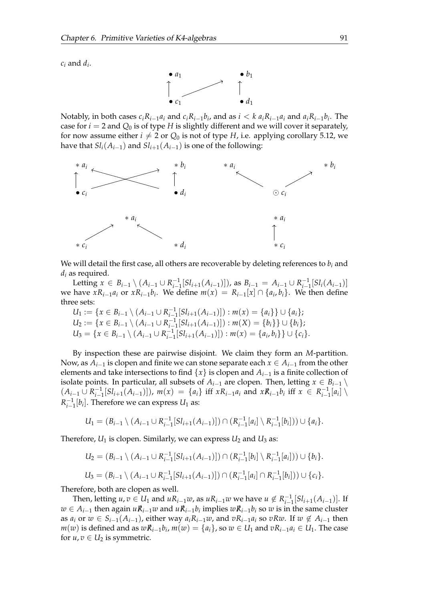$c_i$  and  $d_i$ .



Notably, in both cases  $c_iR_{i-1}a_i$  and  $c_iR_{i-1}b_i$ , and as  $i < k a_iR_{i-1}a_i$  and  $a_iR_{i-1}b_i$ . The case for  $i = 2$  and  $Q_0$  is of type *H* is slightly different and we will cover it separately, for now assume either  $i \neq 2$  or  $Q_0$  is not of type *H*, i.e. applying corollary [5.12,](#page-88-0) we have that  $Sl_i(A_{i-1})$  and  $Sl_{i+1}(A_{i-1})$  is one of the following:



We will detail the first case, all others are recoverable by deleting references to *b<sup>i</sup>* and *d<sup>i</sup>* as required.

Letting  $x \in B_{i-1} \setminus (A_{i-1} \cup R_{i-1}^{-1})$  $\binom{-1}{i-1} [Sl_{i+1}(A_{i-1})])$ , as  $B_{i-1} = A_{i-1} \cup R_{i-1}^{-1}$  $\frac{-1}{i-1}$ [*Sl*<sub>*i*</sub>(*A*<sub>*i*−1</sub>)] we have  $xR_{i-1}a_i$  or  $xR_{i-1}b_i$ . We define  $m(x) = R_{i-1}[x] \cap \{a_i, b_i\}$ . We then define three sets:

$$
U_1 := \{x \in B_{i-1} \setminus (A_{i-1} \cup R_{i-1}^{-1}[Sl_{i+1}(A_{i-1})]): m(x) = \{a_i\} \} \cup \{a_i\};
$$
  
\n
$$
U_2 := \{x \in B_{i-1} \setminus (A_{i-1} \cup R_{i-1}^{-1}[Sl_{i+1}(A_{i-1})]): m(X) = \{b_i\} \} \cup \{b_i\};
$$
  
\n
$$
U_3 = \{x \in B_{i-1} \setminus (A_{i-1} \cup R_{i-1}^{-1}[Sl_{i+1}(A_{i-1})]): m(x) = \{a_i, b_i\} \} \cup \{c_i\}.
$$

By inspection these are pairwise disjoint. We claim they form an *M*-partition. Now, as  $A_{i-1}$  is clopen and finite we can stone separate each  $x \in A_{i-1}$  from the other elements and take intersections to find  $\{x\}$  is clopen and  $A_{i-1}$  is a finite collection of isolate points. In particular, all subsets of  $A_{i-1}$  are clopen. Then, letting  $x \in B_{i-1} \setminus \{$  $(A_{i-1} \cup R_{i-1}^{-1})$  $\binom{-1}{i-1}$  [*Sl*<sub>*i*+1</sub>(*A*<sub>*i*-1</sub>)]), *m*(*x*) = {*a*<sub>*i*</sub>} iff *xR*<sub>*i*-1</sub>*a*<sub>*i*</sub></sub> and *xR*<sub>*i*-1</sub>*b*<sub>*i*</sub></sub> iff *x* ∈ *R*<sub>*i*-1</sub>*i*  $\prod_{i=1}^{-1} [a_i] \setminus$  $R_{i-1}^{-1}$  $\frac{1}{i-1}[b_i]$ . Therefore we can express  $U_1$  as:

$$
U_1 = (B_{i-1} \setminus (A_{i-1} \cup R_{i-1}^{-1}[Sl_{i+1}(A_{i-1})]) \cap (R_{i-1}^{-1}[a_i] \setminus R_{i-1}^{-1}[b_i])) \cup \{a_i\}.
$$

Therefore,  $U_1$  is clopen. Similarly, we can express  $U_2$  and  $U_3$  as:

$$
U_2 = (B_{i-1} \setminus (A_{i-1} \cup R_{i-1}^{-1}[Sl_{i+1}(A_{i-1})]) \cap (R_{i-1}^{-1}[b_i] \setminus R_{i-1}^{-1}[a_i])) \cup \{b_i\}.
$$
  

$$
U_3 = (B_{i-1} \setminus (A_{i-1} \cup R_{i-1}^{-1}[Sl_{i+1}(A_{i-1})]) \cap (R_{i-1}^{-1}[a_i] \cap R_{i-1}^{-1}[b_i])) \cup \{c_i\}.
$$

Therefore, both are clopen as well.

Then, letting  $u, v \in U_1$  and  $uR_{i-1}w$ , as  $uR_{i-1}w$  we have  $u \notin R_{i-1}^{-1}$  $\prod_{i=1}^{-1}[Sl_{i+1}(A_{i-1})]$ . If *w* ∈ *Ai*−<sup>1</sup> then again *uR*/*i*−1*w* and *uR*/*i*−1*b<sup>i</sup>* implies *wR*/*i*−1*b<sup>i</sup>* so *w* is in the same cluster as *a*<sub>*i*</sub> or *w* ∈ *S*<sub>*i*−1</sub>(*A*<sub>*i*−1</sub>), either way *a*<sub>*i*</sub>R<sub>*i*−1</sub>*w*, and *v*R<sub>*i*−1</sub>*a*<sub>*i*</sub> so *vRw*. If *w* ∉ *A*<sub>*i*−1</sub> then *m*(*w*) is defined and as  $w\mathcal{R}_{i-1}b_i$ , *m*(*w*) = {*a*<sub>*i*</sub>}, so *w* ∈ *U*<sub>1</sub> and  $vR_{i-1}a_i$  ∈ *U*<sub>1</sub>. The case for  $u, v \in U_2$  is symmetric.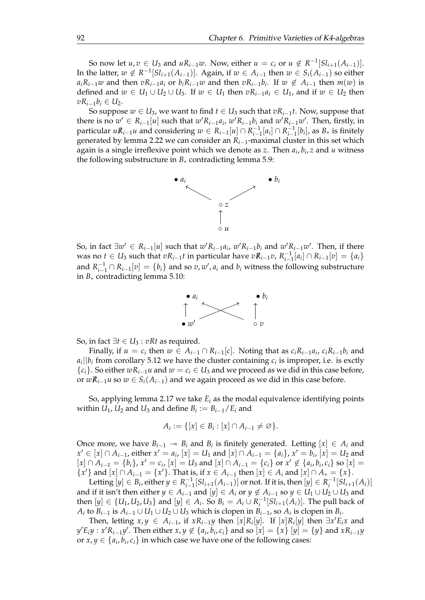So now let  $u, v \in U_3$  and  $uR_{i-1}w$ . Now, either  $u = c_i$  or  $u \notin R^{-1}[Sl_{i+1}(A_{i-1})]$ . In the latter,  $w \notin R^{-1}[Sl_{i+1}(A_{i-1})]$ . Again, if  $w \in A_{i-1}$  then  $w \in S_i(A_{i-1})$  so either  $a_iR_{i-1}w$  and then  $vR_{i-1}a_i$  or  $b_iR_{i-1}w$  and then  $vR_{i-1}b_i$ . If  $w \notin A_{i-1}$  then  $m(w)$  is defined and  $w ∈ U_1 ∪ U_2 ∪ U_3$ . If  $w ∈ U_1$  then  $vR_{i-1}a_i ∈ U_1$ , and if  $w ∈ U_2$  then *vR*<sub>*i*−1</sub>*b*<sub>*i*</sub> ∈ *U*<sub>2</sub>.

So suppose  $w \in U_3$ , we want to find  $t \in U_3$  such that  $vR_{i-1}t$ . Now, suppose that there is no  $w' \in R_{i-1}[u]$  such that  $w'R_{i-1}a_i$ ,  $w'R_{i-1}b_i$  and  $w'R_{i-1}w'$ . Then, firstly, in  $p$ articular  $u\vec{R}_{i-1}u$  and considering  $w \in R_{i-1}[u] \cap R_{i-1}^{-1}$  $\prod_{i=1}^{-1} [a_i] \cap R_{i-1}^{-1}$  $\prod_{i=1}^{-1} [b_i]$ , as  $B_*$  is finitely generated by lemma [2.22](#page-23-0) we can consider an *Ri*−1-maximal cluster in this set which again is a single irreflexive point which we denote as *z*. Then *a<sup>i</sup>* , *bi* , *z* and *u* witness the following substructure in *B*∗ contradicting lemma [5.9:](#page-78-0)



So, in fact  $\exists w' \in R_{i-1}[u]$  such that  $w'R_{i-1}a_i$ ,  $w'R_{i-1}b_i$  and  $w'R_{i-1}w'$ . Then, if there was no  $t \in U_3$  such that  $vR_{i-1}t$  in particular have  $vR_{i-1}v$ ,  $R_{i-1}^{-1}$  $\prod_{i=1}^{-1} [a_i] \cap R_{i-1}[v] = \{a_i\}$ and  $R_{i-1}^{-1} \cap R_{i-1}[v] = \{b_i\}$  and so  $v, w', a_i$  and  $b_i$  witness the following substructure in *B*∗ contradicting lemma [5.10:](#page-79-0)



So, in fact  $\exists t \in U_3 : vRt$  as required.

Finally, if  $u = c_i$  then  $w \in A_{i-1} \cap R_{i-1}[c]$ . Noting that as  $c_i R_{i-1} a_i$ ,  $c_i R_{i-1} b_i$  and  $a_i$ || $b_i$  from corollary [5.12](#page-88-0) we have the cluster containing  $c_i$  is improper, i.e. is exctly {*ci*}. So either *wRi*−1*u* and *w* = *c<sup>i</sup>* ∈ *U*<sup>3</sup> and we proceed as we did in this case before, or  $w\mathcal{R}_{i-1}u$  so  $w \in S_i(A_{i-1})$  and we again proceed as we did in this case before.

So, applying lemma [2.17](#page-20-0) we take *E<sup>i</sup>* as the modal equivalence identifying points within  $U_1$ ,  $U_2$  and  $U_3$  and define  $B_i := B_{i-1}/E_i$  and

$$
A_i := \{ [x] \in B_i : [x] \cap A_{i-1} \neq \varnothing \}.
$$

Once more, we have  $B_{i-1} \rightarrow B_i$  and  $B_i$  is finitely generated. Letting  $[x] \in A_i$  and *x*<sup> $′$ </sup> ∈ [*x*] ∩ *A*<sub>*i*−1</sub>, either *x*<sup> $′$ </sup> = *a*<sub>*i*</sub></sup>, [*x*] = *U*<sub>1</sub> and [*x*] ∩ *A*<sub>*i*−1</sub> = {*a<sub>i</sub>*}, *x*<sup> $′$ </sup> = *b<sub>i</sub>*, [*x*] = *U*<sub>2</sub> and  $[x] \cap A_{i-1} = \{b_i\}$ ,  $x' = c_i$ ,  $[x] = U_3$  and  $[x] \cap A_{i-1} = \{c_i\}$  or  $x' \notin \{a_i, b_i, c_i\}$  so  $[x] =$ { $x'$ } and  $[x] ∩ A_{i-1} = \{x'\}$ . That is, if  $x ∈ A_{i-1}$  then  $[x] ∈ A_i$  and  $[x] ∩ A_* = \{x\}$ .

Letting  $[y] \in B_i$ , either  $y \in R_{i-1}^{-1}$  $\prod_{i=1}^{-1} [Sl_{i+1}(A_{i-1})]$  or not. If it is, then  $[y] \in R_i^{-1}[Sl_{i+1}(A_i)]$ and if it isn't then either  $y \in A_{i-1}$  and  $[y] \in A_i$  or  $y \notin A_{i-1}$  so  $y \in U_1 \cup U_2 \cup U_3$  and then  $[y]$  ∈ {*U*<sub>1</sub>, *U*<sub>2</sub>, *U*<sub>3</sub>} and  $[y]$  ∈ *A*<sub>*i*</sub>. So *B*<sub>*i*</sub> = *A*<sub>*i*</sub> ∪ *R*<sub>*i*</sub><sup>-1</sup>[*SI*<sub>*i*+1</sub>(*A*<sub>*i*</sub>)]. The pull back of *A*<sup>*i*</sup> to *B*<sup>*i*−1</sup> is  $A$ <sup>*i*−1</sup> ∪ *U*<sub>1</sub> ∪ *U*<sub>2</sub> ∪ *U*<sub>3</sub> which is clopen in *B*<sup>*i*</sup>−1, so  $A$ <sup>*i*</sup> is clopen in *B*<sup>*i*</sup>.

Then, letting  $x, y \in A_{i-1}$ , if  $xR_{i-1}y$  then  $[x]R_i[y]$ . If  $[x]R_i[y]$  then  $\exists x' E_i x$  and  $y'E_iy : x'R_{i-1}y'$ . Then either  $x, y \notin \{a_i, b_i, c_i\}$  and so  $[x] = \{x\}$   $[y] = \{y\}$  and  $xR_{i-1}y$ or  $x, y \in \{a_i, b_i, c_i\}$  in which case we have one of the following cases: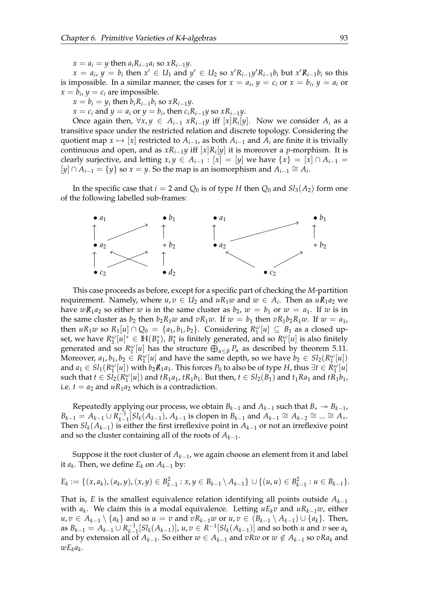$x = a_i = y$  then  $a_i R_{i-1} a_i$  so  $x R_{i-1} y$ .

 $x = a_i$ ,  $y = b_i$  then  $x' \in U_1$  and  $y' \in U_2$  so  $x'R_{i-1}y'R_{i-1}b_i$  but  $x'R_{i-1}b_i$  so this is impossible. In a similar manner, the cases for  $x = a_i$ ,  $y = c_i$  or  $x = b_i$ ,  $y = a_i$  or  $x = b_i$ ,  $y = c_i$  are impossible.

 $x = b_i = y_i$  then  $b_i R_{i-1} b_i$  so  $x R_{i-1} y$ .

 $x = c_i$  and  $y = a_i$  or  $y = b_i$ , then  $c_iR_{i-1}y$  so  $xR_{i-1}y$ .

Once again then,  $\forall x, y \in A_{i-1}$   $xR_{i-1}y$  iff  $[x]R_i[y]$ . Now we consider  $A_i$  as a transitive space under the restricted relation and discrete topology. Considering the quotient map  $x \mapsto [x]$  restricted to  $A_{i-1}$ , as both  $A_{i-1}$  and  $A_i$  are finite it is trivially continuous and open, and as *xRi*−1*y* iff [*x*]*R<sup>i</sup>* [*y*] it is moreover a *p*-morphism. It is clearly surjective, and letting  $x, y \in A_{i-1} : [x] = [y]$  we have  $\{x\} = [x] \cap A_{i-1} =$  $[y] ∩ A_{i-1} = \{y\}$  so  $x = y$ . So the map is an isomorphism and  $A_{i-1} \cong A_i$ .

In the specific case that  $i = 2$  and  $Q_0$  is of type *H* then  $Q_0$  and  $Sl_3(A_2)$  form one of the following labelled sub-frames:



This case proceeds as before, except for a specific part of checking the *M*-partition requirement. Namely, where  $u, v \in U_2$  and  $uR_1w$  and  $w \in A_i$ . Then as  $uR_1a_2$  we have  $w\mathbb{R}_1a_2$  so either *w* is in the same cluster as  $b_2$ ,  $w = b_1$  or  $w = a_1$ . If *w* is in the same cluster as  $b_2$  then  $b_2R_1w$  and  $vR_1w$ . If  $w = b_1$  then  $vR_1b_2R_1w$ . If  $w = a_1$ , then  $uR_1w$  so  $R_1[u] \cap Q_0 = \{a_1, b_1, b_2\}$ . Considering  $R_1^{\omega}[u] \subseteq B_1$  as a closed upset, we have  $R_1^{\omega}[u]^* \in \mathbb{H}(B_1^*)$ ,  $B_1^*$  is finitely generated, and so  $R_1^{\omega}[u]$  is also finitely generated and so  $R_1^{\omega}[u]$  has the structure  $\bigoplus_{\alpha \leq \beta} P_{\alpha}$  as described by theorem [5.11.](#page-81-0) Moreover,  $a_1, b_1, b_2 \in R_1^{\omega}[u]$  and have the same depth, so we have  $b_2 \in Sl_2(R_1^{\omega}[u])$ and  $a_1 \in Sl_1(R_1^{\omega}[u])$  with  $b_2R_1a_1$ . This forces  $P_0$  to also be of type  $H$ , thus  $\exists t \in R_1^{\omega}[u]$ such that  $t \in Sl_2(R_1^{\omega}[u])$  and  $tR_1a_1$ ,  $tR_1b_1$ . But then,  $t \in Sl_2(B_1)$  and  $t_1Ra_1$  and  $tR_1b_1$ , i.e.  $t = a_2$  and  $uR_1a_2$  which is a contradiction.

Repeatedly applying our process, we obtain  $B_{k-1}$  and  $A_{k-1}$  such that  $B_* \to B_{k-1}$ ,  $B_{k-1} = A_{k-1} \cup R_{k-1}^{-1}$  $\prod_{k=1}^{n-1} [Sl_k(A_{k-1}), A_{k-1}]$  is clopen in  $B_{k-1}$  and  $A_{k-1} \cong A_{k-2} \cong ... \cong A_*$ . Then  $Sl_k(A_{k-1})$  is either the first irreflexive point in  $A_{k-1}$  or not an irreflexive point and so the cluster containing all of the roots of  $A_{k-1}$ .

Suppose it the root cluster of *Ak*−<sup>1</sup> , we again choose an element from it and label it  $a_k$ . Then, we define  $E_k$  on  $A_{k-1}$  by:

$$
E_k := \{(x, a_k), (a_k, y), (x, y) \in B_{k-1}^2 : x, y \in B_{k-1} \setminus A_{k-1}\} \cup \{(u, u) \in B_{k-1}^2 : u \in B_{k-1}\}.
$$

That is, *E* is the smallest equivalence relation identifying all points outside  $A_{k-1}$ with *a<sup>k</sup>* . We claim this is a modal equivalence. Letting *uEkv* and *uRk*−1*w*, either *u*,  $v \in A_{k-1} \setminus \{a_k\}$  and so  $u = v$  and  $vR_{k-1}w$  or  $u, v \in (B_{k-1} \setminus A_{k-1}) \cup \{a_k\}$ . Then, as  $B_{k-1} = A_{k-1} \cup R_{k-1}^{-1}$  $\binom{-1}{k-1}$  [*Sl*<sub>*k*</sub>(*A*<sub>*k*−1</sub>)], *u*, *v* ∈ *R*<sup>-1</sup>[*Sl*<sub>*k*</sub>(*A*<sub>*k*−1</sub>)] and so both *u* and *v* see *a*<sub>*k*</sub> and by extension all of  $A_{k-1}$ . So either  $w \in A_{k-1}$  and  $vRw$  or  $w \notin A_{k-1}$  so  $vRa_k$  and  $wE_k a_k$ .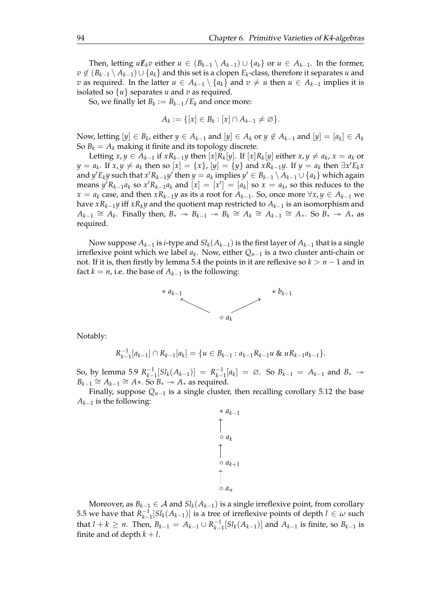Then, letting  $uE_k v$  either  $u \in (B_{k-1} \setminus A_{k-1}) \cup \{a_k\}$  or  $u \in A_{k-1}$ . In the former, *v* ̸∈ (*Bk*−<sup>1</sup> \ *Ak*−1) ∪ {*ak*} and this set is a clopen *E<sup>k</sup>* -class, therefore it separates *u* and *v* as required. In the latter *u* ∈  $A_{k-1} \setminus \{a_k\}$  and  $v \neq u$  then *u* ∈  $A_{k-1}$  implies it is isolated so  $\{u\}$  separates *u* and *v* as required.

So, we finally let  $B_k := B_{k-1}/E_k$  and once more:

$$
A_k := \{ [x] \in B_k : [x] \cap A_{k-1} \neq \varnothing \}.
$$

Now, letting  $[y] \in B_k$ , either  $y \in A_{k-1}$  and  $[y] \in A_k$  or  $y \notin A_{k-1}$  and  $[y] = [a_k] \in A_k$ So  $B_k = A_k$  making it finite and its topology discrete.

Letting  $x, y \in A_{k-1}$  if  $xR_{k-1}y$  then  $[x]R_k[y]$ . If  $[x]R_k[y]$  either  $x, y \neq a_k$ ,  $x = a_k$  or  $y = a_k$ . If  $x, y \neq a_k$  then so  $[x] = \{x\}$ ,  $[y] = \{y\}$  and  $xR_{k-1}y$ . If  $y = a_k$  then  $\exists x' E_k x$ and  $y'E_ky$  such that  $x'R_{k-1}y'$  then  $y = a_k$  implies  $y' \in B_{k-1} \setminus A_{k-1} \cup \{a_k\}$  which again  $\sum_{k=1}^{n} a_k$  so  $x' R_{k-1} a_k$  and  $[x] = [x'] = [a_k]$  so  $x = a_k$ , so this reduces to the *x* = *a*<sub>*k*</sub> case, and then *xR*<sub>*k*−1</sub>*y* as its a root for *A*<sub>*k*−1</sub>. So, once more  $\forall$ *x*, *y* ∈ *A*<sub>*k*−1</sub> we have *xRk*−1*y* iff *xRky* and the quotient map restricted to *Ak*−<sup>1</sup> is an isomorphism and  $A_{k-1} \cong A_k$ . Finally then,  $B_* \to B_{k-1} \to B_k \cong A_k \cong A_{k-1} \cong A_*$ . So  $B_* \to A_*$  as required.

Now suppose *Ak*−<sup>1</sup> is *i*-type and *Slk*(*Ak*−1) is the first layer of *Ak*−<sup>1</sup> that is a single irreflexive point which we label *a<sup>k</sup>* . Now, either *Qn*−<sup>1</sup> is a two cluster anti-chain or not. If it is, then firstly by lemma [5.4](#page-56-0) the points in it are reflexive so  $k > n - 1$  and in fact  $k = n$ , i.e. the base of  $A_{k-1}$  is the following:



Notably:

$$
R_{k-1}^{-1}[a_{k-1}] \cap R_{k-1}[a_k] = \{u \in B_{k-1} : a_{k-1}R_{k-1}u \& uR_{k-1}a_{k-1}\}.
$$

So, by lemma [5.9](#page-78-0)  $R_{k-}^{-1}$  $\binom{-1}{k-1} [Sl_k(A_{k-1})] = R_{k-1}^{-1}$  $\binom{-1}{k-1}[a_k] = \emptyset$ . So  $B_{k-1} = A_{k-1}$  and  $B_*$  →  $B_{k-1} \cong A_{k-1} \cong A^*$ . So  $B_* \twoheadrightarrow A_*$  as required.

Finally, suppose  $Q_{n-1}$  is a single cluster, then recalling corollary [5.12](#page-88-0) the base *Ak*−<sup>1</sup> is the following:

$$
\begin{array}{c}\n\ast a_{k-1} \\
\uparrow \\
\circ a_k \\
\uparrow \\
\circ a_{k+1} \\
\hline\n\vdots \\
\circ a_n\n\end{array}
$$

Moreover, as  $B_{k-1} \in \mathcal{A}$  and  $Sl_k(A_{k-1})$  is a single irreflexive point, from corollary [5.5](#page-58-0) we have that  $R_{k-1}^{-1}$  $\binom{−1}{k-1}[Sl_k(A_{k-1})]$  is a tree of irreflexive points of depth *l* ∈ *ω* such that  $l + k \geq n$ . Then,  $B_{k-1} = A_{k-1} \cup R_{k-1}^{-1}$  $\binom{1}{k-1}[Sl_k(A_{k-1})]$  and  $A_{k-1}$  is finite, so  $B_{k-1}$  is finite and of depth  $k + l$ .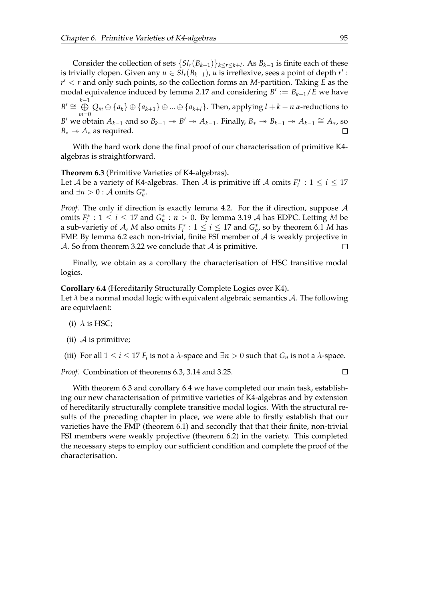Consider the collection of sets  $\{S_l, (B_{k-1})\}_{k \leq r \leq k+l}$ . As  $B_{k-1}$  is finite each of these is trivially clopen. Given any  $u \in Sl_r(B_{k-1})$ , *u* is irreflexive, sees a point of depth  $r'$ : *r* ′ < *r* and only such points, so the collection forms an *M*-partition. Taking *E* as the modal equivalence induced by lemma [2.17](#page-20-0) and considering  $B' := B_{k-1}/E$  we have  $B' \cong \bigoplus^{k-1}$  $\bigoplus_{m=0}$   $Q_m ⊕ \{a_k\} ⊕ \{a_{k+1}\} ⊕ ... ⊕ \{a_{k+l}\}.$  Then, applying  $l + k - n$  *α*-reductions to *B*<sup> $\prime$ </sup> we obtain  $A_{k-1}$  and so  $B_{k-1} \to B' \to A_{k-1}$ . Finally,  $B_* \to B_{k-1} \to A_{k-1} \cong A_*$ , so  $B_* \rightarrow A_*$  as required.  $\Box$ 

With the hard work done the final proof of our characterisation of primitive K4 algebras is straightforward.

<span id="page-98-0"></span>**Theorem 6.3** (Primitive Varieties of K4-algebras)**.**

Let *A* be a variety of K4-algebras. Then *A* is primitive iff *A* omits  $F_i^* : 1 \le i \le 17$ and  $\exists n > 0 : A \text{ omits } G_n^*$ .

*Proof.* The only if direction is exactly lemma [4.2.](#page-48-0) For the if direction, suppose A omits  $F_i^* : 1 \le i \le 17$  and  $G_n^* : n > 0$ . By lemma [3.19](#page-35-0) A has EDPC. Letting M be a sub-varietiy of  $A$ ,  $M$  also omits  $F_i^* : 1 \leq i \leq 17$  and  $G_n^*$ , so by theorem [6.1](#page-90-0)  $M$  has FMP. By lemma [6.2](#page-92-0) each non-trivial, finite FSI member of  $A$  is weakly projective in A. So from theorem [3.22](#page-36-0) we conclude that  $A$  is primitive.  $\Box$ 

Finally, we obtain as a corollary the characterisation of HSC transitive modal logics.

<span id="page-98-1"></span>**Corollary 6.4** (Hereditarily Structurally Complete Logics over K4)**.**

Let *λ* be a normal modal logic with equivalent algebraic semantics A. The following are equivlaent:

- (i)  $\lambda$  is HSC;
- (ii)  $\mathcal A$  is primitive;
- (iii) For all  $1 \le i \le 17$  *F*<sub>*i*</sub> is not a  $\lambda$ -space and  $\exists n > 0$  such that *G*<sub>*n*</sub> is not a  $\lambda$ -space.

*Proof.* Combination of theorems [6.3,](#page-98-0) [3.14](#page-34-0) and [3.25.](#page-37-0)

 $\Box$ 

With theorem [6.3](#page-98-0) and corollary [6.4](#page-98-1) we have completed our main task, establishing our new characterisation of primitive varieties of K4-algebras and by extension of hereditarily structurally complete transitive modal logics. With the structural results of the preceding chapter in place, we were able to firstly establish that our varieties have the FMP (theorem [6.1\)](#page-90-0) and secondly that that their finite, non-trivial FSI members were weakly projective (theorem [6.2\)](#page-92-0) in the variety. This completed the necessary steps to employ our sufficient condition and complete the proof of the characterisation.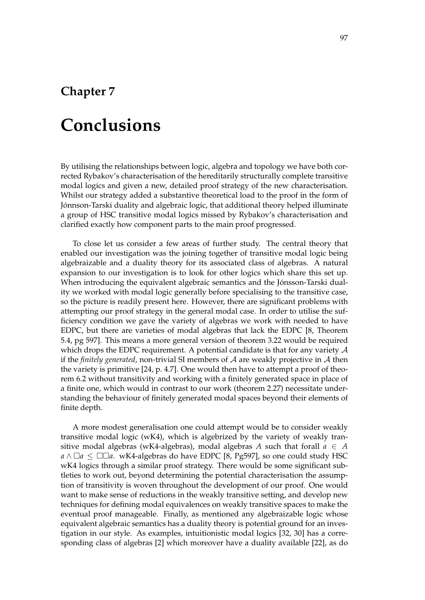### **Chapter 7**

## **Conclusions**

By utilising the relationships between logic, algebra and topology we have both corrected Rybakov's characterisation of the hereditarily structurally complete transitive modal logics and given a new, detailed proof strategy of the new characterisation. Whilst our strategy added a substantive theoretical load to the proof in the form of Jónnson-Tarski duality and algebraic logic, that additional theory helped illuminate a group of HSC transitive modal logics missed by Rybakov's characterisation and clarified exactly how component parts to the main proof progressed.

To close let us consider a few areas of further study. The central theory that enabled our investigation was the joining together of transitive modal logic being algebraizable and a duality theory for its associated class of algebras. A natural expansion to our investigation is to look for other logics which share this set up. When introducing the equivalent algebraic semantics and the Jónsson-Tarski duality we worked with modal logic generally before specialising to the transitive case, so the picture is readily present here. However, there are significant problems with attempting our proof strategy in the general modal case. In order to utilise the sufficiency condition we gave the variety of algebras we work with needed to have EDPC, but there are varieties of modal algebras that lack the EDPC [\[8,](#page-102-2) Theorem 5.4, pg 597]. This means a more general version of theorem [3.22](#page-36-0) would be required which drops the EDPC requirement. A potential candidate is that for any variety  $A$ if the *finitely generated*, non-trivial SI members of  $A$  are weakly projective in  $A$  then the variety is primitive [\[24,](#page-103-1) p. 4.7]. One would then have to attempt a proof of theorem [6.2](#page-92-0) without transitivity and working with a finitely generated space in place of a finite one, which would in contrast to our work (theorem [2.27\)](#page-27-0) necessitate understanding the behaviour of finitely generated modal spaces beyond their elements of finite depth.

A more modest generalisation one could attempt would be to consider weakly transitive modal logic (wK4), which is algebrized by the variety of weakly transitive modal algebras (wK4-algebras), modal algebras *A* such that forall  $a \in A$ *a* ∧ □*a* ≤ □□*a*. wK4-algebras do have EDPC [\[8,](#page-102-2) Pg597], so one could study HSC wK4 logics through a similar proof strategy. There would be some significant subtleties to work out, beyond determining the potential characterisation the assumption of transitivity is woven throughout the development of our proof. One would want to make sense of reductions in the weakly transitive setting, and develop new techniques for defining modal equivalences on weakly transitive spaces to make the eventual proof manageable. Finally, as mentioned any algebraizable logic whose equivalent algebraic semantics has a duality theory is potential ground for an investigation in our style. As examples, intuitionistic modal logics [\[32,](#page-103-2) [30\]](#page-103-3) has a corresponding class of algebras [\[2\]](#page-102-3) which moreover have a duality available [\[22\]](#page-103-4), as do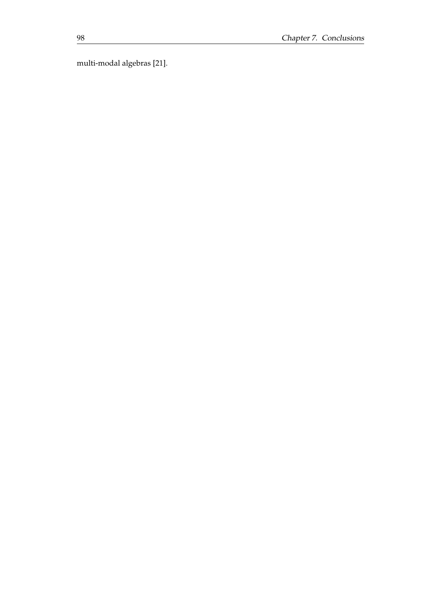multi-modal algebras [\[21\]](#page-103-5).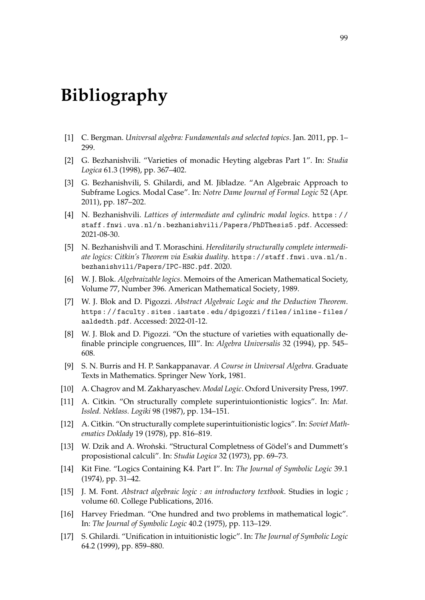# **Bibliography**

- [1] C. Bergman. *Universal algebra: Fundamentals and selected topics*. Jan. 2011, pp. 1– 299.
- <span id="page-102-3"></span>[2] G. Bezhanishvili. "Varieties of monadic Heyting algebras Part 1". In: *Studia Logica* 61.3 (1998), pp. 367–402.
- [3] G. Bezhanishvili, S. Ghilardi, and M. Jibladze. "An Algebraic Approach to Subframe Logics. Modal Case". In: *Notre Dame Journal of Formal Logic* 52 (Apr. 2011), pp. 187–202.
- [4] N. Bezhanishvili. *Lattices of intermediate and cylindric modal logics*. [https : / /](https://staff.fnwi.uva.nl/n.bezhanishvili/Papers/PhDThesis5.pdf) [staff.fnwi.uva.nl/n.bezhanishvili/Papers/PhDThesis5.pdf](https://staff.fnwi.uva.nl/n.bezhanishvili/Papers/PhDThesis5.pdf). Accessed: 2021-08-30.
- [5] N. Bezhanishvili and T. Moraschini. *Hereditarily structurally complete intermediate logics: Citkin's Theorem via Esakia duality*. [https://staff.fnwi.uva.nl/n.](https://staff.fnwi.uva.nl/n.bezhanishvili/Papers/IPC-HSC.pdf) [bezhanishvili/Papers/IPC-HSC.pdf](https://staff.fnwi.uva.nl/n.bezhanishvili/Papers/IPC-HSC.pdf). 2020.
- [6] W. J. Blok. *Algebraizable logics*. Memoirs of the American Mathematical Society, Volume 77, Number 396. American Mathematical Society, 1989.
- [7] W. J. Blok and D. Pigozzi. *Abstract Algebraic Logic and the Deduction Theorem*. [https : / / faculty . sites . iastate . edu / dpigozzi / files / inline - files /](https://faculty.sites.iastate.edu/dpigozzi/files/inline-files/aaldedth.pdf) [aaldedth.pdf](https://faculty.sites.iastate.edu/dpigozzi/files/inline-files/aaldedth.pdf). Accessed: 2022-01-12.
- <span id="page-102-2"></span>[8] W. J. Blok and D. Pigozzi. "On the stucture of varieties with equationally definable principle congruences, III". In: *Algebra Universalis* 32 (1994), pp. 545– 608.
- [9] S. N. Burris and H. P. Sankappanavar. *A Course in Universal Algebra*. Graduate Texts in Mathematics. Springer New York, 1981.
- <span id="page-102-1"></span>[10] A. Chagrov and M. Zakharyaschev. *Modal Logic*. Oxford University Press, 1997.
- [11] A. Citkin. "On structurally complete superintuiontionistic logics". In: *Mat. Issled. Neklass. Logiki* 98 (1987), pp. 134–151.
- [12] A. Citkin. "On structurally complete superintuitionistic logics". In: *Soviet Mathematics Doklady* 19 (1978), pp. 816–819.
- [13] W. Dzik and A. Wronski. "Structural Completness of Gödel's and Dummett's proposistional calculi". In: *Studia Logica* 32 (1973), pp. 69–73.
- <span id="page-102-0"></span>[14] Kit Fine. "Logics Containing K4. Part I". In: *The Journal of Symbolic Logic* 39.1 (1974), pp. 31–42.
- [15] J. M. Font. *Abstract algebraic logic : an introductory textbook*. Studies in logic ; volume 60. College Publications, 2016.
- [16] Harvey Friedman. "One hundred and two problems in mathematical logic". In: *The Journal of Symbolic Logic* 40.2 (1975), pp. 113–129.
- [17] S. Ghilardi. "Unification in intuitionistic logic". In: *The Journal of Symbolic Logic* 64.2 (1999), pp. 859–880.